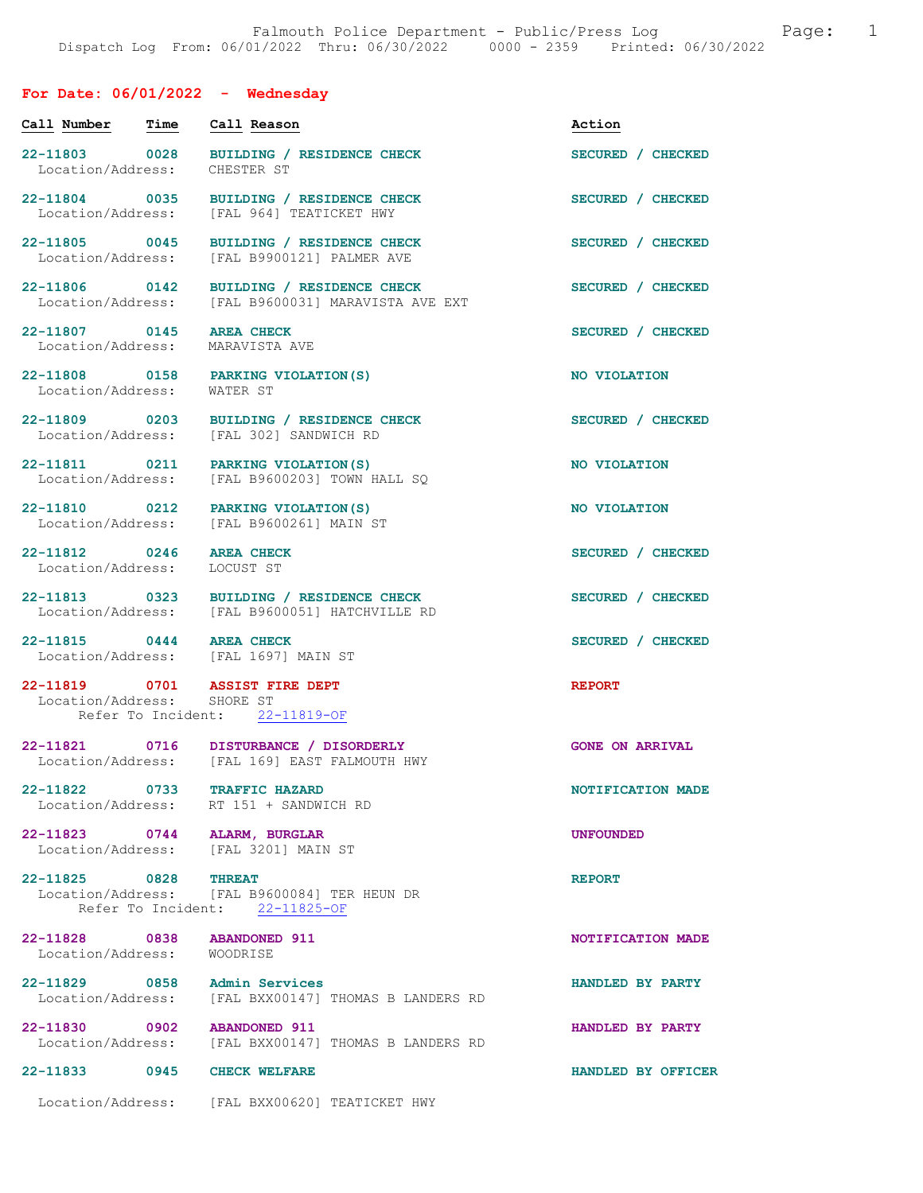# For Date: 06/01/2022 - Wednesday

| Call Number                        | Time | Call Reason                                                                                     | Action                 |
|------------------------------------|------|-------------------------------------------------------------------------------------------------|------------------------|
| 22-11803 0028<br>Location/Address: |      | BUILDING / RESIDENCE CHECK<br>CHESTER ST                                                        | SECURED / CHECKED      |
| 22-11804 0035<br>Location/Address: |      | BUILDING / RESIDENCE CHECK<br>[FAL 964] TEATICKET HWY                                           | SECURED / CHECKED      |
| 22-11805 0045<br>Location/Address: |      | BUILDING / RESIDENCE CHECK<br>[FAL B9900121] PALMER AVE                                         | SECURED / CHECKED      |
| 22-11806 0142<br>Location/Address: |      | BUILDING / RESIDENCE CHECK<br>[FAL B9600031] MARAVISTA AVE EXT                                  | SECURED / CHECKED      |
| 22-11807 0145<br>Location/Address: |      | <b>AREA CHECK</b><br>MARAVISTA AVE                                                              | SECURED / CHECKED      |
| 22-11808 0158<br>Location/Address: |      | PARKING VIOLATION(S)<br>WATER ST                                                                | NO VIOLATION           |
| 22-11809 0203<br>Location/Address: |      | BUILDING / RESIDENCE CHECK<br>[FAL 302] SANDWICH RD                                             | SECURED / CHECKED      |
| Location/Address:                  |      | 22-11811 0211 PARKING VIOLATION(S)<br>[FAL B9600203] TOWN HALL SQ                               | NO VIOLATION           |
| 22-11810 0212<br>Location/Address: |      | PARKING VIOLATION (S)<br>[FAL B9600261] MAIN ST                                                 | NO VIOLATION           |
| 22-11812 0246<br>Location/Address: |      | <b>AREA CHECK</b><br>LOCUST ST                                                                  | SECURED / CHECKED      |
|                                    |      | 22-11813 0323 BUILDING / RESIDENCE CHECK<br>Location/Address: [FAL B9600051] HATCHVILLE RD      | SECURED / CHECKED      |
| 22-11815 0444 AREA CHECK           |      | Location/Address: [FAL 1697] MAIN ST                                                            | SECURED / CHECKED      |
| Location/Address: SHORE ST         |      | 22-11819 0701 ASSIST FIRE DEPT<br>Refer To Incident: 22-11819-OF                                | <b>REPORT</b>          |
|                                    |      | 22-11821 0716 DISTURBANCE / DISORDERLY<br>Location/Address: [FAL 169] EAST FALMOUTH HWY         | <b>GONE ON ARRIVAL</b> |
| 22-11822                           | 0733 | <b>TRAFFIC HAZARD</b><br>Location/Address: RT 151 + SANDWICH RD                                 | NOTIFICATION MADE      |
|                                    |      | 22-11823 0744 ALARM, BURGLAR<br>Location/Address: [FAL 3201] MAIN ST                            | <b>UNFOUNDED</b>       |
| 22-11825 0828                      |      | <b>THREAT</b><br>Location/Address: [FAL B9600084] TER HEUN DR<br>Refer To Incident: 22-11825-OF | <b>REPORT</b>          |
| Location/Address: WOODRISE         |      | 22-11828 0838 ABANDONED 911                                                                     | NOTIFICATION MADE      |
|                                    |      | 22-11829 0858 Admin Services<br>Location/Address: [FAL BXX00147] THOMAS B LANDERS RD            | HANDLED BY PARTY       |
|                                    |      | 22-11830 0902 ABANDONED 911<br>Location/Address: [FAL BXX00147] THOMAS B LANDERS RD             | HANDLED BY PARTY       |
|                                    |      | 22-11833 0945 CHECK WELFARE                                                                     | HANDLED BY OFFICER     |
|                                    |      | Location/Address: [FAL BXX00620] TEATICKET HWY                                                  |                        |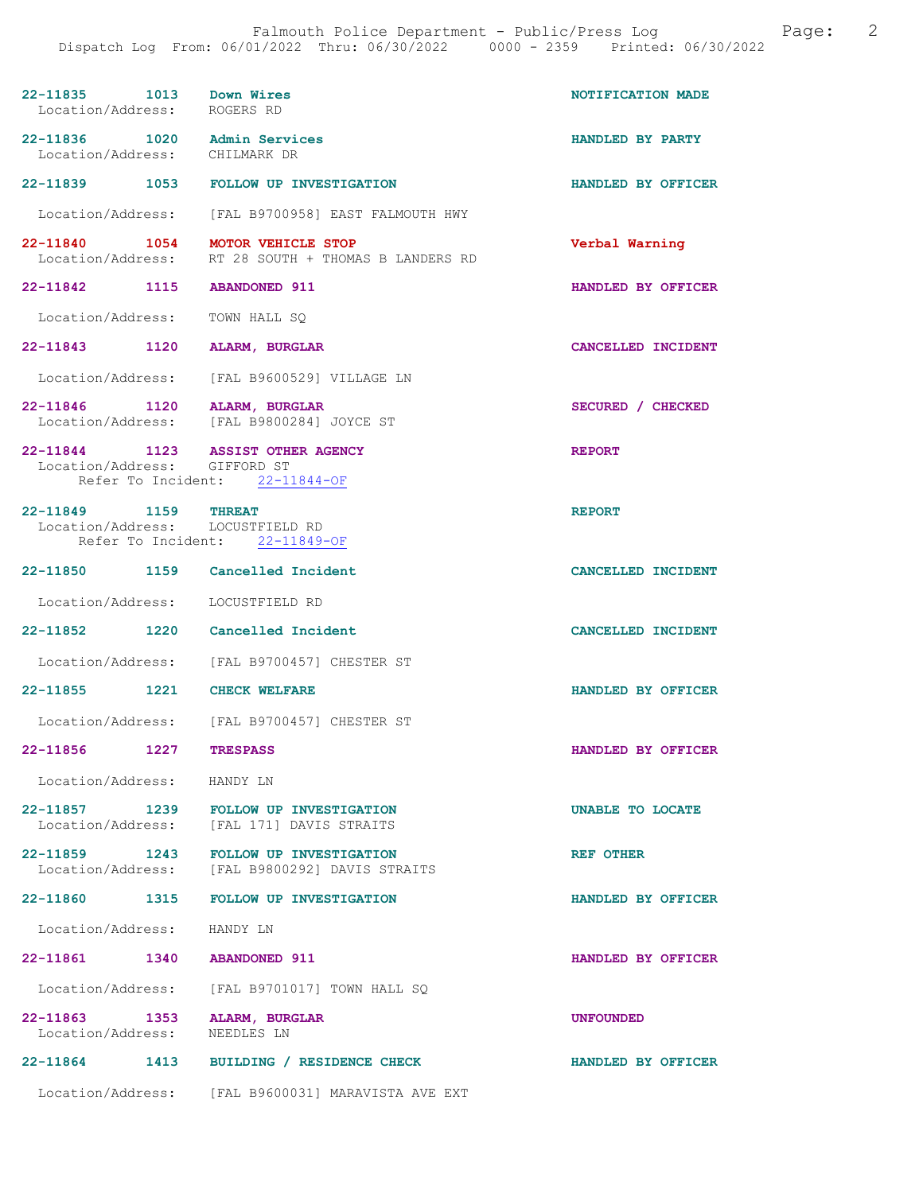| 22-11835 1013 Down Wires<br>Location/Address: ROGERS RD           |                                                                | NOTIFICATION MADE  |
|-------------------------------------------------------------------|----------------------------------------------------------------|--------------------|
| 22-11836 1020 Admin Services<br>Location/Address: CHILMARK DR     |                                                                | HANDLED BY PARTY   |
|                                                                   | 22-11839 1053 FOLLOW UP INVESTIGATION                          | HANDLED BY OFFICER |
|                                                                   | Location/Address: [FAL B9700958] EAST FALMOUTH HWY             |                    |
| 22-11840 1054 MOTOR VEHICLE STOP                                  | Location/Address: RT 28 SOUTH + THOMAS B LANDERS RD            | Verbal Warning     |
| 22-11842 1115 ABANDONED 911                                       |                                                                | HANDLED BY OFFICER |
| Location/Address: TOWN HALL SQ                                    |                                                                |                    |
| 22-11843 1120 ALARM, BURGLAR                                      |                                                                | CANCELLED INCIDENT |
|                                                                   | Location/Address: [FAL B9600529] VILLAGE LN                    |                    |
| 22-11846 1120 ALARM, BURGLAR                                      | Location/Address: [FAL B9800284] JOYCE ST                      | SECURED / CHECKED  |
| 22-11844 1123 ASSIST OTHER AGENCY<br>Location/Address: GIFFORD ST | Refer To Incident: 22-11844-OF                                 | <b>REPORT</b>      |
| 22-11849 1159 THREAT<br>Location/Address: LOCUSTFIELD RD          |                                                                | <b>REPORT</b>      |
|                                                                   | Refer To Incident: 22-11849-OF                                 |                    |
| 22-11850 1159 Cancelled Incident                                  |                                                                | CANCELLED INCIDENT |
| Location/Address: LOCUSTFIELD RD                                  |                                                                |                    |
| 22-11852 1220 Cancelled Incident                                  |                                                                | CANCELLED INCIDENT |
|                                                                   | Location/Address: [FAL B9700457] CHESTER ST                    |                    |
| 22-11855 1221 CHECK WELFARE                                       |                                                                | HANDLED BY OFFICER |
|                                                                   | Location/Address: [FAL B9700457] CHESTER ST                    |                    |
| 22-11856 1227                                                     | <b>TRESPASS</b>                                                | HANDLED BY OFFICER |
| Location/Address:                                                 | HANDY LN                                                       |                    |
| 22-11857 1239<br>Location/Address:                                | <b>FOLLOW UP INVESTIGATION</b><br>[FAL 171] DAVIS STRAITS      | UNABLE TO LOCATE   |
| 22-11859 1243<br>Location/Address:                                | <b>FOLLOW UP INVESTIGATION</b><br>[FAL B9800292] DAVIS STRAITS | REF OTHER          |
| 22-11860                                                          | 1315 FOLLOW UP INVESTIGATION                                   | HANDLED BY OFFICER |
| Location/Address:                                                 | HANDY LN                                                       |                    |
| 22-11861<br>1340                                                  | <b>ABANDONED 911</b>                                           | HANDLED BY OFFICER |
| Location/Address:                                                 | [FAL B9701017] TOWN HALL SQ                                    |                    |
| 22-11863 1353<br>Location/Address:                                | ALARM, BURGLAR<br>NEEDLES LN                                   | <b>UNFOUNDED</b>   |
| 22-11864<br>1413                                                  | BUILDING / RESIDENCE CHECK                                     | HANDLED BY OFFICER |
| Location/Address:                                                 | [FAL B9600031] MARAVISTA AVE EXT                               |                    |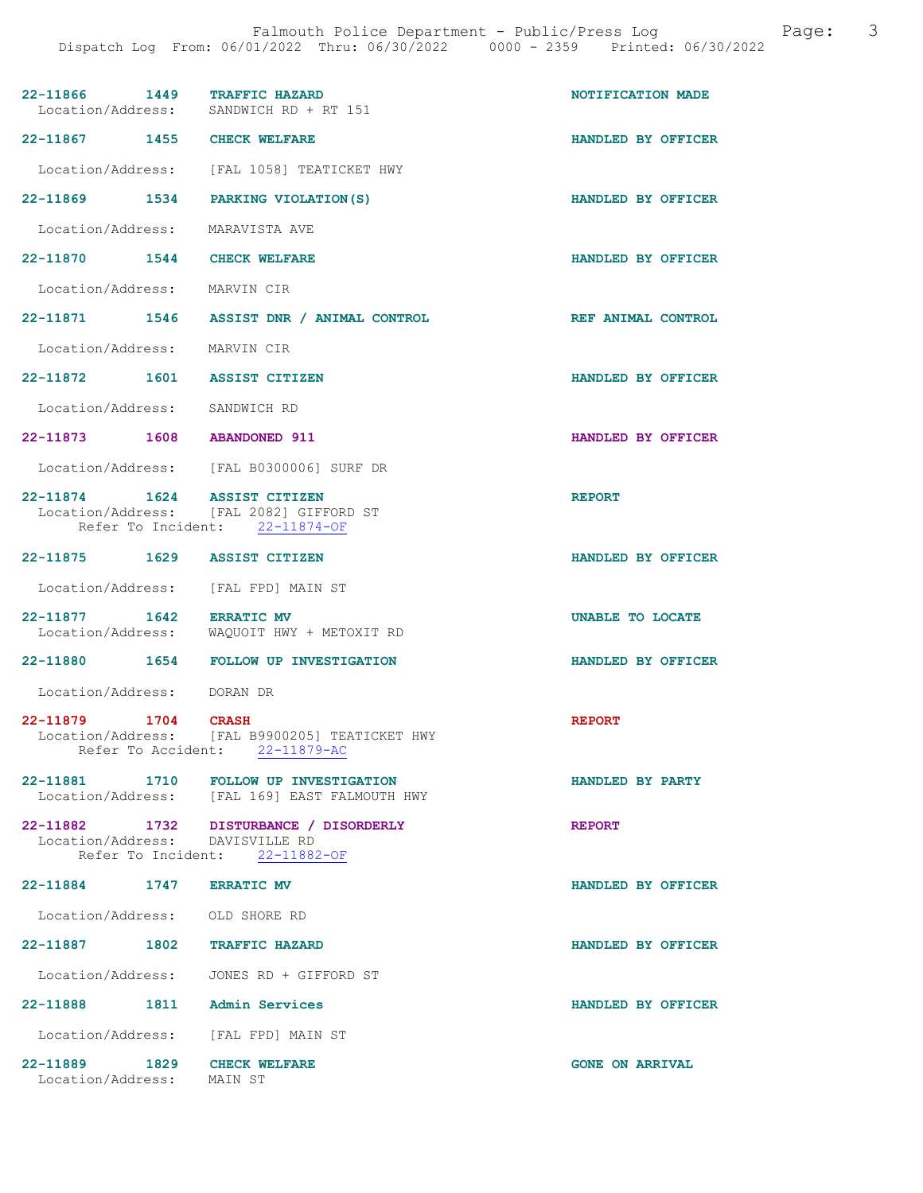| 22-11866 1449 TRAFFIC HAZARD                             | Location/Address: SANDWICH RD + RT 151                                                                      | NOTIFICATION MADE      |
|----------------------------------------------------------|-------------------------------------------------------------------------------------------------------------|------------------------|
| 22-11867 1455 CHECK WELFARE                              |                                                                                                             | HANDLED BY OFFICER     |
|                                                          | Location/Address: [FAL 1058] TEATICKET HWY                                                                  |                        |
|                                                          | 22-11869 1534 PARKING VIOLATION(S)                                                                          | HANDLED BY OFFICER     |
| Location/Address: MARAVISTA AVE                          |                                                                                                             |                        |
| 22-11870 1544 CHECK WELFARE                              |                                                                                                             | HANDLED BY OFFICER     |
| Location/Address: MARVIN CIR                             |                                                                                                             |                        |
|                                                          | 22-11871 1546 ASSIST DNR / ANIMAL CONTROL                                                                   | REF ANIMAL CONTROL     |
| Location/Address: MARVIN CIR                             |                                                                                                             |                        |
| 22-11872 1601 ASSIST CITIZEN                             |                                                                                                             | HANDLED BY OFFICER     |
| Location/Address: SANDWICH RD                            |                                                                                                             |                        |
| 22-11873 1608 ABANDONED 911                              |                                                                                                             | HANDLED BY OFFICER     |
|                                                          | Location/Address: [FAL B0300006] SURF DR                                                                    |                        |
| 22-11874 1624 ASSIST CITIZEN                             | Location/Address: [FAL 2082] GIFFORD ST<br>Refer To Incident: 22-11874-OF                                   | <b>REPORT</b>          |
| 22-11875 1629 ASSIST CITIZEN                             |                                                                                                             | HANDLED BY OFFICER     |
| Location/Address: [FAL FPD] MAIN ST                      |                                                                                                             |                        |
| 22-11877 1642 ERRATIC MV                                 | Location/Address: WAQUOIT HWY + METOXIT RD                                                                  | UNABLE TO LOCATE       |
|                                                          | 22-11880 1654 FOLLOW UP INVESTIGATION                                                                       | HANDLED BY OFFICER     |
| Location/Address: DORAN DR                               |                                                                                                             |                        |
| 22-11879 1704 CRASH                                      | Location/Address: [FAL B9900205] TEATICKET HWY<br>Refer To Accident: 22-11879-AC                            | <b>REPORT</b>          |
|                                                          | 22-11881 1710 FOLLOW UP INVESTIGATION<br>Location/Address: [FAL 169] EAST FALMOUTH HWY                      | HANDLED BY PARTY       |
|                                                          | 22-11882 1732 DISTURBANCE / DISORDERLY<br>Location/Address: DAVISVILLE RD<br>Refer To Incident: 22-11882-OF | <b>REPORT</b>          |
| 22-11884 1747 ERRATIC MV                                 |                                                                                                             | HANDLED BY OFFICER     |
| Location/Address: OLD SHORE RD                           |                                                                                                             |                        |
| 22-11887 1802 TRAFFIC HAZARD                             |                                                                                                             | HANDLED BY OFFICER     |
|                                                          | Location/Address: JONES RD + GIFFORD ST                                                                     |                        |
| 22-11888 1811 Admin Services                             |                                                                                                             | HANDLED BY OFFICER     |
| Location/Address: [FAL FPD] MAIN ST                      |                                                                                                             |                        |
| 22-11889 1829 CHECK WELFARE<br>Location/Address: MAIN ST |                                                                                                             | <b>GONE ON ARRIVAL</b> |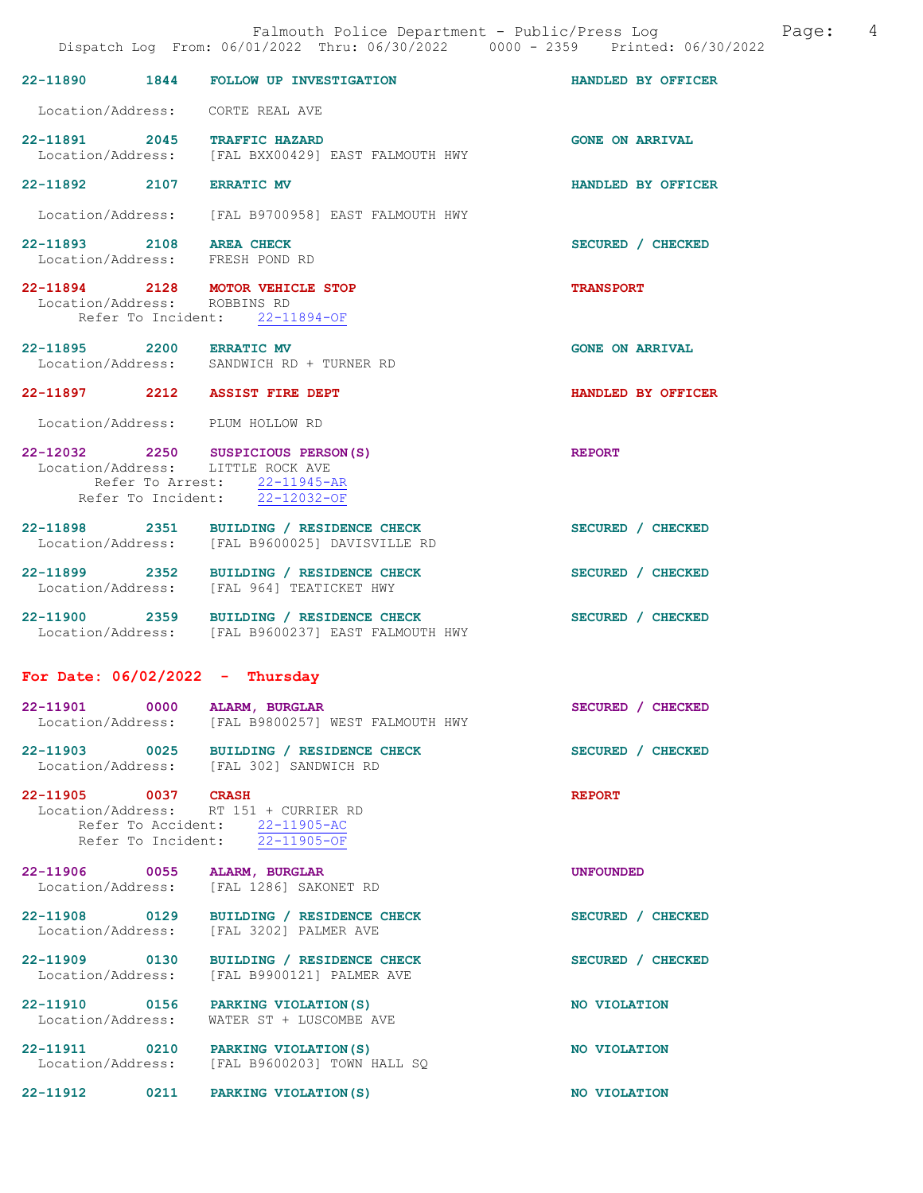|                                   |      | Falmouth Police Department - Public/Press Log Cage:<br>Dispatch Log From: 06/01/2022 Thru: 06/30/2022 0000 - 2359 Printed: 06/30/2022                |                        | - 4 |
|-----------------------------------|------|------------------------------------------------------------------------------------------------------------------------------------------------------|------------------------|-----|
|                                   |      | 22-11890 1844 FOLLOW UP INVESTIGATION                                                                                                                | HANDLED BY OFFICER     |     |
|                                   |      | Location/Address: CORTE REAL AVE                                                                                                                     |                        |     |
|                                   |      | 22-11891 2045 TRAFFIC HAZARD<br>Location/Address: [FAL BXX00429] EAST FALMOUTH HWY                                                                   | <b>GONE ON ARRIVAL</b> |     |
| 22-11892 2107 ERRATIC MV          |      |                                                                                                                                                      | HANDLED BY OFFICER     |     |
|                                   |      | Location/Address: [FAL B9700958] EAST FALMOUTH HWY                                                                                                   |                        |     |
| 22-11893 2108 AREA CHECK          |      | Location/Address: FRESH POND RD                                                                                                                      | SECURED / CHECKED      |     |
| Location/Address: ROBBINS RD      |      | 22-11894 2128 MOTOR VEHICLE STOP<br>Refer To Incident: 22-11894-OF                                                                                   | <b>TRANSPORT</b>       |     |
| 22-11895 2200 ERRATIC MV          |      | Location/Address: SANDWICH RD + TURNER RD                                                                                                            | <b>GONE ON ARRIVAL</b> |     |
|                                   |      | 22-11897 2212 ASSIST FIRE DEPT                                                                                                                       | HANDLED BY OFFICER     |     |
|                                   |      | Location/Address: PLUM HOLLOW RD                                                                                                                     |                        |     |
|                                   |      | 22-12032 2250 SUSPICIOUS PERSON(S)<br>Location/Address: LITTLE ROCK AVE<br>Refer To Arrest: $\frac{22-11945-R}{1}$<br>Refer To Incident: 22-12032-OF | <b>REPORT</b>          |     |
|                                   |      | 22-11898 2351 BUILDING / RESIDENCE CHECK<br>Location/Address: [FAL B9600025] DAVISVILLE RD                                                           | SECURED / CHECKED      |     |
|                                   |      | 22-11899 2352 BUILDING / RESIDENCE CHECK<br>Location/Address: [FAL 964] TEATICKET HWY                                                                | SECURED / CHECKED      |     |
|                                   |      | 22-11900 2359 BUILDING / RESIDENCE CHECK<br>Location/Address: [FAL B9600237] EAST FALMOUTH HWY                                                       | SECURED / CHECKED      |     |
| For Date: $06/02/2022 - Thursday$ |      |                                                                                                                                                      |                        |     |
|                                   |      | 22-11901 0000 ALARM, BURGLAR<br>Location/Address: [FAL B9800257] WEST FALMOUTH HWY                                                                   | SECURED / CHECKED      |     |
|                                   |      | 22-11903 0025 BUILDING / RESIDENCE CHECK<br>Location/Address: [FAL 302] SANDWICH RD                                                                  | SECURED / CHECKED      |     |
| 22-11905 0037 CRASH               |      | Location/Address: RT 151 + CURRIER RD<br>Refer To Accident: 22-11905-AC<br>Refer To Incident: $\frac{1}{22-11905-OF}$                                | <b>REPORT</b>          |     |
|                                   |      | 22-11906 0055 ALARM, BURGLAR<br>Location/Address: [FAL 1286] SAKONET RD                                                                              | <b>UNFOUNDED</b>       |     |
|                                   |      | 22-11908 0129 BUILDING / RESIDENCE CHECK<br>Location/Address: [FAL 3202] PALMER AVE                                                                  | SECURED / CHECKED      |     |
| Location/Address:                 |      | 22-11909 0130 BUILDING / RESIDENCE CHECK<br>[FAL B9900121] PALMER AVE                                                                                | SECURED / CHECKED      |     |
|                                   |      | 22-11910 0156 PARKING VIOLATION (S)<br>Location/Address: WATER ST + LUSCOMBE AVE                                                                     | NO VIOLATION           |     |
| Location/Address:                 |      | 22-11911 0210 PARKING VIOLATION(S)<br>[FAL B9600203] TOWN HALL SQ                                                                                    | NO VIOLATION           |     |
| 22-11912                          | 0211 | PARKING VIOLATION (S)                                                                                                                                | NO VIOLATION           |     |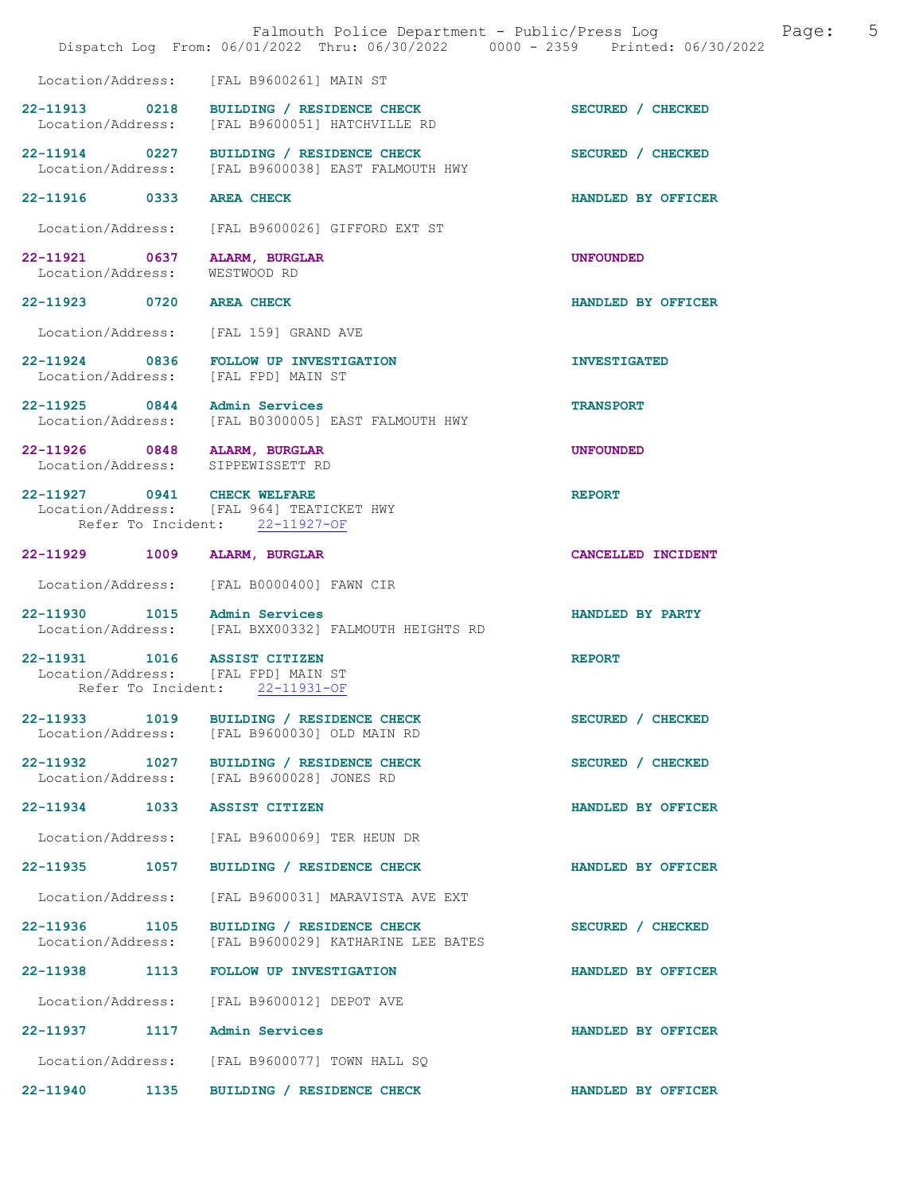|                                                                                           | Falmouth Police Department - Public/Press Log<br>Dispatch Log From: 06/01/2022 Thru: 06/30/2022 0000 - 2359 Printed: 06/30/2022 | 5<br>Page:          |
|-------------------------------------------------------------------------------------------|---------------------------------------------------------------------------------------------------------------------------------|---------------------|
| Location/Address:                                                                         | [FAL B9600261] MAIN ST                                                                                                          |                     |
| 22-11913 0218                                                                             | BUILDING / RESIDENCE CHECK<br>Location/Address: [FAL B9600051] HATCHVILLE RD                                                    | SECURED / CHECKED   |
| 22-11914 0227<br>Location/Address:                                                        | BUILDING / RESIDENCE CHECK<br>[FAL B9600038] EAST FALMOUTH HWY                                                                  | SECURED / CHECKED   |
| 22-11916 0333                                                                             | <b>AREA CHECK</b>                                                                                                               | HANDLED BY OFFICER  |
| Location/Address:                                                                         | [FAL B9600026] GIFFORD EXT ST                                                                                                   |                     |
| 22-11921 0637<br>Location/Address:                                                        | ALARM, BURGLAR<br>WESTWOOD RD                                                                                                   | <b>UNFOUNDED</b>    |
| 22-11923 0720                                                                             | <b>AREA CHECK</b>                                                                                                               | HANDLED BY OFFICER  |
| Location/Address:                                                                         | [FAL 159] GRAND AVE                                                                                                             |                     |
| 22-11924 0836<br>Location/Address: [FAL FPD] MAIN ST                                      | FOLLOW UP INVESTIGATION                                                                                                         | <b>INVESTIGATED</b> |
| 22-11925 0844<br>Location/Address:                                                        | Admin Services<br>[FAL B0300005] EAST FALMOUTH HWY                                                                              | <b>TRANSPORT</b>    |
| 22-11926 0848 ALARM, BURGLAR<br>Location/Address: SIPPEWISSETT RD                         |                                                                                                                                 | <b>UNFOUNDED</b>    |
| 22-11927 0941 CHECK WELFARE                                                               | Location/Address: [FAL 964] TEATICKET HWY<br>Refer To Incident: 22-11927-OF                                                     | <b>REPORT</b>       |
| 22-11929 1009                                                                             | ALARM, BURGLAR                                                                                                                  | CANCELLED INCIDENT  |
| Location/Address:                                                                         | [FAL B0000400] FAWN CIR                                                                                                         |                     |
| 22-11930 1015 Admin Services                                                              | Location/Address: [FAL BXX00332] FALMOUTH HEIGHTS RD                                                                            | HANDLED BY PARTY    |
| 22-11931 1016 ASSIST CITIZEN<br>Location/Address: [FAL FPD] MAIN ST<br>Refer To Incident: | 22-11931-OF                                                                                                                     | <b>REPORT</b>       |
| Location/Address:                                                                         | 22-11933 1019 BUILDING / RESIDENCE CHECK<br>[FAL B9600030] OLD MAIN RD                                                          | SECURED / CHECKED   |
| 22-11932 1027<br>Location/Address:                                                        | BUILDING / RESIDENCE CHECK<br>[FAL B9600028] JONES RD                                                                           | SECURED / CHECKED   |
| 22-11934<br>1033                                                                          | <b>ASSIST CITIZEN</b>                                                                                                           | HANDLED BY OFFICER  |
| Location/Address:                                                                         | [FAL B9600069] TER HEUN DR                                                                                                      |                     |
| 22-11935 1057                                                                             | BUILDING / RESIDENCE CHECK                                                                                                      | HANDLED BY OFFICER  |
| Location/Address:                                                                         | [FAL B9600031] MARAVISTA AVE EXT                                                                                                |                     |
| 22-11936 1105<br>Location/Address:                                                        | BUILDING / RESIDENCE CHECK<br>[FAL B9600029] KATHARINE LEE BATES                                                                | SECURED / CHECKED   |
| 22-11938<br>1113                                                                          | <b>FOLLOW UP INVESTIGATION</b>                                                                                                  | HANDLED BY OFFICER  |
| Location/Address:                                                                         | [FAL B9600012] DEPOT AVE                                                                                                        |                     |
| 22-11937 1117                                                                             | Admin Services                                                                                                                  | HANDLED BY OFFICER  |
| Location/Address:                                                                         | [FAL B9600077] TOWN HALL SQ                                                                                                     |                     |
| 22-11940<br>1135                                                                          | BUILDING / RESIDENCE CHECK                                                                                                      | HANDLED BY OFFICER  |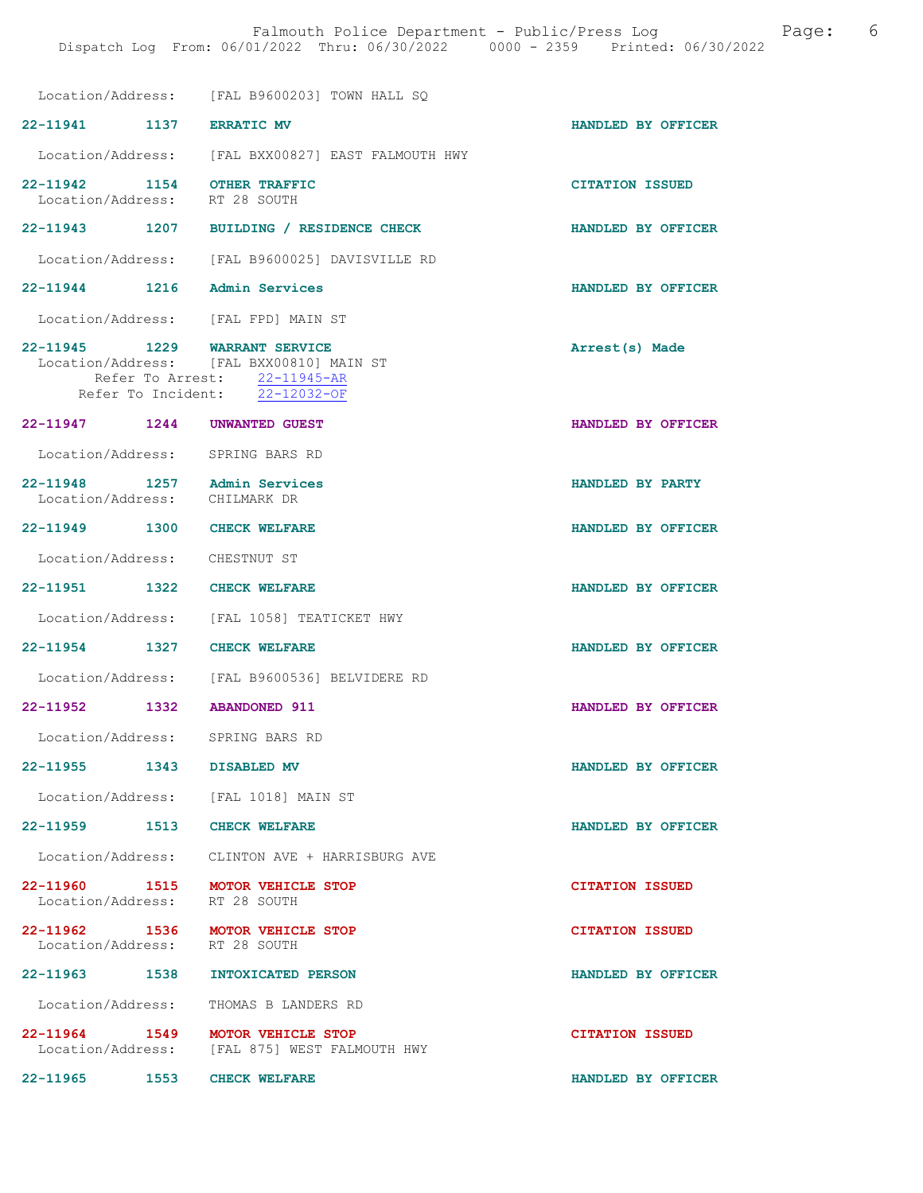|                                                                   | Location/Address: [FAL B9600203] TOWN HALL SO                                                                                        |                        |
|-------------------------------------------------------------------|--------------------------------------------------------------------------------------------------------------------------------------|------------------------|
| 22-11941 1137                                                     | <b>ERRATIC MV</b>                                                                                                                    | HANDLED BY OFFICER     |
|                                                                   | Location/Address: [FAL BXX00827] EAST FALMOUTH HWY                                                                                   |                        |
| 22-11942 1154<br>Location/Address: RT 28 SOUTH                    | <b>OTHER TRAFFIC</b>                                                                                                                 | <b>CITATION ISSUED</b> |
| 22-11943 1207                                                     | BUILDING / RESIDENCE CHECK                                                                                                           | HANDLED BY OFFICER     |
| Location/Address:                                                 | [FAL B9600025] DAVISVILLE RD                                                                                                         |                        |
| 22-11944 1216 Admin Services                                      |                                                                                                                                      | HANDLED BY OFFICER     |
| Location/Address: [FAL FPD] MAIN ST                               |                                                                                                                                      |                        |
| 22-11945 1229                                                     | <b>WARRANT SERVICE</b><br>Location/Address: [FAL BXX00810] MAIN ST<br>Refer To Arrest: 22-11945-AR<br>Refer To Incident: 22-12032-OF | Arrest(s) Made         |
| 22-11947 1244                                                     | <b>UNWANTED GUEST</b>                                                                                                                | HANDLED BY OFFICER     |
| Location/Address: SPRING BARS RD                                  |                                                                                                                                      |                        |
| 22-11948 1257 Admin Services<br>Location/Address: CHILMARK DR     |                                                                                                                                      | HANDLED BY PARTY       |
| 22-11949 1300                                                     | <b>CHECK WELFARE</b>                                                                                                                 | HANDLED BY OFFICER     |
| Location/Address:                                                 | CHESTNUT ST                                                                                                                          |                        |
| 22-11951 1322                                                     | <b>CHECK WELFARE</b>                                                                                                                 | HANDLED BY OFFICER     |
|                                                                   | Location/Address: [FAL 1058] TEATICKET HWY                                                                                           |                        |
| 22-11954 1327                                                     | <b>CHECK WELFARE</b>                                                                                                                 | HANDLED BY OFFICER     |
| Location/Address:                                                 | [FAL B9600536] BELVIDERE RD                                                                                                          |                        |
| 22-11952<br>1332                                                  | <b>ABANDONED 911</b>                                                                                                                 | HANDLED BY OFFICER     |
| Location/Address:                                                 | SPRING BARS RD                                                                                                                       |                        |
| 22-11955 1343                                                     | <b>DISABLED MV</b>                                                                                                                   | HANDLED BY OFFICER     |
| Location/Address: [FAL 1018] MAIN ST                              |                                                                                                                                      |                        |
| 22-11959<br>1513                                                  | <b>CHECK WELFARE</b>                                                                                                                 | HANDLED BY OFFICER     |
|                                                                   | Location/Address: CLINTON AVE + HARRISBURG AVE                                                                                       |                        |
| 22-11960 1515 MOTOR VEHICLE STOP<br>Location/Address: RT 28 SOUTH |                                                                                                                                      | <b>CITATION ISSUED</b> |
| 22-11962 1536 MOTOR VEHICLE STOP<br>Location/Address: RT 28 SOUTH |                                                                                                                                      | <b>CITATION ISSUED</b> |
| 22-11963 1538                                                     | <b>INTOXICATED PERSON</b>                                                                                                            | HANDLED BY OFFICER     |
| Location/Address:                                                 | THOMAS B LANDERS RD                                                                                                                  |                        |
| 22-11964 1549                                                     | MOTOR VEHICLE STOP<br>Location/Address: [FAL 875] WEST FALMOUTH HWY                                                                  | <b>CITATION ISSUED</b> |
| 22-11965 1553 CHECK WELFARE                                       |                                                                                                                                      | HANDLED BY OFFICER     |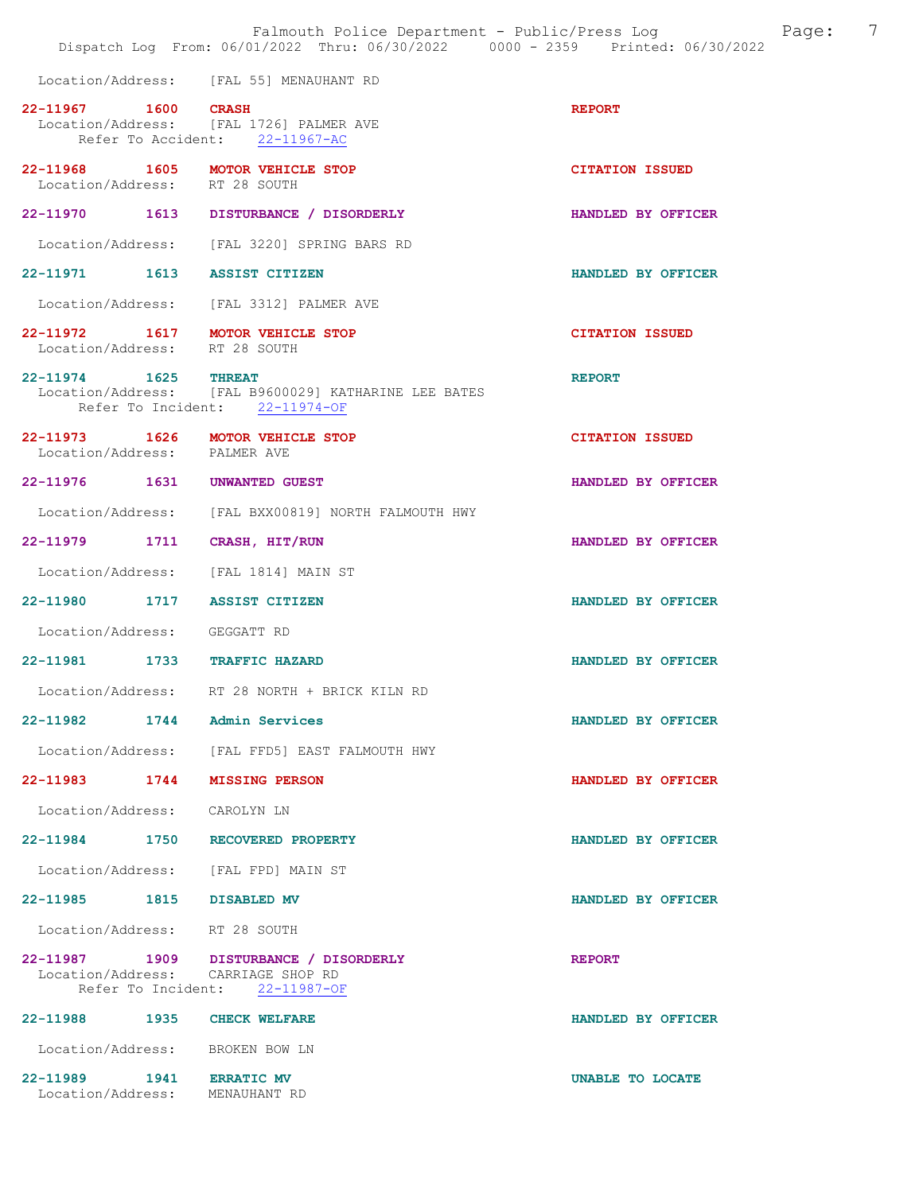|                                                            | Falmouth Police Department - Public/Press Log<br>Dispatch Log From: 06/01/2022 Thru: 06/30/2022 0000 - 2359 Printed: 06/30/2022 | Page:                  | 7 |
|------------------------------------------------------------|---------------------------------------------------------------------------------------------------------------------------------|------------------------|---|
|                                                            | Location/Address: [FAL 55] MENAUHANT RD                                                                                         |                        |   |
| 22-11967 1600 CRASH                                        | Location/Address: [FAL 1726] PALMER AVE<br>Refer To Accident: 22-11967-AC                                                       | <b>REPORT</b>          |   |
| Location/Address: RT 28 SOUTH                              | 22-11968 1605 MOTOR VEHICLE STOP                                                                                                | <b>CITATION ISSUED</b> |   |
|                                                            | 22-11970 1613 DISTURBANCE / DISORDERLY                                                                                          | HANDLED BY OFFICER     |   |
|                                                            | Location/Address: [FAL 3220] SPRING BARS RD                                                                                     |                        |   |
| 22-11971 1613 ASSIST CITIZEN                               |                                                                                                                                 | HANDLED BY OFFICER     |   |
|                                                            | Location/Address: [FAL 3312] PALMER AVE                                                                                         |                        |   |
| Location/Address: RT 28 SOUTH                              | 22-11972 1617 MOTOR VEHICLE STOP                                                                                                | <b>CITATION ISSUED</b> |   |
| 22-11974 1625 THREAT                                       | Location/Address: [FAL B9600029] KATHARINE LEE BATES<br>Refer To Incident: 22-11974-OF                                          | <b>REPORT</b>          |   |
| Location/Address: PALMER AVE                               | 22-11973 1626 MOTOR VEHICLE STOP                                                                                                | <b>CITATION ISSUED</b> |   |
| 22-11976 1631 UNWANTED GUEST                               |                                                                                                                                 | HANDLED BY OFFICER     |   |
|                                                            | Location/Address: [FAL BXX00819] NORTH FALMOUTH HWY                                                                             |                        |   |
| 22-11979 1711 CRASH, HIT/RUN                               |                                                                                                                                 | HANDLED BY OFFICER     |   |
|                                                            | Location/Address: [FAL 1814] MAIN ST                                                                                            |                        |   |
| 22-11980 1717 ASSIST CITIZEN                               |                                                                                                                                 | HANDLED BY OFFICER     |   |
| Location/Address: GEGGATT RD                               |                                                                                                                                 |                        |   |
| 22-11981 1733 TRAFFIC HAZARD                               |                                                                                                                                 | HANDLED BY OFFICER     |   |
|                                                            | Location/Address: RT 28 NORTH + BRICK KILN RD                                                                                   |                        |   |
| 22-11982 1744 Admin Services                               |                                                                                                                                 | HANDLED BY OFFICER     |   |
|                                                            | Location/Address: [FAL FFD5] EAST FALMOUTH HWY                                                                                  |                        |   |
| 22-11983 1744 MISSING PERSON                               |                                                                                                                                 | HANDLED BY OFFICER     |   |
| Location/Address: CAROLYN LN                               |                                                                                                                                 |                        |   |
|                                                            | 22-11984 1750 RECOVERED PROPERTY                                                                                                | HANDLED BY OFFICER     |   |
|                                                            | Location/Address: [FAL FPD] MAIN ST                                                                                             |                        |   |
| 22-11985 1815 DISABLED MV                                  |                                                                                                                                 | HANDLED BY OFFICER     |   |
| Location/Address: RT 28 SOUTH                              |                                                                                                                                 |                        |   |
|                                                            | 22-11987 1909 DISTURBANCE / DISORDERLY<br>Location/Address: CARRIAGE SHOP RD<br>Refer To Incident: 22-11987-OF                  | <b>REPORT</b>          |   |
| 22-11988 1935 CHECK WELFARE                                |                                                                                                                                 | HANDLED BY OFFICER     |   |
| Location/Address: BROKEN BOW LN                            |                                                                                                                                 |                        |   |
| 22-11989 1941 ERRATIC MV<br>Location/Address: MENAUHANT RD |                                                                                                                                 | UNABLE TO LOCATE       |   |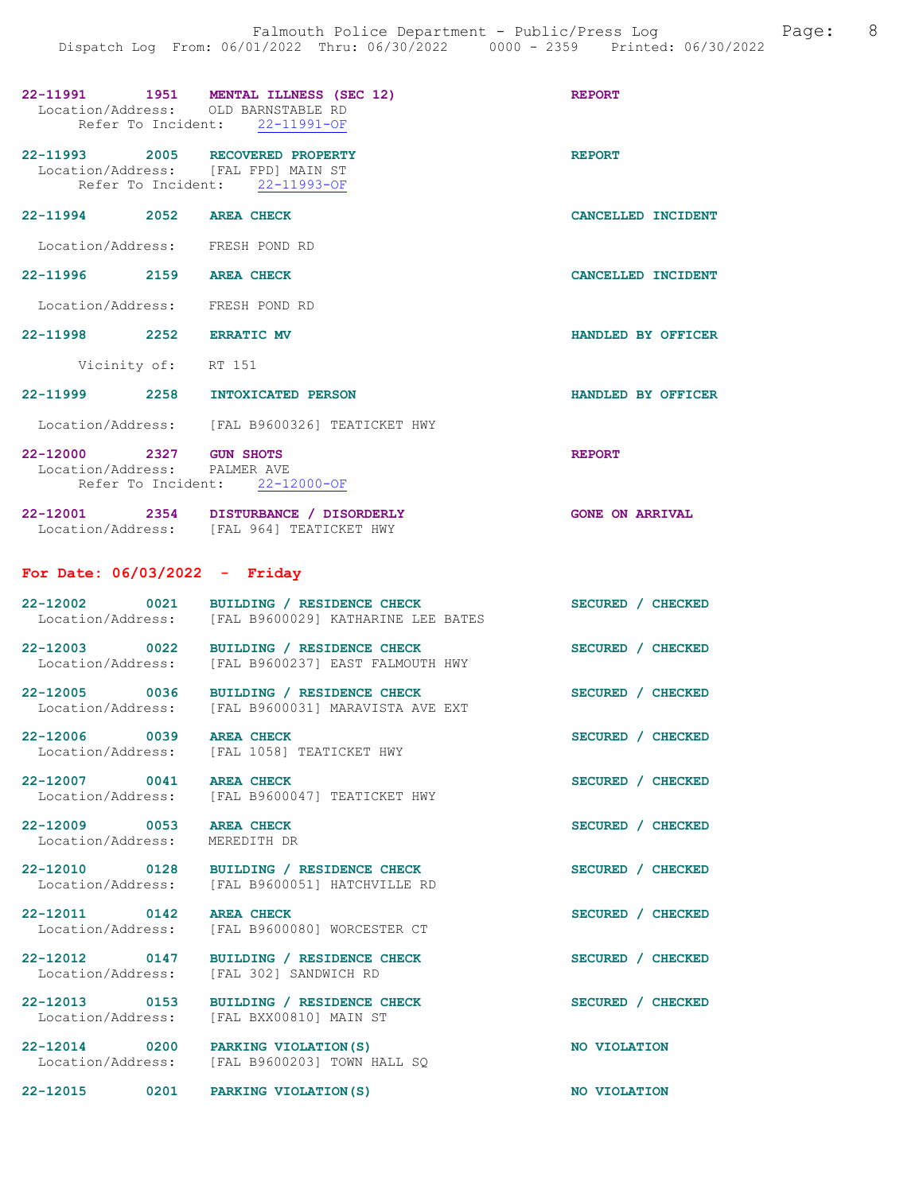| Location/Address: OLD BARNSTABLE RD                                     | 22-11991 1951 MENTAL ILLNESS (SEC 12)<br>Refer To Incident: 22-11991-OF                        | <b>REPORT</b>          |
|-------------------------------------------------------------------------|------------------------------------------------------------------------------------------------|------------------------|
| 22-11993 2005 RECOVERED PROPERTY<br>Location/Address: [FAL FPD] MAIN ST | Refer To Incident: 22-11993-OF                                                                 | <b>REPORT</b>          |
| 22-11994 2052 AREA CHECK                                                |                                                                                                | CANCELLED INCIDENT     |
| Location/Address: FRESH POND RD                                         |                                                                                                |                        |
| 22-11996 2159 AREA CHECK                                                |                                                                                                | CANCELLED INCIDENT     |
| Location/Address: FRESH POND RD                                         |                                                                                                |                        |
| 22-11998 2252 ERRATIC MV                                                |                                                                                                | HANDLED BY OFFICER     |
| Vicinity of: RT 151                                                     |                                                                                                |                        |
| 22-11999 2258 INTOXICATED PERSON                                        |                                                                                                | HANDLED BY OFFICER     |
|                                                                         | Location/Address: [FAL B9600326] TEATICKET HWY                                                 |                        |
| 22-12000 2327 GUN SHOTS<br>Location/Address: PALMER AVE                 | Refer To Incident: 22-12000-OF                                                                 | <b>REPORT</b>          |
|                                                                         | 22-12001 2354 DISTURBANCE / DISORDERLY<br>Location/Address: [FAL 964] TEATICKET HWY            | <b>GONE ON ARRIVAL</b> |
| For Date: $06/03/2022 -$ Friday                                         |                                                                                                |                        |
| 22-12002 0021                                                           | BUILDING / RESIDENCE CHECK<br>Location/Address: [FAL B9600029] KATHARINE LEE BATES             | SECURED / CHECKED      |
| 22-12003 0022<br>Location/Address:                                      | BUILDING / RESIDENCE CHECK<br>[FAL B9600237] EAST FALMOUTH HWY                                 | SECURED / CHECKED      |
|                                                                         | 22-12005 0036 BUILDING / RESIDENCE CHECK<br>Location/Address: [FAL B9600031] MARAVISTA AVE EXT | SECURED / CHECKED      |
| 0039<br>$22 - 12006$<br>Location/Address:                               | <b>AREA CHECK</b><br>[FAL 1058] TEATICKET HWY                                                  | SECURED / CHECKED      |
| 22-12007 0041 AREA CHECK                                                | Location/Address: [FAL B9600047] TEATICKET HWY                                                 | SECURED / CHECKED      |
| 22-12009 0053 AREA CHECK<br>Location/Address:                           | MEREDITH DR                                                                                    | SECURED / CHECKED      |
| Location/Address:                                                       | 22-12010 0128 BUILDING / RESIDENCE CHECK<br>[FAL B9600051] HATCHVILLE RD                       | SECURED / CHECKED      |
| 22-12011 0142 AREA CHECK<br>Location/Address:                           | [FAL B9600080] WORCESTER CT                                                                    | SECURED / CHECKED      |
| 22-12012 0147<br>Location/Address:                                      | BUILDING / RESIDENCE CHECK<br>[FAL 302] SANDWICH RD                                            | SECURED / CHECKED      |
| 22-12013 0153<br>Location/Address:                                      | BUILDING / RESIDENCE CHECK<br>[FAL BXX00810] MAIN ST                                           | SECURED / CHECKED      |
| 22-12014 0200<br>Location/Address:                                      | PARKING VIOLATION (S)<br>[FAL B9600203] TOWN HALL SQ                                           | NO VIOLATION           |
| 22-12015 0201                                                           | PARKING VIOLATION (S)                                                                          | NO VIOLATION           |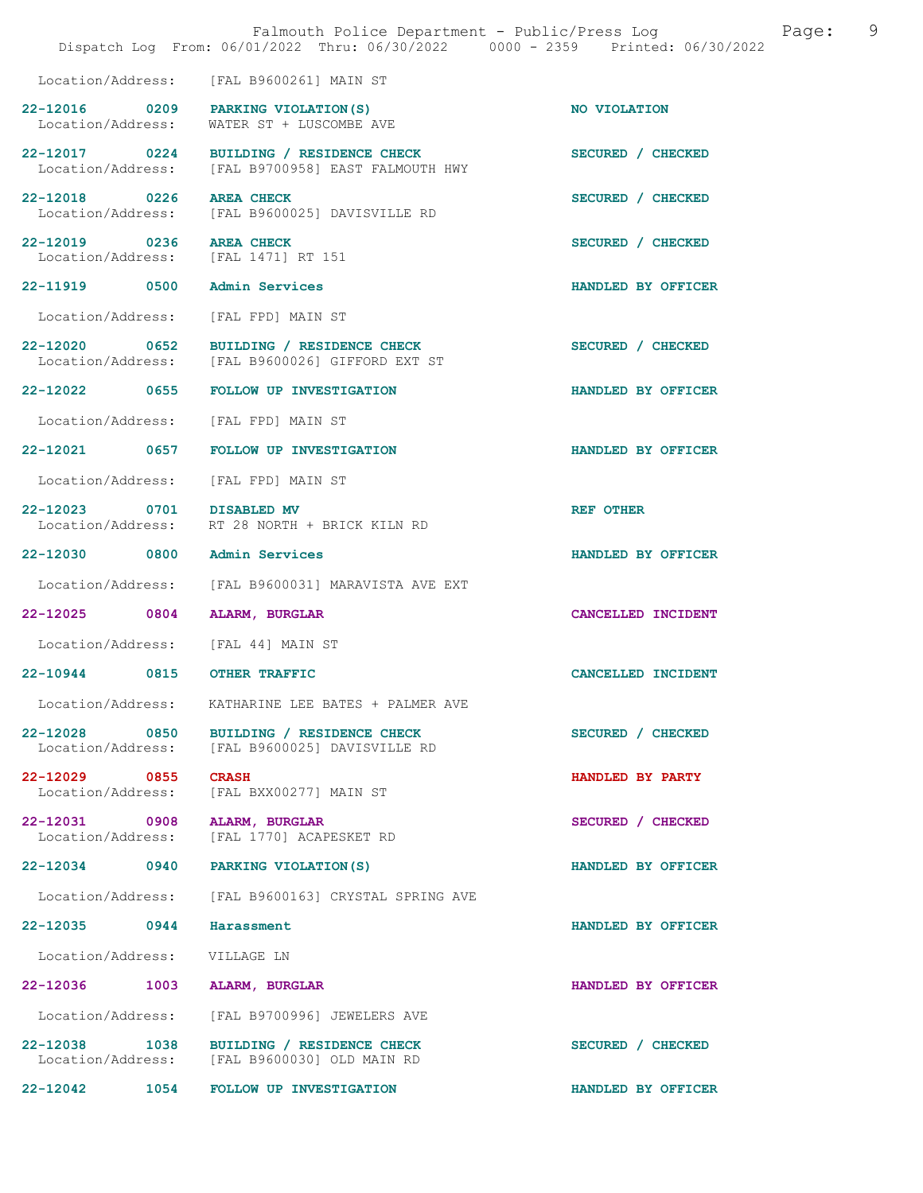|                                    |      | Falmouth Police Department - Public/Press Log<br>Dispatch Log From: 06/01/2022 Thru: 06/30/2022 0000 - 2359 Printed: 06/30/2022 | 9<br>Page:         |
|------------------------------------|------|---------------------------------------------------------------------------------------------------------------------------------|--------------------|
| Location/Address:                  |      | [FAL B9600261] MAIN ST                                                                                                          |                    |
| 22-12016 0209<br>Location/Address: |      | PARKING VIOLATION (S)<br>WATER ST + LUSCOMBE AVE                                                                                | NO VIOLATION       |
| 22-12017 0224<br>Location/Address: |      | BUILDING / RESIDENCE CHECK<br>[FAL B9700958] EAST FALMOUTH HWY                                                                  | SECURED / CHECKED  |
| 22-12018 0226<br>Location/Address: |      | <b>AREA CHECK</b><br>[FAL B9600025] DAVISVILLE RD                                                                               | SECURED / CHECKED  |
| 22-12019 0236<br>Location/Address: |      | <b>AREA CHECK</b><br>[FAL 1471] RT 151                                                                                          | SECURED / CHECKED  |
| 22-11919 0500                      |      | <b>Admin Services</b>                                                                                                           | HANDLED BY OFFICER |
| Location/Address:                  |      | [FAL FPD] MAIN ST                                                                                                               |                    |
| 22-12020 0652                      |      | BUILDING / RESIDENCE CHECK<br>Location/Address: [FAL B9600026] GIFFORD EXT ST                                                   | SECURED / CHECKED  |
| 22-12022 0655                      |      | FOLLOW UP INVESTIGATION                                                                                                         | HANDLED BY OFFICER |
| Location/Address:                  |      | [FAL FPD] MAIN ST                                                                                                               |                    |
| 22-12021 0657                      |      | FOLLOW UP INVESTIGATION                                                                                                         | HANDLED BY OFFICER |
| Location/Address:                  |      | [FAL FPD] MAIN ST                                                                                                               |                    |
| 22-12023 0701 DISABLED MV          |      | Location/Address: RT 28 NORTH + BRICK KILN RD                                                                                   | <b>REF OTHER</b>   |
| 22-12030 0800                      |      | Admin Services                                                                                                                  | HANDLED BY OFFICER |
| Location/Address:                  |      | [FAL B9600031] MARAVISTA AVE EXT                                                                                                |                    |
| $22 - 12025$                       | 0804 | ALARM, BURGLAR                                                                                                                  | CANCELLED INCIDENT |
| Location/Address:                  |      | [FAL 44] MAIN ST                                                                                                                |                    |
| 22-10944                           | 0815 | <b>OTHER TRAFFIC</b>                                                                                                            | CANCELLED INCIDENT |
| Location/Address:                  |      | KATHARINE LEE BATES + PALMER AVE                                                                                                |                    |
| 22-12028 0850<br>Location/Address: |      | BUILDING / RESIDENCE CHECK<br>[FAL B9600025] DAVISVILLE RD                                                                      | SECURED / CHECKED  |
| 22-12029 0855<br>Location/Address: |      | <b>CRASH</b><br>[FAL BXX00277] MAIN ST                                                                                          | HANDLED BY PARTY   |
| 22-12031 0908<br>Location/Address: |      | ALARM, BURGLAR<br>[FAL 1770] ACAPESKET RD                                                                                       | SECURED / CHECKED  |
| 22-12034 0940                      |      | PARKING VIOLATION (S)                                                                                                           | HANDLED BY OFFICER |
| Location/Address:                  |      | [FAL B9600163] CRYSTAL SPRING AVE                                                                                               |                    |
| 22-12035 0944                      |      | Harassment                                                                                                                      | HANDLED BY OFFICER |
| Location/Address:                  |      | VILLAGE LN                                                                                                                      |                    |
| 22-12036                           | 1003 | <b>ALARM, BURGLAR</b>                                                                                                           | HANDLED BY OFFICER |
| Location/Address:                  |      | [FAL B9700996] JEWELERS AVE                                                                                                     |                    |
| 22-12038 1038<br>Location/Address: |      | BUILDING / RESIDENCE CHECK<br>[FAL B9600030] OLD MAIN RD                                                                        | SECURED / CHECKED  |
| 22-12042                           | 1054 | FOLLOW UP INVESTIGATION                                                                                                         | HANDLED BY OFFICER |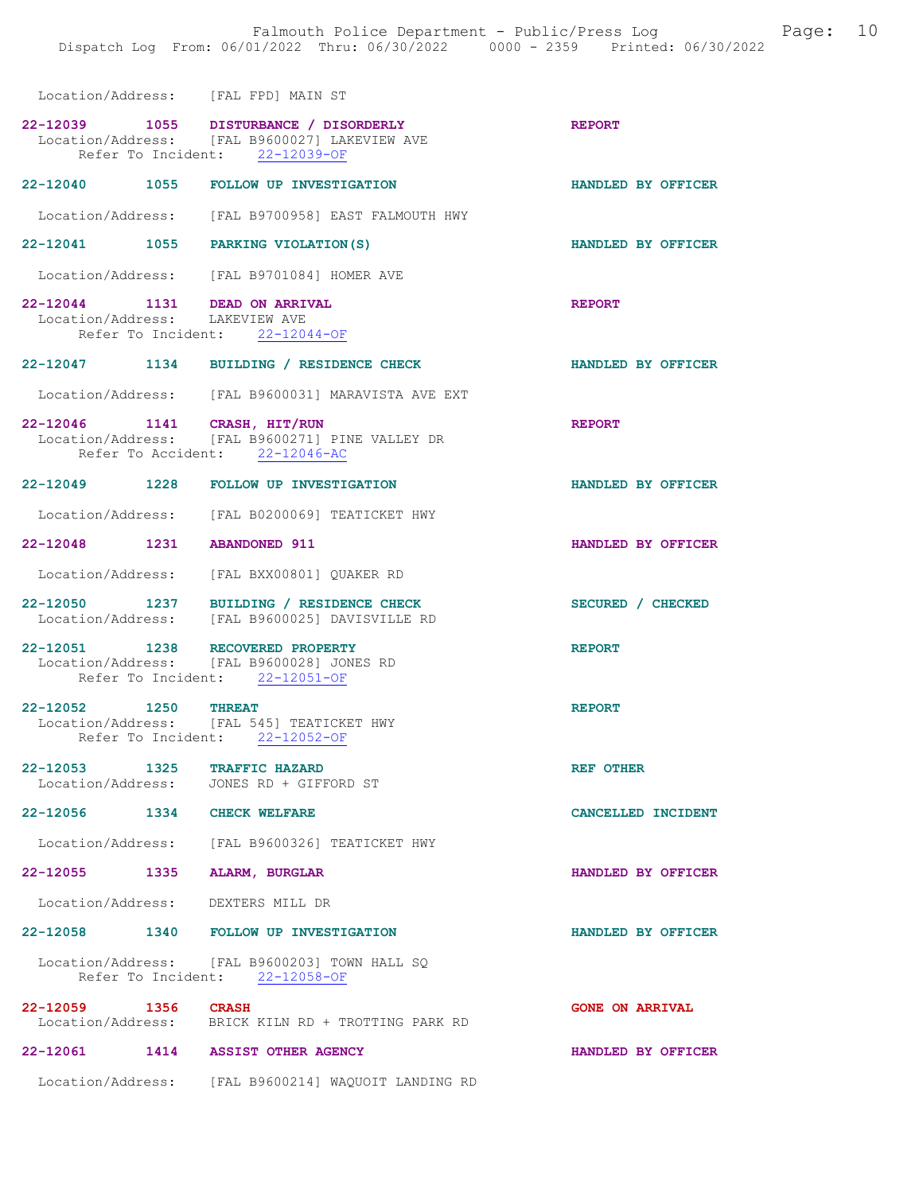Location/Address: [FAL FPD] MAIN ST 22-12039 1055 DISTURBANCE / DISORDERLY REPORT Location/Address: [FAL B9600027] LAKEVIEW AVE Refer To Incident: 22-12039-OF 22-12040 1055 FOLLOW UP INVESTIGATION HANDLED BY OFFICER Location/Address: [FAL B9700958] EAST FALMOUTH HWY 22-12041 1055 PARKING VIOLATION(S) HANDLED BY OFFICER Location/Address: [FAL B9701084] HOMER AVE 22-12044 1131 DEAD ON ARRIVAL REPORT Location/Address: LAKEVIEW AVE Location/Address: Refer To Incident: 22-12044-OF 22-12047 1134 BUILDING / RESIDENCE CHECK HANDLED BY OFFICER Location/Address: [FAL B9600031] MARAVISTA AVE EXT 22-12046 1141 CRASH, HIT/RUN REPORT Location/Address: [FAL B9600271] PINE VALLEY DR [FAL B9600271] PINE VALLEY DR Refer To Accident: 22-12046-AC 22-12049 1228 FOLLOW UP INVESTIGATION HANDLED BY OFFICER Location/Address: [FAL B0200069] TEATICKET HWY 22-12048 1231 ABANDONED 911 HANDLED BY OFFICER Location/Address: [FAL BXX00801] QUAKER RD 22-12050 1237 BUILDING / RESIDENCE CHECK SECURED / CHECKED Location/Address: [FAL B9600025] DAVISVILLE RD 22-12051 1238 RECOVERED PROPERTY REPORT Location/Address: [FAL B9600028] JONES RD Refer To Incident: 22-12051-OF 22-12052 1250 THREAT REPORT Location/Address: [FAL 545] TEATICKET HWY Refer To Incident: 22-12052-OF 22-12053 1325 TRAFFIC HAZARD<br>
Location/Address: JONES RD + GIFFORD ST JONES RD + GIFFORD ST 22-12056 1334 CHECK WELFARE CANCELLED INCIDENT Location/Address: [FAL B9600326] TEATICKET HWY 22-12055 1335 ALARM, BURGLAR HANDLED BY OFFICER Location/Address: DEXTERS MILL DR 22-12058 1340 FOLLOW UP INVESTIGATION HANDLED BY OFFICER Location/Address: [FAL B9600203] TOWN HALL SQ<br>Refer To Incident: 22-12058-OF Refer To Incident: 22-12059 1356 CRASH GONE ON ARRIVAL Location/Address: BRICK KILN RD + TROTTING PARK RD 22-12061 1414 ASSIST OTHER AGENCY HANDLED BY OFFICER Location/Address: [FAL B9600214] WAQUOIT LANDING RD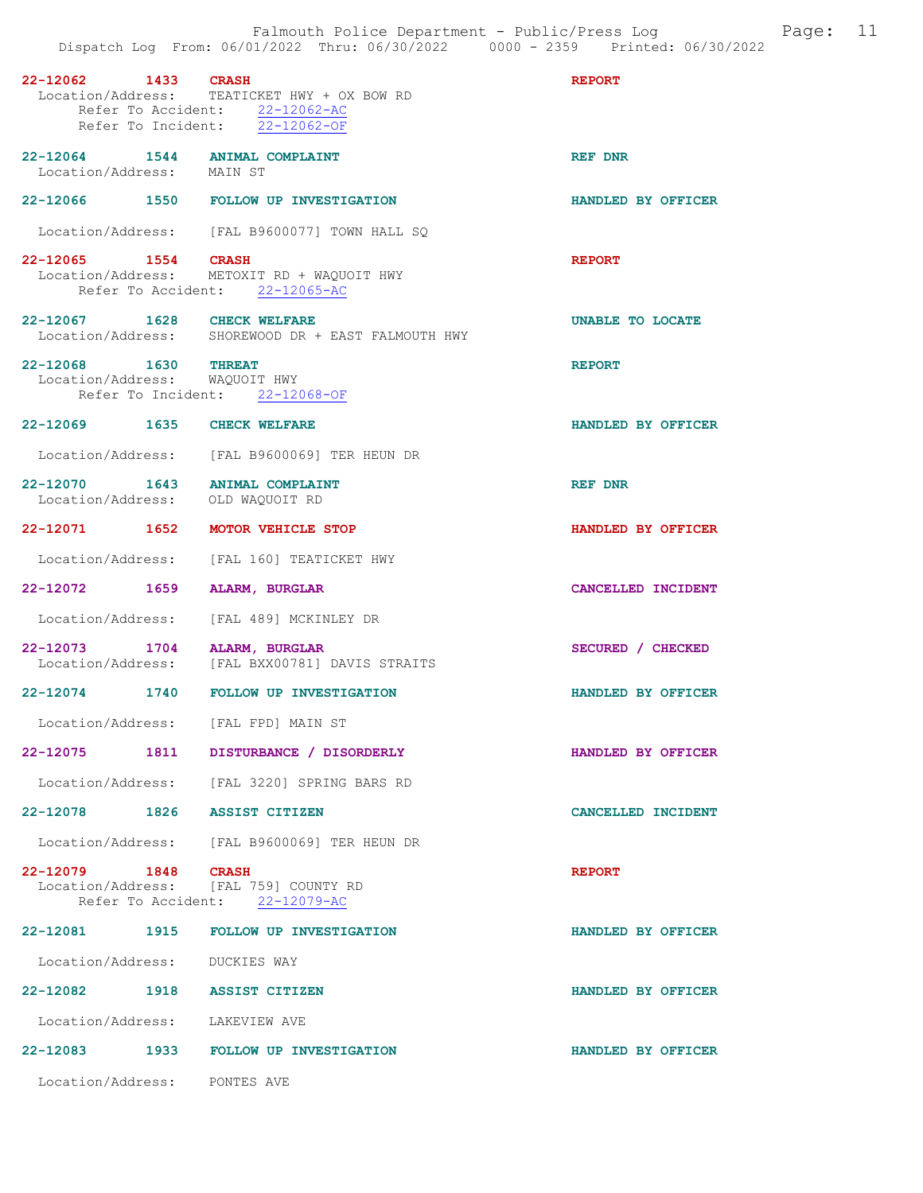| 22-12062 1433 CRASH            |      | Location/Address: TEATICKET HWY + OX BOW RD<br>Refer To Accident: 22-12062-AC<br>Refer To Incident: 22-12062-OF | <b>REPORT</b>      |
|--------------------------------|------|-----------------------------------------------------------------------------------------------------------------|--------------------|
|                                |      | 22-12064 1544 ANIMAL COMPLAINT<br>Location/Address: MAIN ST                                                     | REF DNR            |
|                                |      | 22-12066 1550 FOLLOW UP INVESTIGATION                                                                           | HANDLED BY OFFICER |
|                                |      | Location/Address: [FAL B9600077] TOWN HALL SQ                                                                   |                    |
| 22-12065 1554 CRASH            |      | Location/Address: METOXIT RD + WAQUOIT HWY<br>Refer To Accident: 22-12065-AC                                    | <b>REPORT</b>      |
| 22-12067 1628 CHECK WELFARE    |      | Location/Address: SHOREWOOD DR + EAST FALMOUTH HWY                                                              | UNABLE TO LOCATE   |
| 22-12068 1630 THREAT           |      | Location/Address: WAQUOIT HWY<br>Refer To Incident: 22-12068-OF                                                 | <b>REPORT</b>      |
| 22-12069 1635 CHECK WELFARE    |      |                                                                                                                 | HANDLED BY OFFICER |
|                                |      | Location/Address: [FAL B9600069] TER HEUN DR                                                                    |                    |
|                                |      | 22-12070 1643 ANIMAL COMPLAINT<br>Location/Address: OLD WAQUOIT RD                                              | <b>REF DNR</b>     |
|                                |      | 22-12071 1652 MOTOR VEHICLE STOP                                                                                | HANDLED BY OFFICER |
|                                |      | Location/Address: [FAL 160] TEATICKET HWY                                                                       |                    |
| 22-12072 1659                  |      | ALARM, BURGLAR                                                                                                  | CANCELLED INCIDENT |
|                                |      | Location/Address: [FAL 489] MCKINLEY DR                                                                         |                    |
| 22-12073 1704 ALARM, BURGLAR   |      | Location/Address: [FAL BXX00781] DAVIS STRAITS                                                                  | SECURED / CHECKED  |
|                                |      | 22-12074 1740 FOLLOW UP INVESTIGATION                                                                           | HANDLED BY OFFICER |
|                                |      | Location/Address: [FAL FPD] MAIN ST                                                                             |                    |
| 22-12075                       | 1811 | DISTURBANCE / DISORDERLY                                                                                        | HANDLED BY OFFICER |
|                                |      | Location/Address: [FAL 3220] SPRING BARS RD                                                                     |                    |
| 22-12078 1826 ASSIST CITIZEN   |      |                                                                                                                 | CANCELLED INCIDENT |
|                                |      | Location/Address: [FAL B9600069] TER HEUN DR                                                                    |                    |
| 22-12079 1848 CRASH            |      | Location/Address: [FAL 759] COUNTY RD<br>Refer To Accident: 22-12079-AC                                         | <b>REPORT</b>      |
|                                |      | 22-12081 1915 FOLLOW UP INVESTIGATION                                                                           | HANDLED BY OFFICER |
| Location/Address: DUCKIES WAY  |      |                                                                                                                 |                    |
| 22-12082 1918 ASSIST CITIZEN   |      |                                                                                                                 | HANDLED BY OFFICER |
| Location/Address: LAKEVIEW AVE |      |                                                                                                                 |                    |
|                                |      | 22-12083 1933 FOLLOW UP INVESTIGATION                                                                           | HANDLED BY OFFICER |
| Location/Address: PONTES AVE   |      |                                                                                                                 |                    |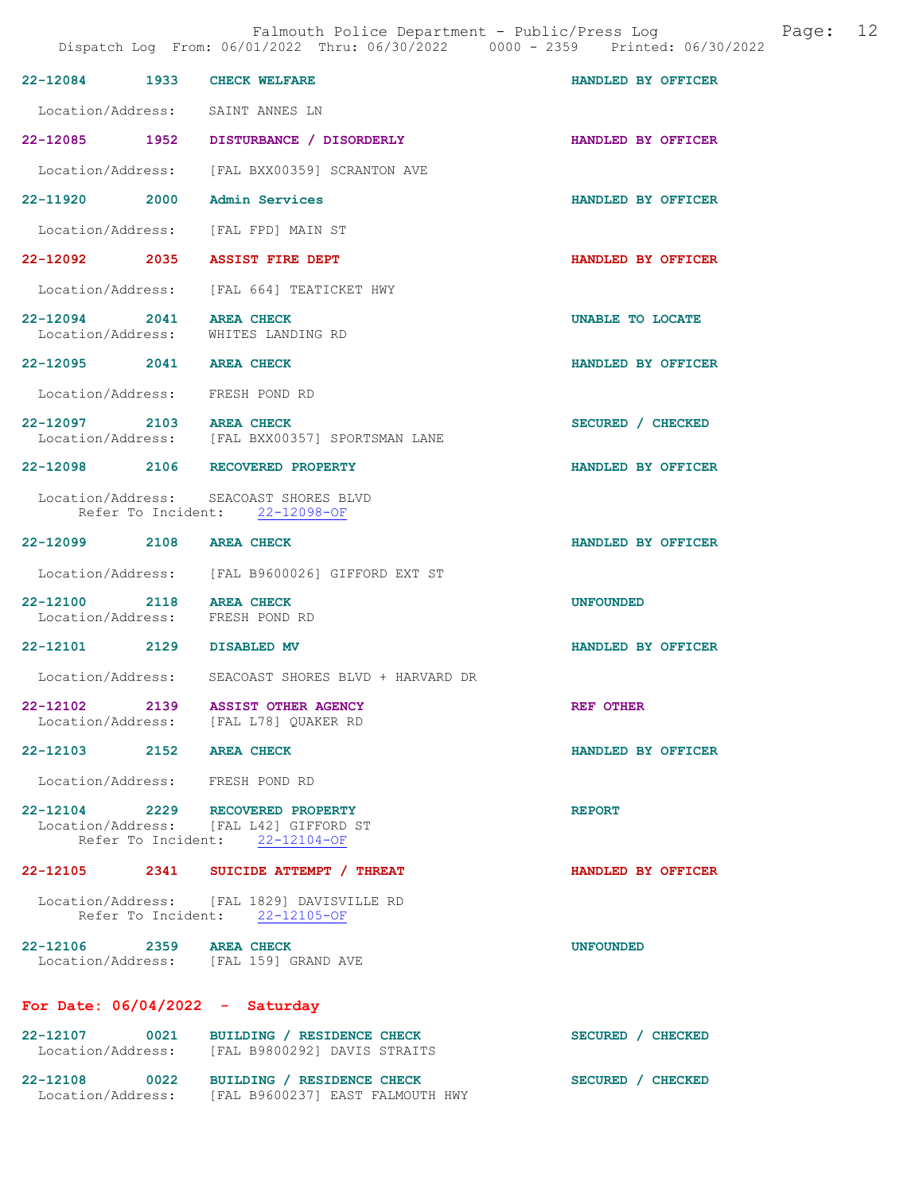Falmouth Police Department - Public/Press Log and Page: 12

|                          | 22-12084 1933 CHECK WELFARE                                                                                  | HANDLED BY OFFICER |
|--------------------------|--------------------------------------------------------------------------------------------------------------|--------------------|
|                          | Location/Address: SAINT ANNES LN                                                                             |                    |
|                          | 22-12085 1952 DISTURBANCE / DISORDERLY                                                                       | HANDLED BY OFFICER |
|                          | Location/Address: [FAL BXX00359] SCRANTON AVE                                                                |                    |
|                          | 22-11920 2000 Admin Services                                                                                 | HANDLED BY OFFICER |
|                          | Location/Address: [FAL FPD] MAIN ST                                                                          |                    |
|                          | 22-12092 2035 ASSIST FIRE DEPT                                                                               | HANDLED BY OFFICER |
|                          | Location/Address: [FAL 664] TEATICKET HWY                                                                    |                    |
| 22-12094 2041 AREA CHECK | Location/Address: WHITES LANDING RD                                                                          | UNABLE TO LOCATE   |
| 22-12095 2041 AREA CHECK |                                                                                                              | HANDLED BY OFFICER |
|                          | Location/Address: FRESH POND RD                                                                              |                    |
| 22-12097 2103 AREA CHECK | Location/Address: [FAL BXX00357] SPORTSMAN LANE                                                              | SECURED / CHECKED  |
|                          | 22-12098 2106 RECOVERED PROPERTY                                                                             | HANDLED BY OFFICER |
|                          | Location/Address: SEACOAST SHORES BLVD<br>Refer To Incident: 22-12098-OF                                     |                    |
| 22-12099 2108 AREA CHECK |                                                                                                              | HANDLED BY OFFICER |
|                          | Location/Address: [FAL B9600026] GIFFORD EXT ST                                                              |                    |
| 22-12100 2118 AREA CHECK | Location/Address: FRESH POND RD                                                                              | <b>UNFOUNDED</b>   |
|                          | 22-12101 2129 DISABLED MV                                                                                    | HANDLED BY OFFICER |
|                          | Location/Address: SEACOAST SHORES BLVD + HARVARD DR                                                          |                    |
|                          | 22-12102 2139 ASSIST OTHER AGENCY<br>Location/Address: [FAL L78] QUAKER RD                                   | <b>REF OTHER</b>   |
| 22-12103 2152 AREA CHECK |                                                                                                              | HANDLED BY OFFICER |
|                          | Location/Address: FRESH POND RD                                                                              |                    |
|                          | 22-12104 2229 RECOVERED PROPERTY<br>Location/Address: [FAL L42] GIFFORD ST<br>Refer To Incident: 22-12104-OF | <b>REPORT</b>      |
|                          | 22-12105 2341 SUICIDE ATTEMPT / THREAT                                                                       | HANDLED BY OFFICER |
|                          | Location/Address: [FAL 1829] DAVISVILLE RD<br>Refer To Incident: 22-12105-OF                                 |                    |
|                          | 22-12106 2359 AREA CHECK<br>Location/Address: [FAL 159] GRAND AVE                                            | <b>UNFOUNDED</b>   |
|                          | For Date: $06/04/2022 -$ Saturday                                                                            |                    |
| 22-12107 0021            | BUILDING / RESIDENCE CHECK<br>Location/Address: [FAL B9800292] DAVIS STRAITS                                 | SECURED / CHECKED  |
|                          | 22-12108 0022 BUILDING / RESIDENCE CHECK<br>Location/Address: [FAL B9600237] EAST FALMOUTH HWY               | SECURED / CHECKED  |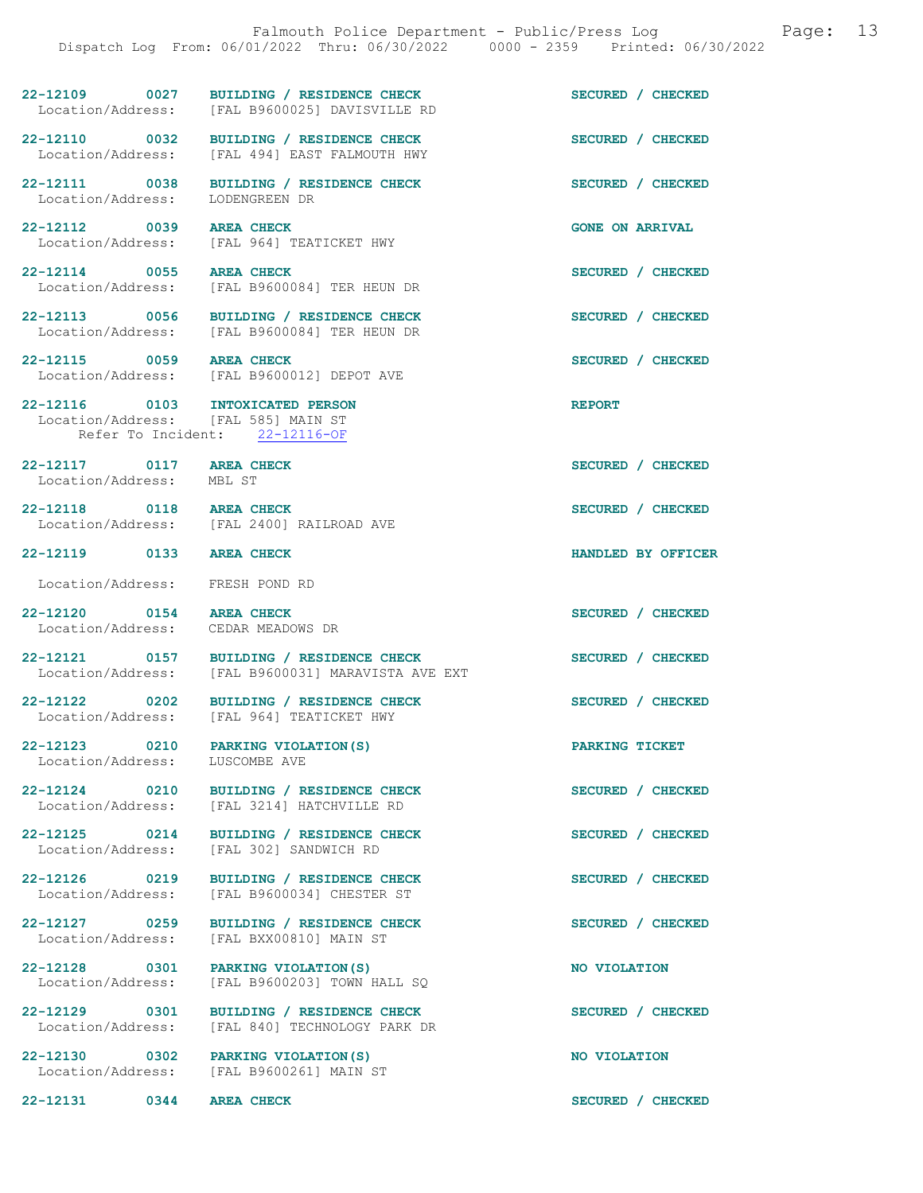22-12109 0027 BUILDING / RESIDENCE CHECK SECURED / CHECKED Location/Address: [FAL B9600025] DAVISVILLE RD [FAL B9600025] DAVISVILLE RD 22-12110 0032 BUILDING / RESIDENCE CHECK<br>
Location/Address: [FAL 494] EAST FALMOUTH HWY [FAL 494] EAST FALMOUTH HWY 22-12111 0038 BUILDING / RESIDENCE CHECK SECURED / CHECKED Location/Address: LODENGREEN DR Location/Address: 22-12112 0039 AREA CHECK GONE ON ARRIVAL Location/Address: [FAL 964] TEATICKET HWY 22-12114 0055 AREA CHECK 20 12114 0055 AREA CHECK SECURED / CHECKED [FAL B9600084] TER HEUN DR 22-12113 0056 BUILDING / RESIDENCE CHECK SECURED / CHECKED Location/Address: [FAL B9600084] TER HEUN DR [FAL B9600084] TER HEUN DR 22-12115 0059 AREA CHECK SECURED / CHECKED Location/Address: [FAL B9600012] DEPOT AVE 22-12116 0103 INTOXICATED PERSON REPORT Location/Address: [FAL 585] MAIN ST Refer To Incident: 22-12116-OF 22-12117 0117 AREA CHECK SECURED / CHECKED Location/Address: MBL ST 22-12118 0118 AREA CHECK SECURED / CHECKED Location/Address: [FAL 2400] RAILROAD AVE 22-12119 0133 AREA CHECK HANDLED BY OFFICER Location/Address: FRESH POND RD 22-12120 0154 AREA CHECK SECURED / CHECKED<br>
Location/Address: CEDAR MEADOWS DR Location/Address: 22-12121 0157 BUILDING / RESIDENCE CHECK SECURED / CHECKED Location/Address: [FAL B9600031] MARAVISTA AVE EXT 22-12122 0202 BUILDING / RESIDENCE CHECK SECURED / CHECKED Location/Address: [FAL 964] TEATICKET HWY [FAL 964] TEATICKET HWY 22-12123 0210 PARKING VIOLATION(S) DARKING TICKET Location/Address: LUSCOMBE AVE Location/Address: 22-12124 0210 BUILDING / RESIDENCE CHECK SECURED / CHECKED Location/Address: [FAL 3214] HATCHVILLE RD 22-12125 0214 BUILDING / RESIDENCE CHECK SECURED / CHECKED Location/Address: [FAL 302] SANDWICH RD 22-12126 0219 BUILDING / RESIDENCE CHECK SECURED / CHECKED Location/Address: [FAL B9600034] CHESTER ST [FAL B9600034] CHESTER ST 22-12127 0259 BUILDING / RESIDENCE CHECK SECURED / CHECKED Location/Address: [FAL BXX00810] MAIN ST [FAL BXX00810] MAIN ST 22-12128 0301 PARKING VIOLATION(S) NO VIOLATION Location/Address: [FAL B9600203] TOWN HALL SQ 22-12129 0301 BUILDING / RESIDENCE CHECK SECURED / CHECKED Location/Address: [FAL 840] TECHNOLOGY PARK DR 22-12130 0302 PARKING VIOLATION(S) NO VIOLATION Location/Address: [FAL B9600261] MAIN ST 22-12131 0344 AREA CHECK SECURED / CHECKED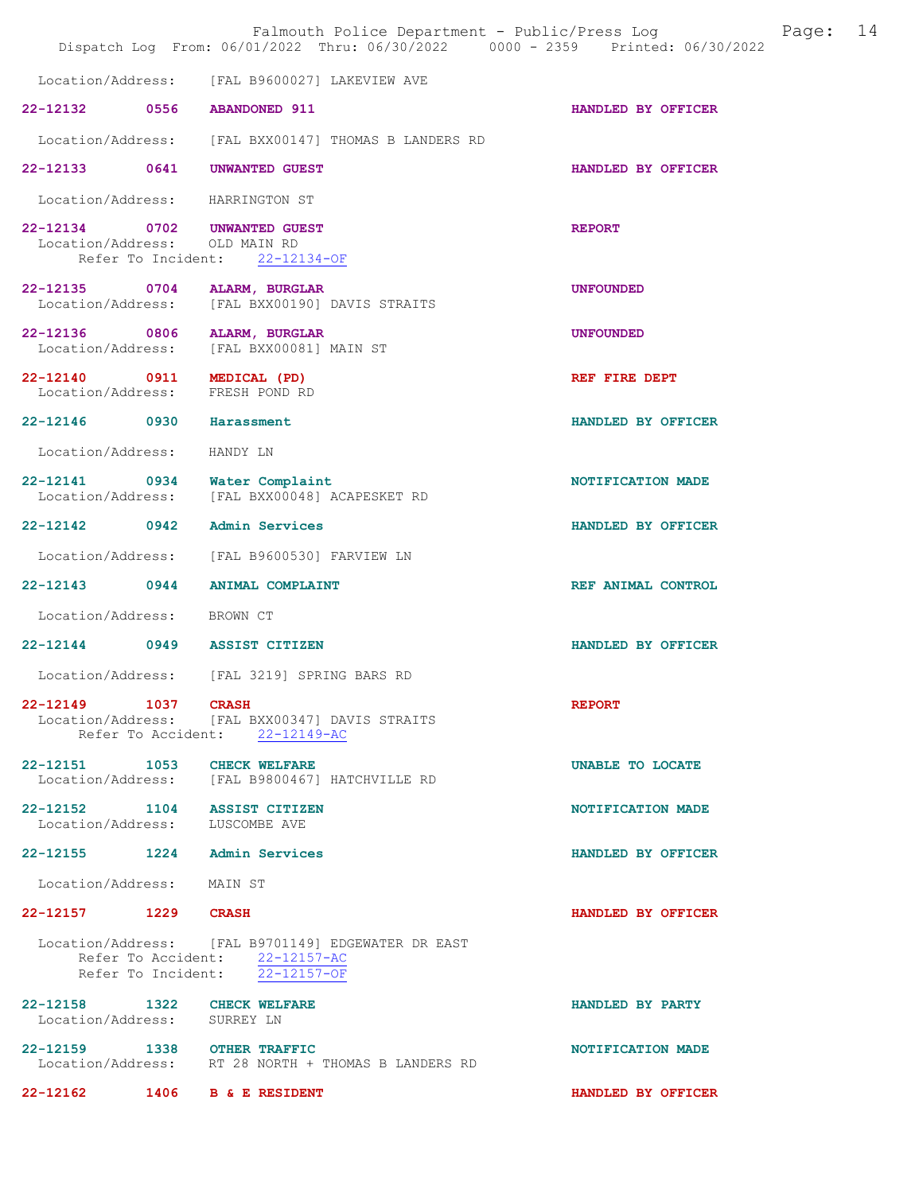|                                    |                    | Falmouth Police Department - Public/Press Log<br>Dispatch Log From: 06/01/2022 Thru: 06/30/2022 0000 - 2359 Printed: 06/30/2022 |                    | Page: | 14 |
|------------------------------------|--------------------|---------------------------------------------------------------------------------------------------------------------------------|--------------------|-------|----|
| Location/Address:                  |                    | [FAL B9600027] LAKEVIEW AVE                                                                                                     |                    |       |    |
|                                    |                    | 22-12132 0556 ABANDONED 911                                                                                                     | HANDLED BY OFFICER |       |    |
| Location/Address:                  |                    | [FAL BXX00147] THOMAS B LANDERS RD                                                                                              |                    |       |    |
| 22-12133 0641                      |                    | <b>UNWANTED GUEST</b>                                                                                                           | HANDLED BY OFFICER |       |    |
| Location/Address:                  |                    | HARRINGTON ST                                                                                                                   |                    |       |    |
| Location/Address:                  | Refer To Incident: | 22-12134 0702 UNWANTED GUEST<br>OLD MAIN RD<br>22-12134-OF                                                                      | <b>REPORT</b>      |       |    |
| 22-12135 0704<br>Location/Address: |                    | ALARM, BURGLAR<br>[FAL BXX00190] DAVIS STRAITS                                                                                  | <b>UNFOUNDED</b>   |       |    |
| 22-12136 0806<br>Location/Address: |                    | ALARM, BURGLAR<br>[FAL BXX00081] MAIN ST                                                                                        | <b>UNFOUNDED</b>   |       |    |
| Location/Address:                  |                    | 22-12140 0911 MEDICAL (PD)<br>FRESH POND RD                                                                                     | REF FIRE DEPT      |       |    |
| 22-12146 0930                      |                    | Harassment                                                                                                                      | HANDLED BY OFFICER |       |    |
| Location/Address:                  |                    | HANDY LN                                                                                                                        |                    |       |    |
| 22-12141 0934<br>Location/Address: |                    | Water Complaint<br>[FAL BXX00048] ACAPESKET RD                                                                                  | NOTIFICATION MADE  |       |    |
|                                    |                    | 22-12142 0942 Admin Services                                                                                                    | HANDLED BY OFFICER |       |    |
| Location/Address:                  |                    | [FAL B9600530] FARVIEW LN                                                                                                       |                    |       |    |
| 22-12143 0944                      |                    | <b>ANIMAL COMPLAINT</b>                                                                                                         | REF ANIMAL CONTROL |       |    |
| Location/Address:                  |                    | BROWN CT                                                                                                                        |                    |       |    |
|                                    |                    | 22-12144 0949 ASSIST CITIZEN                                                                                                    | HANDLED BY OFFICER |       |    |
|                                    |                    | Location/Address: [FAL 3219] SPRING BARS RD                                                                                     |                    |       |    |
| 22-12149 1037 CRASH                |                    | Location/Address: [FAL BXX00347] DAVIS STRAITS<br>Refer To Accident: 22-12149-AC                                                | <b>REPORT</b>      |       |    |
|                                    |                    | 22-12151 1053 CHECK WELFARE<br>Location/Address: [FAL B9800467] HATCHVILLE RD                                                   | UNABLE TO LOCATE   |       |    |
|                                    |                    | 22-12152 1104 ASSIST CITIZEN<br>Location/Address: LUSCOMBE AVE                                                                  | NOTIFICATION MADE  |       |    |
|                                    |                    | 22-12155 1224 Admin Services                                                                                                    | HANDLED BY OFFICER |       |    |
| Location/Address: MAIN ST          |                    |                                                                                                                                 |                    |       |    |
| 22-12157 1229 CRASH                |                    |                                                                                                                                 | HANDLED BY OFFICER |       |    |
|                                    |                    | Location/Address: [FAL B9701149] EDGEWATER DR EAST<br>Refer To Accident: 22-12157-AC<br>Refer To Incident: 22-12157-OF          |                    |       |    |
| Location/Address: SURREY LN        |                    | 22-12158 1322 CHECK WELFARE                                                                                                     | HANDLED BY PARTY   |       |    |
|                                    |                    | 22-12159 1338 OTHER TRAFFIC<br>Location/Address: RT 28 NORTH + THOMAS B LANDERS RD                                              | NOTIFICATION MADE  |       |    |
|                                    |                    | 22-12162 1406 B & E RESIDENT                                                                                                    | HANDLED BY OFFICER |       |    |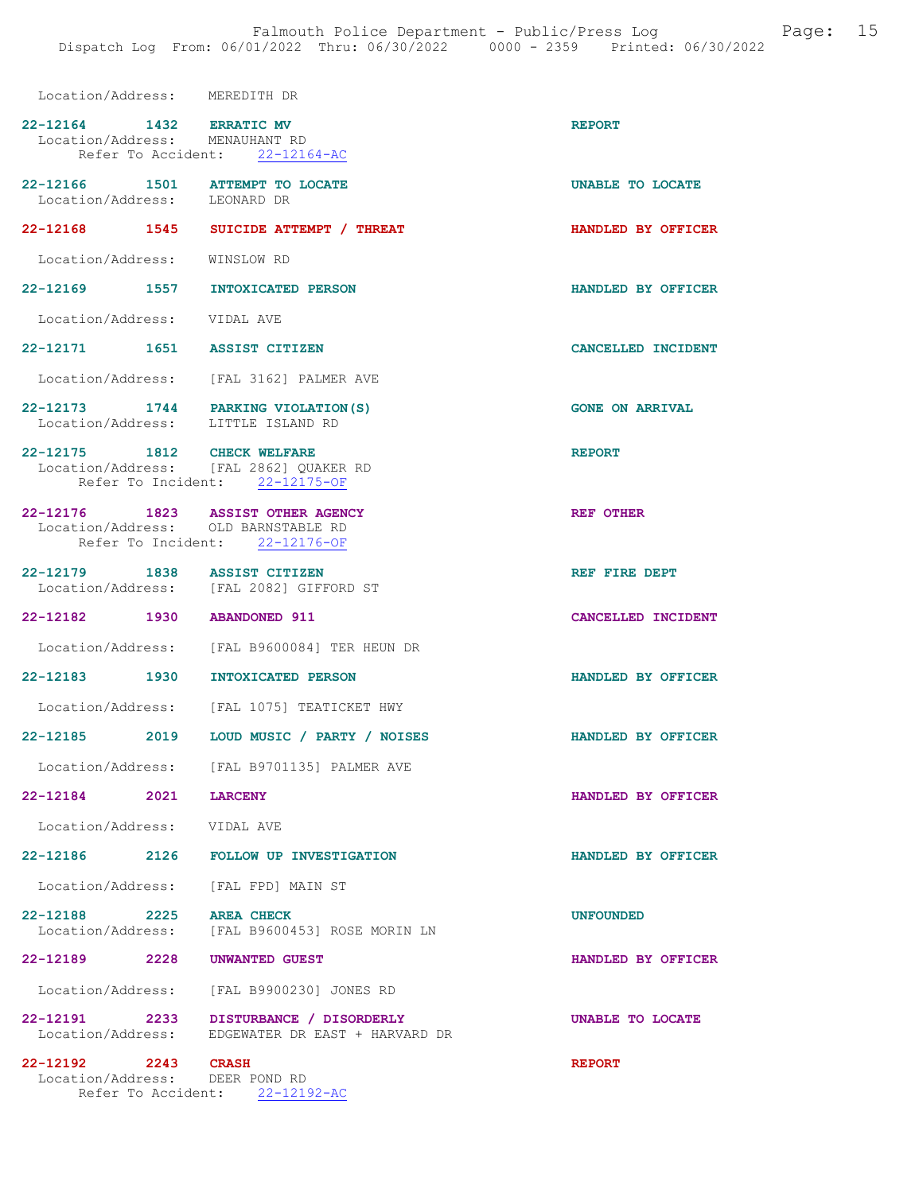| Location/Address: MEREDITH DR                                            |                                                                                            |                        |
|--------------------------------------------------------------------------|--------------------------------------------------------------------------------------------|------------------------|
| 22-12164 1432 ERRATIC MV<br>Location/Address: MENAUHANT RD               | Refer To Accident: 22-12164-AC                                                             | <b>REPORT</b>          |
| 22-12166 1501 ATTEMPT TO LOCATE<br>Location/Address: LEONARD DR          |                                                                                            | UNABLE TO LOCATE       |
|                                                                          | 22-12168 1545 SUICIDE ATTEMPT / THREAT                                                     | HANDLED BY OFFICER     |
| Location/Address: WINSLOW RD                                             |                                                                                            |                        |
| 22-12169 1557 INTOXICATED PERSON                                         |                                                                                            | HANDLED BY OFFICER     |
| Location/Address: VIDAL AVE                                              |                                                                                            |                        |
| 22-12171 1651 ASSIST CITIZEN                                             |                                                                                            | CANCELLED INCIDENT     |
| Location/Address: [FAL 3162] PALMER AVE                                  |                                                                                            |                        |
| 22-12173 1744 PARKING VIOLATION(S)<br>Location/Address: LITTLE ISLAND RD |                                                                                            | <b>GONE ON ARRIVAL</b> |
| 22-12175 1812 CHECK WELFARE<br>Location/Address: [FAL 2862] QUAKER RD    | Refer To Incident: 22-12175-OF                                                             | <b>REPORT</b>          |
| 22-12176 1823 ASSIST OTHER AGENCY<br>Location/Address: OLD BARNSTABLE RD | Refer To Incident: 22-12176-OF                                                             | <b>REF OTHER</b>       |
| 22-12179 1838 ASSIST CITIZEN<br>Location/Address: [FAL 2082] GIFFORD ST  |                                                                                            | REF FIRE DEPT          |
| 22-12182 1930 ABANDONED 911                                              |                                                                                            | CANCELLED INCIDENT     |
|                                                                          | Location/Address: [FAL B9600084] TER HEUN DR                                               |                        |
| 22-12183 1930 INTOXICATED PERSON                                         |                                                                                            | HANDLED BY OFFICER     |
|                                                                          | Location/Address: [FAL 1075] TEATICKET HWY                                                 |                        |
|                                                                          | 22-12185 2019 LOUD MUSIC / PARTY / NOISES                                                  | HANDLED BY OFFICER     |
|                                                                          | Location/Address: [FAL B9701135] PALMER AVE                                                |                        |
| 22-12184 2021 LARCENY                                                    |                                                                                            | HANDLED BY OFFICER     |
| Location/Address: VIDAL AVE                                              |                                                                                            |                        |
|                                                                          | 22-12186 2126 FOLLOW UP INVESTIGATION                                                      | HANDLED BY OFFICER     |
| Location/Address: [FAL FPD] MAIN ST                                      |                                                                                            |                        |
| 22-12188 2225 AREA CHECK                                                 | Location/Address: [FAL B9600453] ROSE MORIN LN                                             | <b>UNFOUNDED</b>       |
| 22-12189 2228 UNWANTED GUEST                                             |                                                                                            | HANDLED BY OFFICER     |
|                                                                          | Location/Address: [FAL B9900230] JONES RD                                                  |                        |
|                                                                          | 22-12191 2233 DISTURBANCE / DISORDERLY<br>Location/Address: EDGEWATER DR EAST + HARVARD DR | UNABLE TO LOCATE       |
| 22-12192 2243 CRASH                                                      |                                                                                            | <b>REPORT</b>          |

 Location/Address: DEER POND RD Refer To Accident: 22-12192-AC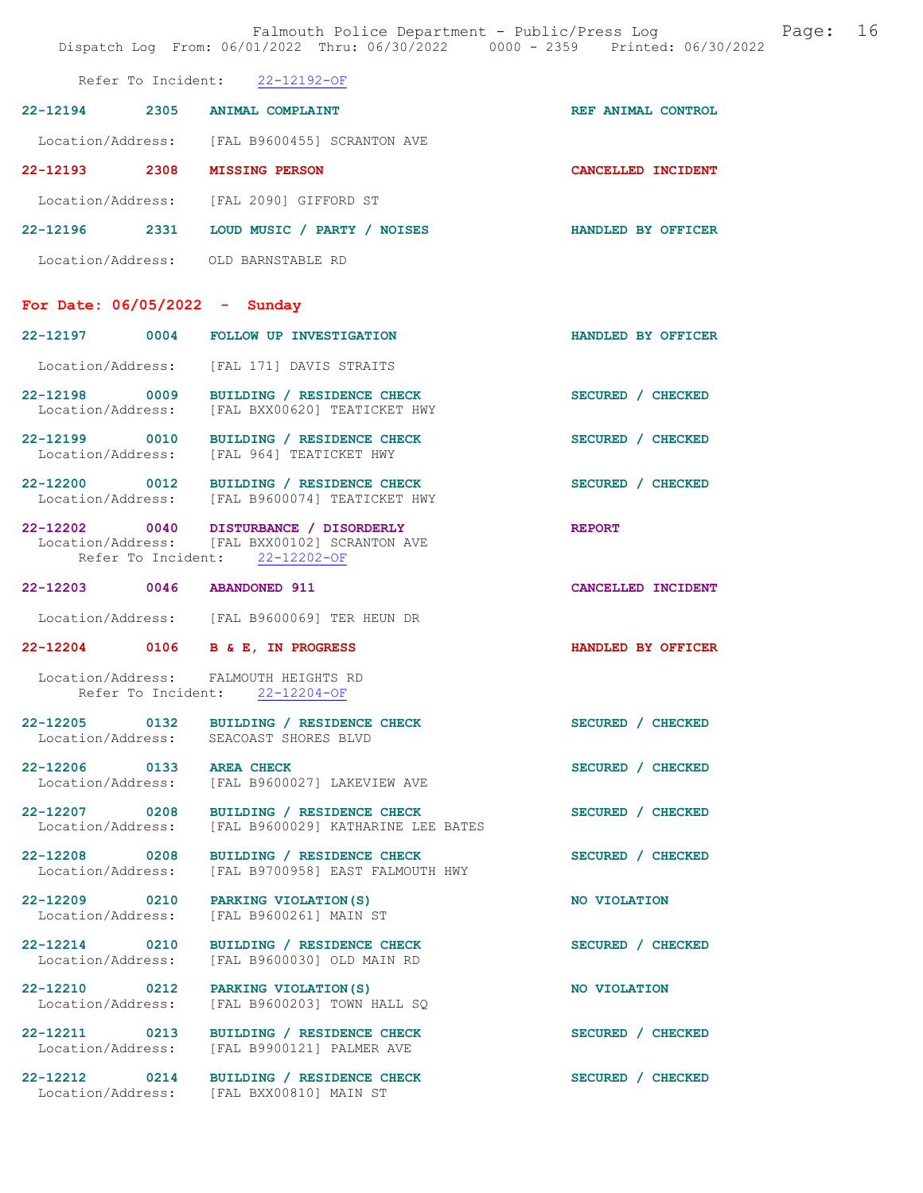Falmouth Police Department - Public/Press Log Page: 16 Dispatch Log From: 06/01/2022 Thru: 06/30/2022 0000 - 2359 Printed: 06/30/2022 Refer To Incident: 22-12192-OF 22-12194 2305 ANIMAL COMPLAINT REF ANIMAL CONTROL Location/Address: [FAL B9600455] SCRANTON AVE 22-12193 2308 MISSING PERSON CANCELLED INCIDENT Location/Address: [FAL 2090] GIFFORD ST 22-12196 2331 LOUD MUSIC / PARTY / NOISES HANDLED BY OFFICER Location/Address: OLD BARNSTABLE RD For Date: 06/05/2022 - Sunday 22-12197 0004 FOLLOW UP INVESTIGATION HANDLED BY OFFICER Location/Address: [FAL 171] DAVIS STRAITS 22-12198 0009 BUILDING / RESIDENCE CHECK SECURED / CHECKED Location/Address: [FAL BXX00620] TEATICKET HWY 22-12199 0010 BUILDING / RESIDENCE CHECK SECURED / CHECKED Location/Address: [FAL 964] TEATICKET HWY 22-12200 0012 BUILDING / RESIDENCE CHECK SECURED / CHECKED Location/Address: [FAL B9600074] TEATICKET HWY [FAL B9600074] TEATICKET HWY 22-12202 0040 DISTURBANCE / DISORDERLY REPORT<br>
Location/Address: [FAL BXX00102] SCRANTON AVE [FAL BXX00102] SCRANTON AVE Refer To Incident: 22-12202-OF 22-12203 0046 ABANDONED 911 CANCELLED INCIDENT Location/Address: [FAL B9600069] TER HEUN DR 22-12204 0106 B & E, IN PROGRESS HANDLED BY OFFICER Location/Address: FALMOUTH HEIGHTS RD Refer To Incident: 22-12204-OF 22-12205 0132 BUILDING / RESIDENCE CHECK SECURED / CHECKED<br>
Location/Address: SEACOAST SHORES BLVD SEACOAST SHORES BLVD 22-12206 0133 AREA CHECK 22-12206 0133 AREA CHECKED SECURED / CHECKED Location/Address: [FAL B9600027] LAKEVIEW AVE 22-12207 0208 BUILDING / RESIDENCE CHECK<br>
Location/Address: [FAL B9600029] KATHARINE LEE BATES [FAL B9600029] KATHARINE LEE BATES 22-12208 0208 BUILDING / RESIDENCE CHECK SECURED / CHECKED Location/Address: [FAL B9700958] EAST FALMOUTH HWY 22-12209 0210 PARKING VIOLATION(S) NO VIOLATION Location/Address: [FAL B9600261] MAIN ST 22-12214 0210 BUILDING / RESIDENCE CHECK SECURED / CHECKED Location/Address: [FAL B9600030] OLD MAIN RD [FAL B9600030] OLD MAIN RD 22-12210 0212 PARKING VIOLATION(S) NO VIOLATION<br>
Location/Address: [FAL B9600203] TOWN HALL SQ

[FAL B9600203] TOWN HALL SQ

22-12211 0213 BUILDING / RESIDENCE CHECK SECURED / CHECKED Location/Address: [FAL B9900121] PALMER AVE [FAL B9900121] PALMER AVE

Location/Address: [FAL BXX00810] MAIN ST

22-12212 0214 BUILDING / RESIDENCE CHECK SECURED / CHECKED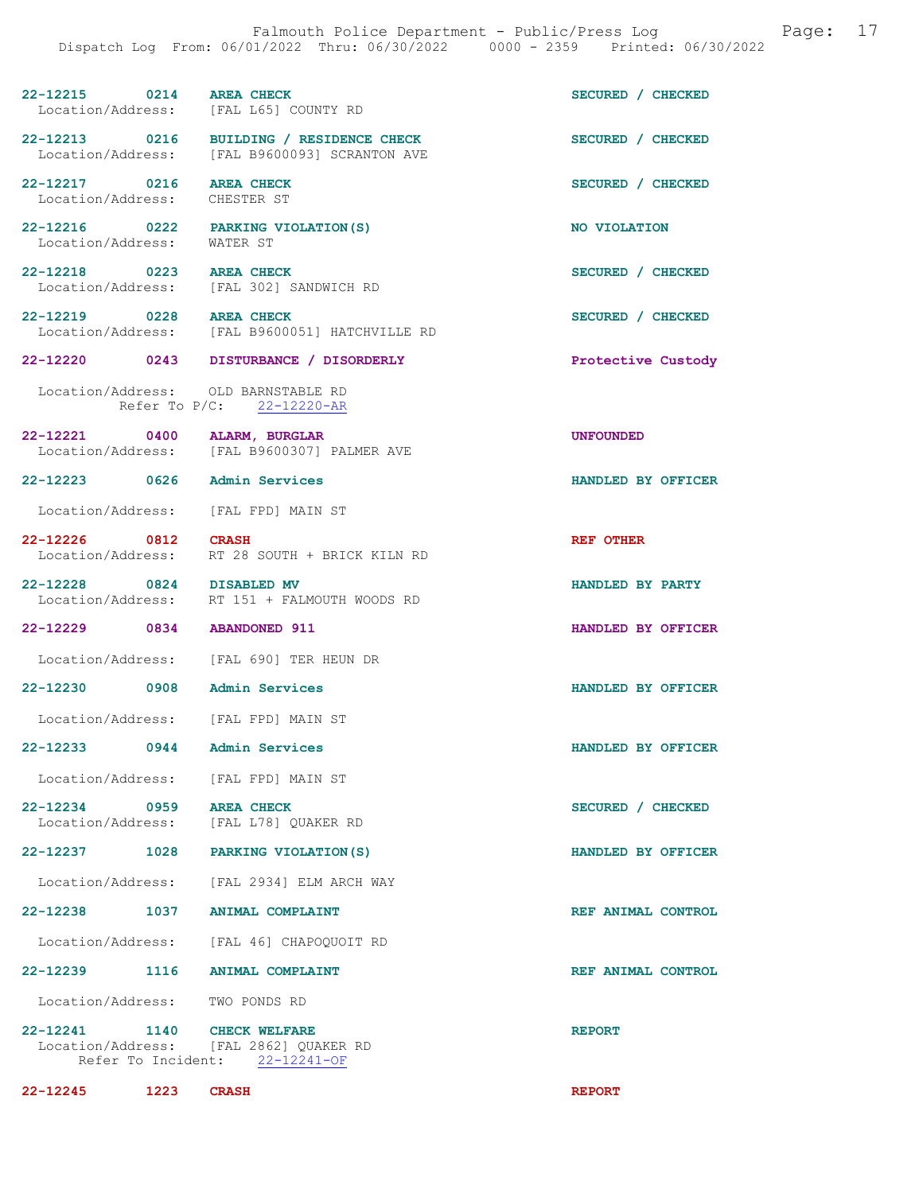| 22-12215 0214<br>Location/Address: [FAL L65] COUNTY RD            | <b>AREA CHECK</b>                                                                         | SECURED / CHECKED  |
|-------------------------------------------------------------------|-------------------------------------------------------------------------------------------|--------------------|
|                                                                   | 22-12213 0216 BUILDING / RESIDENCE CHECK<br>Location/Address: [FAL B9600093] SCRANTON AVE | SECURED / CHECKED  |
| 22-12217 0216 AREA CHECK<br>Location/Address: CHESTER ST          |                                                                                           | SECURED / CHECKED  |
| 22-12216 0222 PARKING VIOLATION (S)<br>Location/Address: WATER ST |                                                                                           | NO VIOLATION       |
| 22-12218 0223 AREA CHECK                                          | Location/Address: [FAL 302] SANDWICH RD                                                   | SECURED / CHECKED  |
| 22-12219 0228 AREA CHECK<br>Location/Address:                     | [FAL B9600051] HATCHVILLE RD                                                              | SECURED / CHECKED  |
|                                                                   | 22-12220 0243 DISTURBANCE / DISORDERLY                                                    | Protective Custody |
| Location/Address: OLD BARNSTABLE RD<br>Refer To $P/C$ :           | $22 - 12220 - AR$                                                                         |                    |
| 22-12221 0400 ALARM, BURGLAR                                      | Location/Address: [FAL B9600307] PALMER AVE                                               | <b>UNFOUNDED</b>   |
| 22-12223 0626 Admin Services                                      |                                                                                           | HANDLED BY OFFICER |
| Location/Address: [FAL FPD] MAIN ST                               |                                                                                           |                    |
| 22-12226 0812<br>Location/Address:                                | <b>CRASH</b><br>RT 28 SOUTH + BRICK KILN RD                                               | REF OTHER          |
| 22-12228 0824 DISABLED MV                                         | Location/Address: RT 151 + FALMOUTH WOODS RD                                              | HANDLED BY PARTY   |
| 22-12229 0834 ABANDONED 911                                       |                                                                                           | HANDLED BY OFFICER |
|                                                                   | Location/Address: [FAL 690] TER HEUN DR                                                   |                    |
| 22-12230 0908 Admin Services                                      |                                                                                           | HANDLED BY OFFICER |
| Location/Address: [FAL FPD] MAIN ST                               |                                                                                           |                    |
| 22-12233 0944                                                     | Admin Services                                                                            | HANDLED BY OFFICER |
| Location/Address: [FAL FPD] MAIN ST                               |                                                                                           |                    |
| 22-12234 0959 AREA CHECK                                          |                                                                                           |                    |
|                                                                   | Location/Address: [FAL L78] QUAKER RD                                                     | SECURED / CHECKED  |
| 22-12237 1028 PARKING VIOLATION (S)                               |                                                                                           | HANDLED BY OFFICER |
|                                                                   | Location/Address: [FAL 2934] ELM ARCH WAY                                                 |                    |
| 22-12238 1037 ANIMAL COMPLAINT                                    |                                                                                           | REF ANIMAL CONTROL |
|                                                                   | Location/Address: [FAL 46] CHAPOQUOIT RD                                                  |                    |
| 22-12239 1116 ANIMAL COMPLAINT                                    |                                                                                           | REF ANIMAL CONTROL |
| Location/Address: TWO PONDS RD                                    |                                                                                           |                    |

22-12245 1223 CRASH REPORT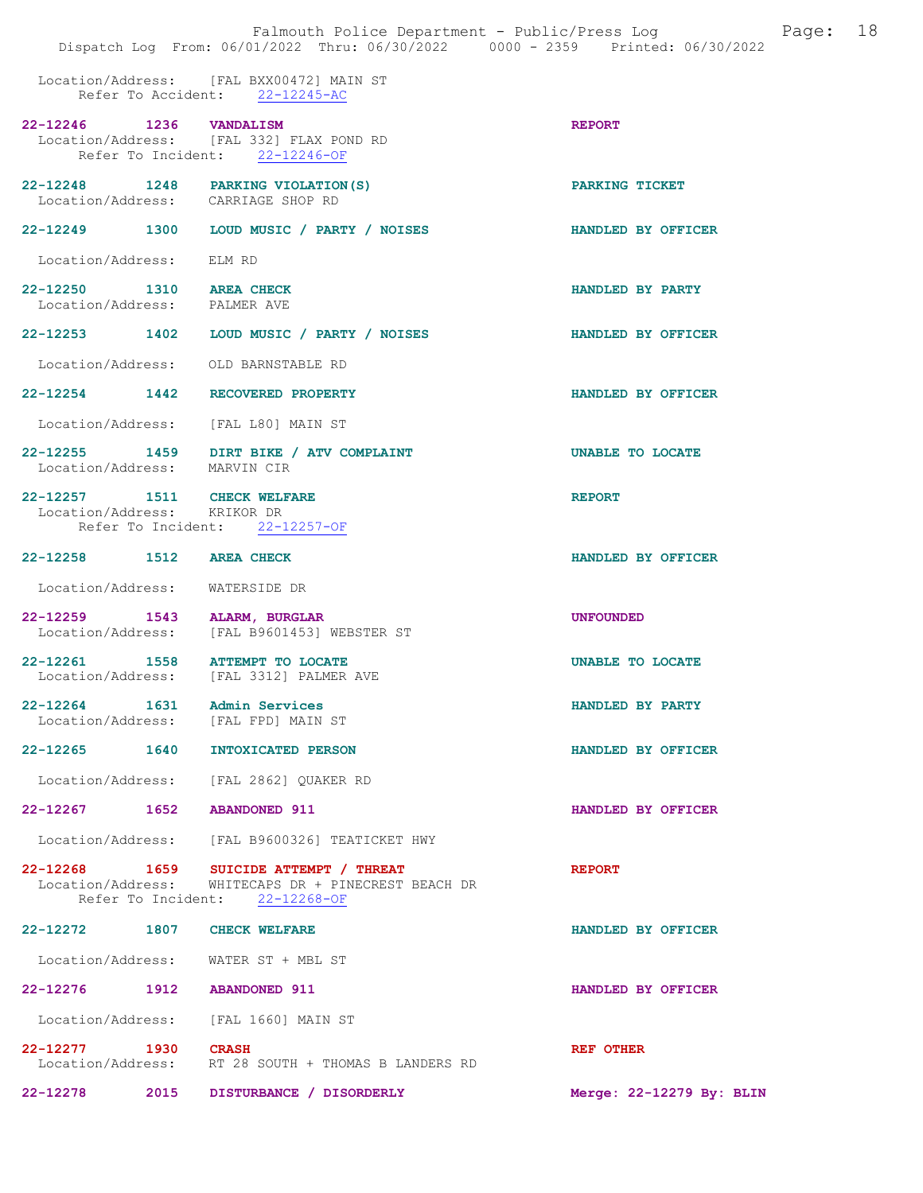Location/Address: [FAL BXX00472] MAIN ST Refer To Accident: 22-12245-AC

| 22-12246 1236 VANDALISM                                             | Location/Address: [FAL 332] FLAX POND RD<br>Refer To Incident: 22-12246-OF                                                      | <b>REPORT</b>             |
|---------------------------------------------------------------------|---------------------------------------------------------------------------------------------------------------------------------|---------------------------|
| Location/Address: CARRIAGE SHOP RD                                  | 22-12248 1248 PARKING VIOLATION (S)                                                                                             | PARKING TICKET            |
|                                                                     | 22-12249 1300 LOUD MUSIC / PARTY / NOISES                                                                                       | <b>HANDLED BY OFFICER</b> |
| Location/Address: ELM RD                                            |                                                                                                                                 |                           |
| 22-12250 1310 AREA CHECK<br>Location/Address: PALMER AVE            |                                                                                                                                 | HANDLED BY PARTY          |
|                                                                     | 22-12253 1402 LOUD MUSIC / PARTY / NOISES                                                                                       | HANDLED BY OFFICER        |
| Location/Address: OLD BARNSTABLE RD                                 |                                                                                                                                 |                           |
| 22-12254 1442 RECOVERED PROPERTY                                    |                                                                                                                                 | HANDLED BY OFFICER        |
| Location/Address: [FAL L80] MAIN ST                                 |                                                                                                                                 |                           |
| Location/Address: MARVIN CIR                                        | 22-12255 1459 DIRT BIKE / ATV COMPLAINT                                                                                         | UNABLE TO LOCATE          |
| 22-12257 1511 CHECK WELFARE<br>Location/Address: KRIKOR DR          |                                                                                                                                 | <b>REPORT</b>             |
|                                                                     | Refer To Incident: 22-12257-OF                                                                                                  |                           |
| 22-12258 1512 AREA CHECK                                            |                                                                                                                                 | HANDLED BY OFFICER        |
| Location/Address: WATERSIDE DR                                      |                                                                                                                                 |                           |
| 22-12259 1543                                                       | ALARM, BURGLAR<br>Location/Address: [FAL B9601453] WEBSTER ST                                                                   | <b>UNFOUNDED</b>          |
| 22-12261 1558                                                       | <b>ATTEMPT TO LOCATE</b><br>Location/Address: [FAL 3312] PALMER AVE                                                             | UNABLE TO LOCATE          |
| 22-12264 1631 Admin Services<br>Location/Address: [FAL FPD] MAIN ST |                                                                                                                                 | HANDLED BY PARTY          |
| 22-12265 1640                                                       | INTOXICATED PERSON                                                                                                              | HANDLED BY OFFICER        |
|                                                                     | Location/Address: [FAL 2862] OUAKER RD                                                                                          |                           |
| 22-12267 1652 ABANDONED 911                                         |                                                                                                                                 | HANDLED BY OFFICER        |
|                                                                     | Location/Address: [FAL B9600326] TEATICKET HWY                                                                                  |                           |
|                                                                     | 22-12268 1659 SUICIDE ATTEMPT / THREAT<br>Location/Address: WHITECAPS DR + PINECREST BEACH DR<br>Refer To Incident: 22-12268-OF | <b>REPORT</b>             |
| 22-12272 1807 CHECK WELFARE                                         |                                                                                                                                 | HANDLED BY OFFICER        |
| Location/Address: WATER ST + MBL ST                                 |                                                                                                                                 |                           |
| 22-12276 1912 ABANDONED 911                                         |                                                                                                                                 | HANDLED BY OFFICER        |
| Location/Address: [FAL 1660] MAIN ST                                |                                                                                                                                 |                           |
| 22-12277 1930 CRASH                                                 | Location/Address: RT 28 SOUTH + THOMAS B LANDERS RD                                                                             | REF OTHER                 |
|                                                                     | 22-12278 2015 DISTURBANCE / DISORDERLY                                                                                          | Merge: 22-12279 By: BLIN  |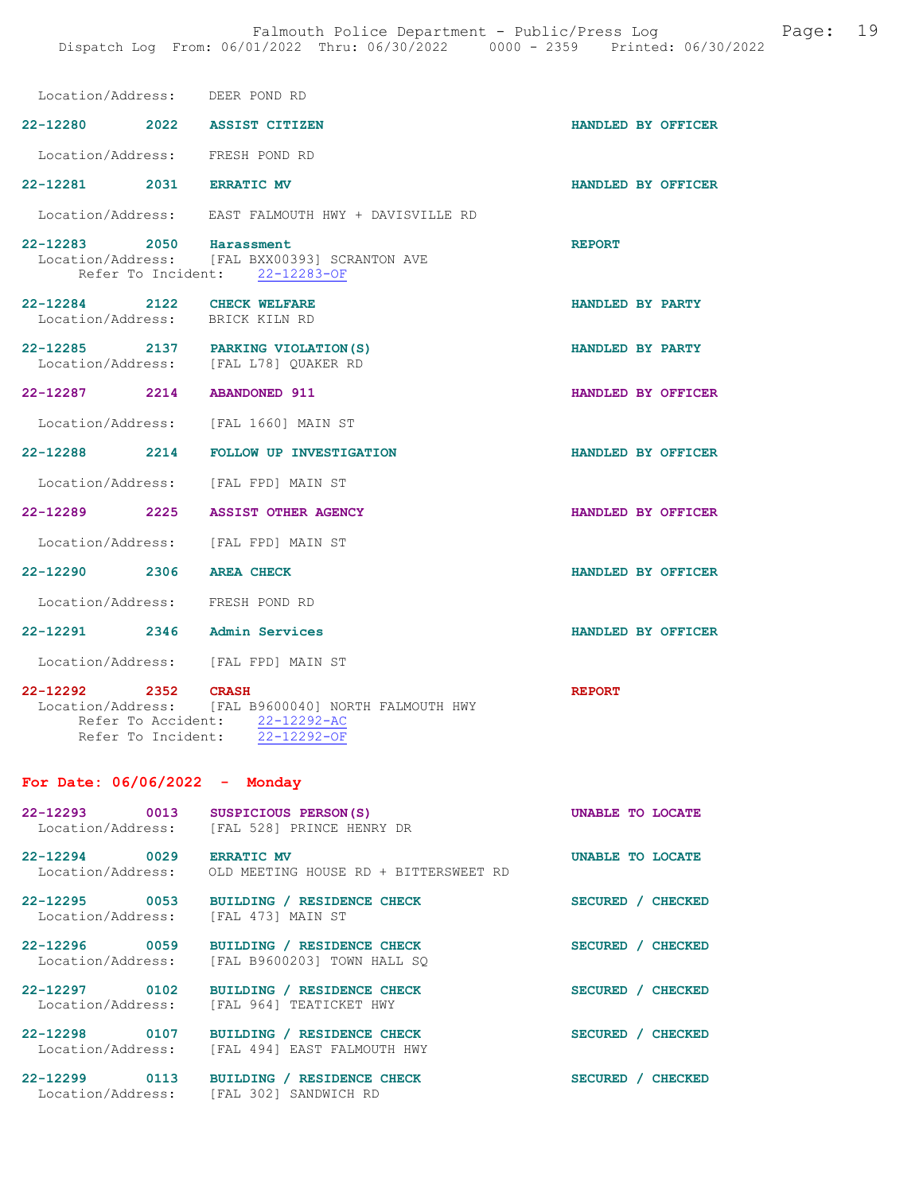|                                               |                    | Location/Address: DEER POND RD                                                                       |                    |  |
|-----------------------------------------------|--------------------|------------------------------------------------------------------------------------------------------|--------------------|--|
|                                               |                    | 22-12280 2022 ASSIST CITIZEN                                                                         | HANDLED BY OFFICER |  |
|                                               |                    | Location/Address: FRESH POND RD                                                                      |                    |  |
| 22-12281 2031 ERRATIC MV                      |                    |                                                                                                      | HANDLED BY OFFICER |  |
|                                               |                    | Location/Address: EAST FALMOUTH HWY + DAVISVILLE RD                                                  |                    |  |
| 22-12283 2050 Harassment                      |                    | Location/Address: [FAL BXX00393] SCRANTON AVE<br>Refer To Incident: 22-12283-OF                      | <b>REPORT</b>      |  |
| 22-12284 2122 CHECK WELFARE                   |                    | Location/Address: BRICK KILN RD                                                                      | HANDLED BY PARTY   |  |
|                                               |                    | 22-12285 2137 PARKING VIOLATION (S)<br>Location/Address: [FAL L78] QUAKER RD                         | HANDLED BY PARTY   |  |
| 22-12287 2214 ABANDONED 911                   |                    |                                                                                                      | HANDLED BY OFFICER |  |
|                                               |                    | Location/Address: [FAL 1660] MAIN ST                                                                 |                    |  |
|                                               |                    | 22-12288 2214 FOLLOW UP INVESTIGATION                                                                | HANDLED BY OFFICER |  |
|                                               |                    | Location/Address: [FAL FPD] MAIN ST                                                                  |                    |  |
|                                               |                    | 22-12289 2225 ASSIST OTHER AGENCY                                                                    | HANDLED BY OFFICER |  |
|                                               |                    | Location/Address: [FAL FPD] MAIN ST                                                                  |                    |  |
| 22-12290 2306 AREA CHECK                      |                    |                                                                                                      | HANDLED BY OFFICER |  |
|                                               |                    | Location/Address: FRESH POND RD                                                                      |                    |  |
|                                               |                    | 22-12291 2346 Admin Services                                                                         | HANDLED BY OFFICER |  |
|                                               |                    | Location/Address: [FAL FPD] MAIN ST                                                                  |                    |  |
| 22-12292 2352 CRASH                           | Refer To Incident: | Location/Address: [FAL B9600040] NORTH FALMOUTH HWY<br>Refer To Accident: 22-12292-AC<br>22-12292-OF | <b>REPORT</b>      |  |
| For Date: $06/06/2022 -$ Monday               |                    |                                                                                                      |                    |  |
| 22-12293 0013                                 |                    | SUSPICIOUS PERSON(S)<br>Location/Address: [FAL 528] PRINCE HENRY DR                                  | UNABLE TO LOCATE   |  |
| 22-12294 0029 ERRATIC MV<br>Location/Address: |                    | OLD MEETING HOUSE RD + BITTERSWEET RD                                                                | UNABLE TO LOCATE   |  |
|                                               |                    | 22-12295 0053 BUILDING / RESIDENCE CHECK<br>Location/Address: [FAL 473] MAIN ST                      | SECURED / CHECKED  |  |
| 22-12296 0059                                 |                    | BUILDING / RESIDENCE CHECK<br>Location/Address: [FAL B9600203] TOWN HALL SQ                          | SECURED / CHECKED  |  |

22-12297 0102 BUILDING / RESIDENCE CHECK SECURED / CHECKED Location/Address: [FAL 964] TEATICKET HWY

22-12298 0107 BUILDING / RESIDENCE CHECK SECURED / CHECKED Location/Address: [FAL 494] EAST FALMOUTH HWY

22-12299 0113 BUILDING / RESIDENCE CHECK SECURED / CHECKED Location/Address: [FAL 302] SANDWICH RD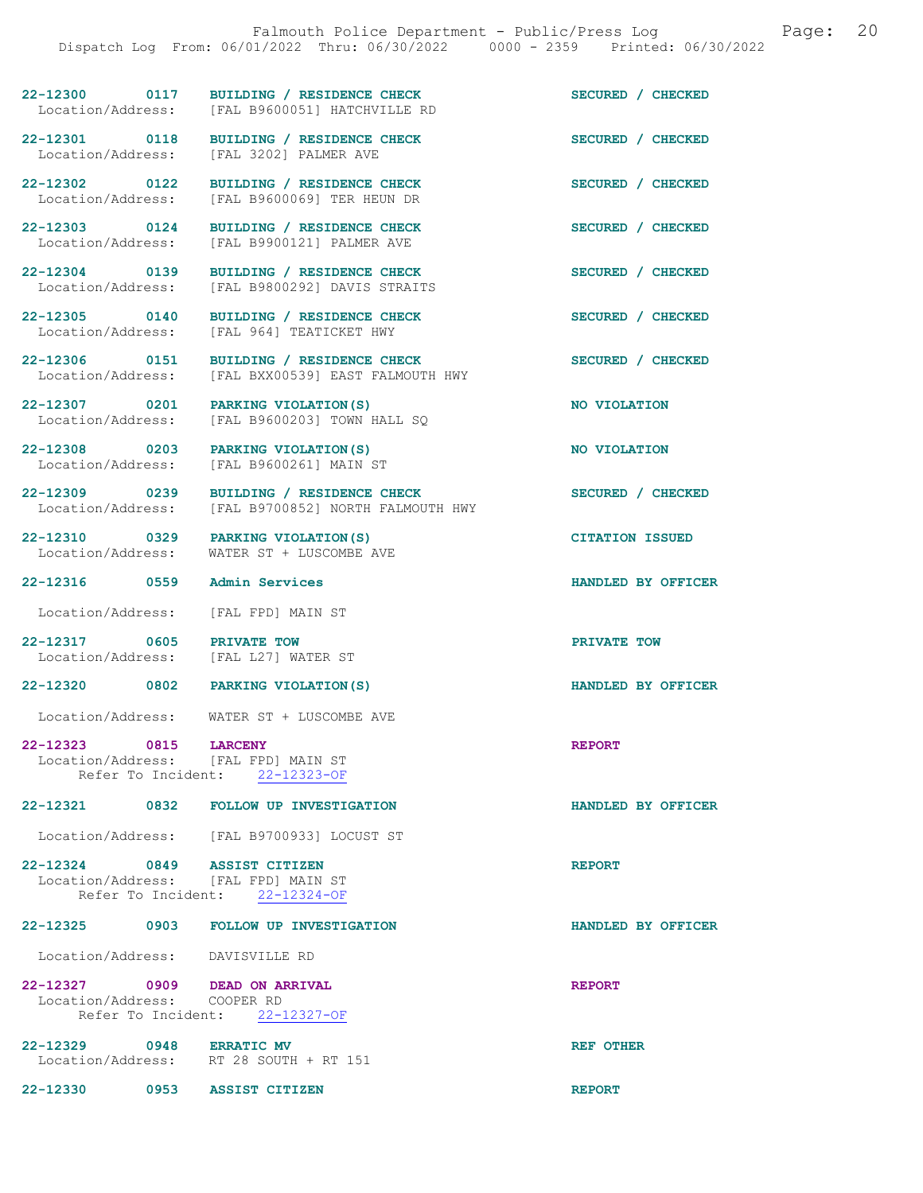22-12300 0117 BUILDING / RESIDENCE CHECK SECURED / CHECKED Location/Address: [FAL B9600051] HATCHVILLE RD

22-12308 0203 PARKING VIOLATION(S) NO VIOLATION

22-12316 0559 Admin Services HANDLED BY OFFICER

Location/Address: [FAL FPD] MAIN ST

22-12317 0605 PRIVATE TOW DOCAtion/Address: [FAL L27] WATER ST Location/Address:

22-12320 0802 PARKING VIOLATION(S) HANDLED BY OFFICER

Location/Address: WATER ST + LUSCOMBE AVE

22-12323 0815 LARCENY<br>
Location/Address: [FAL FPD] MAIN ST Location/Address:

22-12321 0832 FOLLOW UP INVESTIGATION HANDLED BY OFFICER

Location/Address: [FAL B9700933] LOCUST ST

22-12324 0849 ASSIST CITIZEN REPORT Location/Address: [FAL FPD] MAIN ST Refer To Incident: 22-12324-OF

#### 22-12325 0903 FOLLOW UP INVESTIGATION HANDLED BY OFFICER

Location/Address: DAVISVILLE RD

22-12327 0909 DEAD ON ARRIVAL CONSIDERED REPORT Location/Address: COOPER RD Location/Address: Refer To Incident: 22-12327-OF

22-12329 0948 ERRATIC MV **REF OTHER** Location/Address: RT 28 SOUTH + RT 151

22-12330 0953 ASSIST CITIZEN REPORT

22-12301 0118 BUILDING / RESIDENCE CHECK<br>
Location/Address: [FAL 3202] PALMER AVE [FAL 3202] PALMER AVE

22-12302 0122 BUILDING / RESIDENCE CHECK SECURED / CHECKED Location/Address: [FAL B9600069] TER HEUN DR

22-12303 0124 BUILDING / RESIDENCE CHECK SECURED / CHECKED Location/Address: [FAL B9900121] PALMER AVE

22-12304 0139 BUILDING / RESIDENCE CHECK SECURED / CHECKED Location/Address: [FAL B9800292] DAVIS STRAITS

22-12305 0140 BUILDING / RESIDENCE CHECK SECURED / CHECKED Location/Address: [FAL 964] TEATICKET HWY [FAL 964] TEATICKET HWY

22-12306 0151 BUILDING / RESIDENCE CHECK SECURED / CHECKED Location/Address: [FAL BXX00539] EAST FALMOUTH HWY

22-12307 0201 PARKING VIOLATION(S) NO VIOLATION Location/Address: [FAL B9600203] TOWN HALL SQ

Location/Address: [FAL B9600261] MAIN ST

22-12309 0239 BUILDING / RESIDENCE CHECK<br>
Location/Address: [FAL B9700852] NORTH FALMOUTH HWY [FAL B9700852] NORTH FALMOUTH HWY

22-12310 0329 PARKING VIOLATION(S) CITATION ISSUED Location/Address: WATER ST + LUSCOMBE AVE

Refer To Incident: 22-12323-OF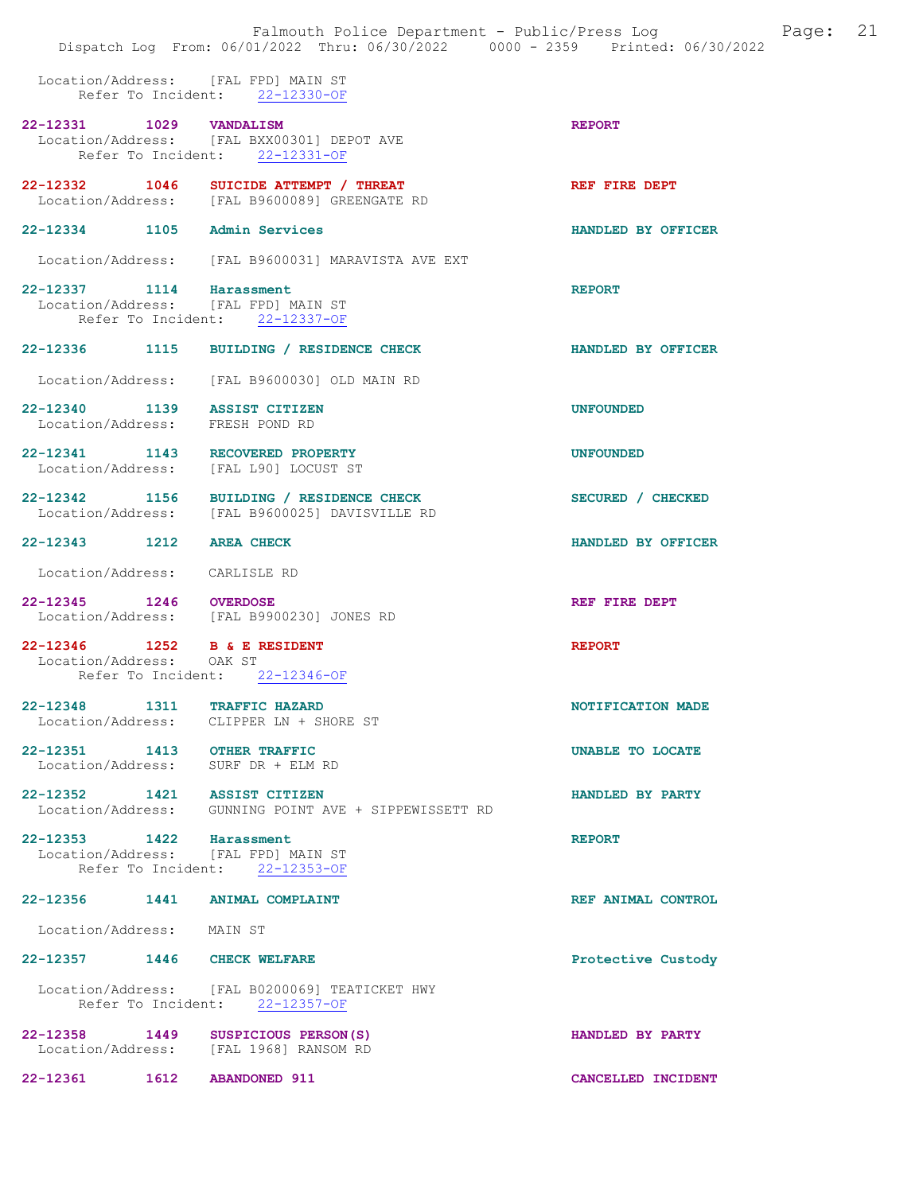|                                                                                            | Falmouth Police Department - Public/Press Log<br>Dispatch Log From: 06/01/2022 Thru: 06/30/2022 0000 - 2359 Printed: 06/30/2022 | Page: 21           |  |
|--------------------------------------------------------------------------------------------|---------------------------------------------------------------------------------------------------------------------------------|--------------------|--|
|                                                                                            | Location/Address: [FAL FPD] MAIN ST<br>Refer To Incident: 22-12330-OF                                                           |                    |  |
| 22-12331 1029 VANDALISM                                                                    | Location/Address: [FAL BXX00301] DEPOT AVE<br>Refer To Incident: 22-12331-OF                                                    | <b>REPORT</b>      |  |
|                                                                                            | 22-12332 1046 SUICIDE ATTEMPT / THREAT<br>Location/Address: [FAL B9600089] GREENGATE RD                                         | REF FIRE DEPT      |  |
| 22-12334 1105 Admin Services                                                               |                                                                                                                                 | HANDLED BY OFFICER |  |
|                                                                                            | Location/Address: [FAL B9600031] MARAVISTA AVE EXT                                                                              |                    |  |
| 22-12337 1114 Harassment<br>Location/Address: [FAL FPD] MAIN ST                            | Refer To Incident: 22-12337-OF                                                                                                  | <b>REPORT</b>      |  |
|                                                                                            | 22-12336 1115 BUILDING / RESIDENCE CHECK                                                                                        | HANDLED BY OFFICER |  |
|                                                                                            | Location/Address: [FAL B9600030] OLD MAIN RD                                                                                    |                    |  |
| 22-12340 1139 ASSIST CITIZEN<br>Location/Address: FRESH POND RD                            |                                                                                                                                 | <b>UNFOUNDED</b>   |  |
| 22-12341 1143 RECOVERED PROPERTY                                                           | Location/Address: [FAL L90] LOCUST ST                                                                                           | <b>UNFOUNDED</b>   |  |
|                                                                                            | 22-12342 1156 BUILDING / RESIDENCE CHECK<br>Location/Address: [FAL B9600025] DAVISVILLE RD                                      | SECURED / CHECKED  |  |
| 22-12343 1212 AREA CHECK                                                                   |                                                                                                                                 | HANDLED BY OFFICER |  |
| Location/Address:                                                                          | CARLISLE RD                                                                                                                     |                    |  |
| 22-12345 1246 OVERDOSE                                                                     | Location/Address: [FAL B9900230] JONES RD                                                                                       | REF FIRE DEPT      |  |
| 22-12346 1252 B & E RESIDENT<br>Location/Address: OAK ST<br>Refer To Incident: 22-12346-OF |                                                                                                                                 | <b>REPORT</b>      |  |
| 22-12348 1311 TRAFFIC HAZARD                                                               | Location/Address: CLIPPER LN + SHORE ST                                                                                         | NOTIFICATION MADE  |  |
| 22-12351 1413 OTHER TRAFFIC<br>Location/Address: SURF DR + ELM RD                          |                                                                                                                                 | UNABLE TO LOCATE   |  |
| 22-12352 1421 ASSIST CITIZEN                                                               | Location/Address: GUNNING POINT AVE + SIPPEWISSETT RD                                                                           | HANDLED BY PARTY   |  |
| 22-12353 1422 Harassment<br>Location/Address: [FAL FPD] MAIN ST                            | Refer To Incident: 22-12353-OF                                                                                                  | <b>REPORT</b>      |  |
| 22-12356 1441 ANIMAL COMPLAINT                                                             |                                                                                                                                 | REF ANIMAL CONTROL |  |
| Location/Address: MAIN ST                                                                  |                                                                                                                                 |                    |  |

 Location/Address: [FAL B0200069] TEATICKET HWY Refer To Incident: 22-12357-OF

22-12358 1449 SUSPICIOUS PERSON(S) HANDLED BY PARTY Location/Address: [FAL 1968] RANSOM RD 22-12361 1612 ABANDONED 911 CANCELLED INCIDENT

22-12357 1446 CHECK WELFARE **Protective Custody**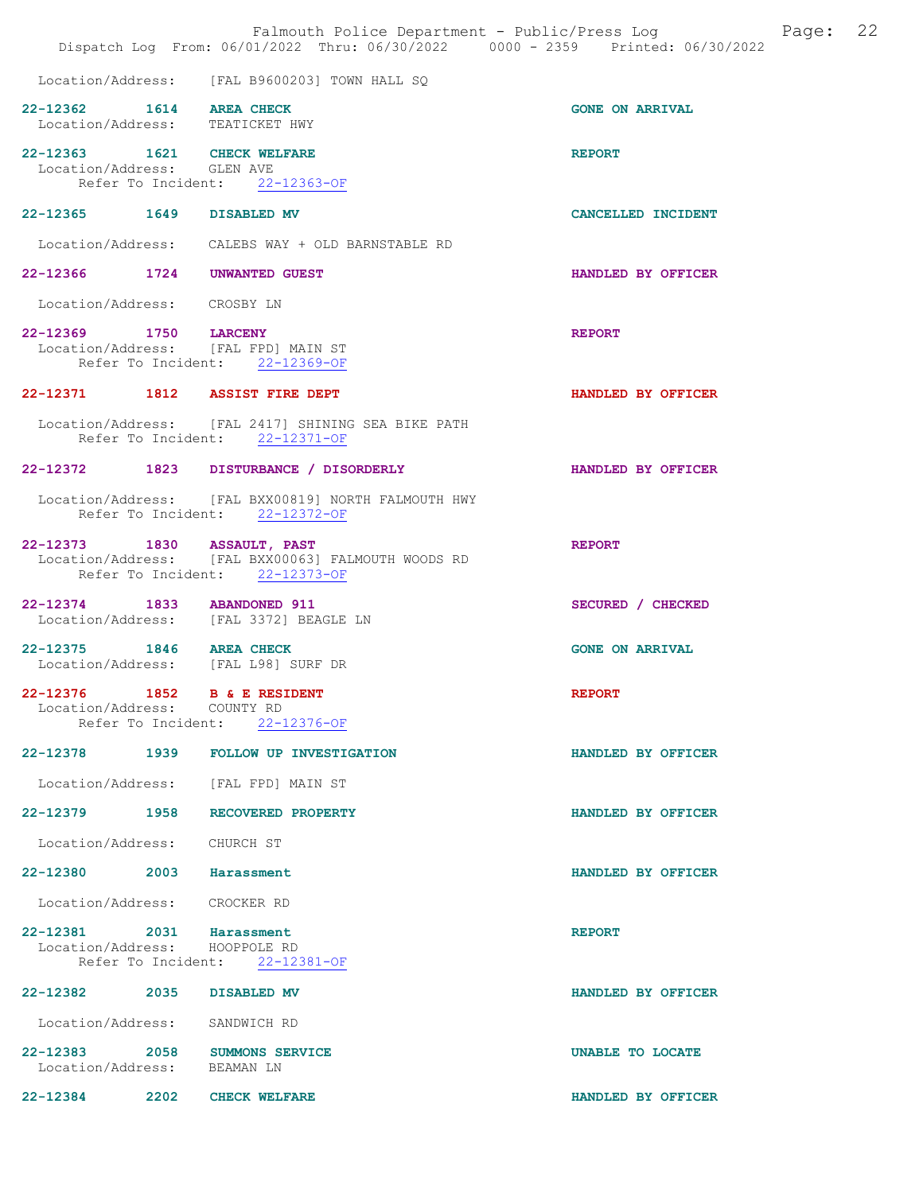|                                                             |      | Falmouth Police Department - Public/Press Log<br>Dispatch Log From: 06/01/2022 Thru: 06/30/2022 0000 - 2359 Printed: 06/30/2022 | 22<br>Page:            |
|-------------------------------------------------------------|------|---------------------------------------------------------------------------------------------------------------------------------|------------------------|
|                                                             |      | Location/Address: [FAL B9600203] TOWN HALL SQ                                                                                   |                        |
| 22-12362 1614 AREA CHECK<br>Location/Address: TEATICKET HWY |      |                                                                                                                                 | <b>GONE ON ARRIVAL</b> |
| 22-12363 1621 CHECK WELFARE<br>Location/Address: GLEN AVE   |      | Refer To Incident: 22-12363-OF                                                                                                  | <b>REPORT</b>          |
| 22-12365 1649 DISABLED MV                                   |      |                                                                                                                                 | CANCELLED INCIDENT     |
|                                                             |      | Location/Address: CALEBS WAY + OLD BARNSTABLE RD                                                                                |                        |
|                                                             |      | 22-12366 1724 UNWANTED GUEST                                                                                                    | HANDLED BY OFFICER     |
| Location/Address: CROSBY LN                                 |      |                                                                                                                                 |                        |
| 22-12369 1750 LARCENY                                       |      | Location/Address: [FAL FPD] MAIN ST<br>Refer To Incident: 22-12369-OF                                                           | <b>REPORT</b>          |
|                                                             |      | 22-12371 1812 ASSIST FIRE DEPT                                                                                                  | HANDLED BY OFFICER     |
|                                                             |      | Location/Address: [FAL 2417] SHINING SEA BIKE PATH<br>Refer To Incident: 22-12371-OF                                            |                        |
|                                                             |      | 22-12372 1823 DISTURBANCE / DISORDERLY                                                                                          | HANDLED BY OFFICER     |
|                                                             |      | Location/Address: [FAL BXX00819] NORTH FALMOUTH HWY<br>Refer To Incident: 22-12372-OF                                           |                        |
| 22-12373 1830 ASSAULT, PAST                                 |      | Location/Address: [FAL BXX00063] FALMOUTH WOODS RD<br>Refer To Incident: 22-12373-OF                                            | <b>REPORT</b>          |
| 22-12374 1833 ABANDONED 911                                 |      | Location/Address: [FAL 3372] BEAGLE LN                                                                                          | SECURED / CHECKED      |
| 22-12375 1846 AREA CHECK                                    |      | Location/Address: [FAL L98] SURF DR                                                                                             | <b>GONE ON ARRIVAL</b> |
| Location/Address: COUNTY RD                                 |      | 22-12376 1852 B & E RESIDENT<br>Refer To Incident: 22-12376-OF                                                                  | <b>REPORT</b>          |
|                                                             |      | 22-12378 1939 FOLLOW UP INVESTIGATION                                                                                           | HANDLED BY OFFICER     |
|                                                             |      | Location/Address: [FAL FPD] MAIN ST                                                                                             |                        |
|                                                             |      | 22-12379 1958 RECOVERED PROPERTY                                                                                                | HANDLED BY OFFICER     |
| Location/Address: CHURCH ST                                 |      |                                                                                                                                 |                        |
| 22-12380 2003 Harassment                                    |      |                                                                                                                                 | HANDLED BY OFFICER     |
| Location/Address: CROCKER RD                                |      |                                                                                                                                 |                        |
| 22-12381 2031 Harassment<br>Location/Address: HOOPPOLE RD   |      | Refer To Incident: 22-12381-OF                                                                                                  | <b>REPORT</b>          |
| 22-12382 2035                                               |      | DISABLED MV                                                                                                                     | HANDLED BY OFFICER     |
| Location/Address: SANDWICH RD                               |      |                                                                                                                                 |                        |
| Location/Address: BEAMAN LN                                 |      | 22-12383 2058 SUMMONS SERVICE                                                                                                   | UNABLE TO LOCATE       |
| 22-12384                                                    | 2202 | <b>CHECK WELFARE</b>                                                                                                            | HANDLED BY OFFICER     |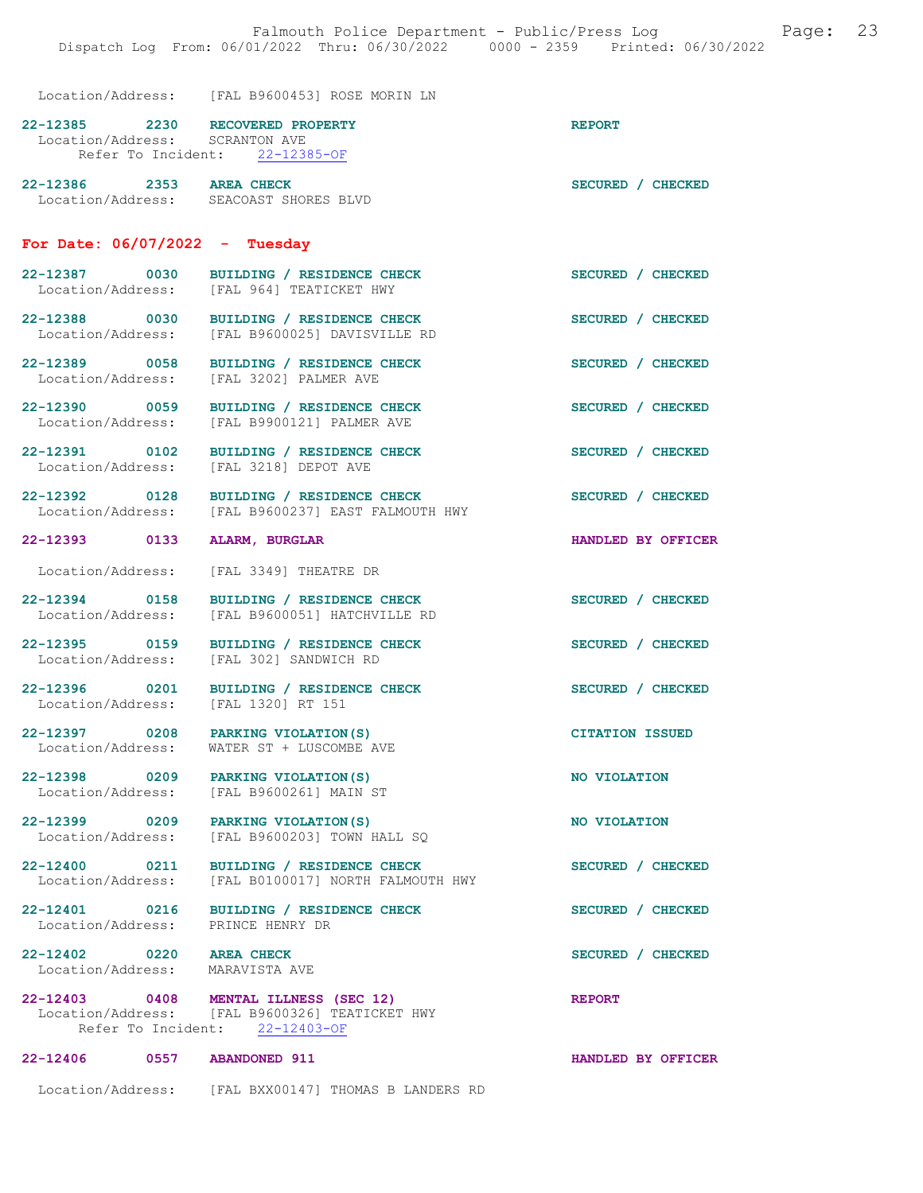Location/Address: [FAL B9600453] ROSE MORIN LN

| 22-12385 | 2230 RECOVERED PROPERTY        | <b>REPORT</b> |
|----------|--------------------------------|---------------|
|          | Location/Address: SCRANTON AVE |               |
|          | Refer To Incident: 22-12385-OF |               |
|          |                                |               |

| 22-12386          | 2353 | AREA CHECK           | SECURED / CHECKED |
|-------------------|------|----------------------|-------------------|
| Location/Address: |      | SEACOAST SHORES BLVD |                   |

#### For Date: 06/07/2022 - Tuesday

| 22-12387          | 0030 | BUILDING / RESIDENCE CHECK | SECURED / CHECKED |
|-------------------|------|----------------------------|-------------------|
| Location/Address: |      | FAL 9641 TEATICKET HWY     |                   |

22-12388 0030 BUILDING / RESIDENCE CHECK<br>
Location/Address: [FAL B9600025] DAVISVILLE RD Location/Address: [FAL B9600025] DAVISVILLE RD

[FAL 3218] DEPOT AVE

- 22-12389 0058 BUILDING / RESIDENCE CHECK<br>
Location/Address: [FAL 3202] PALMER AVE [FAL 3202] PALMER AVE
- 22-12390 0059 BUILDING / RESIDENCE CHECK SECURED / CHECKED Location/Address: [FAL B9900121] PALMER AVE
- 22-12391 0102 BUILDING / RESIDENCE CHECK SECURED / CHECKED Location/Address: [FAL 3218] DEPOT AVE
- 22-12392 0128 BUILDING / RESIDENCE CHECK<br>
Location/Address: [FAL B9600237] EAST FALMOUTH HWY [FAL B9600237] EAST FALMOUTH HWY
- 22-12393 0133 ALARM, BURGLAR HANDLED BY OFFICER
- Location/Address: [FAL 3349] THEATRE DR
- 22-12394 0158 BUILDING / RESIDENCE CHECK SECURED / CHECKED Location/Address: [FAL B9600051] HATCHVILLE RD
- 22-12395 0159 BUILDING / RESIDENCE CHECK SECURED / CHECKED

WATER ST + LUSCOMBE AVE

- Location/Address: [FAL 302] SANDWICH RD
- 22-12396 0201 BUILDING / RESIDENCE CHECK SECURED / CHECKED Location/Address: [FAL 1320] RT 151 Location/Address:
- 22-12397 0208 PARKING VIOLATION(S) CITATION ISSUED<br>
Location/Address: WATER ST + LUSCOMBE AVE
- 22-12398 0209 PARKING VIOLATION(S) NO VIOLATION<br>
Location/Address: [FAL B9600261] MAIN ST Location/Address:
- 22-12399 0209 PARKING VIOLATION(S) NO VIOLATION Location/Address: [FAL B9600203] TOWN HALL SQ
- 22-12400 0211 BUILDING / RESIDENCE CHECK SECURED / CHECKED Location/Address: [FAL B0100017] NORTH FALMOUTH HWY
- 22-12401 0216 BUILDING / RESIDENCE CHECK SECURED / CHECKED
- Location/Address: PRINCE HENRY DR
- Location/Address: MARAVISTA AVE
- 22-12402 0220 AREA CHECK SECURED / CHECKED
- 22-12403 0408 MENTAL ILLNESS (SEC 12) REPORT<br>Location/Address: [FAL B9600326] TEATICKET HWY [FAL B9600326] TEATICKET HWY Refer To Incident: 22-12403-OF
- 22-12406 0557 ABANDONED 911 HANDLED BY OFFICER
	- Location/Address: [FAL BXX00147] THOMAS B LANDERS RD
- 
- 
- 
- 
- 
-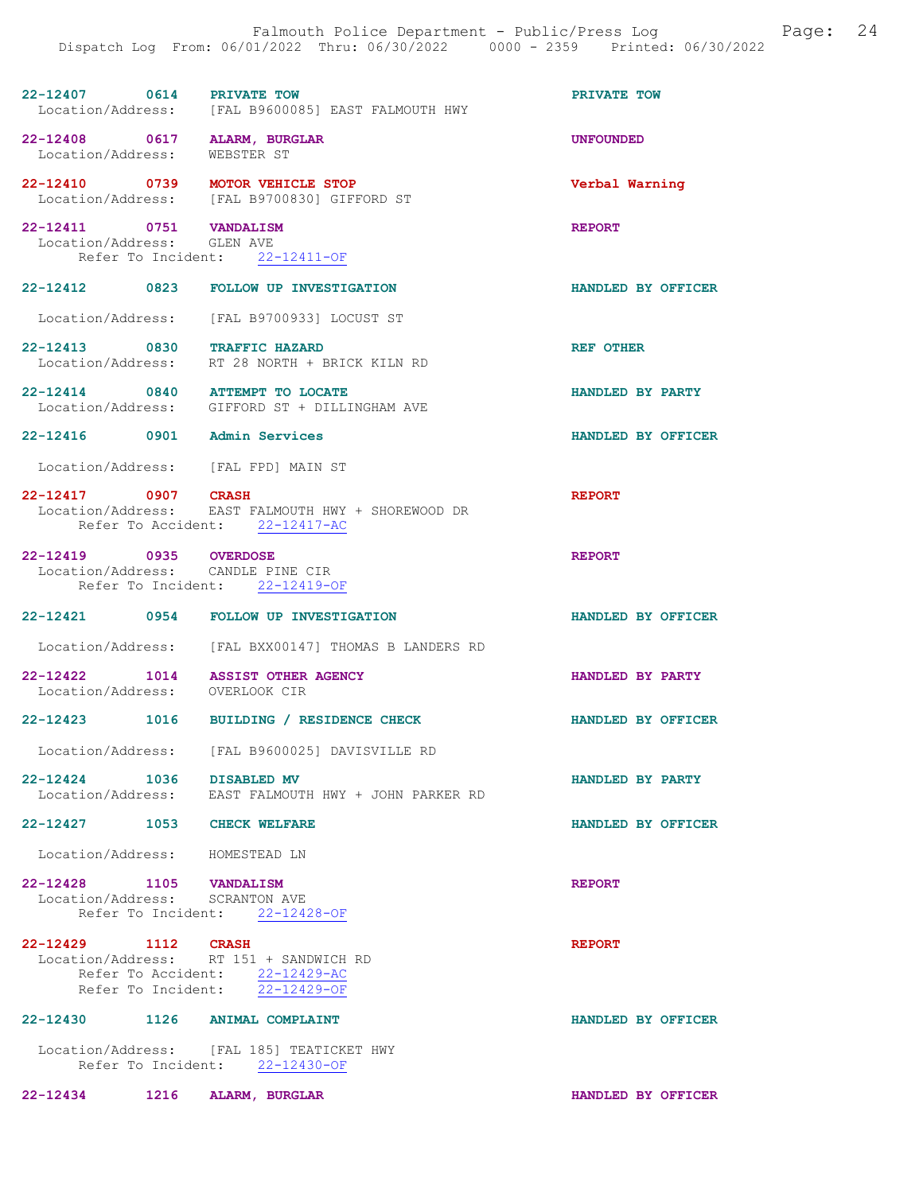| 22-12407          | 0614 | <b>PRIVATE TOW</b>               |  | PRIVATE TOW |  |
|-------------------|------|----------------------------------|--|-------------|--|
| Location/Address: |      | [FAL B9600085] EAST FALMOUTH HWY |  |             |  |

22-12408 0617 ALARM, BURGLAR UNEOUNDED<br>
Location/Address: WEBSTER ST Location/Address:

22-12410 0739 MOTOR VEHICLE STOP Verbal Warning Location/Address: [FAL B9700830] GIFFORD ST

22-12411 0751 VANDALISM REPORT Location/Address: GLEN AVE Refer To Incident: 22-12411-OF

22-12412 0823 FOLLOW UP INVESTIGATION HANDLED BY OFFICER

Location/Address: [FAL B9700933] LOCUST ST

- 22-12413 0830 TRAFFIC HAZARD<br>Location/Address: RT 28 NORTH + BRICK KILN RD RT 28 NORTH + BRICK KILN RD
- 22-12414 0840 ATTEMPT TO LOCATE 120 CONSUMER AND HANDLED BY PARTY Location/Address: GIFFORD ST + DILLINGHAM AVE GIFFORD ST + DILLINGHAM AVE
- 22-12416 0901 Admin Services HANDLED BY OFFICER

Location/Address: [FAL FPD] MAIN ST

#### 22-12417 0907 CRASH REPORT Location/Address: EAST FALMOUTH HWY + SHOREWOOD DR Refer To Accident: 22-12417-AC

### 22-12419 0935 OVERDOSE REPORT Location/Address: CANDLE PINE CIR Location/Address: Refer To Incident: 22-12419-OF

- 22-12421 0954 FOLLOW UP INVESTIGATION HANDLED BY OFFICER
- Location/Address: [FAL BXX00147] THOMAS B LANDERS RD
- 22-12422 1014 ASSIST OTHER AGENCY HANDLED BY PARTY Location/Address: OVERLOOK CIR
- 22-12423 1016 BUILDING / RESIDENCE CHECK HANDLED BY OFFICER
	- Location/Address: [FAL B9600025] DAVISVILLE RD
- 22-12424 1036 DISABLED MV **HANDLED BY PARTY**<br>Location/Address: EAST FALMOUTH HWY + JOHN PARKER RD EAST FALMOUTH HWY + JOHN PARKER RD
- 22-12427 1053 CHECK WELFARE **HANDLED BY OFFICER**
- Location/Address: HOMESTEAD LN
- 22-12428 1105 VANDALISM REPORT<br>
Location/Address: SCRANTON AVE Location/Address:

Refer To Incident: 22-12428-OF 22-12429 1112 CRASH REPORT

|                   |                    | . |                      |  |
|-------------------|--------------------|---|----------------------|--|
| Location/Address: |                    |   | RT 151 + SANDWICH RD |  |
|                   | Refer To Accident: |   | $22 - 12429 - AC$    |  |
|                   | Refer To Incident: |   | $22 - 12429 - OF$    |  |

## 22-12430 1126 ANIMAL COMPLAINT HANDLED BY OFFICER

 Location/Address: [FAL 185] TEATICKET HWY Refer To Incident: 22-12430-OF

22-12434 1216 ALARM, BURGLAR HANDLED BY OFFICER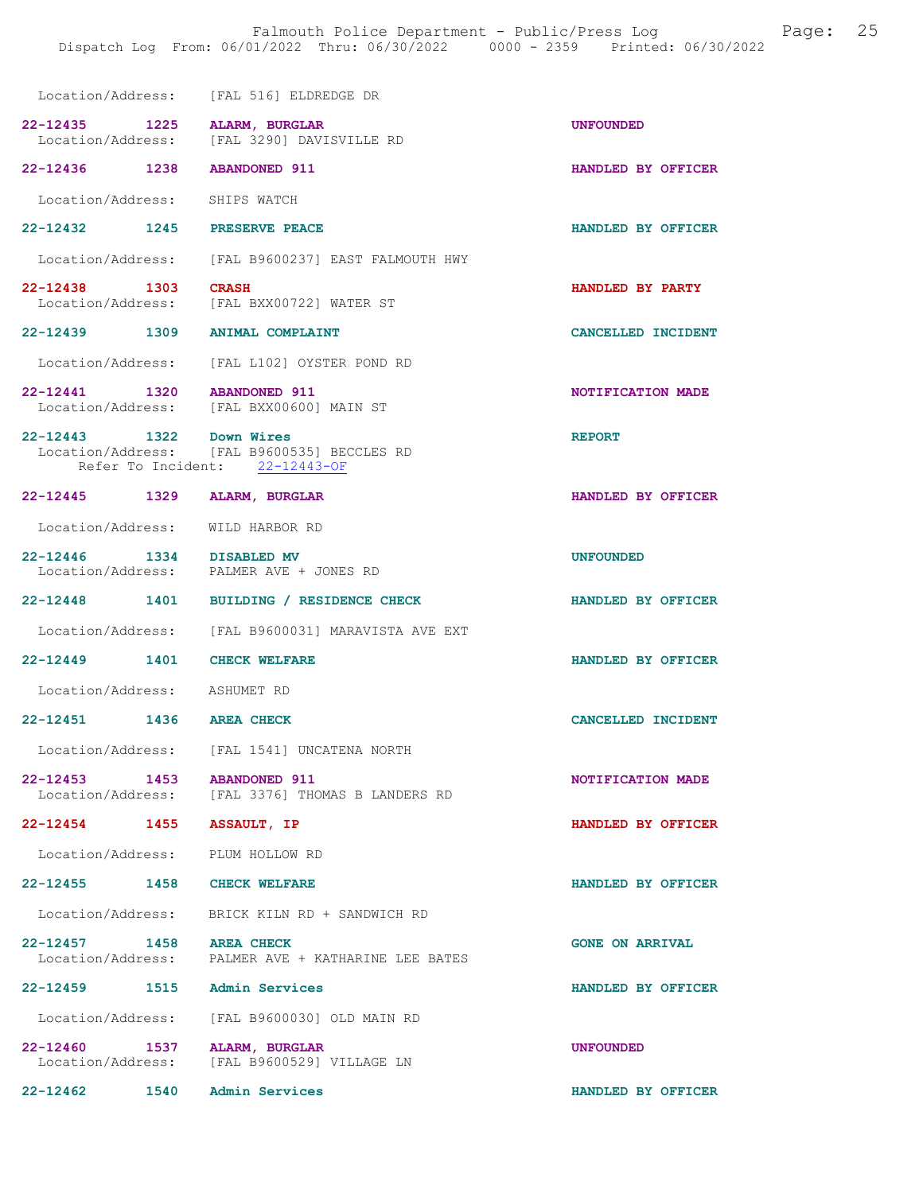|                               | Location/Address: [FAL 516] ELDREDGE DR                                       |                        |
|-------------------------------|-------------------------------------------------------------------------------|------------------------|
|                               | 22-12435 1225 ALARM, BURGLAR<br>Location/Address: [FAL 3290] DAVISVILLE RD    | <b>UNFOUNDED</b>       |
| 22-12436 1238 ABANDONED 911   |                                                                               | HANDLED BY OFFICER     |
| Location/Address: SHIPS WATCH |                                                                               |                        |
|                               | 22-12432 1245 PRESERVE PEACE                                                  | HANDLED BY OFFICER     |
|                               | Location/Address: [FAL B9600237] EAST FALMOUTH HWY                            |                        |
| 22-12438 1303                 | <b>CRASH</b><br>Location/Address: [FAL BXX00722] WATER ST                     | HANDLED BY PARTY       |
|                               | 22-12439 1309 ANIMAL COMPLAINT                                                | CANCELLED INCIDENT     |
|                               | Location/Address: [FAL L102] OYSTER POND RD                                   |                        |
| 22-12441 1320 ABANDONED 911   | Location/Address: [FAL BXX00600] MAIN ST                                      | NOTIFICATION MADE      |
| 22-12443 1322 Down Wires      | Location/Address: [FAL B9600535] BECCLES RD<br>Refer To Incident: 22-12443-OF | <b>REPORT</b>          |
|                               | 22-12445 1329 ALARM, BURGLAR                                                  | HANDLED BY OFFICER     |
|                               | Location/Address: WILD HARBOR RD                                              |                        |
| 22-12446 1334 DISABLED MV     | Location/Address: PALMER AVE + JONES RD                                       | <b>UNFOUNDED</b>       |
|                               | 22-12448 1401 BUILDING / RESIDENCE CHECK                                      | HANDLED BY OFFICER     |
|                               | Location/Address: [FAL B9600031] MARAVISTA AVE EXT                            |                        |
| 22-12449 1401 CHECK WELFARE   |                                                                               | HANDLED BY OFFICER     |
| Location/Address: ASHUMET RD  |                                                                               |                        |
| 22-12451 1436 AREA CHECK      |                                                                               | CANCELLED INCIDENT     |
|                               | Location/Address: [FAL 1541] UNCATENA NORTH                                   |                        |
| 22–12453 1453                 | <b>ABANDONED 911</b><br>Location/Address: [FAL 3376] THOMAS B LANDERS RD      | NOTIFICATION MADE      |
| 22-12454 1455                 | <b>ASSAULT, IP</b>                                                            | HANDLED BY OFFICER     |
|                               | Location/Address: PLUM HOLLOW RD                                              |                        |
| 22-12455 1458 CHECK WELFARE   |                                                                               | HANDLED BY OFFICER     |
|                               | Location/Address: BRICK KILN RD + SANDWICH RD                                 |                        |
| 22-12457 1458 AREA CHECK      | Location/Address: PALMER AVE + KATHARINE LEE BATES                            | <b>GONE ON ARRIVAL</b> |
|                               | 22-12459 1515 Admin Services                                                  | HANDLED BY OFFICER     |
|                               | Location/Address: [FAL B9600030] OLD MAIN RD                                  |                        |
| 22-12460 1537                 | ALARM, BURGLAR<br>Location/Address: [FAL B9600529] VILLAGE LN                 | <b>UNFOUNDED</b>       |
| 22-12462                      | 1540 Admin Services                                                           | HANDLED BY OFFICER     |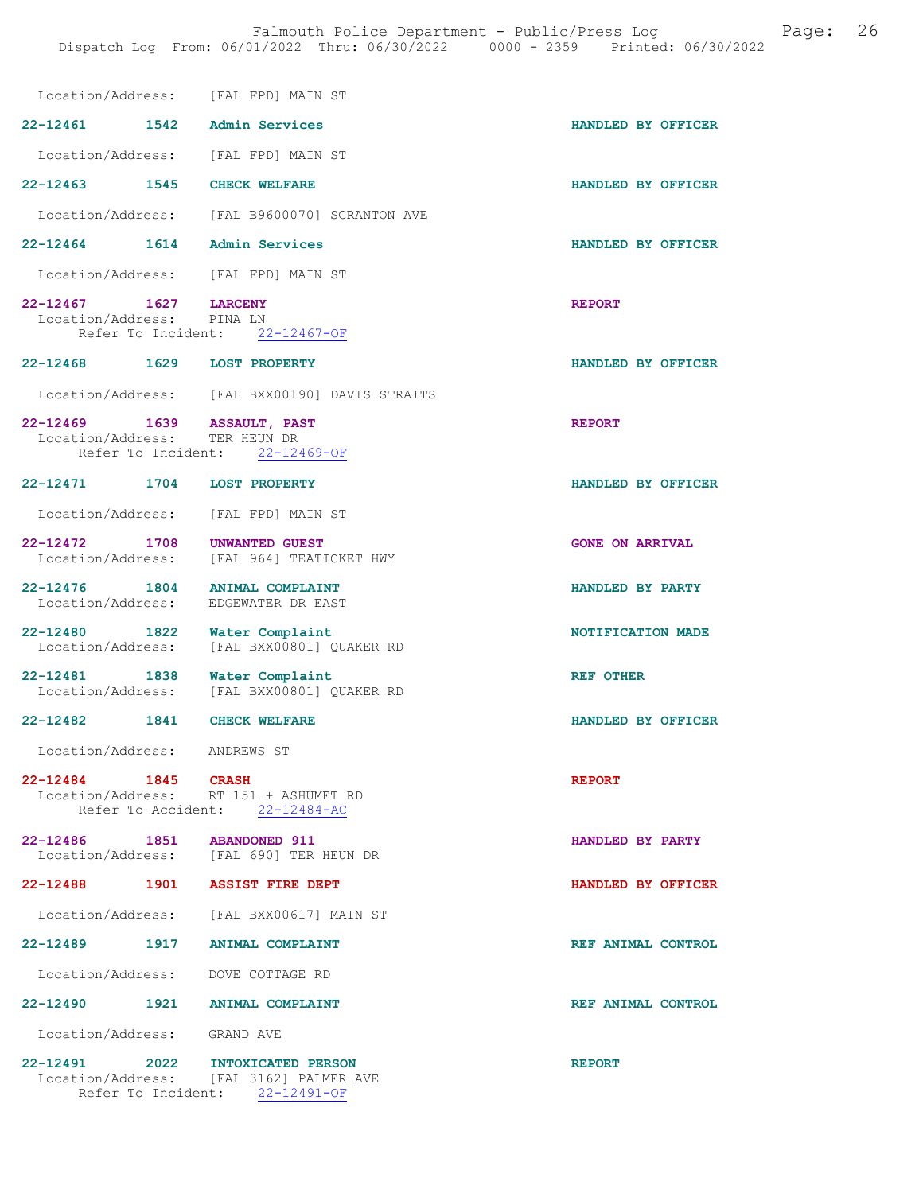| Location/Address: [FAL FPD] MAIN ST                                    |                                                                                                        |                          |
|------------------------------------------------------------------------|--------------------------------------------------------------------------------------------------------|--------------------------|
| $22 - 12461$<br>1542                                                   | Admin Services                                                                                         | HANDLED BY OFFICER       |
| Location/Address: [FAL FPD] MAIN ST                                    |                                                                                                        |                          |
| 22-12463 1545                                                          | <b>CHECK WELFARE</b>                                                                                   | HANDLED BY OFFICER       |
| Location/Address:                                                      | [FAL B9600070] SCRANTON AVE                                                                            |                          |
| $22 - 12464$ 1614                                                      | Admin Services                                                                                         | HANDLED BY OFFICER       |
| Location/Address:                                                      | [FAL FPD] MAIN ST                                                                                      |                          |
| 22-12467 1627<br>Location/Address: PINA LN                             | <b>LARCENY</b><br>Refer To Incident: 22-12467-OF                                                       | <b>REPORT</b>            |
| 22-12468 1629 LOST PROPERTY                                            |                                                                                                        | HANDLED BY OFFICER       |
|                                                                        | Location/Address: [FAL BXX00190] DAVIS STRAITS                                                         |                          |
| 22-12469 1639 ASSAULT, PAST<br>Location/Address:<br>Refer To Incident: | TER HEUN DR<br>$22 - 12469 - OF$                                                                       | <b>REPORT</b>            |
| 22-12471 1704 LOST PROPERTY                                            |                                                                                                        | HANDLED BY OFFICER       |
| Location/Address:                                                      | [FAL FPD] MAIN ST                                                                                      |                          |
| 22-12472 1708<br>Location/Address:                                     | <b>UNWANTED GUEST</b><br>[FAL 964] TEATICKET HWY                                                       | <b>GONE ON ARRIVAL</b>   |
| 22-12476 1804<br>Location/Address:                                     | <b>ANIMAL COMPLAINT</b><br>EDGEWATER DR EAST                                                           | HANDLED BY PARTY         |
| 22-12480 1822<br>Location/Address:                                     | Water Complaint<br>[FAL BXX00801] QUAKER RD                                                            | <b>NOTIFICATION MADE</b> |
| 22-12481 1838<br>Location/Address:                                     | Water Complaint<br>[FAL BXX00801] QUAKER RD                                                            | <b>REF OTHER</b>         |
| $22 - 12482$<br>1841                                                   | <b>CHECK WELFARE</b>                                                                                   | HANDLED BY OFFICER       |
| Location/Address: ANDREWS ST                                           |                                                                                                        |                          |
| 22-12484 1845 CRASH                                                    | Location/Address: RT 151 + ASHUMET RD<br>Refer To Accident: 22-12484-AC                                | <b>REPORT</b>            |
| 22-12486 1851 ABANDONED 911                                            | Location/Address: [FAL 690] TER HEUN DR                                                                | HANDLED BY PARTY         |
| 22-12488 1901 ASSIST FIRE DEPT                                         |                                                                                                        | HANDLED BY OFFICER       |
|                                                                        | Location/Address: [FAL BXX00617] MAIN ST                                                               |                          |
| 22-12489 1917 ANIMAL COMPLAINT                                         |                                                                                                        | REF ANIMAL CONTROL       |
| Location/Address: DOVE COTTAGE RD                                      |                                                                                                        |                          |
| 22-12490 1921 ANIMAL COMPLAINT                                         |                                                                                                        | REF ANIMAL CONTROL       |
| Location/Address: GRAND AVE                                            |                                                                                                        |                          |
| 22-12491 2022                                                          | <b>INTOXICATED PERSON</b><br>Location/Address: [FAL 3162] PALMER AVE<br>Refer To Incident: 22-12491-OF | <b>REPORT</b>            |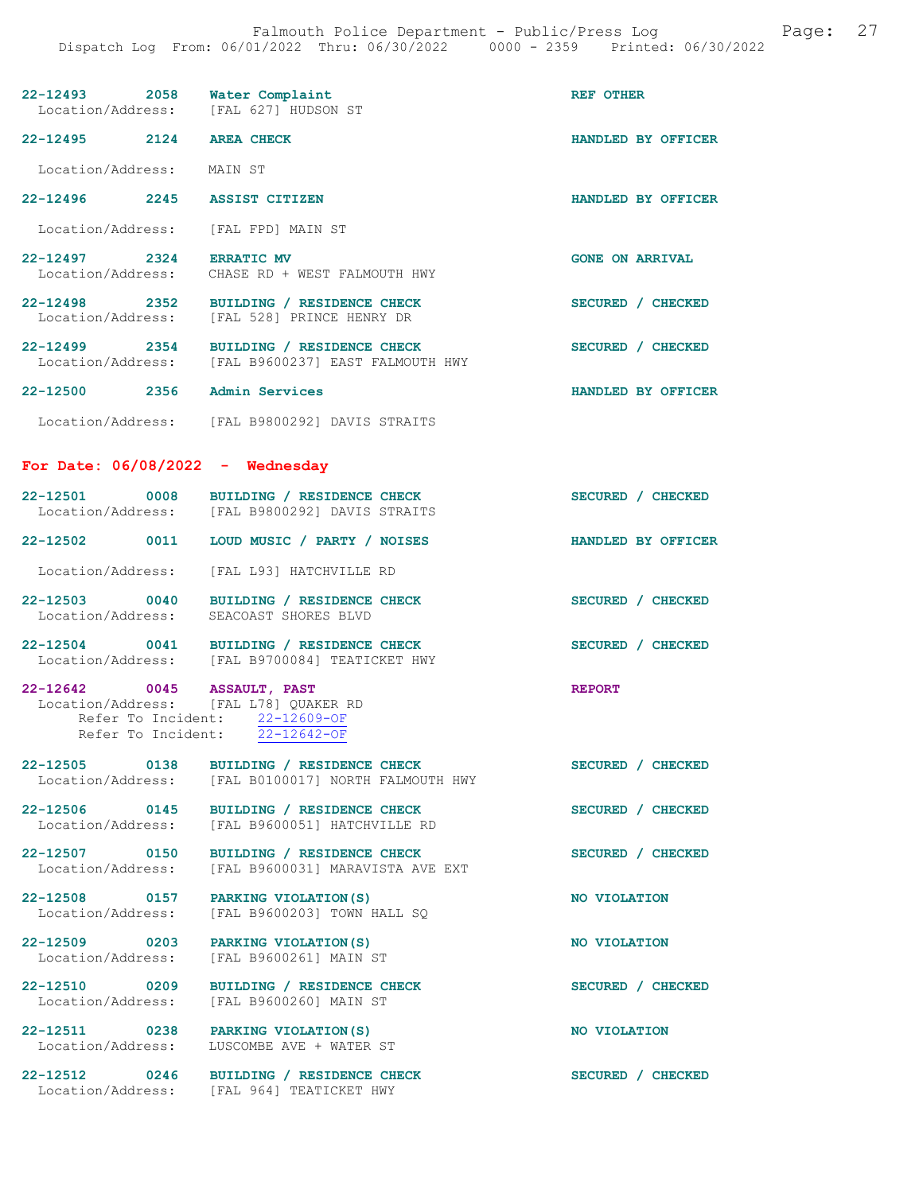|                                                                                            |                                                                                                | REF OTHER              |
|--------------------------------------------------------------------------------------------|------------------------------------------------------------------------------------------------|------------------------|
| 22-12493 2058 Water Complaint<br>Location/Address: [FAL 627] HUDSON ST                     |                                                                                                |                        |
| 22-12495 2124 AREA CHECK                                                                   |                                                                                                | HANDLED BY OFFICER     |
| Location/Address: MAIN ST                                                                  |                                                                                                |                        |
| 22-12496 2245 ASSIST CITIZEN                                                               |                                                                                                | HANDLED BY OFFICER     |
| Location/Address: [FAL FPD] MAIN ST                                                        |                                                                                                |                        |
| 22-12497 2324 ERRATIC MV                                                                   | Location/Address: CHASE RD + WEST FALMOUTH HWY                                                 | <b>GONE ON ARRIVAL</b> |
|                                                                                            | 22-12498 2352 BUILDING / RESIDENCE CHECK<br>Location/Address: [FAL 528] PRINCE HENRY DR        | SECURED / CHECKED      |
|                                                                                            | 22-12499 2354 BUILDING / RESIDENCE CHECK<br>Location/Address: [FAL B9600237] EAST FALMOUTH HWY | SECURED / CHECKED      |
| 22-12500 2356 Admin Services                                                               |                                                                                                | HANDLED BY OFFICER     |
|                                                                                            | Location/Address: [FAL B9800292] DAVIS STRAITS                                                 |                        |
| For Date: $06/08/2022 -$ Wednesday                                                         |                                                                                                |                        |
|                                                                                            | 22-12501 0008 BUILDING / RESIDENCE CHECK<br>Location/Address: [FAL B9800292] DAVIS STRAITS     | SECURED / CHECKED      |
| $22 - 12502$                                                                               | 0011 LOUD MUSIC / PARTY / NOISES                                                               | HANDLED BY OFFICER     |
|                                                                                            | Location/Address: [FAL L93] HATCHVILLE RD                                                      |                        |
|                                                                                            | 22-12503 0040 BUILDING / RESIDENCE CHECK<br>Location/Address: SEACOAST SHORES BLVD             | SECURED / CHECKED      |
|                                                                                            | 22-12504 0041 BUILDING / RESIDENCE CHECK<br>Location/Address: [FAL B9700084] TEATICKET HWY     | SECURED / CHECKED      |
| 22-12642 0045 ASSAULT, PAST<br>Location/Address: [FAL L78] QUAKER RD<br>Refer To Incident: | Refer To Incident: 22-12609-OF<br>22-12642-OF                                                  | <b>REPORT</b>          |
| Location/Address:                                                                          | 22-12505 0138 BUILDING / RESIDENCE CHECK<br>[FAL B0100017] NORTH FALMOUTH HWY                  | SECURED / CHECKED      |
| 22-12506 0145<br>Location/Address:                                                         | BUILDING / RESIDENCE CHECK<br>[FAL B9600051] HATCHVILLE RD                                     | SECURED / CHECKED      |
| 22-12507 0150<br>Location/Address:                                                         | BUILDING / RESIDENCE CHECK<br>[FAL B9600031] MARAVISTA AVE EXT                                 | SECURED / CHECKED      |
| 22-12508 0157<br>Location/Address:                                                         | PARKING VIOLATION (S)<br>[FAL B9600203] TOWN HALL SO                                           | NO VIOLATION           |
| 22-12509 0203 PARKING VIOLATION(S)<br>Location/Address:                                    | [FAL B9600261] MAIN ST                                                                         | NO VIOLATION           |
| 22-12510 0209<br>Location/Address:                                                         | BUILDING / RESIDENCE CHECK<br>[FAL B9600260] MAIN ST                                           | SECURED / CHECKED      |
| 22-12511 0238 PARKING VIOLATION (S)<br>Location/Address:                                   | LUSCOMBE AVE + WATER ST                                                                        | NO VIOLATION           |
|                                                                                            | 22-12512 0246 BUILDING / RESIDENCE CHECK<br>Location/Address: [FAL 964] TEATICKET HWY          | SECURED / CHECKED      |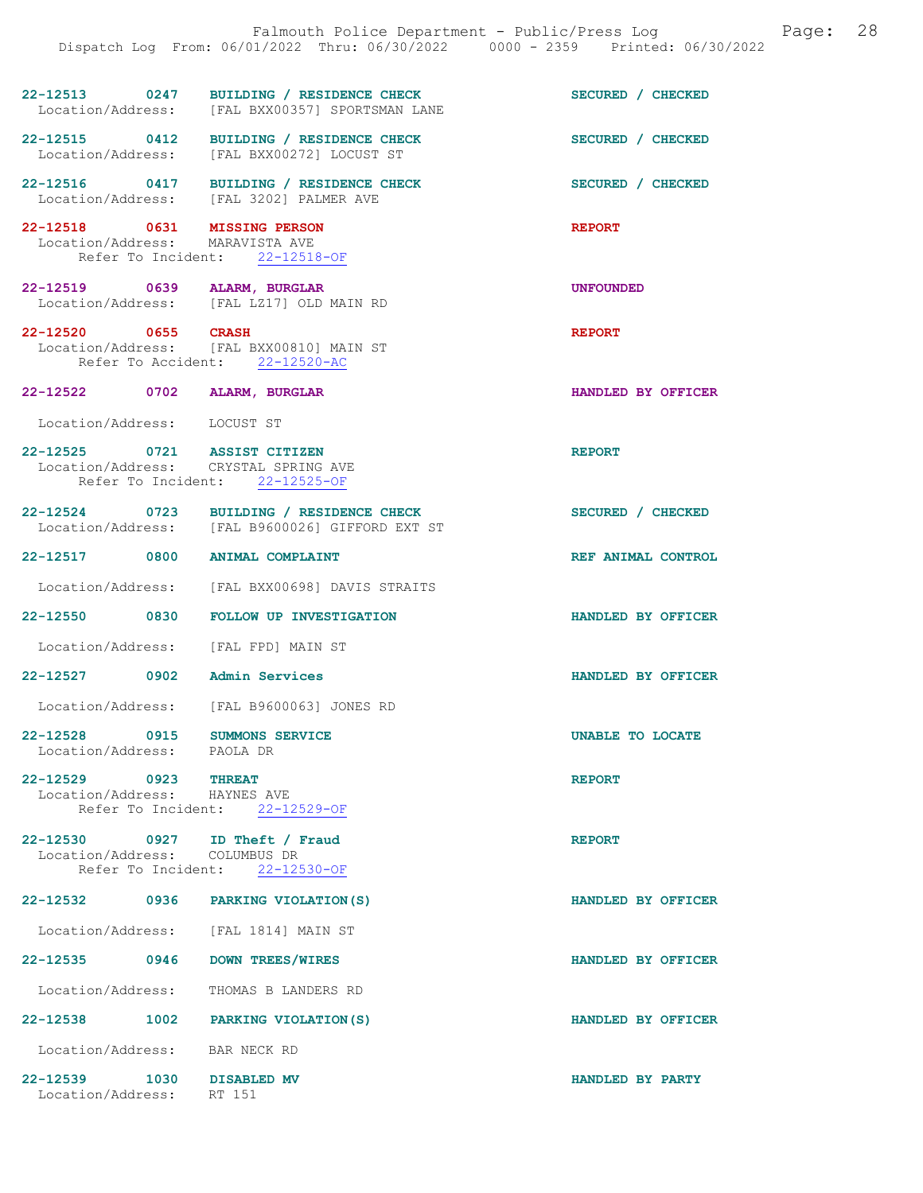|                                                                 | Falmouth Police Department - Public/Press Log<br>Dispatch Log From: 06/01/2022 Thru: 06/30/2022 0000 - 2359 Printed: 06/30/2022 | 28<br>Page:        |
|-----------------------------------------------------------------|---------------------------------------------------------------------------------------------------------------------------------|--------------------|
|                                                                 | 22-12513 0247 BUILDING / RESIDENCE CHECK<br>Location/Address: [FAL BXX00357] SPORTSMAN LANE                                     | SECURED / CHECKED  |
|                                                                 | 22-12515 0412 BUILDING / RESIDENCE CHECK<br>Location/Address: [FAL BXX00272] LOCUST ST                                          | SECURED / CHECKED  |
|                                                                 | 22-12516 0417 BUILDING / RESIDENCE CHECK<br>Location/Address: [FAL 3202] PALMER AVE                                             | SECURED / CHECKED  |
| 22-12518 0631 MISSING PERSON<br>Location/Address: MARAVISTA AVE | Refer To Incident: 22-12518-OF                                                                                                  | <b>REPORT</b>      |
| 22-12519 0639 ALARM, BURGLAR                                    | Location/Address: [FAL LZ17] OLD MAIN RD                                                                                        | <b>UNFOUNDED</b>   |
|                                                                 | 22-12520 0655 CRASH<br>Location/Address: [FAL BXX00810] MAIN ST<br>Refer To Accident: 22-12520-AC                               | <b>REPORT</b>      |
| 22-12522 0702 ALARM, BURGLAR                                    |                                                                                                                                 | HANDLED BY OFFICER |
| Location/Address: LOCUST ST                                     |                                                                                                                                 |                    |
| 22-12525 0721 ASSIST CITIZEN                                    | Location/Address: CRYSTAL SPRING AVE<br>Refer To Incident: 22-12525-OF                                                          | <b>REPORT</b>      |
|                                                                 | 22-12524 0723 BUILDING / RESIDENCE CHECK<br>Location/Address: [FAL B9600026] GIFFORD EXT ST                                     | SECURED / CHECKED  |
| 22-12517 0800 ANIMAL COMPLAINT                                  |                                                                                                                                 | REF ANIMAL CONTROL |
|                                                                 | Location/Address: [FAL BXX00698] DAVIS STRAITS                                                                                  |                    |
|                                                                 | 22-12550 0830 FOLLOW UP INVESTIGATION                                                                                           | HANDLED BY OFFICER |
| Location/Address: [FAL FPD] MAIN ST                             |                                                                                                                                 |                    |
| 22-12527                                                        | 0902 Admin Services                                                                                                             | HANDLED BY OFFICER |
| Location/Address:                                               | [FAL B9600063] JONES RD                                                                                                         |                    |
| 22-12528 0915<br>Location/Address: PAOLA DR                     | <b>SUMMONS SERVICE</b>                                                                                                          | UNABLE TO LOCATE   |
| 22-12529 0923 THREAT<br>Location/Address: HAYNES AVE            | Refer To Incident: 22-12529-OF                                                                                                  | <b>REPORT</b>      |
| 22-12530 0927 ID Theft / Fraud<br>Location/Address:             | COLUMBUS DR<br>Refer To Incident: 22-12530-OF                                                                                   | <b>REPORT</b>      |
|                                                                 | 22-12532 0936 PARKING VIOLATION (S)                                                                                             | HANDLED BY OFFICER |
|                                                                 | Location/Address: [FAL 1814] MAIN ST                                                                                            |                    |
| 22-12535 0946                                                   | DOWN TREES/WIRES                                                                                                                | HANDLED BY OFFICER |
| Location/Address:                                               | THOMAS B LANDERS RD                                                                                                             |                    |
|                                                                 | 22-12538 1002 PARKING VIOLATION (S)                                                                                             | HANDLED BY OFFICER |
| Location/Address:                                               | BAR NECK RD                                                                                                                     |                    |
| 22-12539 1030<br>Location/Address: RT 151                       | DISABLED MV                                                                                                                     | HANDLED BY PARTY   |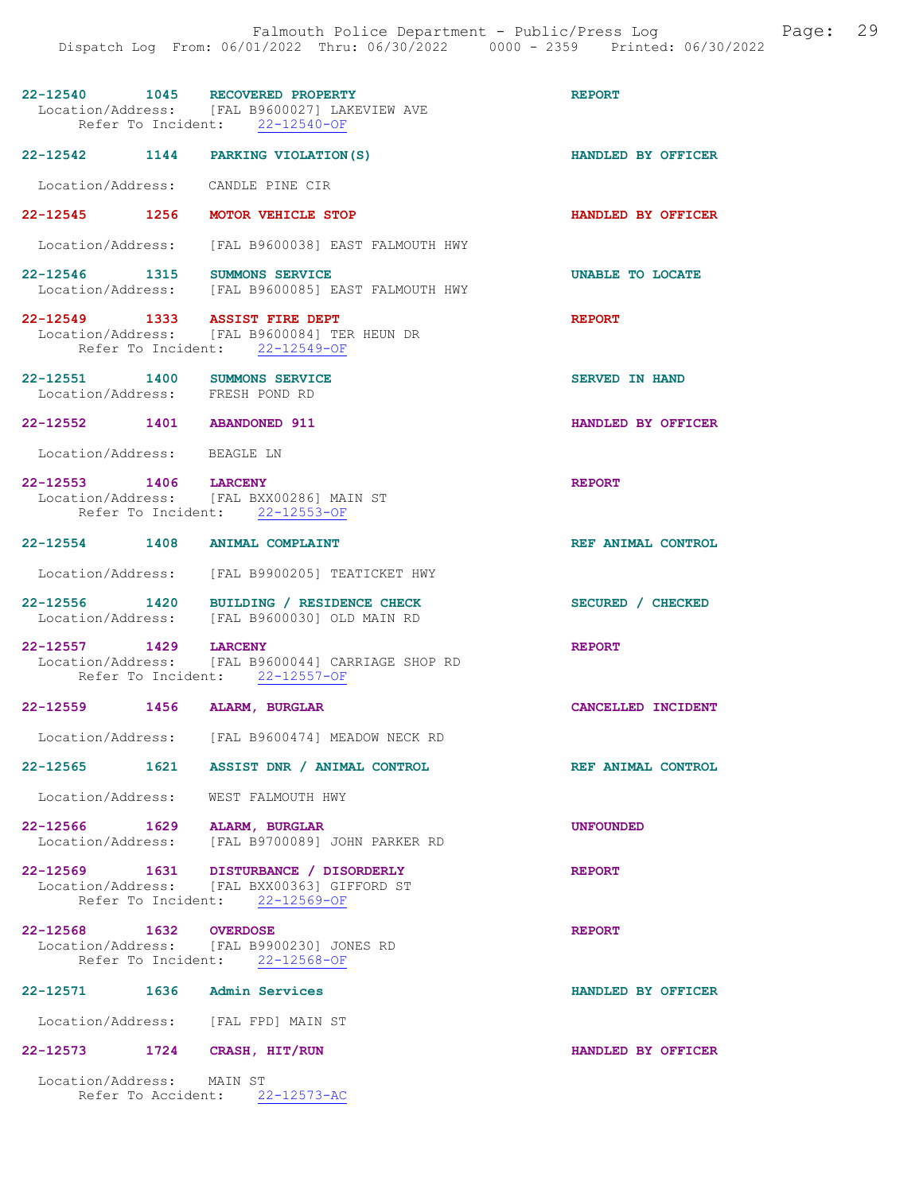| 22-12540 1045 RECOVERED PROPERTY                                 | Location/Address: [FAL B9600027] LAKEVIEW AVE<br>Refer To Incident: 22-12540-OF                                         | <b>REPORT</b>           |
|------------------------------------------------------------------|-------------------------------------------------------------------------------------------------------------------------|-------------------------|
| 22-12542 1144 PARKING VIOLATION(S)                               |                                                                                                                         | HANDLED BY OFFICER      |
| Location/Address: CANDLE PINE CIR                                |                                                                                                                         |                         |
| 22-12545 1256 MOTOR VEHICLE STOP                                 |                                                                                                                         | HANDLED BY OFFICER      |
|                                                                  | Location/Address: [FAL B9600038] EAST FALMOUTH HWY                                                                      |                         |
| 22-12546 1315 SUMMONS SERVICE                                    | Location/Address: [FAL B9600085] EAST FALMOUTH HWY                                                                      | <b>UNABLE TO LOCATE</b> |
| 22-12549 1333 ASSIST FIRE DEPT                                   | Location/Address: [FAL B9600084] TER HEUN DR<br>Refer To Incident: 22-12549-OF                                          | <b>REPORT</b>           |
| 22-12551 1400 SUMMONS SERVICE<br>Location/Address: FRESH POND RD |                                                                                                                         | <b>SERVED IN HAND</b>   |
| 22-12552 1401 ABANDONED 911                                      |                                                                                                                         | HANDLED BY OFFICER      |
| Location/Address: BEAGLE LN                                      |                                                                                                                         |                         |
| 22-12553 1406 LARCENY                                            | Location/Address: [FAL BXX00286] MAIN ST<br>Refer To Incident: 22-12553-OF                                              | <b>REPORT</b>           |
| 22-12554 1408 ANIMAL COMPLAINT                                   |                                                                                                                         | REF ANIMAL CONTROL      |
|                                                                  | Location/Address: [FAL B9900205] TEATICKET HWY                                                                          |                         |
|                                                                  | 22-12556 1420 BUILDING / RESIDENCE CHECK<br>Location/Address: [FAL B9600030] OLD MAIN RD                                | SECURED / CHECKED       |
| 22-12557 1429 LARCENY                                            | Location/Address: [FAL B9600044] CARRIAGE SHOP RD<br>Refer To Incident: 22-12557-OF                                     | <b>REPORT</b>           |
| 22-12559 1456 ALARM, BURGLAR                                     |                                                                                                                         | CANCELLED INCIDENT      |
|                                                                  | Location/Address: [FAL B9600474] MEADOW NECK RD                                                                         |                         |
|                                                                  | 22-12565 1621 ASSIST DNR / ANIMAL CONTROL                                                                               | REF ANIMAL CONTROL      |
| Location/Address: WEST FALMOUTH HWY                              |                                                                                                                         |                         |
| 22-12566 1629 ALARM, BURGLAR                                     | Location/Address: [FAL B9700089] JOHN PARKER RD                                                                         | <b>UNFOUNDED</b>        |
|                                                                  | 22-12569 1631 DISTURBANCE / DISORDERLY<br>Location/Address: [FAL BXX00363] GIFFORD ST<br>Refer To Incident: 22-12569-OF | <b>REPORT</b>           |
| 22-12568 1632 OVERDOSE                                           | Location/Address: [FAL B9900230] JONES RD<br>Refer To Incident: 22-12568-OF                                             | <b>REPORT</b>           |
| 22-12571                                                         | 1636 Admin Services                                                                                                     | HANDLED BY OFFICER      |
| Location/Address: [FAL FPD] MAIN ST                              |                                                                                                                         |                         |
| 22-12573 1724 CRASH, HIT/RUN                                     |                                                                                                                         | HANDLED BY OFFICER      |
| Location/Address: MAIN ST                                        | Refer To Accident: 22-12573-AC                                                                                          |                         |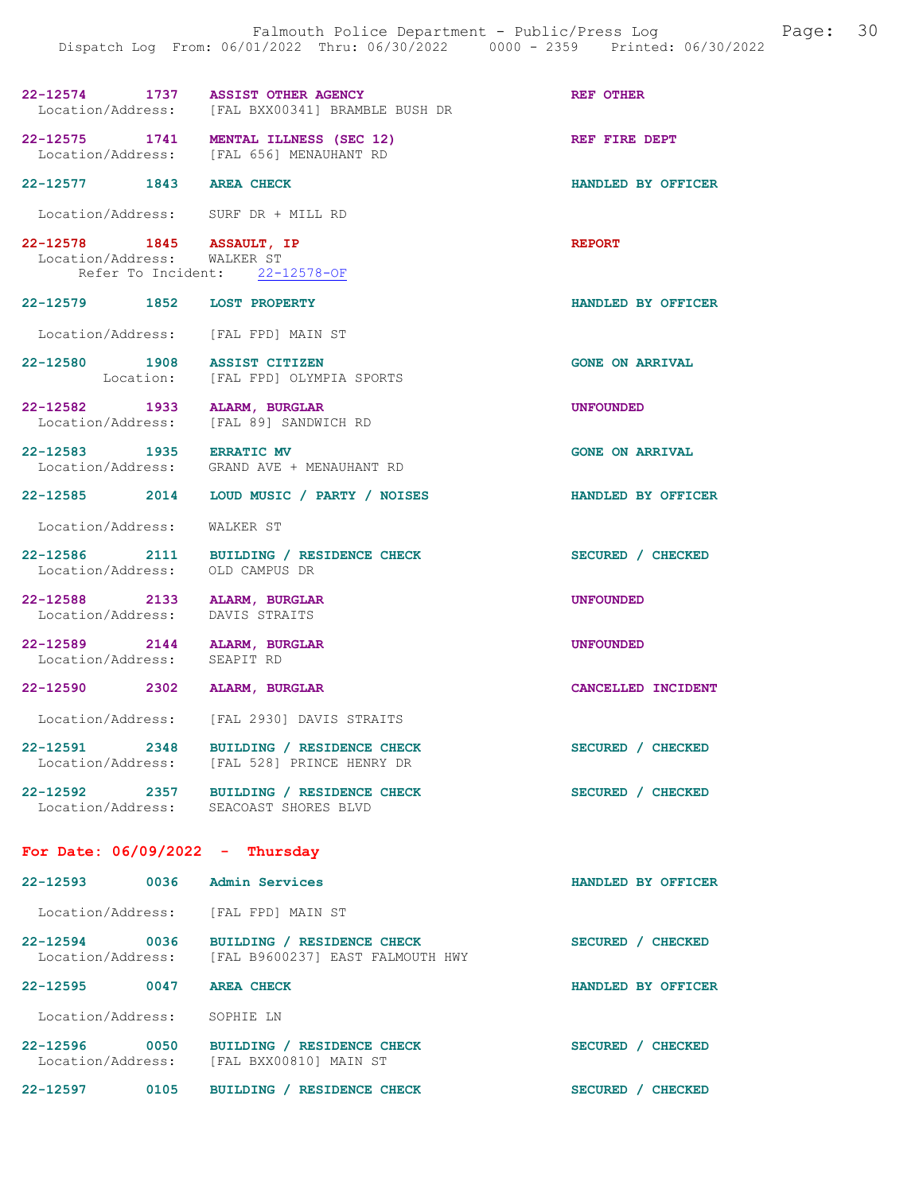| 22-12574 1737 ASSIST OTHER AGENCY<br>Location/Address:          | [FAL BXX00341] BRAMBLE BUSH DR                                                          | <b>REF OTHER</b>       |  |
|-----------------------------------------------------------------|-----------------------------------------------------------------------------------------|------------------------|--|
|                                                                 | 22-12575 1741 MENTAL ILLNESS (SEC 12)<br>Location/Address: [FAL 656] MENAUHANT RD       | REF FIRE DEPT          |  |
| 22-12577 1843 AREA CHECK                                        |                                                                                         | HANDLED BY OFFICER     |  |
| Location/Address: SURF DR + MILL RD                             |                                                                                         |                        |  |
| 22-12578 1845 ASSAULT, IP<br>Location/Address: WALKER ST        | Refer To Incident: 22-12578-OF                                                          | <b>REPORT</b>          |  |
| 22-12579 1852 LOST PROPERTY                                     |                                                                                         | HANDLED BY OFFICER     |  |
| Location/Address: [FAL FPD] MAIN ST                             |                                                                                         |                        |  |
| 22-12580 1908 ASSIST CITIZEN                                    | Location: [FAL FPD] OLYMPIA SPORTS                                                      | <b>GONE ON ARRIVAL</b> |  |
| 22-12582 1933 ALARM, BURGLAR                                    | Location/Address: [FAL 89] SANDWICH RD                                                  | UNFOUNDED              |  |
| 22-12583 1935 ERRATIC MV                                        | Location/Address: GRAND AVE + MENAUHANT RD                                              | <b>GONE ON ARRIVAL</b> |  |
|                                                                 | 22-12585 2014 LOUD MUSIC / PARTY / NOISES                                               | HANDLED BY OFFICER     |  |
| Location/Address: WALKER ST                                     |                                                                                         |                        |  |
| Location/Address: OLD CAMPUS DR                                 | 22-12586 2111 BUILDING / RESIDENCE CHECK                                                | SECURED / CHECKED      |  |
| 22-12588 2133 ALARM, BURGLAR<br>Location/Address: DAVIS STRAITS |                                                                                         | <b>UNFOUNDED</b>       |  |
| 22-12589 2144 ALARM, BURGLAR<br>Location/Address:               | SEAPIT RD                                                                               | <b>UNFOUNDED</b>       |  |
| 22-12590 2302 ALARM, BURGLAR                                    |                                                                                         | CANCELLED INCIDENT     |  |
|                                                                 | Location/Address: [FAL 2930] DAVIS STRAITS                                              |                        |  |
|                                                                 | 22-12591 2348 BUILDING / RESIDENCE CHECK<br>Location/Address: [FAL 528] PRINCE HENRY DR | SECURED / CHECKED      |  |
| Location/Address: SEACOAST SHORES BLVD                          | 22-12592 2357 BUILDING / RESIDENCE CHECK                                                | SECURED / CHECKED      |  |
| For Date: $06/09/2022 - Thursday$                               |                                                                                         |                        |  |
| $22 - 12593$                                                    | 0036 Admin Services                                                                     | HANDLED BY OFFICER     |  |
| Location/Address: [FAL FPD] MAIN ST                             |                                                                                         |                        |  |
| 22-12594 0036                                                   | BUILDING / RESIDENCE CHECK<br>Location/Address: [FAL B9600237] EAST FALMOUTH HWY        | SECURED / CHECKED      |  |
| 22-12595<br>0047                                                | <b>AREA CHECK</b>                                                                       | HANDLED BY OFFICER     |  |

Location/Address: SOPHIE LN

22-12596 0050 BUILDING / RESIDENCE CHECK SECURED / CHECKED Location/Address: [FAL BXX00810] MAIN ST 22-12597 0105 BUILDING / RESIDENCE CHECK SECURED / CHECKED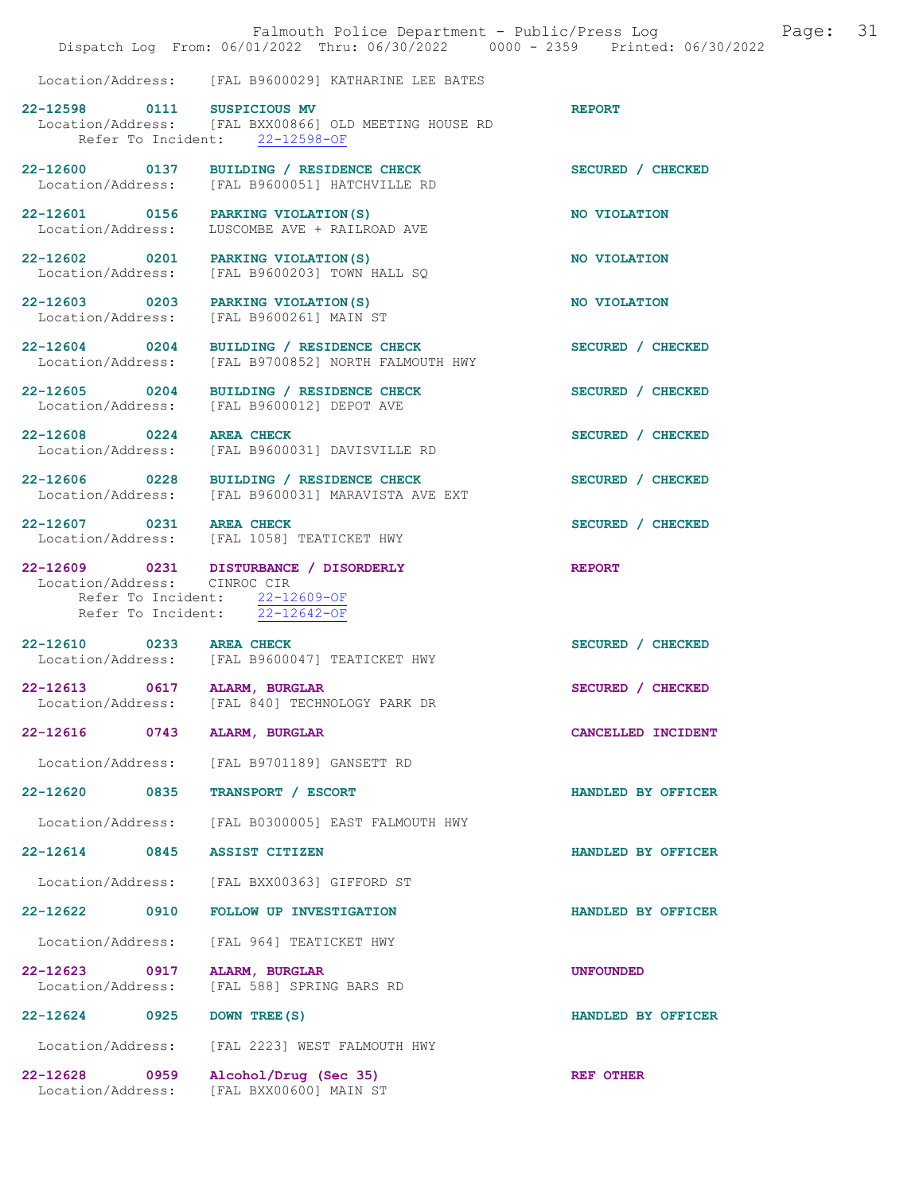|                                                   | Falmouth Police Department - Public/Press Log<br>Dispatch Log From: 06/01/2022 Thru: 06/30/2022 0000 - 2359 Printed: 06/30/2022 | Page:              | 31 |
|---------------------------------------------------|---------------------------------------------------------------------------------------------------------------------------------|--------------------|----|
|                                                   | Location/Address: [FAL B9600029] KATHARINE LEE BATES                                                                            |                    |    |
| 22-12598 0111                                     | SUSPICIOUS MV<br>Location/Address: [FAL BXX00866] OLD MEETING HOUSE RD<br>Refer To Incident: 22-12598-OF                        | <b>REPORT</b>      |    |
|                                                   | 22-12600 0137 BUILDING / RESIDENCE CHECK<br>Location/Address: [FAL B9600051] HATCHVILLE RD                                      | SECURED / CHECKED  |    |
|                                                   | 22-12601 0156 PARKING VIOLATION (S)<br>Location/Address: LUSCOMBE AVE + RAILROAD AVE                                            | NO VIOLATION       |    |
|                                                   | 22-12602 0201 PARKING VIOLATION (S)<br>Location/Address: [FAL B9600203] TOWN HALL SQ                                            | NO VIOLATION       |    |
| Location/Address:                                 | 22-12603 0203 PARKING VIOLATION (S)<br>[FAL B9600261] MAIN ST                                                                   | NO VIOLATION       |    |
| $22 - 12604$ 0204<br>Location/Address:            | BUILDING / RESIDENCE CHECK<br>[FAL B9700852] NORTH FALMOUTH HWY                                                                 | SECURED / CHECKED  |    |
| 22-12605 0204<br>Location/Address:                | BUILDING / RESIDENCE CHECK<br>[FAL B9600012] DEPOT AVE                                                                          | SECURED / CHECKED  |    |
| 22-12608 0224<br>Location/Address:                | <b>AREA CHECK</b><br>[FAL B9600031] DAVISVILLE RD                                                                               | SECURED / CHECKED  |    |
| Location/Address:                                 | 22-12606 0228 BUILDING / RESIDENCE CHECK<br>[FAL B9600031] MARAVISTA AVE EXT                                                    | SECURED / CHECKED  |    |
| 22-12607 0231 AREA CHECK                          | Location/Address: [FAL 1058] TEATICKET HWY                                                                                      | SECURED / CHECKED  |    |
| Location/Address: CINROC CIR                      | 22-12609 0231 DISTURBANCE / DISORDERLY<br>Refer To Incident: 22-12609-OF<br>Refer To Incident: 22-12642-OF                      | <b>REPORT</b>      |    |
| 22-12610 0233 AREA CHECK                          | Location/Address: [FAL B9600047] TEATICKET HWY                                                                                  | SECURED / CHECKED  |    |
| 22-12613 0617 ALARM, BURGLAR<br>Location/Address: | [FAL 840] TECHNOLOGY PARK DR                                                                                                    | SECURED / CHECKED  |    |
| 22-12616<br>0743                                  | ALARM, BURGLAR                                                                                                                  | CANCELLED INCIDENT |    |
| Location/Address:                                 | [FAL B9701189] GANSETT RD                                                                                                       |                    |    |
| 22-12620<br>0835                                  | TRANSPORT / ESCORT                                                                                                              | HANDLED BY OFFICER |    |
| Location/Address:                                 | [FAL B0300005] EAST FALMOUTH HWY<br><b>ASSIST CITIZEN</b>                                                                       |                    |    |
| 22-12614 0845<br>Location/Address:                | [FAL BXX00363] GIFFORD ST                                                                                                       | HANDLED BY OFFICER |    |
| 22-12622 0910                                     | FOLLOW UP INVESTIGATION                                                                                                         | HANDLED BY OFFICER |    |
| Location/Address:                                 | [FAL 964] TEATICKET HWY                                                                                                         |                    |    |
| $22 - 12623$<br>0917<br>Location/Address:         | ALARM, BURGLAR<br>[FAL 588] SPRING BARS RD                                                                                      | <b>UNFOUNDED</b>   |    |
| 22-12624 0925                                     | DOWN TREE (S)                                                                                                                   | HANDLED BY OFFICER |    |
| Location/Address:                                 | [FAL 2223] WEST FALMOUTH HWY                                                                                                    |                    |    |
| $22 - 12628$<br>0959<br>Location/Address:         | Alcohol/Drug (Sec 35)<br>[FAL BXX00600] MAIN ST                                                                                 | <b>REF OTHER</b>   |    |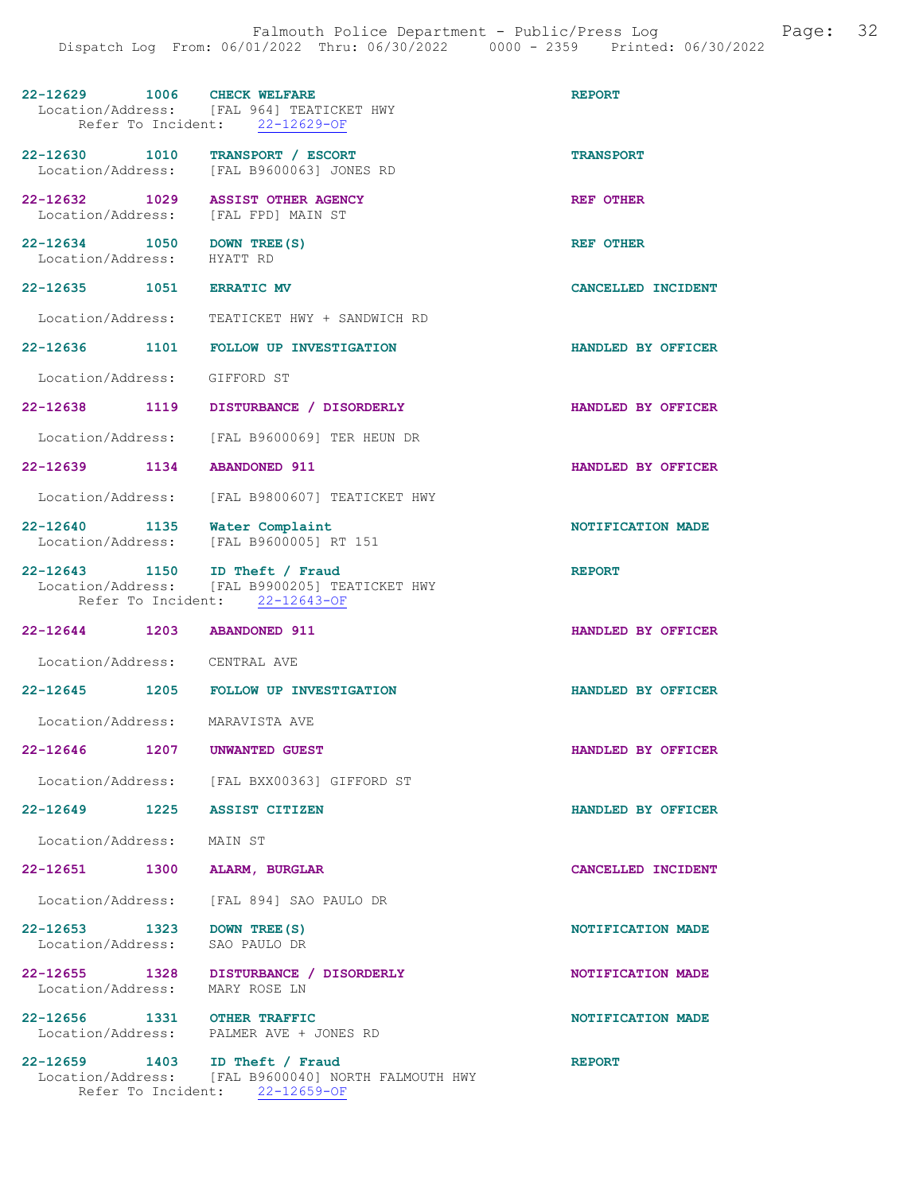| 22-12629 1006 CHECK WELFARE                               | Location/Address: [FAL 964] TEATICKET HWY<br>Refer To Incident: 22-12629-OF           | <b>REPORT</b>      |
|-----------------------------------------------------------|---------------------------------------------------------------------------------------|--------------------|
| 22-12630 1010                                             | TRANSPORT / ESCORT<br>Location/Address: [FAL B9600063] JONES RD                       | <b>TRANSPORT</b>   |
| 22-12632 1029<br>Location/Address: [FAL FPD] MAIN ST      | <b>ASSIST OTHER AGENCY</b>                                                            | <b>REF OTHER</b>   |
| 22-12634 1050 DOWN TREE (S)<br>Location/Address: HYATT RD |                                                                                       | <b>REF OTHER</b>   |
| 22-12635 1051 ERRATIC MV                                  |                                                                                       | CANCELLED INCIDENT |
|                                                           | Location/Address: TEATICKET HWY + SANDWICH RD                                         |                    |
|                                                           | 22-12636 1101 FOLLOW UP INVESTIGATION                                                 | HANDLED BY OFFICER |
| Location/Address: GIFFORD ST                              |                                                                                       |                    |
|                                                           | 22-12638 1119 DISTURBANCE / DISORDERLY                                                | HANDLED BY OFFICER |
|                                                           | Location/Address: [FAL B9600069] TER HEUN DR                                          |                    |
| 22-12639 1134 ABANDONED 911                               |                                                                                       | HANDLED BY OFFICER |
|                                                           | Location/Address: [FAL B9800607] TEATICKET HWY                                        |                    |
|                                                           | 22-12640 1135 Water Complaint<br>Location/Address: [FAL B9600005] RT 151              | NOTIFICATION MADE  |
| 22-12643 1150 ID Theft / Fraud                            | Location/Address: [FAL B9900205] TEATICKET HWY<br>Refer To Incident: 22-12643-OF      | <b>REPORT</b>      |
| 22-12644 1203 ABANDONED 911                               |                                                                                       | HANDLED BY OFFICER |
| Location/Address: CENTRAL AVE                             |                                                                                       |                    |
| $22 - 12645$                                              | 1205 FOLLOW UP INVESTIGATION                                                          | HANDLED BY OFFICER |
| Location/Address: MARAVISTA AVE                           |                                                                                       |                    |
| 22-12646 1207 UNWANTED GUEST                              |                                                                                       | HANDLED BY OFFICER |
|                                                           | Location/Address: [FAL BXX00363] GIFFORD ST                                           |                    |
| 22-12649 1225 ASSIST CITIZEN                              |                                                                                       | HANDLED BY OFFICER |
| Location/Address: MAIN ST                                 |                                                                                       |                    |
| 22-12651 1300                                             | ALARM, BURGLAR                                                                        | CANCELLED INCIDENT |
|                                                           | Location/Address: [FAL 894] SAO PAULO DR                                              |                    |
| 22-12653 1323 DOWN TREE (S)                               |                                                                                       | NOTIFICATION MADE  |
| Location/Address: SAO PAULO DR                            |                                                                                       |                    |
| Location/Address: MARY ROSE LN                            | 22-12655 1328 DISTURBANCE / DISORDERLY                                                | NOTIFICATION MADE  |
| 22-12656 1331 OTHER TRAFFIC                               | Location/Address: PALMER AVE + JONES RD                                               | NOTIFICATION MADE  |
| 22-12659 1403 ID Theft / Fraud                            | Location/Address: [FAL B9600040] NORTH FALMOUTH HWY<br>Refer To Incident: 22-12659-OF | <b>REPORT</b>      |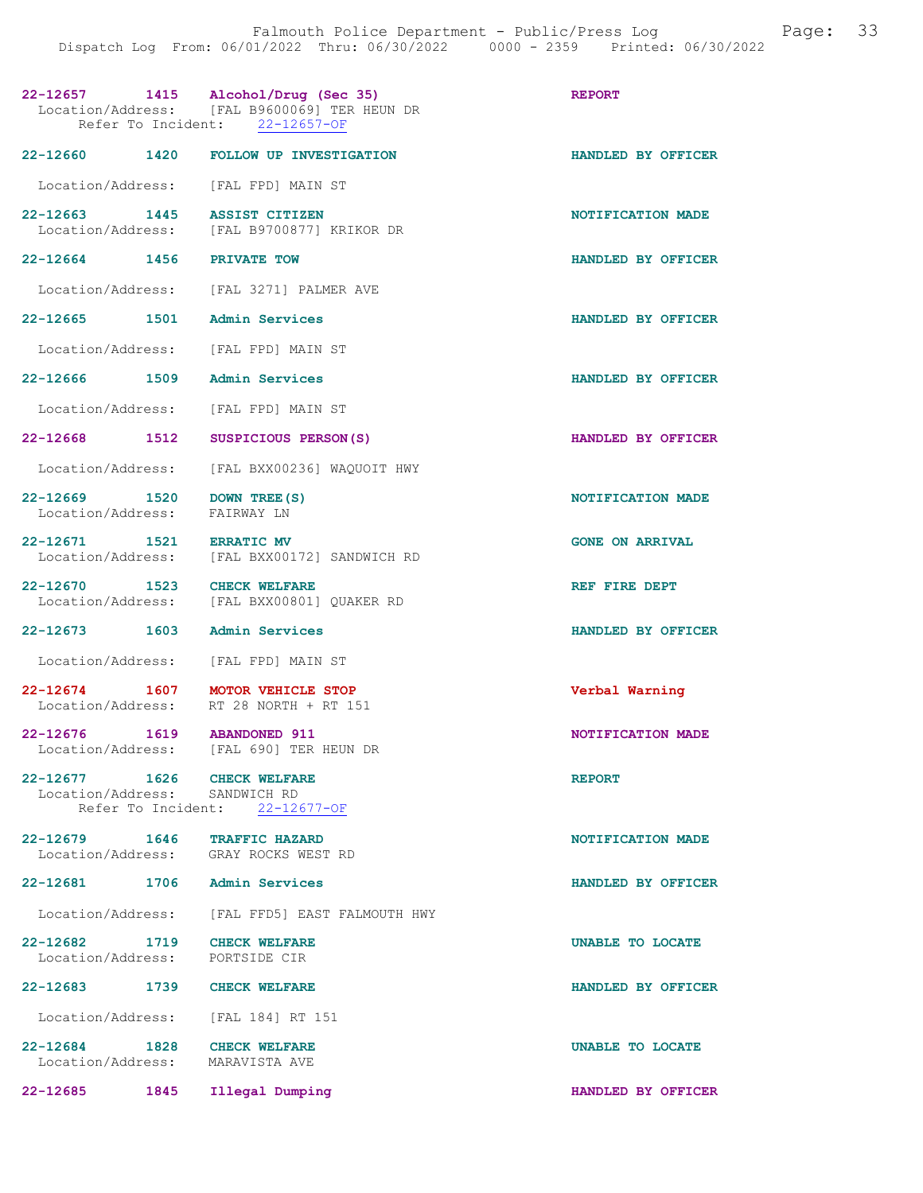|                                                                      | 22-12657 1415 Alcohol/Drug (Sec 35)<br>Location/Address: [FAL B9600069] TER HEUN DR<br>Refer To Incident: 22-12657-OF | <b>REPORT</b>          |
|----------------------------------------------------------------------|-----------------------------------------------------------------------------------------------------------------------|------------------------|
|                                                                      | 22-12660 1420 FOLLOW UP INVESTIGATION                                                                                 | HANDLED BY OFFICER     |
| Location/Address: [FAL FPD] MAIN ST                                  |                                                                                                                       |                        |
| 22-12663<br>1445                                                     | <b>ASSIST CITIZEN</b><br>Location/Address: [FAL B9700877] KRIKOR DR                                                   | NOTIFICATION MADE      |
| 22-12664 1456                                                        | <b>PRIVATE TOW</b>                                                                                                    | HANDLED BY OFFICER     |
|                                                                      | Location/Address: [FAL 3271] PALMER AVE                                                                               |                        |
| 22-12665 1501                                                        | <b>Admin Services</b>                                                                                                 | HANDLED BY OFFICER     |
| Location/Address:                                                    | [FAL FPD] MAIN ST                                                                                                     |                        |
| 22-12666 1509                                                        | Admin Services                                                                                                        | HANDLED BY OFFICER     |
| Location/Address:                                                    | [FAL FPD] MAIN ST                                                                                                     |                        |
| 22-12668<br>1512                                                     | SUSPICIOUS PERSON(S)                                                                                                  | HANDLED BY OFFICER     |
| Location/Address:                                                    | [FAL BXX00236] WAQUOIT HWY                                                                                            |                        |
| 22-12669 1520<br>Location/Address:                                   | DOWN TREE (S)<br>FAIRWAY LN                                                                                           | NOTIFICATION MADE      |
| 22-12671 1521 ERRATIC MV<br>Location/Address:                        | [FAL BXX00172] SANDWICH RD                                                                                            | <b>GONE ON ARRIVAL</b> |
| 22-12670 1523 CHECK WELFARE<br>Location/Address:                     | [FAL BXX00801] QUAKER RD                                                                                              | REF FIRE DEPT          |
| 22-12673 1603                                                        | Admin Services                                                                                                        | HANDLED BY OFFICER     |
| Location/Address:                                                    | [FAL FPD] MAIN ST                                                                                                     |                        |
| 22-12674 1607<br>Location/Address:                                   | MOTOR VEHICLE STOP<br>RT 28 NORTH + RT 151                                                                            | Verbal Warning         |
| $22 - 12676$<br>1619                                                 | <b>ABANDONED 911</b><br>Location/Address: [FAL 690] TER HEUN DR                                                       | NOTIFICATION MADE      |
| 22-12677 1626 CHECK WELFARE<br>Location/Address: SANDWICH RD         | Refer To Incident: 22-12677-OF                                                                                        | <b>REPORT</b>          |
| 22-12679 1646 TRAFFIC HAZARD<br>Location/Address: GRAY ROCKS WEST RD |                                                                                                                       | NOTIFICATION MADE      |
| 22-12681                                                             | 1706 Admin Services                                                                                                   | HANDLED BY OFFICER     |
| Location/Address:                                                    | [FAL FFD5] EAST FALMOUTH HWY                                                                                          |                        |
| 22-12682 1719<br>Location/Address:                                   | <b>CHECK WELFARE</b><br>PORTSIDE CIR                                                                                  | UNABLE TO LOCATE       |
| 22-12683<br>1739                                                     | CHECK WELFARE                                                                                                         | HANDLED BY OFFICER     |
| Location/Address: [FAL 184] RT 151                                   |                                                                                                                       |                        |
| 22-12684 1828 CHECK WELFARE<br>Location/Address:                     | MARAVISTA AVE                                                                                                         | UNABLE TO LOCATE       |
| $22 - 12685$<br>1845                                                 | Illegal Dumping                                                                                                       | HANDLED BY OFFICER     |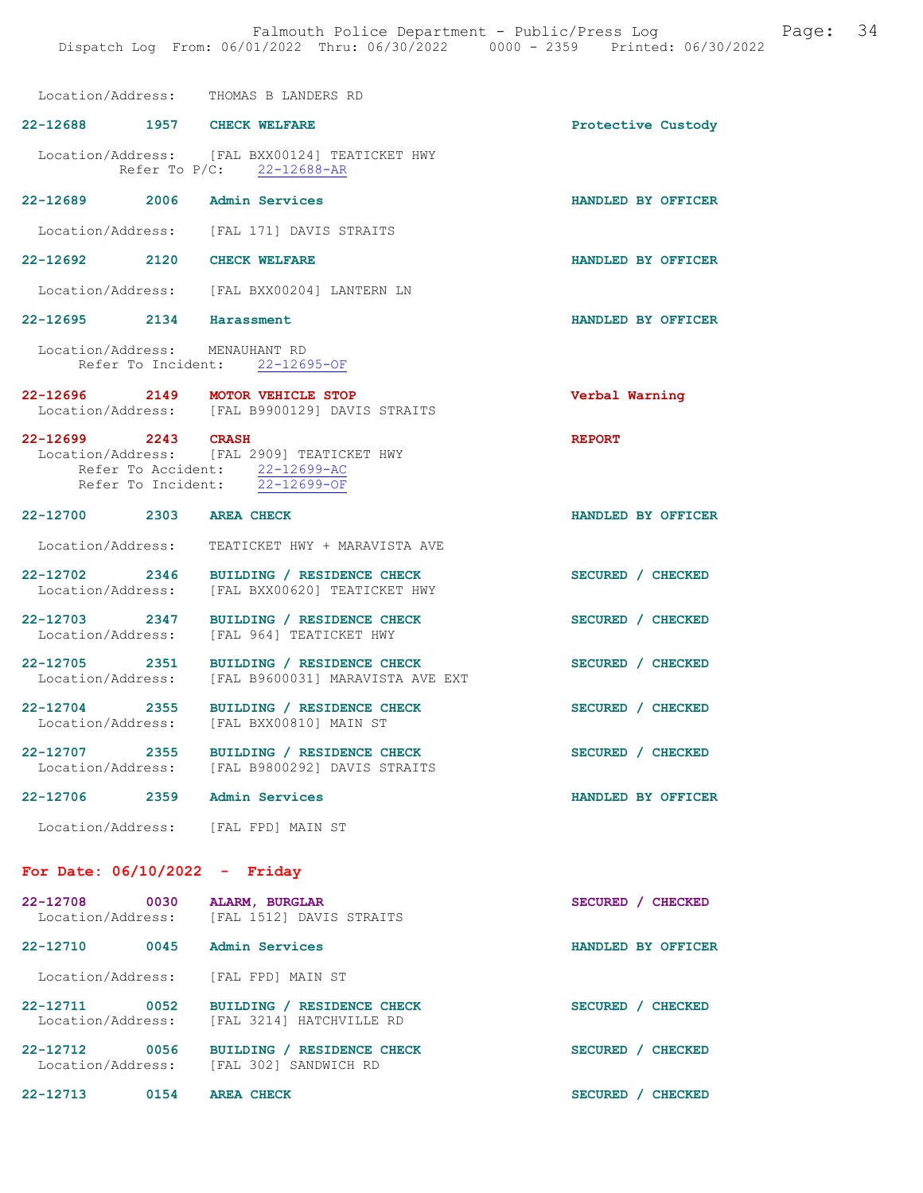Location/Address: THOMAS B LANDERS RD

| POCALION/ HUULESS:                 | INAMAS D THUNDIKS KN                                                                                           |                    |
|------------------------------------|----------------------------------------------------------------------------------------------------------------|--------------------|
| 22-12688 1957 CHECK WELFARE        |                                                                                                                | Protective Custody |
|                                    | Location/Address: [FAL BXX00124] TEATICKET HWY<br>Refer To P/C: 22-12688-AR                                    |                    |
| 22-12689 2006 Admin Services       |                                                                                                                | HANDLED BY OFFICER |
|                                    | Location/Address: [FAL 171] DAVIS STRAITS                                                                      |                    |
| 2120<br>22-12692                   | <b>CHECK WELFARE</b>                                                                                           | HANDLED BY OFFICER |
|                                    | Location/Address: [FAL BXX00204] LANTERN LN                                                                    |                    |
| 22-12695 2134 Harassment           |                                                                                                                | HANDLED BY OFFICER |
| Location/Address: MENAUHANT RD     | Refer To Incident: 22-12695-OF                                                                                 |                    |
|                                    | 22-12696 2149 MOTOR VEHICLE STOP<br>Location/Address: [FAL B9900129] DAVIS STRAITS                             | Verbal Warning     |
| 22-12699 2243 CRASH                | Location/Address: [FAL 2909] TEATICKET HWY<br>Refer To Accident: 22-12699-AC<br>Refer To Incident: 22-12699-OF | <b>REPORT</b>      |
| 22-12700 2303                      | <b>AREA CHECK</b>                                                                                              | HANDLED BY OFFICER |
| Location/Address:                  | TEATICKET HWY + MARAVISTA AVE                                                                                  |                    |
| 22-12702 2346<br>Location/Address: | BUILDING / RESIDENCE CHECK<br>[FAL BXX00620] TEATICKET HWY                                                     | SECURED / CHECKED  |
| 22-12703 2347                      | BUILDING / RESIDENCE CHECK<br>Location/Address: [FAL 964] TEATICKET HWY                                        | SECURED / CHECKED  |
| 22-12705 2351<br>Location/Address: | BUILDING / RESIDENCE CHECK<br>[FAL B9600031] MARAVISTA AVE EXT                                                 | SECURED / CHECKED  |
| 22-12704 2355                      | BUILDING / RESIDENCE CHECK<br>Location/Address: [FAL BXX00810] MAIN ST                                         | SECURED / CHECKED  |
| 22-12707 2355<br>Location/Address: | BUILDING / RESIDENCE CHECK<br>[FAL B9800292] DAVIS STRAITS                                                     | SECURED / CHECKED  |
| 22-12706                           | 2359 Admin Services                                                                                            | HANDLED BY OFFICER |
|                                    | Location/Address: [FAL FPD] MAIN ST                                                                            |                    |
| For Date: $06/10/2022 -$ Friday    |                                                                                                                |                    |
| 22-12708 0030<br>Location/Address: | ALARM, BURGLAR<br>[FAL 1512] DAVIS STRAITS                                                                     | SECURED / CHECKED  |
| 22-12710 0045                      | <b>Admin Services</b>                                                                                          | HANDLED BY OFFICER |
| Location/Address:                  | [FAL FPD] MAIN ST                                                                                              |                    |
| 22-12711 0052                      | BUILDING / RESIDENCE CHECK<br>Location/Address: [FAL 3214] HATCHVILLE RD                                       | SECURED / CHECKED  |
| 22-12712 0056                      | BUILDING / RESIDENCE CHECK<br>Location/Address: [FAL 302] SANDWICH RD                                          | SECURED / CHECKED  |
| 22-12713 0154 AREA CHECK           |                                                                                                                | SECURED / CHECKED  |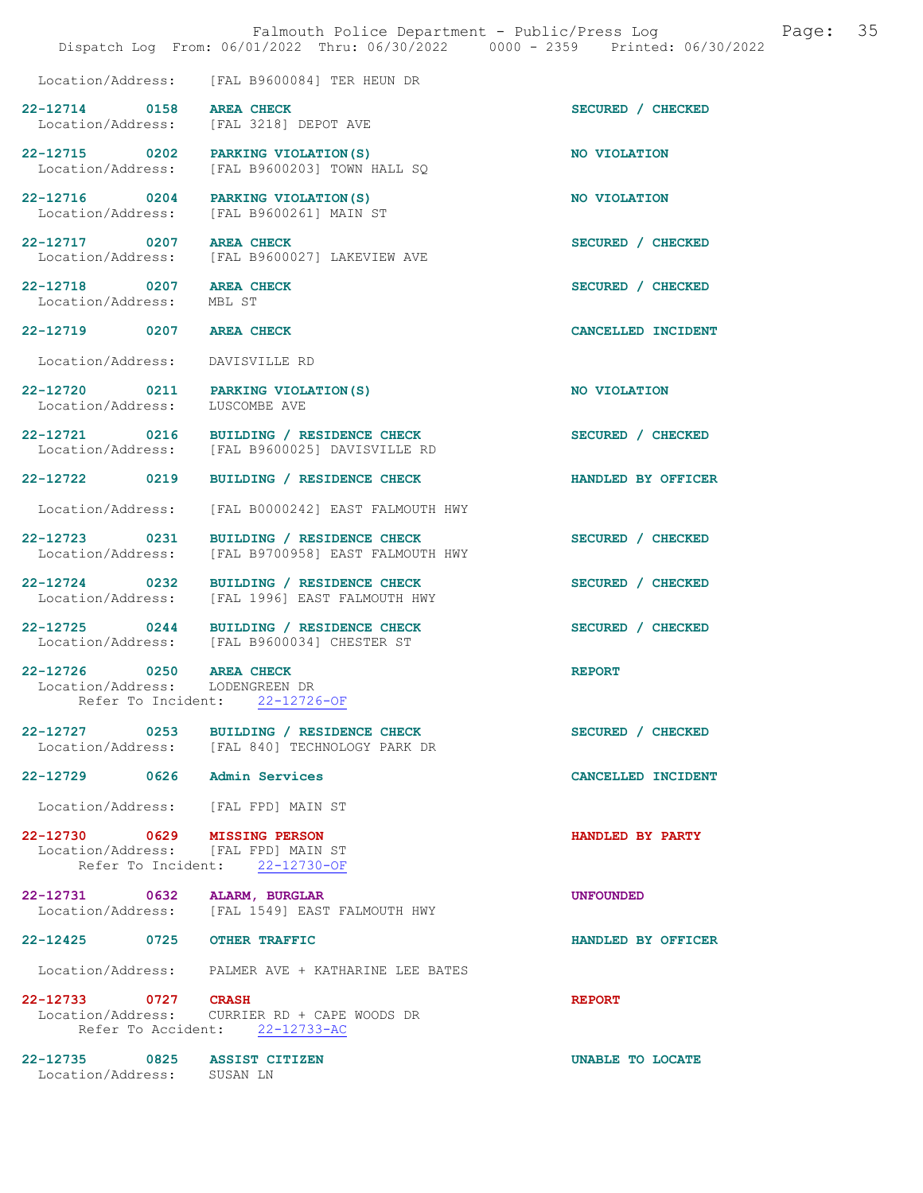|                                                             | Falmouth Police Department - Public/Press Log<br>Dispatch Log From: 06/01/2022 Thru: 06/30/2022 0000 - 2359 Printed: 06/30/2022 | 35<br>Page:        |
|-------------------------------------------------------------|---------------------------------------------------------------------------------------------------------------------------------|--------------------|
|                                                             | Location/Address: [FAL B9600084] TER HEUN DR                                                                                    |                    |
| 22-12714 0158 AREA CHECK                                    | Location/Address: [FAL 3218] DEPOT AVE                                                                                          | SECURED / CHECKED  |
|                                                             | 22-12715 0202 PARKING VIOLATION (S)<br>Location/Address: [FAL B9600203] TOWN HALL SQ                                            | NO VIOLATION       |
|                                                             | 22-12716 0204 PARKING VIOLATION (S)<br>Location/Address: [FAL B9600261] MAIN ST                                                 | NO VIOLATION       |
| 22-12717 0207 AREA CHECK                                    | Location/Address: [FAL B9600027] LAKEVIEW AVE                                                                                   | SECURED / CHECKED  |
| 22-12718 0207 AREA CHECK<br>Location/Address:               | MBL ST                                                                                                                          | SECURED / CHECKED  |
| 22-12719 0207 AREA CHECK                                    |                                                                                                                                 | CANCELLED INCIDENT |
| Location/Address:                                           | DAVISVILLE RD                                                                                                                   |                    |
| Location/Address:                                           | 22-12720 0211 PARKING VIOLATION(S)<br>LUSCOMBE AVE                                                                              | NO VIOLATION       |
|                                                             | 22-12721 0216 BUILDING / RESIDENCE CHECK<br>Location/Address: [FAL B9600025] DAVISVILLE RD                                      | SECURED / CHECKED  |
| 22-12722 0219                                               | BUILDING / RESIDENCE CHECK                                                                                                      | HANDLED BY OFFICER |
| Location/Address:                                           | [FAL B0000242] EAST FALMOUTH HWY                                                                                                |                    |
| Location/Address:                                           | 22-12723 0231 BUILDING / RESIDENCE CHECK<br>[FAL B9700958] EAST FALMOUTH HWY                                                    | SECURED / CHECKED  |
| Location/Address:                                           | 22-12724 0232 BUILDING / RESIDENCE CHECK<br>[FAL 1996] EAST FALMOUTH HWY                                                        | SECURED / CHECKED  |
|                                                             | 22-12725 0244 BUILDING / RESIDENCE CHECK<br>Location/Address: [FAL B9600034] CHESTER ST                                         | SECURED / CHECKED  |
| 22-12726 0250 AREA CHECK<br>Location/Address: LODENGREEN DR | Refer To Incident: 22-12726-OF                                                                                                  | <b>REPORT</b>      |
|                                                             | 22-12727 0253 BUILDING / RESIDENCE CHECK<br>Location/Address: [FAL 840] TECHNOLOGY PARK DR                                      | SECURED / CHECKED  |
| 22-12729 0626 Admin Services                                |                                                                                                                                 | CANCELLED INCIDENT |
|                                                             | Location/Address: [FAL FPD] MAIN ST                                                                                             |                    |
| 22-12730 0629 MISSING PERSON                                | Location/Address: [FAL FPD] MAIN ST<br>Refer To Incident: 22-12730-OF                                                           | HANDLED BY PARTY   |
| 22-12731 0632 ALARM, BURGLAR                                | Location/Address: [FAL 1549] EAST FALMOUTH HWY                                                                                  | <b>UNFOUNDED</b>   |
| 22-12425 0725                                               | <b>OTHER TRAFFIC</b>                                                                                                            | HANDLED BY OFFICER |
|                                                             | Location/Address: PALMER AVE + KATHARINE LEE BATES                                                                              |                    |
| 22-12733 0727 CRASH                                         | Location/Address: CURRIER RD + CAPE WOODS DR<br>Refer To Accident: 22-12733-AC                                                  | <b>REPORT</b>      |
| 22-12735 0825 ASSIST CITIZEN<br>Location/Address: SUSAN LN  |                                                                                                                                 | UNABLE TO LOCATE   |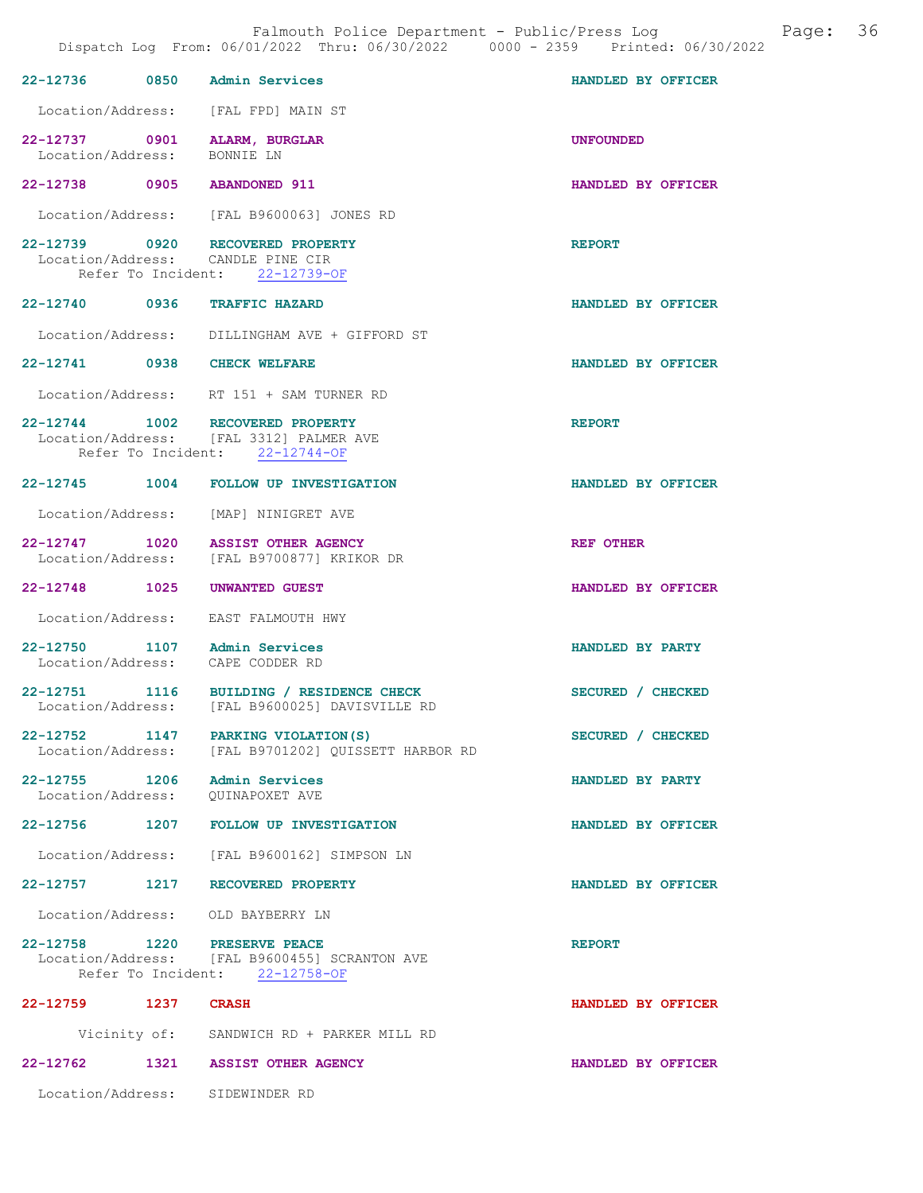|                     | Falmouth Police Department - Public/Press Log<br>Dispatch Log From: 06/01/2022 Thru: 06/30/2022 0000 - 2359 Printed: 06/30/2022 |                    | Page: 36 |
|---------------------|---------------------------------------------------------------------------------------------------------------------------------|--------------------|----------|
|                     | 22-12736 0850 Admin Services                                                                                                    | HANDLED BY OFFICER |          |
|                     | Location/Address: [FAL FPD] MAIN ST                                                                                             |                    |          |
| Location/Address:   | 22-12737 0901 ALARM, BURGLAR<br>BONNIE LN                                                                                       | <b>UNFOUNDED</b>   |          |
|                     | 22-12738 0905 ABANDONED 911                                                                                                     | HANDLED BY OFFICER |          |
|                     | Location/Address: [FAL B9600063] JONES RD                                                                                       |                    |          |
|                     | 22-12739 0920 RECOVERED PROPERTY<br>Location/Address: CANDLE PINE CIR<br>Refer To Incident: 22-12739-OF                         | <b>REPORT</b>      |          |
|                     | 22-12740 0936 TRAFFIC HAZARD                                                                                                    | HANDLED BY OFFICER |          |
|                     | Location/Address: DILLINGHAM AVE + GIFFORD ST                                                                                   |                    |          |
|                     | 22-12741 0938 CHECK WELFARE                                                                                                     | HANDLED BY OFFICER |          |
|                     | Location/Address: RT 151 + SAM TURNER RD                                                                                        |                    |          |
|                     | 22-12744 1002 RECOVERED PROPERTY<br>Location/Address: [FAL 3312] PALMER AVE<br>Refer To Incident: 22-12744-OF                   | <b>REPORT</b>      |          |
|                     | 22-12745 1004 FOLLOW UP INVESTIGATION                                                                                           | HANDLED BY OFFICER |          |
|                     | Location/Address: [MAP] NINIGRET AVE                                                                                            |                    |          |
|                     | 22-12747 1020 ASSIST OTHER AGENCY<br>Location/Address: [FAL B9700877] KRIKOR DR                                                 | <b>REF OTHER</b>   |          |
|                     | 22-12748 1025 UNWANTED GUEST                                                                                                    | HANDLED BY OFFICER |          |
|                     | Location/Address: EAST FALMOUTH HWY                                                                                             |                    |          |
|                     | 22-12750 1107 Admin Services<br>Location/Address: CAPE CODDER RD                                                                | HANDLED BY PARTY   |          |
| Location/Address:   | 22-12751 1116 BUILDING / RESIDENCE CHECK<br>[FAL B9600025] DAVISVILLE RD                                                        | SECURED / CHECKED  |          |
|                     | 22-12752 1147 PARKING VIOLATION(S)<br>Location/Address: [FAL B9701202] QUISSETT HARBOR RD                                       | SECURED / CHECKED  |          |
|                     | 22-12755 1206 Admin Services<br>Location/Address: QUINAPOXET AVE                                                                | HANDLED BY PARTY   |          |
|                     | 22-12756 1207 FOLLOW UP INVESTIGATION                                                                                           | HANDLED BY OFFICER |          |
|                     | Location/Address: [FAL B9600162] SIMPSON LN                                                                                     |                    |          |
|                     | 22-12757 1217 RECOVERED PROPERTY                                                                                                | HANDLED BY OFFICER |          |
|                     | Location/Address: OLD BAYBERRY LN                                                                                               |                    |          |
|                     | 22-12758 1220 PRESERVE PEACE<br>Location/Address: [FAL B9600455] SCRANTON AVE<br>Refer To Incident: 22-12758-OF                 | <b>REPORT</b>      |          |
| 22-12759 1237 CRASH |                                                                                                                                 | HANDLED BY OFFICER |          |
|                     | Vicinity of: SANDWICH RD + PARKER MILL RD                                                                                       |                    |          |
| 22-12762            | 1321 ASSIST OTHER AGENCY                                                                                                        | HANDLED BY OFFICER |          |
|                     | Location/Address: SIDEWINDER RD                                                                                                 |                    |          |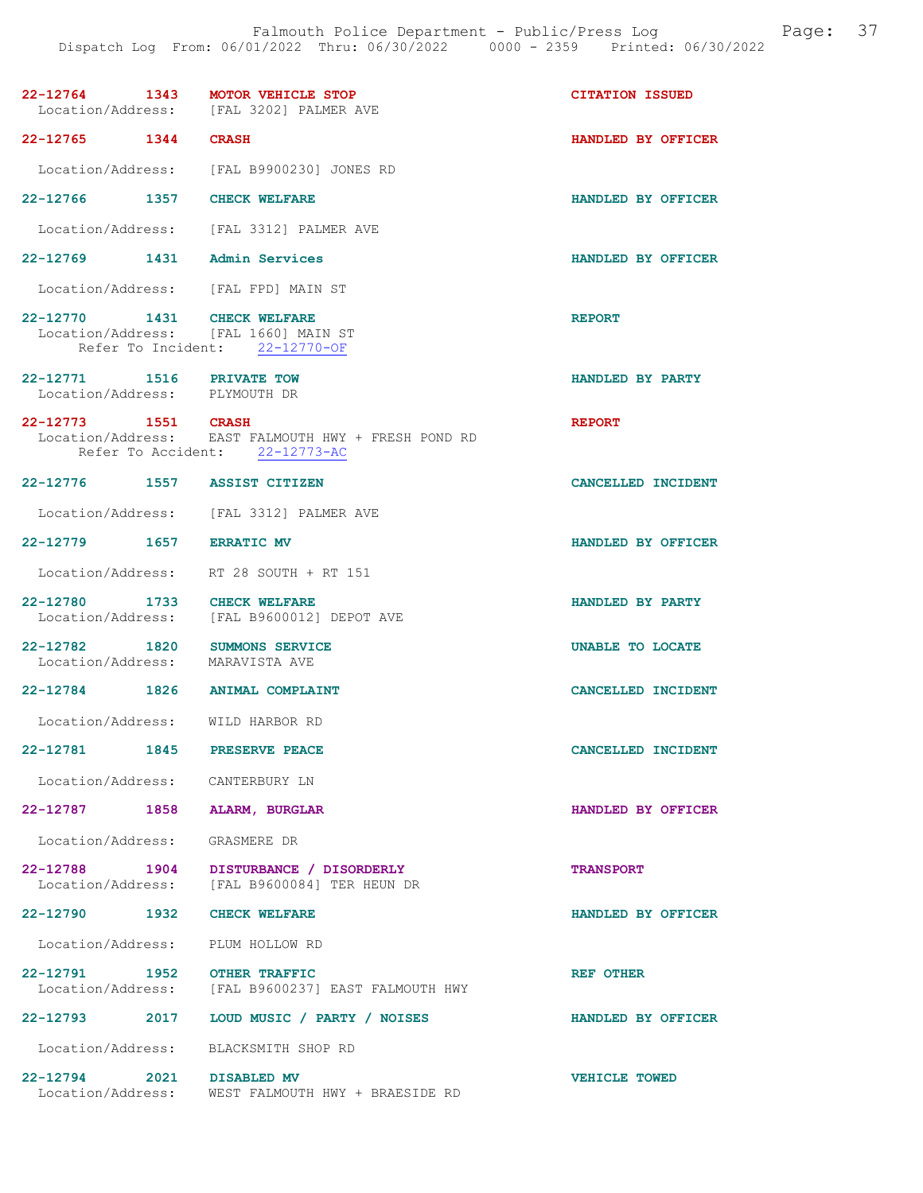|                                                                  | 22-12764 1343 MOTOR VEHICLE STOP<br>Location/Address: [FAL 3202] PALMER AVE            | <b>CITATION ISSUED</b> |
|------------------------------------------------------------------|----------------------------------------------------------------------------------------|------------------------|
| 22-12765 1344 CRASH                                              |                                                                                        | HANDLED BY OFFICER     |
|                                                                  | Location/Address: [FAL B9900230] JONES RD                                              |                        |
| 22-12766 1357 CHECK WELFARE                                      |                                                                                        | HANDLED BY OFFICER     |
|                                                                  | Location/Address: [FAL 3312] PALMER AVE                                                |                        |
| 22-12769 1431 Admin Services                                     |                                                                                        | HANDLED BY OFFICER     |
|                                                                  | Location/Address: [FAL FPD] MAIN ST                                                    |                        |
| 22-12770 1431 CHECK WELFARE                                      | Location/Address: [FAL 1660] MAIN ST<br>Refer To Incident: 22-12770-OF                 | <b>REPORT</b>          |
| 22-12771 1516 PRIVATE TOW<br>Location/Address: PLYMOUTH DR       |                                                                                        | HANDLED BY PARTY       |
| 22-12773 1551 CRASH                                              | Location/Address: EAST FALMOUTH HWY + FRESH POND RD<br>Refer To Accident: 22-12773-AC  | <b>REPORT</b>          |
| 22-12776 1557 ASSIST CITIZEN                                     |                                                                                        | CANCELLED INCIDENT     |
|                                                                  | Location/Address: [FAL 3312] PALMER AVE                                                |                        |
| 22-12779 1657 ERRATIC MV                                         |                                                                                        | HANDLED BY OFFICER     |
|                                                                  | Location/Address: RT 28 SOUTH + RT 151                                                 |                        |
| 22-12780 1733 CHECK WELFARE                                      | Location/Address: [FAL B9600012] DEPOT AVE                                             | HANDLED BY PARTY       |
| 22-12782 1820 SUMMONS SERVICE<br>Location/Address: MARAVISTA AVE |                                                                                        | UNABLE TO LOCATE       |
|                                                                  | 22-12784 1826 ANIMAL COMPLAINT                                                         | CANCELLED INCIDENT     |
| Location/Address: WILD HARBOR RD                                 |                                                                                        |                        |
| 22-12781<br>1845                                                 | PRESERVE PEACE                                                                         | CANCELLED INCIDENT     |
| Location/Address: CANTERBURY LN                                  |                                                                                        |                        |
| 22-12787 1858 ALARM, BURGLAR                                     |                                                                                        | HANDLED BY OFFICER     |
| Location/Address: GRASMERE DR                                    |                                                                                        |                        |
|                                                                  | 22-12788 1904 DISTURBANCE / DISORDERLY<br>Location/Address: [FAL B9600084] TER HEUN DR | <b>TRANSPORT</b>       |
| 22-12790 1932 CHECK WELFARE                                      |                                                                                        | HANDLED BY OFFICER     |
|                                                                  | Location/Address: PLUM HOLLOW RD                                                       |                        |
| 22-12791 1952 OTHER TRAFFIC                                      | Location/Address: [FAL B9600237] EAST FALMOUTH HWY                                     | <b>REF OTHER</b>       |
|                                                                  | 22-12793 2017 LOUD MUSIC / PARTY / NOISES                                              | HANDLED BY OFFICER     |
|                                                                  | Location/Address: BLACKSMITH SHOP RD                                                   |                        |
| 22-12794 2021 DISABLED MV<br>Location/Address:                   | WEST FALMOUTH HWY + BRAESIDE RD                                                        | <b>VEHICLE TOWED</b>   |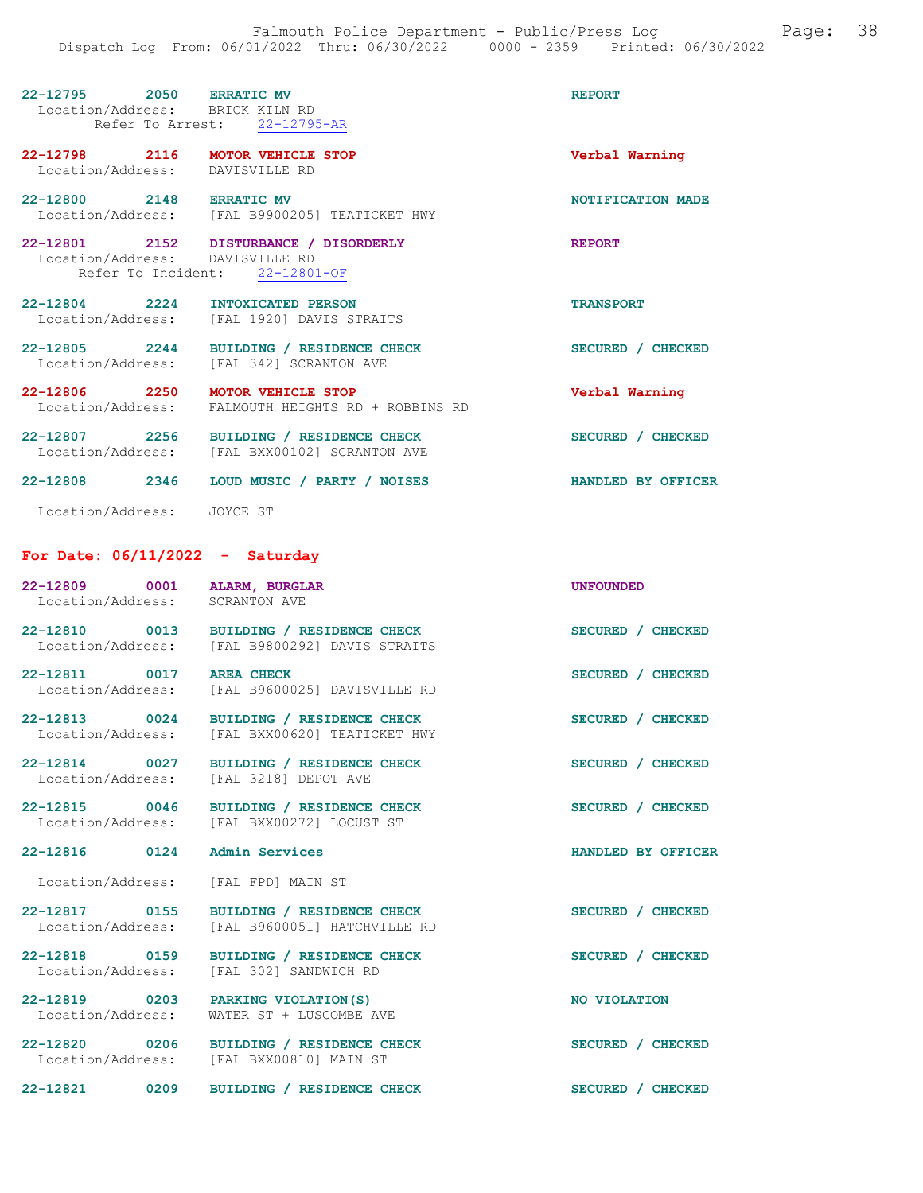| 22-12795 2050 ERRATIC MV<br>Location/Address: BRICK KILN RD | Refer To Arrest: 22-12795-AR                                                              | <b>REPORT</b>                    |
|-------------------------------------------------------------|-------------------------------------------------------------------------------------------|----------------------------------|
| 22-12798 2116 MOTOR VEHICLE STOP<br>Location/Address:       | DAVISVILLE RD                                                                             | Verbal Warning                   |
| 22-12800 2148 ERRATIC MV                                    | Location/Address: [FAL B9900205] TEATICKET HWY                                            | <b>NOTIFICATION MADE</b>         |
| Location/Address:                                           | 22-12801 2152 DISTURBANCE / DISORDERLY<br>DAVISVILLE RD<br>Refer To Incident: 22-12801-OF | <b>REPORT</b>                    |
| 22-12804 2224 INTOXICATED PERSON                            | Location/Address: [FAL 1920] DAVIS STRAITS                                                | <b>TRANSPORT</b>                 |
| 22-12805 2244                                               | BUILDING / RESIDENCE CHECK<br>Location/Address: [FAL 342] SCRANTON AVE                    | SECURED / CHECKED                |
| 22-12806 2250<br>Location/Address:                          | <b>MOTOR VEHICLE STOP</b><br>FALMOUTH HEIGHTS RD + ROBBINS RD                             | Verbal Warning                   |
| 22-12807<br>2256                                            | BUILDING / RESIDENCE CHECK<br>Location/Address: [FAL BXX00102] SCRANTON AVE               | <b>SECURED</b><br><b>CHECKED</b> |
| $22 - 12808$<br>2346                                        | LOUD MUSIC / PARTY / NOISES                                                               | HANDLED BY OFFICER               |

Location/Address: JOYCE ST

# For Date: 06/11/2022 - Saturday

| 22-12809 0001 ALARM, BURGLAR<br>Location/Address: SCRANTON AVE |                                                                                        | <b>UNFOUNDED</b>   |
|----------------------------------------------------------------|----------------------------------------------------------------------------------------|--------------------|
| Location/Address:                                              | 22-12810 0013 BUILDING / RESIDENCE CHECK<br>[FAL B9800292] DAVIS STRAITS               | SECURED / CHECKED  |
| 22-12811 0017<br>Location/Address:                             | <b>AREA CHECK</b><br>[FAL B9600025] DAVISVILLE RD                                      | SECURED / CHECKED  |
| 22-12813 0024<br>Location/Address:                             | BUILDING / RESIDENCE CHECK<br>[FAL BXX00620] TEATICKET HWY                             | SECURED / CHECKED  |
| 22-12814 0027<br>Location/Address:                             | BUILDING / RESIDENCE CHECK<br>[FAL 3218] DEPOT AVE                                     | SECURED / CHECKED  |
|                                                                | 22-12815 0046 BUILDING / RESIDENCE CHECK<br>Location/Address: [FAL BXX00272] LOCUST ST | SECURED / CHECKED  |
|                                                                |                                                                                        |                    |
| 22-12816 0124                                                  | Admin Services                                                                         | HANDLED BY OFFICER |
| Location/Address:                                              | [FAL FPD] MAIN ST                                                                      |                    |
| Location/Address:                                              | 22-12817 0155 BUILDING / RESIDENCE CHECK<br>[FAL B9600051] HATCHVILLE RD               | SECURED / CHECKED  |
| 22-12818 0159<br>Location/Address:                             | BUILDING / RESIDENCE CHECK<br>[FAL 302] SANDWICH RD                                    | SECURED / CHECKED  |
| Location/Address:                                              | 22-12819 0203 PARKING VIOLATION(S)<br>WATER ST + LUSCOMBE AVE                          | NO VIOLATION       |
|                                                                | 22-12820 0206 BUILDING / RESIDENCE CHECK<br>Location/Address: [FAL BXX00810] MAIN ST   | SECURED / CHECKED  |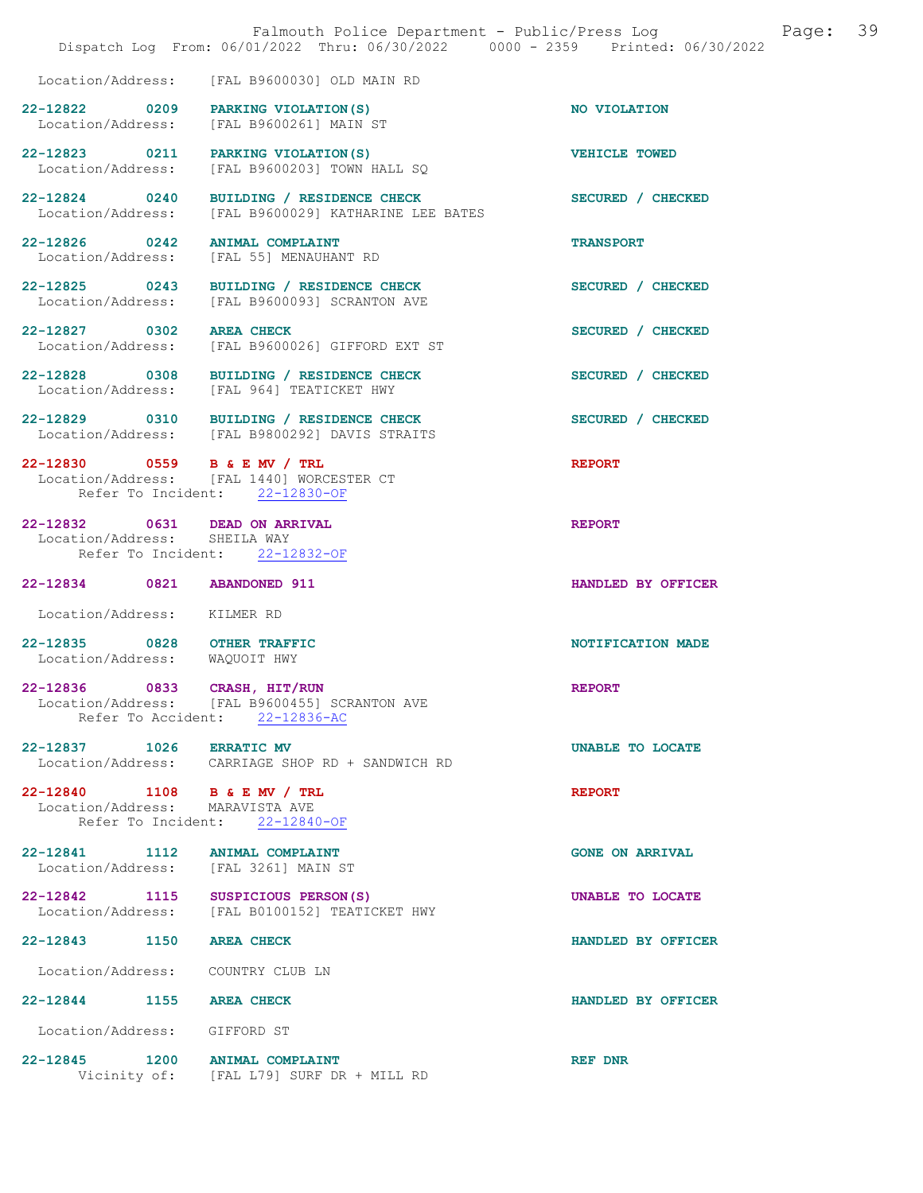|                                                                 | Falmouth Police Department - Public/Press Log<br>Dispatch Log From: 06/01/2022 Thru: 06/30/2022 0000 - 2359 Printed: 06/30/2022 | Page:                  | 39 |
|-----------------------------------------------------------------|---------------------------------------------------------------------------------------------------------------------------------|------------------------|----|
| Location/Address:                                               | [FAL B9600030] OLD MAIN RD                                                                                                      |                        |    |
| 22-12822 0209<br>Location/Address:                              | PARKING VIOLATION (S)<br>[FAL B9600261] MAIN ST                                                                                 | NO VIOLATION           |    |
| 22-12823 0211<br>Location/Address:                              | PARKING VIOLATION (S)<br>[FAL B9600203] TOWN HALL SQ                                                                            | VEHICLE TOWED          |    |
| 22-12824 0240<br>Location/Address:                              | BUILDING / RESIDENCE CHECK<br>[FAL B9600029] KATHARINE LEE BATES                                                                | SECURED / CHECKED      |    |
| 22-12826 0242<br>Location/Address:                              | <b>ANIMAL COMPLAINT</b><br>[FAL 55] MENAUHANT RD                                                                                | <b>TRANSPORT</b>       |    |
| 22-12825 0243<br>Location/Address:                              | BUILDING / RESIDENCE CHECK<br>[FAL B9600093] SCRANTON AVE                                                                       | SECURED / CHECKED      |    |
| 22-12827 0302<br>Location/Address:                              | <b>AREA CHECK</b><br>[FAL B9600026] GIFFORD EXT ST                                                                              | SECURED / CHECKED      |    |
| 22-12828 0308<br>Location/Address:                              | BUILDING / RESIDENCE CHECK<br>[FAL 964] TEATICKET HWY                                                                           | SECURED / CHECKED      |    |
|                                                                 | 22-12829 0310 BUILDING / RESIDENCE CHECK<br>Location/Address: [FAL B9800292] DAVIS STRAITS                                      | SECURED / CHECKED      |    |
| 22-12830 0559 B & E MV / TRL                                    | Location/Address: [FAL 1440] WORCESTER CT<br>Refer To Incident: 22-12830-OF                                                     | <b>REPORT</b>          |    |
| 22-12832 0631 DEAD ON ARRIVAL<br>Location/Address: SHEILA WAY   | Refer To Incident: 22-12832-OF                                                                                                  | <b>REPORT</b>          |    |
| 22-12834 0821                                                   | <b>ABANDONED 911</b>                                                                                                            | HANDLED BY OFFICER     |    |
| Location/Address: KILMER RD                                     |                                                                                                                                 |                        |    |
| 22-12835 0828 OTHER TRAFFIC<br>Location/Address:                | WAQUOIT HWY                                                                                                                     | NOTIFICATION MADE      |    |
| 0833<br>22-12836                                                | CRASH, HIT/RUN<br>Location/Address: [FAL B9600455] SCRANTON AVE<br>Refer To Accident: 22-12836-AC                               | <b>REPORT</b>          |    |
| 22-12837 1026 ERRATIC MV                                        | Location/Address: CARRIAGE SHOP RD + SANDWICH RD                                                                                | UNABLE TO LOCATE       |    |
| 22-12840 1108 B & E MV / TRL<br>Location/Address: MARAVISTA AVE | Refer To Incident: 22-12840-OF                                                                                                  | <b>REPORT</b>          |    |
| 22-12841 1112 ANIMAL COMPLAINT                                  | Location/Address: [FAL 3261] MAIN ST                                                                                            | <b>GONE ON ARRIVAL</b> |    |
| 22-12842 1115                                                   | SUSPICIOUS PERSON(S)<br>Location/Address: [FAL B0100152] TEATICKET HWY                                                          | UNABLE TO LOCATE       |    |
| 22-12843 1150 AREA CHECK                                        |                                                                                                                                 | HANDLED BY OFFICER     |    |
| Location/Address: COUNTRY CLUB LN                               |                                                                                                                                 |                        |    |
| 22-12844 1155 AREA CHECK                                        |                                                                                                                                 | HANDLED BY OFFICER     |    |
| Location/Address: GIFFORD ST                                    |                                                                                                                                 |                        |    |
| 22-12845 1200 ANIMAL COMPLAINT                                  | Vicinity of: [FAL L79] SURF DR + MILL RD                                                                                        | REF DNR                |    |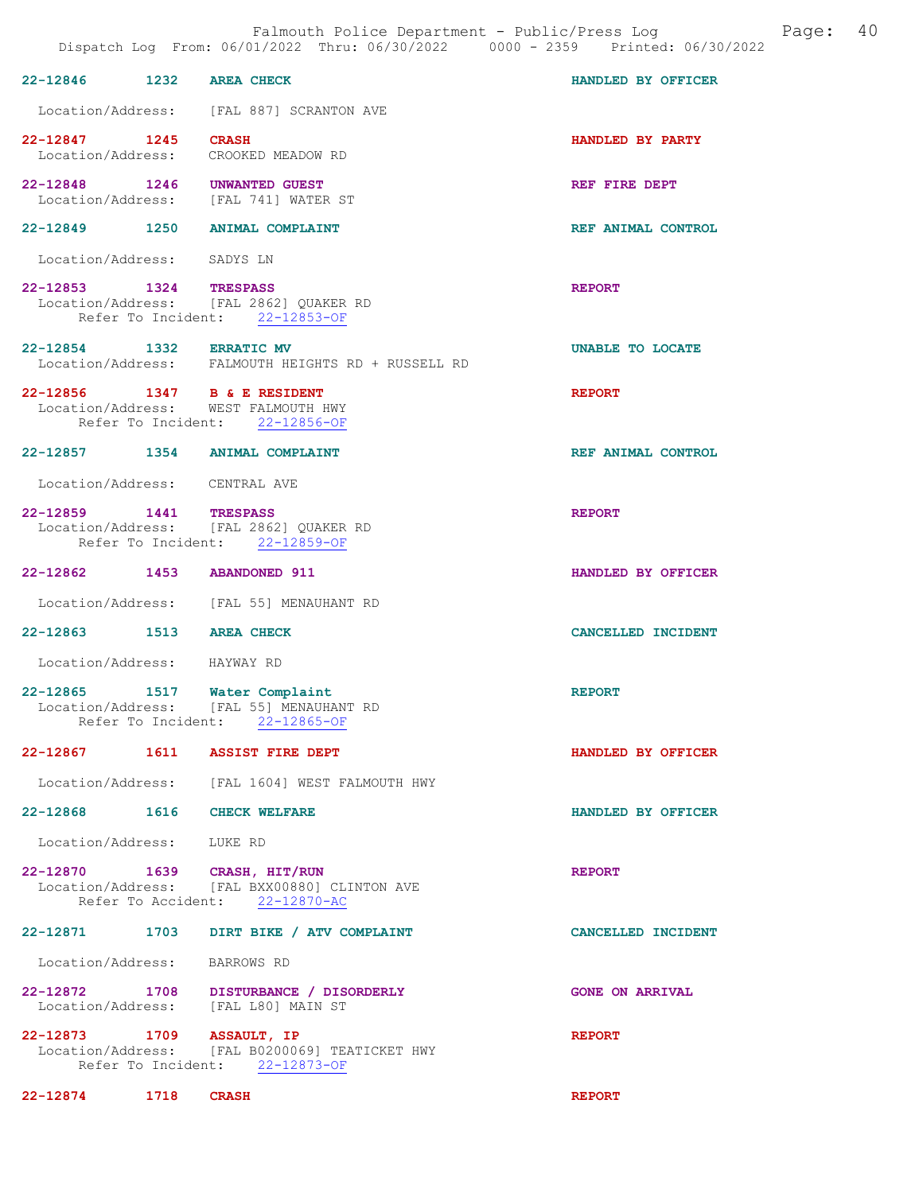|                                                                     |                                                                                             | Dispatch Log From: 06/01/2022 Thru: 06/30/2022 0000 - 2359 Printed: 06/30/2022 |
|---------------------------------------------------------------------|---------------------------------------------------------------------------------------------|--------------------------------------------------------------------------------|
| 22-12846<br>1232                                                    | <b>AREA CHECK</b>                                                                           | HANDLED BY OFFICER                                                             |
|                                                                     | Location/Address: [FAL 887] SCRANTON AVE                                                    |                                                                                |
| 22-12847 1245<br>Location/Address: CROOKED MEADOW RD                | <b>CRASH</b>                                                                                | HANDLED BY PARTY                                                               |
| 22-12848 1246 UNWANTED GUEST                                        | Location/Address: [FAL 741] WATER ST                                                        | REF FIRE DEPT                                                                  |
| 22-12849 1250 ANIMAL COMPLAINT                                      |                                                                                             | REF ANIMAL CONTROL                                                             |
| Location/Address: SADYS LN                                          |                                                                                             |                                                                                |
| 22-12853 1324                                                       | <b>TRESPASS</b><br>Location/Address: [FAL 2862] QUAKER RD<br>Refer To Incident: 22-12853-OF | <b>REPORT</b>                                                                  |
| 22-12854 1332 ERRATIC MV                                            | Location/Address: FALMOUTH HEIGHTS RD + RUSSELL RD                                          | UNABLE TO LOCATE                                                               |
| 22-12856 1347 B & E RESIDENT<br>Location/Address: WEST FALMOUTH HWY | Refer To Incident: 22-12856-OF                                                              | <b>REPORT</b>                                                                  |
| 22-12857 1354 ANIMAL COMPLAINT                                      |                                                                                             | REF ANIMAL CONTROL                                                             |
| Location/Address: CENTRAL AVE                                       |                                                                                             |                                                                                |
| 22-12859 1441 TRESPASS                                              | Location/Address: [FAL 2862] QUAKER RD<br>Refer To Incident: 22-12859-OF                    | <b>REPORT</b>                                                                  |
| 22-12862 1453 ABANDONED 911                                         |                                                                                             | HANDLED BY OFFICER                                                             |
|                                                                     | Location/Address: [FAL 55] MENAUHANT RD                                                     |                                                                                |
| 22-12863 1513 AREA CHECK                                            |                                                                                             | CANCELLED INCIDENT                                                             |
| Location/Address: HAYWAY RD                                         |                                                                                             |                                                                                |
| 22-12865 1517 Water Complaint<br>Refer To Incident:                 | Location/Address: [FAL 55] MENAUHANT RD<br>$22 - 12865 - OF$                                | <b>REPORT</b>                                                                  |
| 22-12867 1611 ASSIST FIRE DEPT                                      |                                                                                             | HANDLED BY OFFICER                                                             |
|                                                                     | Location/Address: [FAL 1604] WEST FALMOUTH HWY                                              |                                                                                |
| 22-12868 1616 CHECK WELFARE                                         |                                                                                             | HANDLED BY OFFICER                                                             |
| Location/Address: LUKE RD                                           |                                                                                             |                                                                                |
| 22-12870 1639 CRASH, HIT/RUN                                        | Location/Address: [FAL BXX00880] CLINTON AVE<br>Refer To Accident: 22-12870-AC              | <b>REPORT</b>                                                                  |
|                                                                     | 22-12871 1703 DIRT BIKE / ATV COMPLAINT                                                     | CANCELLED INCIDENT                                                             |
| Location/Address: BARROWS RD                                        |                                                                                             |                                                                                |
| Location/Address: [FAL L80] MAIN ST                                 | 22-12872 1708 DISTURBANCE / DISORDERLY                                                      | <b>GONE ON ARRIVAL</b>                                                         |
| 22-12873 1709 ASSAULT, IP                                           | Location/Address: [FAL B0200069] TEATICKET HWY<br>Refer To Incident: 22-12873-OF            | <b>REPORT</b>                                                                  |

22-12874 1718 CRASH REPORT

Falmouth Police Department - Public/Press Log and Page: 40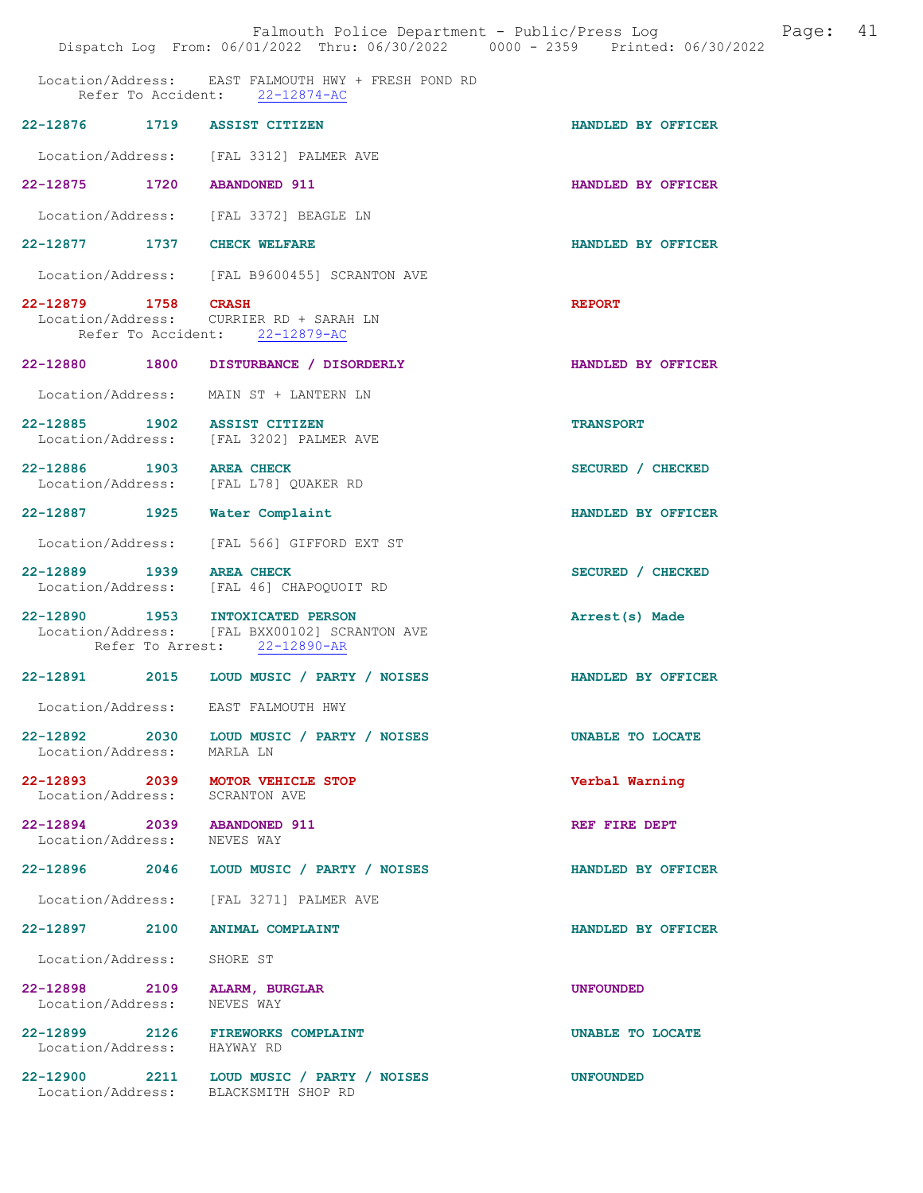|                                                            | Falmouth Police Department - Public/Press Log<br>Dispatch Log From: 06/01/2022 Thru: 06/30/2022 0000 - 2359 Printed: 06/30/2022 | Page: 41           |  |
|------------------------------------------------------------|---------------------------------------------------------------------------------------------------------------------------------|--------------------|--|
|                                                            | Location/Address: EAST FALMOUTH HWY + FRESH POND RD<br>Refer To Accident: 22-12874-AC                                           |                    |  |
|                                                            | 22-12876 1719 ASSIST CITIZEN                                                                                                    | HANDLED BY OFFICER |  |
|                                                            | Location/Address: [FAL 3312] PALMER AVE                                                                                         |                    |  |
| 22-12875 1720 ABANDONED 911                                |                                                                                                                                 | HANDLED BY OFFICER |  |
|                                                            | Location/Address: [FAL 3372] BEAGLE LN                                                                                          |                    |  |
| 22-12877 1737 CHECK WELFARE                                |                                                                                                                                 | HANDLED BY OFFICER |  |
|                                                            | Location/Address: [FAL B9600455] SCRANTON AVE                                                                                   |                    |  |
| 22-12879 1758 CRASH                                        | Location/Address: CURRIER RD + SARAH LN<br>Refer To Accident: 22-12879-AC                                                       | <b>REPORT</b>      |  |
|                                                            | 22-12880 1800 DISTURBANCE / DISORDERLY                                                                                          | HANDLED BY OFFICER |  |
|                                                            | Location/Address: MAIN ST + LANTERN LN                                                                                          |                    |  |
|                                                            | 22-12885 1902 ASSIST CITIZEN<br>Location/Address: [FAL 3202] PALMER AVE                                                         | <b>TRANSPORT</b>   |  |
| 22-12886 1903 AREA CHECK                                   | Location/Address: [FAL L78] QUAKER RD                                                                                           | SECURED / CHECKED  |  |
|                                                            | 22-12887 1925 Water Complaint                                                                                                   | HANDLED BY OFFICER |  |
|                                                            | Location/Address: [FAL 566] GIFFORD EXT ST                                                                                      |                    |  |
| 22-12889 1939 AREA CHECK                                   | Location/Address: [FAL 46] CHAPOQUOIT RD                                                                                        | SECURED / CHECKED  |  |
|                                                            | 22-12890 1953 INTOXICATED PERSON<br>Location/Address: [FAL BXX00102] SCRANTON AVE<br>Refer To Arrest: 22-12890-AR               | Arrest(s) Made     |  |
|                                                            | 22-12891 2015 LOUD MUSIC / PARTY / NOISES                                                                                       | HANDLED BY OFFICER |  |
|                                                            | Location/Address: EAST FALMOUTH HWY                                                                                             |                    |  |
| Location/Address: MARLA LN                                 | 22-12892 2030 LOUD MUSIC / PARTY / NOISES                                                                                       | UNABLE TO LOCATE   |  |
| Location/Address:                                          | 22-12893 2039 MOTOR VEHICLE STOP<br>SCRANTON AVE                                                                                | Verbal Warning     |  |
| 22-12894 2039 ABANDONED 911<br>Location/Address: NEVES WAY |                                                                                                                                 | REF FIRE DEPT      |  |
|                                                            | 22-12896 2046 LOUD MUSIC / PARTY / NOISES                                                                                       | HANDLED BY OFFICER |  |
|                                                            | Location/Address: [FAL 3271] PALMER AVE                                                                                         |                    |  |
|                                                            | 22-12897 2100 ANIMAL COMPLAINT                                                                                                  | HANDLED BY OFFICER |  |
| Location/Address: SHORE ST                                 |                                                                                                                                 |                    |  |
| Location/Address: NEVES WAY                                | 22-12898 2109 ALARM, BURGLAR                                                                                                    | <b>UNFOUNDED</b>   |  |
| Location/Address: HAYWAY RD                                | 22-12899 2126 FIREWORKS COMPLAINT                                                                                               | UNABLE TO LOCATE   |  |
|                                                            | 22-12900 2211 LOUD MUSIC / PARTY / NOISES<br>Location/Address: BLACKSMITH SHOP RD                                               | <b>UNFOUNDED</b>   |  |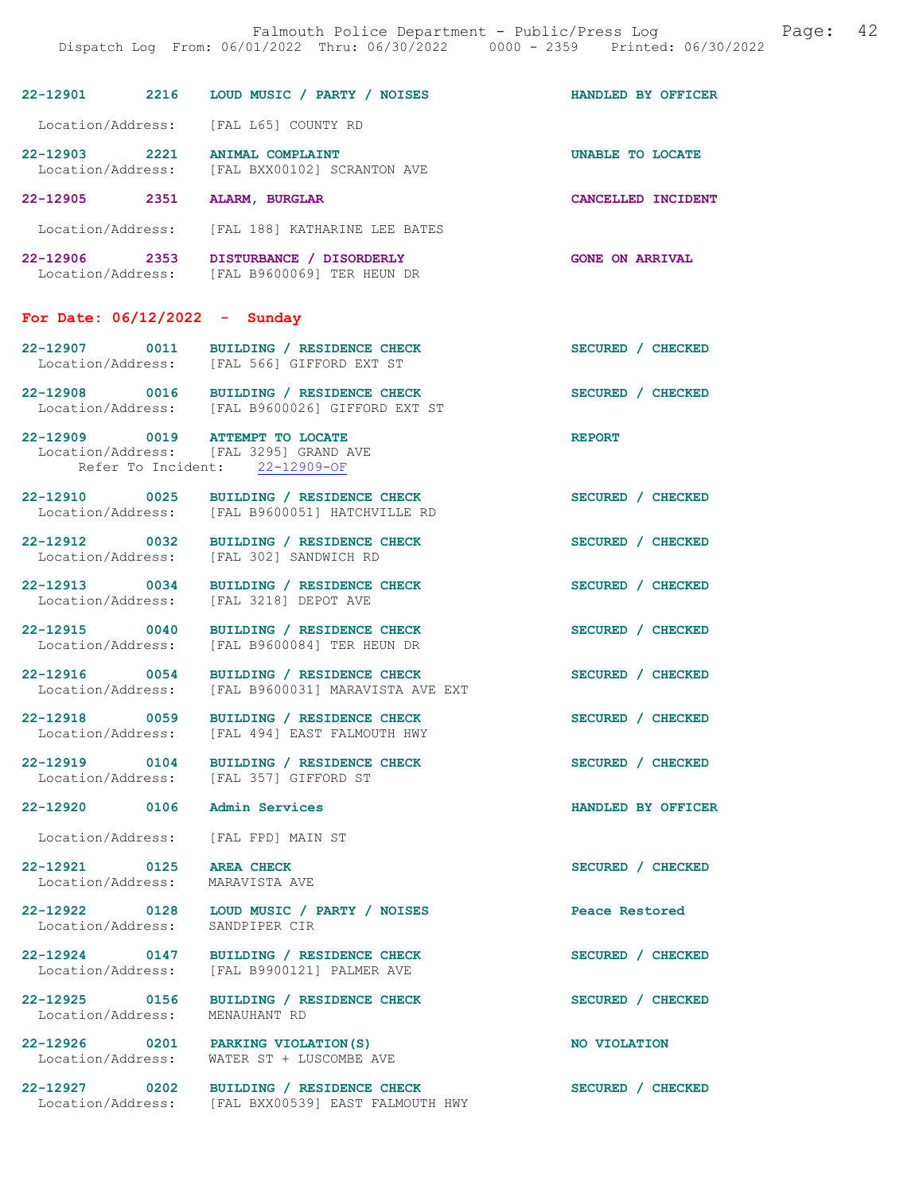|                                                             | 22-12901 2216 LOUD MUSIC / PARTY / NOISES                                                                   | HANDLED BY OFFICER     |
|-------------------------------------------------------------|-------------------------------------------------------------------------------------------------------------|------------------------|
|                                                             | Location/Address: [FAL L65] COUNTY RD                                                                       |                        |
|                                                             | 22-12903 2221 ANIMAL COMPLAINT<br>Location/Address: [FAL BXX00102] SCRANTON AVE                             | UNABLE TO LOCATE       |
| 22-12905 2351                                               | ALARM, BURGLAR                                                                                              | CANCELLED INCIDENT     |
|                                                             | Location/Address: [FAL 188] KATHARINE LEE BATES                                                             |                        |
|                                                             | 22-12906 2353 DISTURBANCE / DISORDERLY<br>Location/Address: [FAL B9600069] TER HEUN DR                      | <b>GONE ON ARRIVAL</b> |
| For Date: $06/12/2022 -$ Sunday                             |                                                                                                             |                        |
|                                                             | 22-12907 0011 BUILDING / RESIDENCE CHECK<br>Location/Address: [FAL 566] GIFFORD EXT ST                      | SECURED / CHECKED      |
|                                                             | 22-12908 0016 BUILDING / RESIDENCE CHECK<br>Location/Address: [FAL B9600026] GIFFORD EXT ST                 | SECURED / CHECKED      |
|                                                             | 22-12909 0019 ATTEMPT TO LOCATE<br>Location/Address: [FAL 3295] GRAND AVE<br>Refer To Incident: 22-12909-OF | <b>REPORT</b>          |
|                                                             | 22-12910 0025 BUILDING / RESIDENCE CHECK<br>Location/Address: [FAL B9600051] HATCHVILLE RD                  | SECURED / CHECKED      |
|                                                             | 22-12912 0032 BUILDING / RESIDENCE CHECK<br>Location/Address: [FAL 302] SANDWICH RD                         | SECURED / CHECKED      |
|                                                             | 22-12913 0034 BUILDING / RESIDENCE CHECK<br>Location/Address: [FAL 3218] DEPOT AVE                          | SECURED / CHECKED      |
| 22-12915 0040                                               | BUILDING / RESIDENCE CHECK<br>Location/Address: [FAL B9600084] TER HEUN DR                                  | SECURED / CHECKED      |
|                                                             | 22-12916 0054 BUILDING / RESIDENCE CHECK<br>Location/Address: [FAL B9600031] MARAVISTA AVE EXT              | SECURED / CHECKED      |
|                                                             | 22-12918 0059 BUILDING / RESIDENCE CHECK<br>Location/Address: [FAL 494] EAST FALMOUTH HWY                   | SECURED / CHECKED      |
|                                                             | 22-12919 0104 BUILDING / RESIDENCE CHECK<br>Location/Address: [FAL 357] GIFFORD ST                          | SECURED / CHECKED      |
| 22-12920 0106 Admin Services                                |                                                                                                             | HANDLED BY OFFICER     |
|                                                             | Location/Address: [FAL FPD] MAIN ST                                                                         |                        |
| 22-12921 0125 AREA CHECK<br>Location/Address: MARAVISTA AVE |                                                                                                             | SECURED / CHECKED      |
|                                                             | 22-12922 0128 LOUD MUSIC / PARTY / NOISES<br>Location/Address: SANDPIPER CIR                                | Peace Restored         |
|                                                             | 22-12924 0147 BUILDING / RESIDENCE CHECK<br>Location/Address: [FAL B9900121] PALMER AVE                     | SECURED / CHECKED      |
| Location/Address: MENAUHANT RD                              | 22-12925 0156 BUILDING / RESIDENCE CHECK                                                                    | SECURED / CHECKED      |
|                                                             | 22-12926 0201 PARKING VIOLATION (S)<br>Location/Address: WATER ST + LUSCOMBE AVE                            | NO VIOLATION           |
|                                                             | 22-12927 0202 BUILDING / RESIDENCE CHECK                                                                    | SECURED / CHECKED      |

Location/Address: [FAL BXX00539] EAST FALMOUTH HWY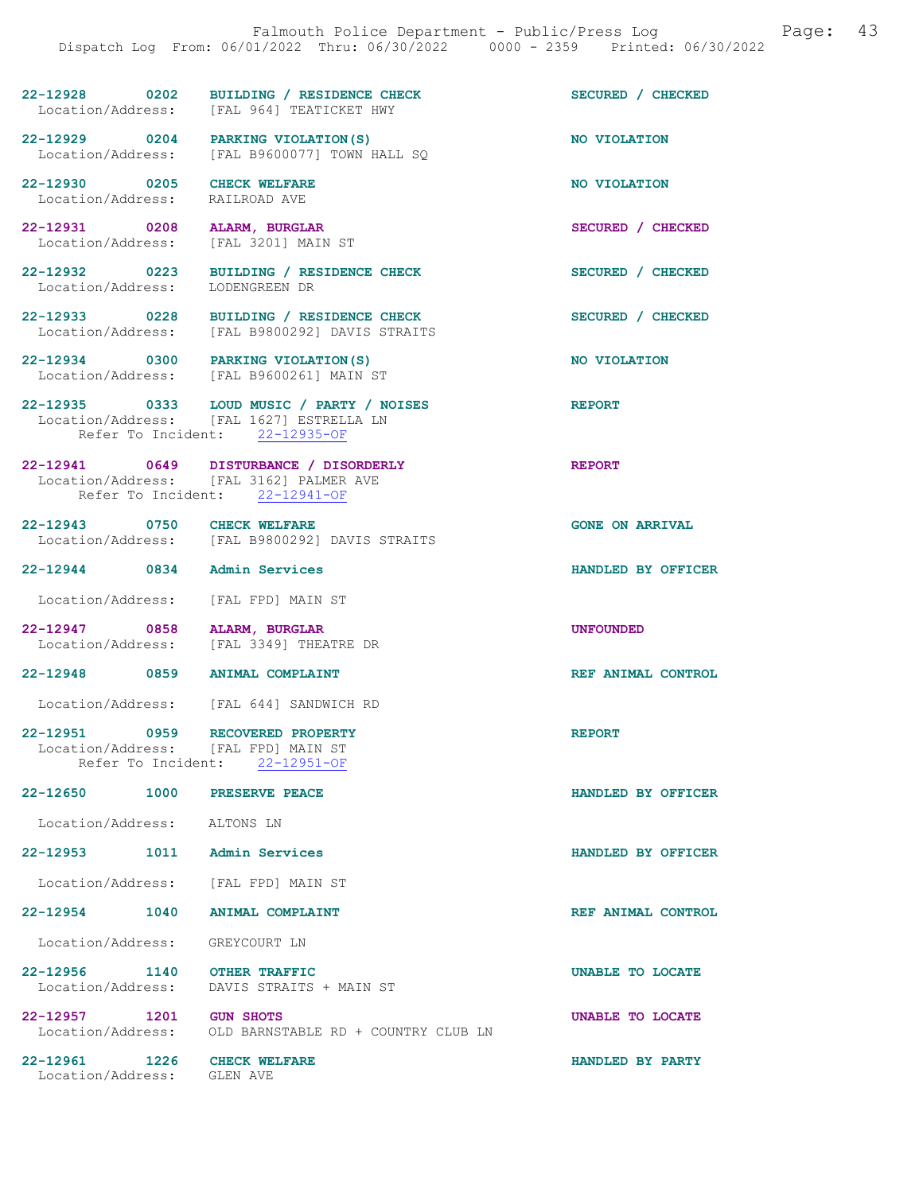## 22-12928 0202 BUILDING / RESIDENCE CHECK SECURED / CHECKED Location/Address: [FAL 964] TEATICKET HWY

22-12929 0204 PARKING VIOLATION(S) NO VIOLATION Location/Address: [FAL B9600077] TOWN HALL SO

22-12930 0205 CHECK WELFARE NO VIOLATION NO VIOLATION Location/Address:

22-12931 0208 ALARM, BURGLAR SECURED / CHECKED

Location/Address: [FAL 3201] MAIN ST

22-12932 0223 BUILDING / RESIDENCE CHECK SECURED / CHECKED Location/Address: LODENGREEN DR

22-12933 0228 BUILDING / RESIDENCE CHECK SECURED / CHECKED Location/Address: [FAL B9800292] DAVIS STRAITS

22-12934 0300 PARKING VIOLATION(S) NO VIOLATION Location/Address: [FAL B9600261] MAIN ST

22-12935 0333 LOUD MUSIC / PARTY / NOISES REPORT Location/Address: [FAL 1627] ESTRELLA LN Refer To Incident: 22-12935-OF

22-12941 0649 DISTURBANCE / DISORDERLY REPORT Location/Address: [FAL 3162] PALMER AVE Refer To Incident: 22-12941-OF

22-12943 0750 CHECK WELFARE GONE ON ARRIVAL Location/Address: [FAL B9800292] DAVIS STRAITS

22-12944 0834 Admin Services HANDLED BY OFFICER

Location/Address: [FAL FPD] MAIN ST

22-12947 0858 ALARM, BURGLAR<br>Location/Address: [FAL 3349] THEATRE DR [FAL 3349] THEATRE DR

22-12948 0859 ANIMAL COMPLAINT REF ANIMAL CONTROL

Location/Address: [FAL 644] SANDWICH RD

22-12951 0959 RECOVERED PROPERTY REPORT Location/Address: [FAL FPD] MAIN ST<br>Refer To Incident: 22-12951-OF Refer To Incident:

22-12650 1000 PRESERVE PEACE HANDLED BY OFFICER

Location/Address: ALTONS LN

22-12953 1011 Admin Services HANDLED BY OFFICER

Location/Address: [FAL FPD] MAIN ST

22-12954 1040 ANIMAL COMPLAINT REF ANIMAL CONTROL

Location/Address: GREYCOURT LN

22-12956 1140 OTHER TRAFFIC UNABLE TO LOCATE Location/Address: DAVIS STRAITS + MAIN ST Location/Address: DAVIS STRAITS + MAIN ST

22-12957 1201 GUN SHOTS UNABLE TO LOCATE Location/Address: OLD BARNSTABLE RD + COUNTRY CLUB LN

Location/Address: GLEN AVE

22-12961 1226 CHECK WELFARE HANDLED BY PARTY

OLD BARNSTABLE RD + COUNTRY CLUB LN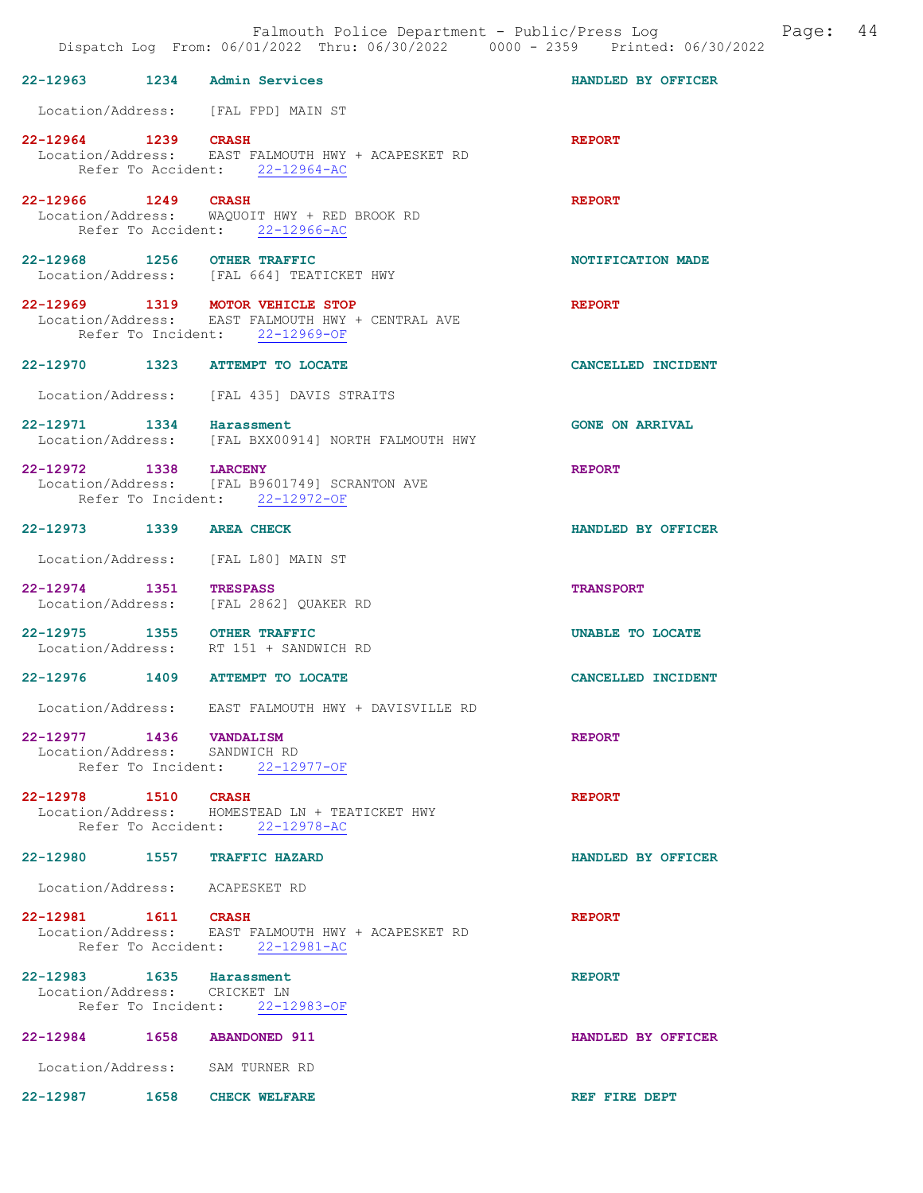| 22-12963 1234 Admin Services                             |                                                                                                                         | HANDLED BY OFFICER     |
|----------------------------------------------------------|-------------------------------------------------------------------------------------------------------------------------|------------------------|
|                                                          | Location/Address: [FAL FPD] MAIN ST                                                                                     |                        |
| 22-12964 1239 CRASH                                      | Location/Address: EAST FALMOUTH HWY + ACAPESKET RD<br>Refer To Accident: 22-12964-AC                                    | <b>REPORT</b>          |
| 22-12966 1249 CRASH                                      | Location/Address: WAQUOIT HWY + RED BROOK RD<br>Refer To Accident: 22-12966-AC                                          | <b>REPORT</b>          |
| 22-12968 1256 OTHER TRAFFIC                              | Location/Address: [FAL 664] TEATICKET HWY                                                                               | NOTIFICATION MADE      |
|                                                          | 22-12969 1319 MOTOR VEHICLE STOP<br>Location/Address: EAST FALMOUTH HWY + CENTRAL AVE<br>Refer To Incident: 22-12969-OF | <b>REPORT</b>          |
|                                                          | 22-12970 1323 ATTEMPT TO LOCATE                                                                                         | CANCELLED INCIDENT     |
|                                                          | Location/Address: [FAL 435] DAVIS STRAITS                                                                               |                        |
| 22-12971 1334 Harassment                                 | Location/Address: [FAL BXX00914] NORTH FALMOUTH HWY                                                                     | <b>GONE ON ARRIVAL</b> |
| 22-12972 1338 LARCENY                                    | Location/Address: [FAL B9601749] SCRANTON AVE<br>Refer To Incident: 22-12972-OF                                         | <b>REPORT</b>          |
| 22-12973 1339 AREA CHECK                                 |                                                                                                                         | HANDLED BY OFFICER     |
|                                                          | Location/Address: [FAL L80] MAIN ST                                                                                     |                        |
| 22-12974 1351                                            | <b>TRESPASS</b><br>Location/Address: [FAL 2862] QUAKER RD                                                               | <b>TRANSPORT</b>       |
| 22-12975 1355 OTHER TRAFFIC                              | Location/Address: RT 151 + SANDWICH RD                                                                                  | UNABLE TO LOCATE       |
|                                                          | 22-12976 1409 ATTEMPT TO LOCATE                                                                                         | CANCELLED INCIDENT     |
|                                                          | Location/Address: EAST FALMOUTH HWY + DAVISVILLE RD                                                                     |                        |
| 22-12977 1436 VANDALISM<br>Location/Address: SANDWICH RD | Refer To Incident: 22-12977-OF                                                                                          | <b>REPORT</b>          |
| 22-12978 1510 CRASH                                      | Location/Address: HOMESTEAD LN + TEATICKET HWY<br>Refer To Accident: 22-12978-AC                                        | <b>REPORT</b>          |
| 22-12980 1557 TRAFFIC HAZARD                             |                                                                                                                         | HANDLED BY OFFICER     |
| Location/Address: ACAPESKET RD                           |                                                                                                                         |                        |
|                                                          | 22-12981   1611   CRASH<br>Location/Address: EAST FALMOUTH HWY + ACAPESKET RD<br>Refer To Accident: 22-12981-AC         | <b>REPORT</b>          |
| 22-12983 1635 Harassment<br>Location/Address: CRICKET LN | Refer To Incident: 22-12983-OF                                                                                          | <b>REPORT</b>          |
| 22-12984 1658 ABANDONED 911                              |                                                                                                                         | HANDLED BY OFFICER     |
|                                                          | Location/Address: SAM TURNER RD                                                                                         |                        |

22-12987 1658 CHECK WELFARE **REF** FIRE DEPT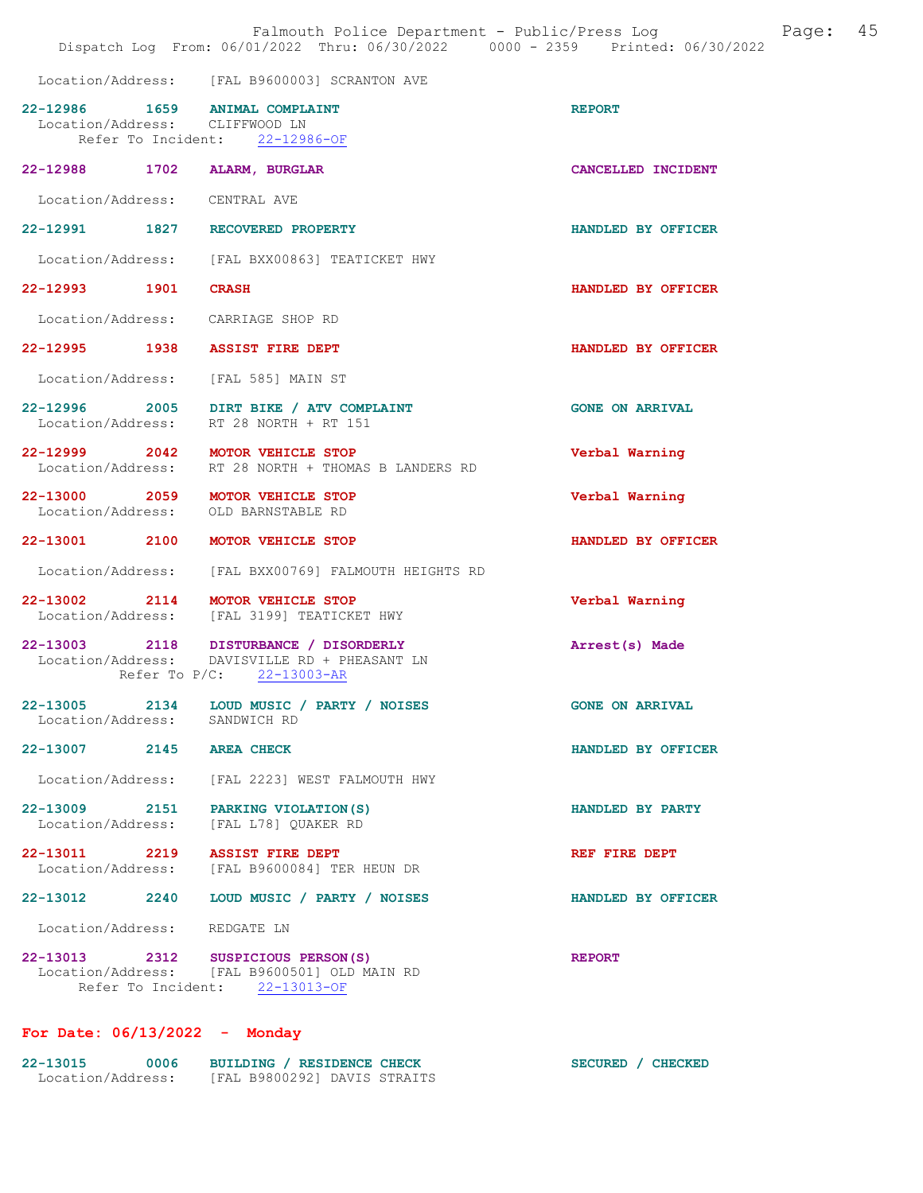Location/Address: [FAL B9600003] SCRANTON AVE

|                                | LOCATION/AQQTESS: [FAL B9600003] SCRANTON AVE                                                                        |                        |
|--------------------------------|----------------------------------------------------------------------------------------------------------------------|------------------------|
| Location/Address: CLIFFWOOD LN | 22-12986 1659 ANIMAL COMPLAINT<br>Refer To Incident: 22-12986-OF                                                     | <b>REPORT</b>          |
|                                | 22-12988 1702 ALARM, BURGLAR                                                                                         | CANCELLED INCIDENT     |
| Location/Address: CENTRAL AVE  |                                                                                                                      |                        |
|                                | 22-12991 1827 RECOVERED PROPERTY                                                                                     | HANDLED BY OFFICER     |
|                                | Location/Address: [FAL BXX00863] TEATICKET HWY                                                                       |                        |
| 22-12993 1901 CRASH            |                                                                                                                      | HANDLED BY OFFICER     |
|                                | Location/Address: CARRIAGE SHOP RD                                                                                   |                        |
|                                | 22-12995 1938 ASSIST FIRE DEPT                                                                                       | HANDLED BY OFFICER     |
|                                | Location/Address: [FAL 585] MAIN ST                                                                                  |                        |
|                                | 22-12996 2005 DIRT BIKE / ATV COMPLAINT<br>Location/Address: RT 28 NORTH + RT 151                                    | <b>GONE ON ARRIVAL</b> |
|                                | 22-12999 2042 MOTOR VEHICLE STOP<br>Location/Address: RT 28 NORTH + THOMAS B LANDERS RD                              | Verbal Warning         |
|                                | 22-13000 2059 MOTOR VEHICLE STOP<br>Location/Address: OLD BARNSTABLE RD                                              | Verbal Warning         |
|                                | 22-13001 2100 MOTOR VEHICLE STOP                                                                                     | HANDLED BY OFFICER     |
|                                | Location/Address: [FAL BXX00769] FALMOUTH HEIGHTS RD                                                                 |                        |
|                                | 22-13002 2114 MOTOR VEHICLE STOP<br>Location/Address: [FAL 3199] TEATICKET HWY                                       | Verbal Warning         |
|                                | 22-13003 2118 DISTURBANCE / DISORDERLY<br>Location/Address: DAVISVILLE RD + PHEASANT LN<br>Refer To P/C: 22-13003-AR | Arrest(s) Made         |
| Location/Address: SANDWICH RD  | 22-13005 2134 LOUD MUSIC / PARTY / NOISES                                                                            | <b>GONE ON ARRIVAL</b> |
| 22-13007 2145 AREA CHECK       |                                                                                                                      | HANDLED BY OFFICER     |
|                                | Location/Address: [FAL 2223] WEST FALMOUTH HWY                                                                       |                        |
|                                | 22-13009 2151 PARKING VIOLATION(S)<br>Location/Address: [FAL L78] QUAKER RD                                          | HANDLED BY PARTY       |
|                                | 22-13011 2219 ASSIST FIRE DEPT<br>Location/Address: [FAL B9600084] TER HEUN DR                                       | REF FIRE DEPT          |
|                                | 22-13012 2240 LOUD MUSIC / PARTY / NOISES                                                                            | HANDLED BY OFFICER     |
| Location/Address: REDGATE LN   |                                                                                                                      |                        |
|                                | 22-13013 2312 SUSPICIOUS PERSON(S)<br>Location/Address: [FAL B9600501] OLD MAIN RD<br>Refer To Incident: 22-13013-OF | <b>REPORT</b>          |
|                                |                                                                                                                      |                        |

### For Date: 06/13/2022 - Monday

| 22-13015          | 0006 |  | BUILDING / RESIDENCE CHECK |                              |
|-------------------|------|--|----------------------------|------------------------------|
| Location/Address: |      |  |                            | [FAL B9800292] DAVIS STRAITS |

SECURED / CHECKED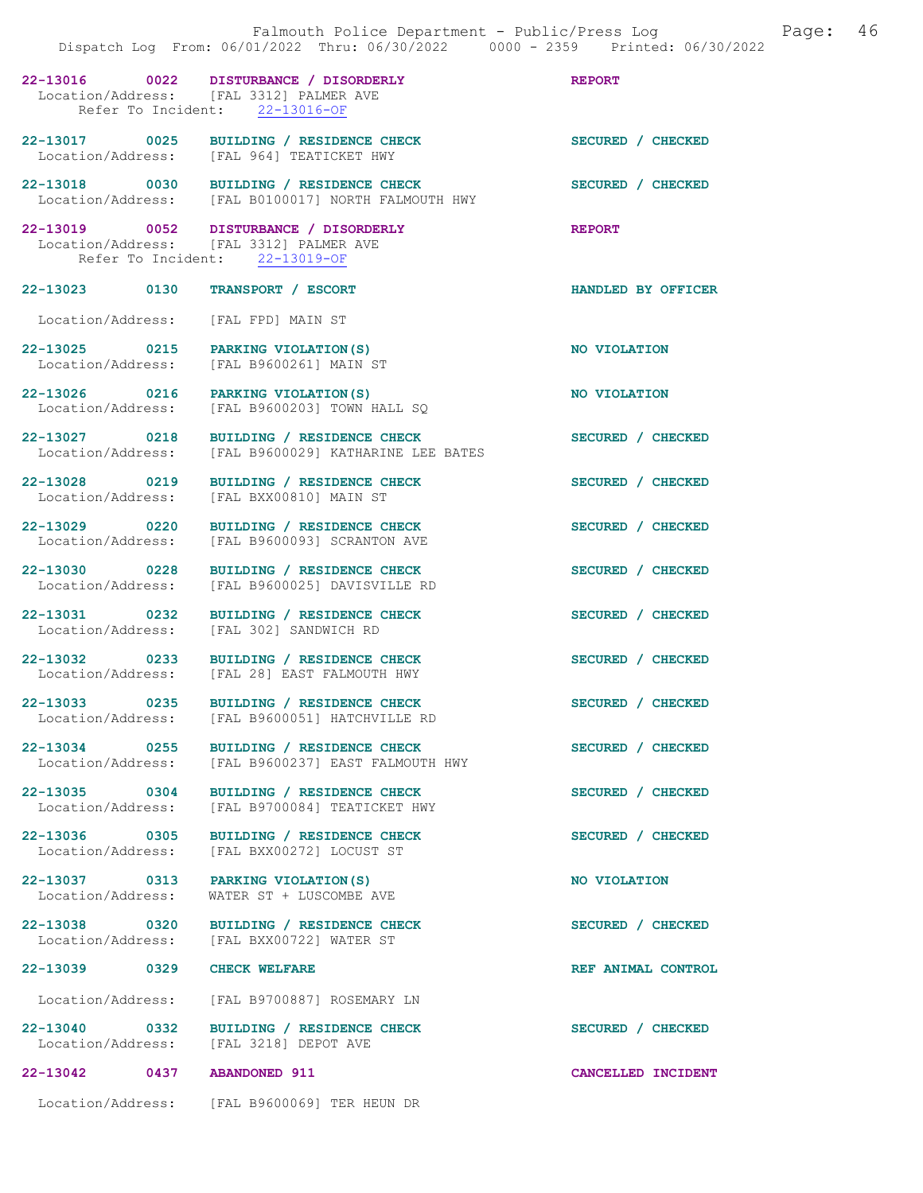|                                    | 22-13016 0022 DISTURBANCE / DISORDERLY<br>Location/Address: [FAL 3312] PALMER AVE<br>Refer To Incident: 22-13016-OF | <b>REPORT</b>      |
|------------------------------------|---------------------------------------------------------------------------------------------------------------------|--------------------|
|                                    | 22-13017 0025 BUILDING / RESIDENCE CHECK<br>Location/Address: [FAL 964] TEATICKET HWY                               | SECURED / CHECKED  |
| 22-13018 0030                      | BUILDING / RESIDENCE CHECK<br>Location/Address: [FAL B0100017] NORTH FALMOUTH HWY                                   | SECURED / CHECKED  |
|                                    | 22-13019 0052 DISTURBANCE / DISORDERLY<br>Location/Address: [FAL 3312] PALMER AVE<br>Refer To Incident: 22-13019-OF | <b>REPORT</b>      |
| 22-13023 0130                      | TRANSPORT / ESCORT                                                                                                  | HANDLED BY OFFICER |
|                                    | Location/Address: [FAL FPD] MAIN ST                                                                                 |                    |
| 22-13025 0215<br>Location/Address: | PARKING VIOLATION (S)<br>[FAL B9600261] MAIN ST                                                                     | NO VIOLATION       |
| 22-13026 0216<br>Location/Address: | PARKING VIOLATION (S)<br>[FAL B9600203] TOWN HALL SQ                                                                | NO VIOLATION       |
| 22-13027 0218<br>Location/Address: | BUILDING / RESIDENCE CHECK<br>[FAL B9600029] KATHARINE LEE BATES                                                    | SECURED / CHECKED  |
| 22-13028 0219<br>Location/Address: | BUILDING / RESIDENCE CHECK<br>[FAL BXX00810] MAIN ST                                                                | SECURED / CHECKED  |
| 22-13029 0220<br>Location/Address: | BUILDING / RESIDENCE CHECK<br>[FAL B9600093] SCRANTON AVE                                                           | SECURED / CHECKED  |
| 22-13030 0228<br>Location/Address: | BUILDING / RESIDENCE CHECK<br>[FAL B9600025] DAVISVILLE RD                                                          | SECURED / CHECKED  |
| 22-13031 0232<br>Location/Address: | BUILDING / RESIDENCE CHECK<br>[FAL 302] SANDWICH RD                                                                 | SECURED / CHECKED  |
| 22-13032 0233<br>Location/Address: | BUILDING / RESIDENCE CHECK<br>[FAL 28] EAST FALMOUTH HWY                                                            | SECURED / CHECKED  |
| 22-13033 0235                      | BUILDING / RESIDENCE CHECK<br>Location/Address: [FAL B9600051] HATCHVILLE RD                                        | SECURED / CHECKED  |
| 22-13034 0255                      | BUILDING / RESIDENCE CHECK<br>Location/Address: [FAL B9600237] EAST FALMOUTH HWY                                    | SECURED / CHECKED  |
| 22-13035 0304                      | BUILDING / RESIDENCE CHECK<br>Location/Address: [FAL B9700084] TEATICKET HWY                                        | SECURED / CHECKED  |
| 22-13036 0305                      | BUILDING / RESIDENCE CHECK<br>Location/Address: [FAL BXX00272] LOCUST ST                                            | SECURED / CHECKED  |
| Location/Address:                  | 22-13037 0313 PARKING VIOLATION(S)<br>WATER ST + LUSCOMBE AVE                                                       | NO VIOLATION       |
| 22-13038 0320                      | BUILDING / RESIDENCE CHECK<br>Location/Address: [FAL BXX00722] WATER ST                                             | SECURED / CHECKED  |
| 22-13039 0329 CHECK WELFARE        |                                                                                                                     | REF ANIMAL CONTROL |
|                                    | Location/Address: [FAL B9700887] ROSEMARY LN                                                                        |                    |
| 22-13040 0332                      | BUILDING / RESIDENCE CHECK<br>Location/Address: [FAL 3218] DEPOT AVE                                                | SECURED / CHECKED  |
| 22-13042 0437 ABANDONED 911        |                                                                                                                     | CANCELLED INCIDENT |
|                                    | Location/Address: [FAL B9600069] TER HEUN DR                                                                        |                    |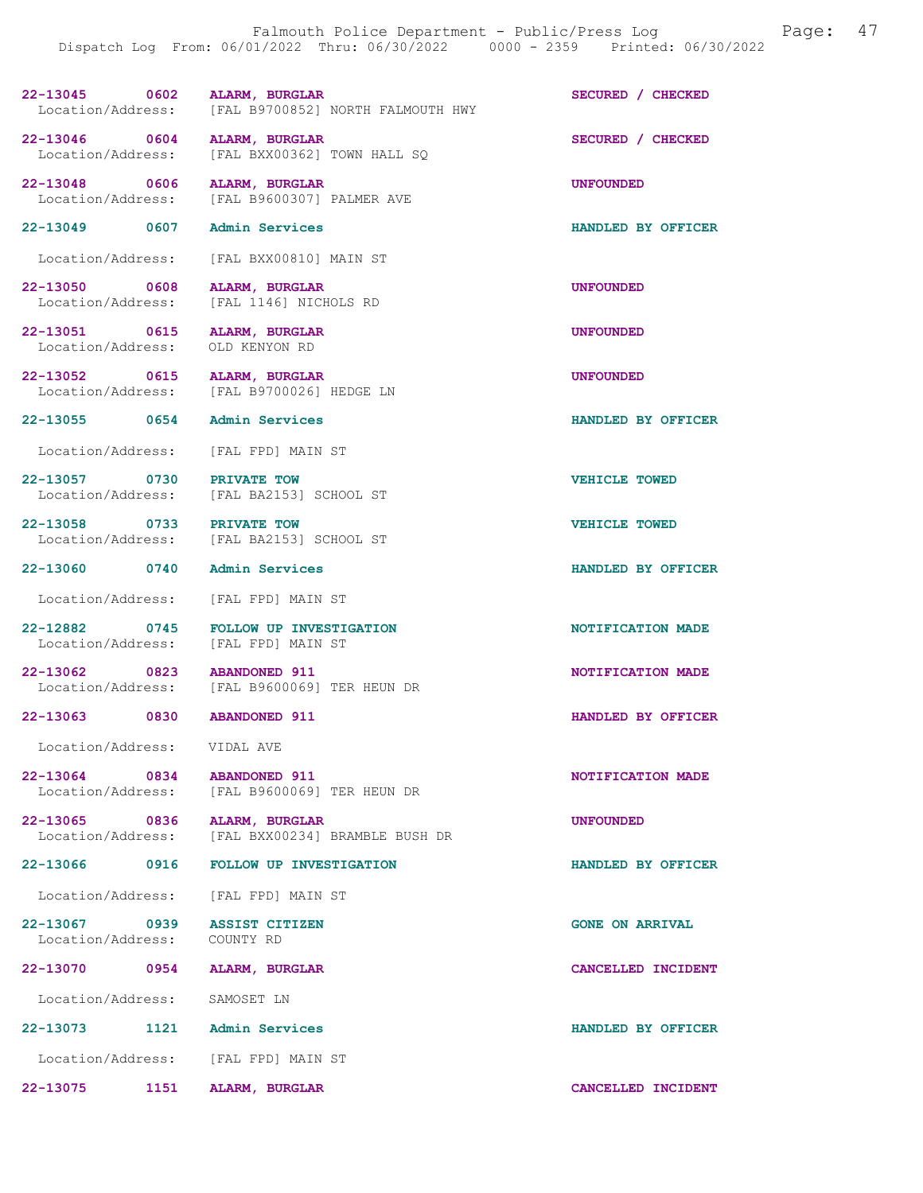| 22-13045          |  | 0602 ALARM, BURGLAR |                                   | SECURED / CHECKED |  |
|-------------------|--|---------------------|-----------------------------------|-------------------|--|
| Location/Address: |  |                     | [FAL B9700852] NORTH FALMOUTH HWY |                   |  |

[FAL B9600307] PALMER AVE

22-13046 0604 ALARM, BURGLAR SECURED / CHECKED<br>Location/Address: [FAL BXX00362] TOWN HALL SO Location/Address: [FAL BXX00362] TOWN HALL SQ

22-13048 0606 ALARM, BURGLAR UNE HOCALION UNFOUNDED<br>
Location/Address: [FAL B9600307] PALMER AVE

22-13049 0607 Admin Services HANDLED BY OFFICER

Location/Address: [FAL BXX00810] MAIN ST

22-13050 0608 ALARM, BURGLAR UNFOUNDED Location/Address: [FAL 1146] NICHOLS RD

22-13051 0615 ALARM, BURGLAR UNFOUNDED<br>
Location/Address: OLD KENYON RD Location/Address:

22-13052 0615 ALARM, BURGLAR UNE UNFOUNDED<br>Location/Address: [FAL B9700026] HEDGE LN [FAL B9700026] HEDGE LN

[FAL BA2153] SCHOOL ST

[FAL BA2153] SCHOOL ST

[FAL B9600069] TER HEUN DR

[FAL BXX00234] BRAMBLE BUSH DR

Location/Address: [FAL FPD] MAIN ST

22-13057 0730 PRIVATE TOW CHOOL ST VEHICLE TOWED Location/Address: [FAL BA2153] SCHOOL ST

22-13058 0733 PRIVATE TOW VEHICLE TOWED<br>
Location/Address: [FAL BA2153] SCHOOL ST

Location/Address: [FAL FPD] MAIN ST

22-12882 0745 FOLLOW UP INVESTIGATION NEWSLATION NOTIFICATION MADE<br>
Location/Address: [FAL FPD] MAIN ST Location/Address:

22-13062 0823 ABANDONED 911<br>
Location/Address: [FAL B9600069] TER HEUN DR<br>
NOTIFICATION MADE [FAL B9600069] TER HEUN DR

Location/Address: VIDAL AVE

22-13064 0834 ABANDONED 911<br>
Location/Address: [FAL B9600069] TER HEUN DR<br>
NOTIFICATION MADE

22-13065 0836 ALARM, BURGLAR<br>Location/Address: [FAL BXX00234] BRAMBLE BUSH DR

Location/Address: [FAL FPD] MAIN ST

22-13067 0939 ASSIST CITIZEN GONE ON ARRIVAL Location/Address: COUNTY RD

22-13070 0954 ALARM, BURGLAR CANCELLED INCIDENT

Location/Address: SAMOSET LN

22-13073 1121 Admin Services HANDLED BY OFFICER Location/Address: [FAL FPD] MAIN ST

22-13075 1151 ALARM, BURGLAR CANCELLED INCIDENT

22-13055 0654 Admin Services HANDLED BY OFFICER

22-13060 0740 Admin Services HANDLED BY OFFICER

22-13063 0830 ABANDONED 911 **HANDLED BY OFFICER** 

22-13066 0916 FOLLOW UP INVESTIGATION HANDLED BY OFFICER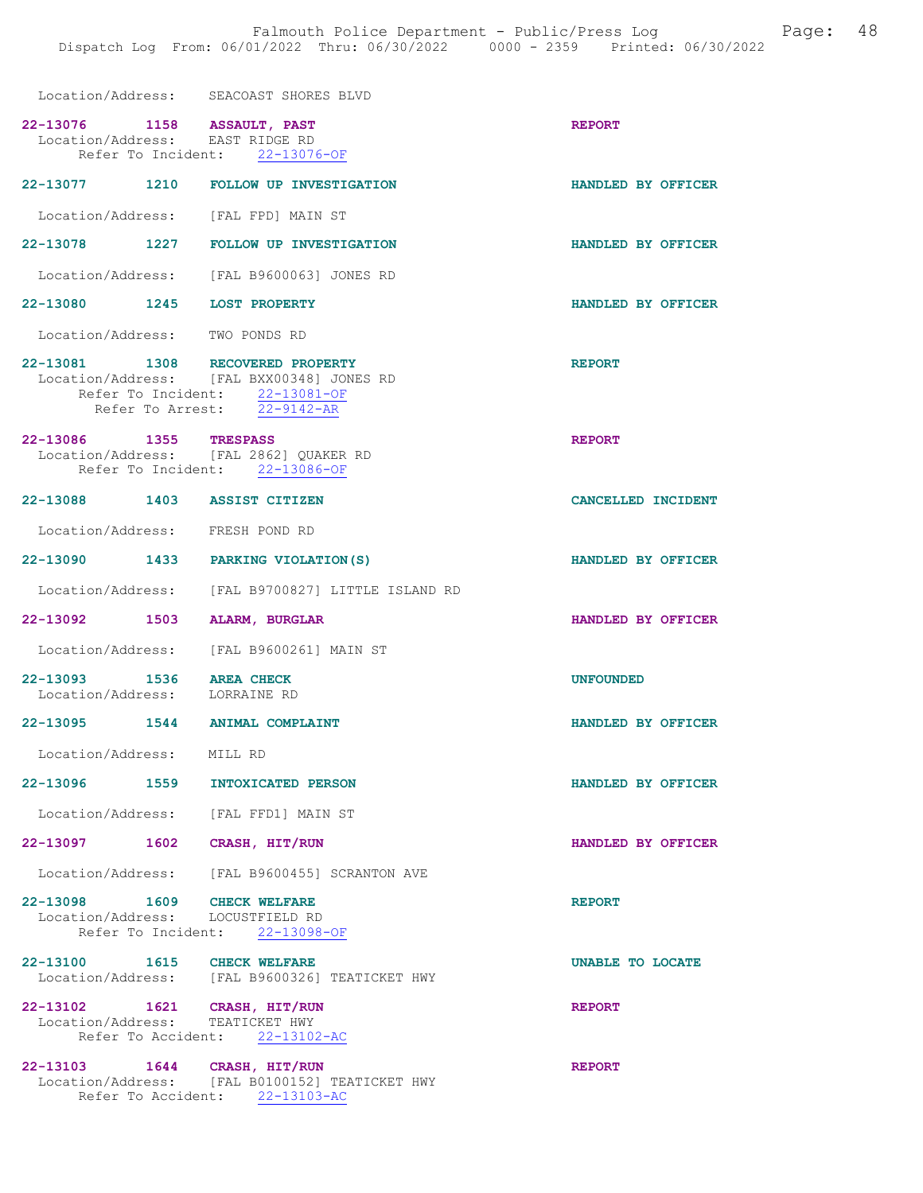| Location/Address: | SEACOAST SHORES BLVD |  |  |
|-------------------|----------------------|--|--|
|                   |                      |  |  |

| Location/Address: EAST RIDGE RD                                 | 22-13076 1158 ASSAULT, PAST<br>Refer To Incident: 22-13076-OF                                              | <b>REPORT</b>      |
|-----------------------------------------------------------------|------------------------------------------------------------------------------------------------------------|--------------------|
|                                                                 | 22-13077 1210 FOLLOW UP INVESTIGATION                                                                      | HANDLED BY OFFICER |
| Location/Address: [FAL FPD] MAIN ST                             |                                                                                                            |                    |
|                                                                 | 22-13078 1227 FOLLOW UP INVESTIGATION                                                                      | HANDLED BY OFFICER |
|                                                                 | Location/Address: [FAL B9600063] JONES RD                                                                  |                    |
| 22-13080 1245 LOST PROPERTY                                     |                                                                                                            | HANDLED BY OFFICER |
| Location/Address: TWO PONDS RD                                  |                                                                                                            |                    |
| 22-13081 1308 RECOVERED PROPERTY                                | Location/Address: [FAL BXX00348] JONES RD<br>Refer To Incident: 22-13081-OF<br>Refer To Arrest: 22-9142-AR | <b>REPORT</b>      |
| 22-13086 1355 TRESPASS                                          | Location/Address: [FAL 2862] QUAKER RD<br>Refer To Incident: 22-13086-OF                                   | <b>REPORT</b>      |
| 22-13088 1403 ASSIST CITIZEN                                    |                                                                                                            | CANCELLED INCIDENT |
| Location/Address: FRESH POND RD                                 |                                                                                                            |                    |
|                                                                 | 22-13090 1433 PARKING VIOLATION (S)                                                                        | HANDLED BY OFFICER |
|                                                                 | Location/Address: [FAL B9700827] LITTLE ISLAND RD                                                          |                    |
| 22-13092 1503 ALARM, BURGLAR                                    |                                                                                                            | HANDLED BY OFFICER |
|                                                                 | Location/Address: [FAL B9600261] MAIN ST                                                                   |                    |
| 22-13093 1536 AREA CHECK<br>Location/Address: LORRAINE RD       |                                                                                                            | <b>UNFOUNDED</b>   |
|                                                                 |                                                                                                            |                    |
| 22-13095 1544 ANIMAL COMPLAINT                                  |                                                                                                            | HANDLED BY OFFICER |
| Location/Address: MILL RD                                       |                                                                                                            |                    |
| 22-13096<br>1559                                                | INTOXICATED PERSON                                                                                         | HANDLED BY OFFICER |
| Location/Address: [FAL FFD1] MAIN ST                            |                                                                                                            |                    |
| 22-13097 1602                                                   | CRASH, HIT/RUN                                                                                             | HANDLED BY OFFICER |
|                                                                 | Location/Address: [FAL B9600455] SCRANTON AVE                                                              |                    |
| 22-13098 1609 CHECK WELFARE<br>Location/Address: LOCUSTFIELD RD | Refer To Incident: 22-13098-OF                                                                             | <b>REPORT</b>      |
| 22-13100 1615 CHECK WELFARE                                     | Location/Address: [FAL B9600326] TEATICKET HWY                                                             | UNABLE TO LOCATE   |
| 22-13102 1621 CRASH, HIT/RUN<br>Location/Address: TEATICKET HWY | Refer To Accident: 22-13102-AC                                                                             | <b>REPORT</b>      |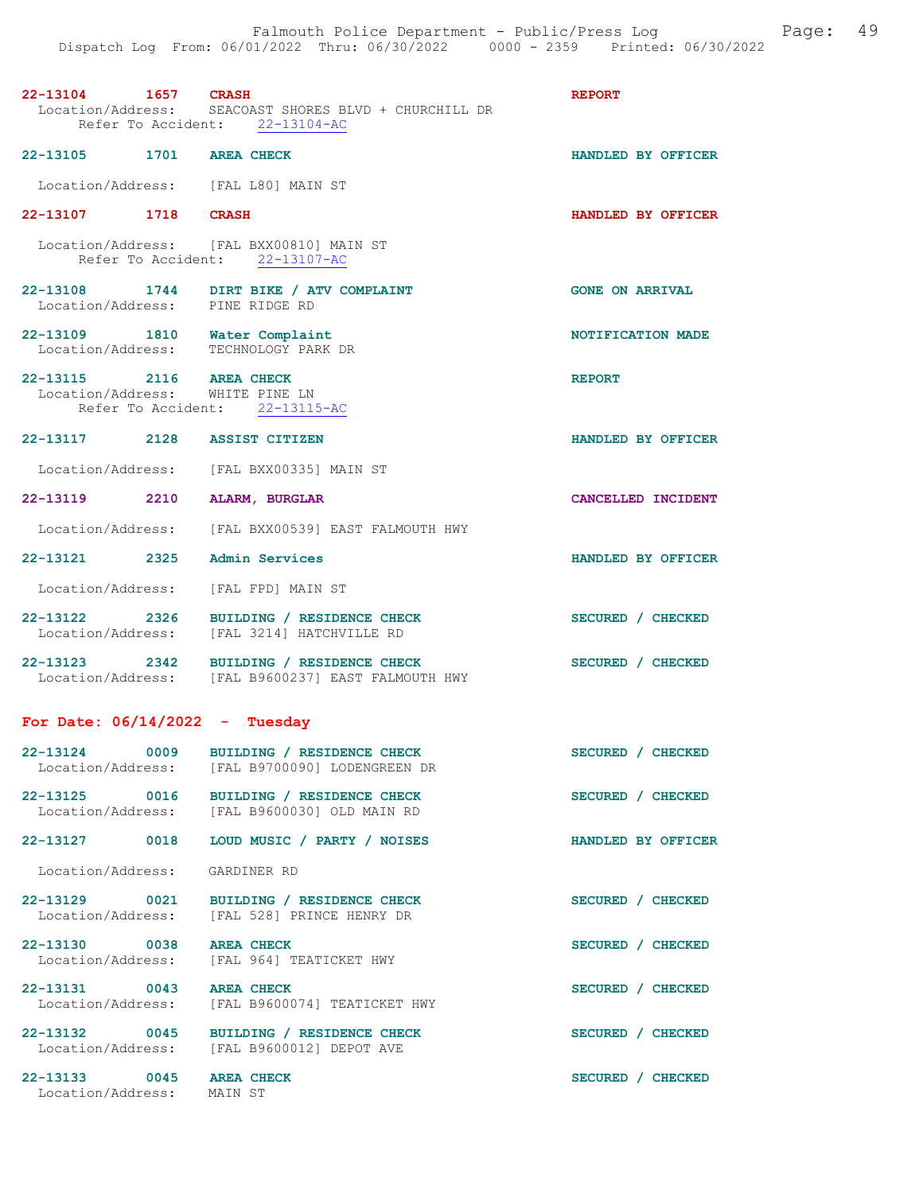| 22-13104 1657 CRASH                                                   | Location/Address: SEACOAST SHORES BLVD + CHURCHILL DR<br>Refer To Accident: 22-13104-AC        | <b>REPORT</b>          |
|-----------------------------------------------------------------------|------------------------------------------------------------------------------------------------|------------------------|
| 22-13105 1701 AREA CHECK                                              |                                                                                                | HANDLED BY OFFICER     |
| Location/Address: [FAL L80] MAIN ST                                   |                                                                                                |                        |
| 22-13107 1718 CRASH                                                   |                                                                                                | HANDLED BY OFFICER     |
|                                                                       | Location/Address: [FAL BXX00810] MAIN ST<br>Refer To Accident: 22-13107-AC                     |                        |
|                                                                       | 22-13108 1744 DIRT BIKE / ATV COMPLAINT<br>Location/Address: PINE RIDGE RD                     | <b>GONE ON ARRIVAL</b> |
| 22-13109 1810 Water Complaint<br>Location/Address: TECHNOLOGY PARK DR |                                                                                                | NOTIFICATION MADE      |
| 22-13115 2116 AREA CHECK<br>Location/Address: WHITE PINE LN           | Refer To Accident: 22-13115-AC                                                                 | <b>REPORT</b>          |
| 22-13117 2128 ASSIST CITIZEN                                          |                                                                                                | HANDLED BY OFFICER     |
|                                                                       | Location/Address: [FAL BXX00335] MAIN ST                                                       |                        |
| 22-13119 2210 ALARM, BURGLAR                                          |                                                                                                | CANCELLED INCIDENT     |
|                                                                       | Location/Address: [FAL BXX00539] EAST FALMOUTH HWY                                             |                        |
| 22-13121 2325 Admin Services                                          |                                                                                                | HANDLED BY OFFICER     |
| Location/Address: [FAL FPD] MAIN ST                                   |                                                                                                |                        |
|                                                                       | 22-13122 2326 BUILDING / RESIDENCE CHECK<br>Location/Address: [FAL 3214] HATCHVILLE RD         | SECURED / CHECKED      |
|                                                                       | 22-13123 2342 BUILDING / RESIDENCE CHECK<br>Location/Address: [FAL B9600237] EAST FALMOUTH HWY | SECURED / CHECKED      |
| For Date: $06/14/2022 - Tuesday$                                      |                                                                                                |                        |
|                                                                       | 22-13124 0009 BUILDING / RESIDENCE CHECK<br>Location/Address: [FAL B9700090] LODENGREEN DR     | SECURED / CHECKED      |
|                                                                       | 22-13125 0016 BUILDING / RESIDENCE CHECK<br>Location/Address: [FAL B9600030] OLD MAIN RD       | SECURED / CHECKED      |
| 22-13127 0018                                                         | LOUD MUSIC / PARTY / NOISES                                                                    | HANDLED BY OFFICER     |
| Location/Address: GARDINER RD                                         |                                                                                                |                        |
|                                                                       | 22-13129 0021 BUILDING / RESIDENCE CHECK<br>Location/Address: [FAL 528] PRINCE HENRY DR        | SECURED / CHECKED      |
| 22-13130 0038 AREA CHECK                                              | Location/Address: [FAL 964] TEATICKET HWY                                                      | SECURED / CHECKED      |
| 22-13131 0043 AREA CHECK<br>Location/Address:                         | [FAL B9600074] TEATICKET HWY                                                                   | SECURED / CHECKED      |
|                                                                       | 22-13132 0045 BUILDING / RESIDENCE CHECK<br>Location/Address: [FAL B9600012] DEPOT AVE         | SECURED / CHECKED      |
| 22-13133 0045 AREA CHECK<br>Location/Address:                         | MAIN ST                                                                                        | SECURED / CHECKED      |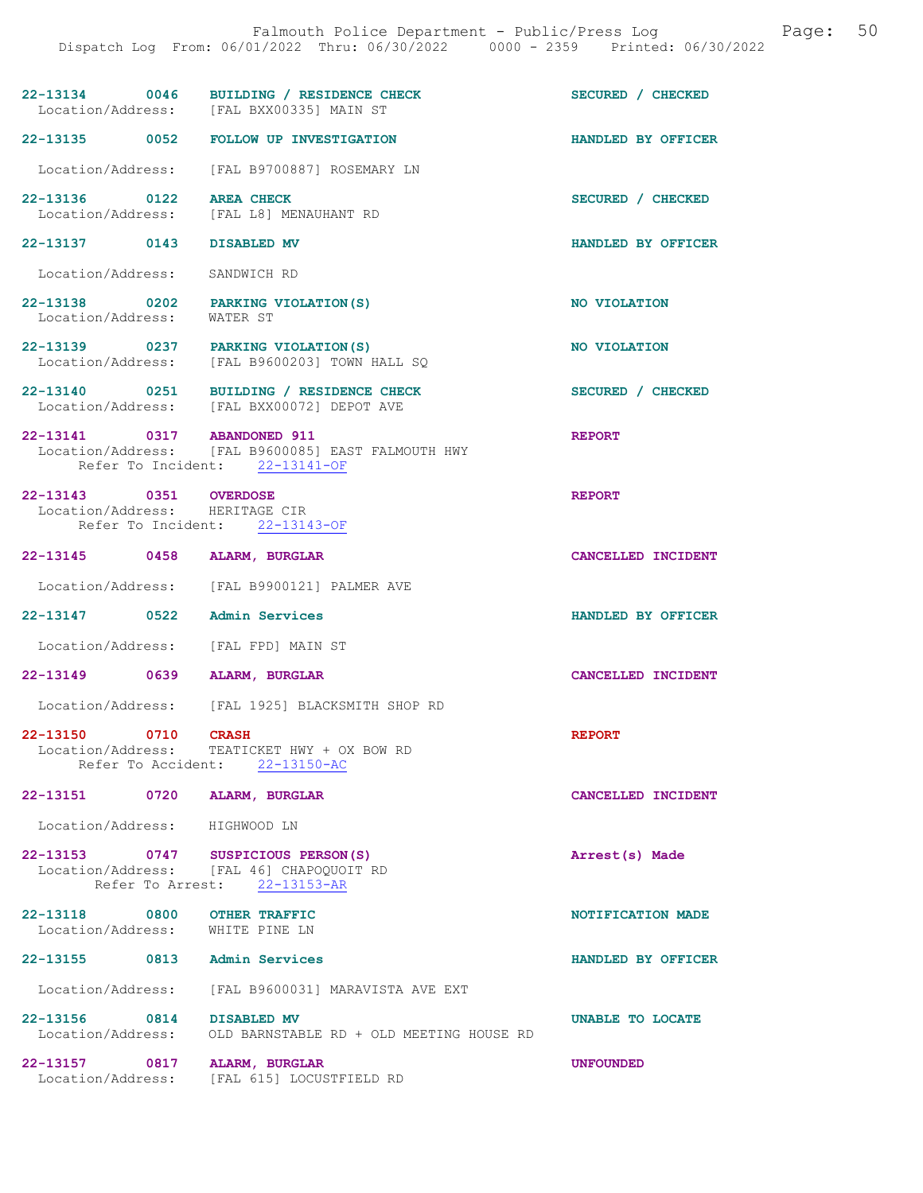| 22-13134          | 0046 | BUILDING / RESIDENCE CHECK | SECURED / CHECKED |
|-------------------|------|----------------------------|-------------------|
| Location/Address: |      | [FAL BXX00335] MAIN ST     |                   |

22-13135 0052 FOLLOW UP INVESTIGATION HANDLED BY OFFICER

- Location/Address: [FAL B9700887] ROSEMARY LN
- 22-13136 0122 AREA CHECK SECURED / CHECKED<br>
Location/Address: [FAL L8] MENAUHANT RD Location/Address: [FAL L8] MENAUHANT RD

22-13137 0143 DISABLED MV HANDLED BY OFFICER

Location/Address: SANDWICH RD

- 22-13138 0202 PARKING VIOLATION(S) NO VIOLATION Location/Address: WATER ST
- 22-13139 0237 PARKING VIOLATION(S) NO VIOLATION Location/Address: [FAL B9600203] TOWN HALL SQ
- 22-13140 0251 BUILDING / RESIDENCE CHECK SECURED / CHECKED Location/Address: [FAL BXX00072] DEPOT AVE
- 22-13141 0317 ABANDONED 911 REPORT Location/Address: [FAL B9600085] EAST FALMOUTH HWY Refer To Incident: 22-13141-OF

22-13143 0351 OVERDOSE REPORT REPORT Location/Address: HERITAGE CIR Location/Address: Refer To Incident: 22-13143-OF

- 22-13145 0458 ALARM, BURGLAR CANCELLED INCIDENT
- Location/Address: [FAL B9900121] PALMER AVE

22-13147 0522 Admin Services HANDLED BY OFFICER

- Location/Address: [FAL FPD] MAIN ST
- 22-13149 0639 ALARM, BURGLAR CANCELLED INCIDENT
- Location/Address: [FAL 1925] BLACKSMITH SHOP RD

#### 22-13150 0710 CRASH REPORT

 Location/Address: TEATICKET HWY + OX BOW RD Refer To Accident: 22-13150-AC

#### 22-13151 0720 ALARM, BURGLAR CANCELLED INCIDENT

Location/Address: HIGHWOOD LN

#### 22-13153 0747 SUSPICIOUS PERSON(S) Arrest(s) Made Location/Address: [FAL 46] CHAPOQUOIT RD Refer To Arrest: 22-13153-AR

22-13118 0800 OTHER TRAFFIC **1200 COMPOSITY CONTROL** 22-13118 NOTIFICATION MADE Location/Address: WHITE PINE LN

### 22-13155 0813 Admin Services HANDLED BY OFFICER

Location/Address: [FAL B9600031] MARAVISTA AVE EXT

22-13156 0814 DISABLED MV UNABLE TO LOCATE<br>
Location/Address: OLD BARNSTABLE RD + OLD MEETING HOUSE RD OLD BARNSTABLE RD + OLD MEETING HOUSE RD

22-13157 0817 ALARM, BURGLAR UNFOUNDED

Location/Address: [FAL 615] LOCUSTFIELD RD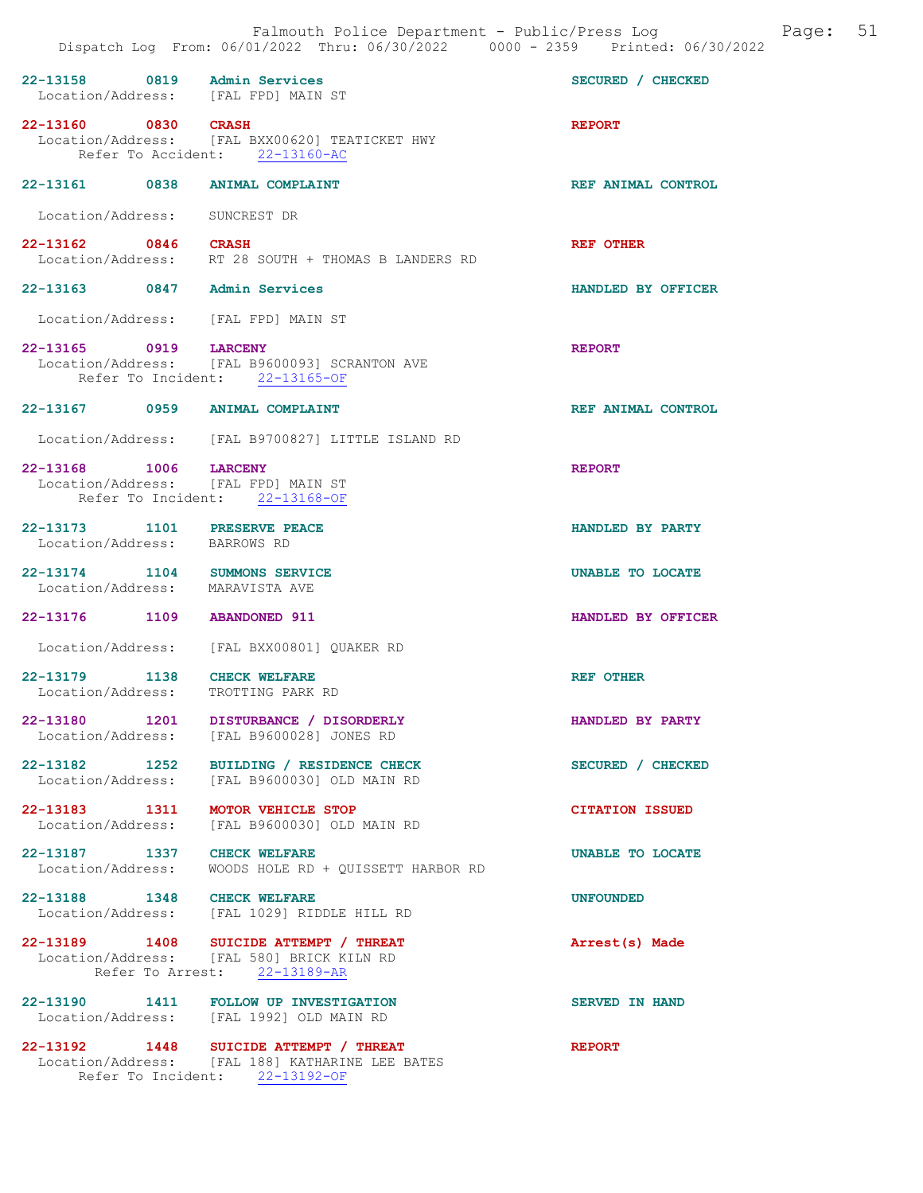|                                           | Falmouth Police Department - Public/Press Log<br>Dispatch Log From: 06/01/2022 Thru: 06/30/2022 0000 - 2359 Printed: 06/30/2022 | Page: 51               |
|-------------------------------------------|---------------------------------------------------------------------------------------------------------------------------------|------------------------|
| 22-13158 0819                             | Admin Services<br>Location/Address: [FAL FPD] MAIN ST                                                                           | SECURED / CHECKED      |
| 22-13160 0830<br>Location/Address:        | <b>CRASH</b><br>[FAL BXX00620] TEATICKET HWY<br>Refer To Accident: 22-13160-AC                                                  | <b>REPORT</b>          |
| 22-13161                                  | 0838<br><b>ANIMAL COMPLAINT</b>                                                                                                 | REF ANIMAL CONTROL     |
| Location/Address:                         | SUNCREST DR                                                                                                                     |                        |
| 22-13162 0846                             | <b>CRASH</b><br>Location/Address: RT 28 SOUTH + THOMAS B LANDERS RD                                                             | <b>REF OTHER</b>       |
| 22-13163 0847                             | Admin Services                                                                                                                  | HANDLED BY OFFICER     |
|                                           | Location/Address: [FAL FPD] MAIN ST                                                                                             |                        |
| 22-13165 0919                             | <b>LARCENY</b><br>Location/Address: [FAL B9600093] SCRANTON AVE<br>Refer To Incident: 22-13165-OF                               | <b>REPORT</b>          |
| $22 - 13167$                              | 0959 ANIMAL COMPLAINT                                                                                                           | REF ANIMAL CONTROL     |
|                                           | Location/Address: [FAL B9700827] LITTLE ISLAND RD                                                                               |                        |
| 22-13168<br>1006<br>Location/Address:     | <b>LARCENY</b><br>[FAL FPD] MAIN ST<br>Refer To Incident: 22-13168-OF                                                           | <b>REPORT</b>          |
| 22-13173                                  | 1101 PRESERVE PEACE<br>Location/Address: BARROWS RD                                                                             | HANDLED BY PARTY       |
| $22 - 13174$<br>1104<br>Location/Address: | SUMMONS SERVICE<br>MARAVISTA AVE                                                                                                | UNABLE TO LOCATE       |
| 22-13176                                  | 1109<br><b>ABANDONED 911</b>                                                                                                    | HANDLED BY OFFICER     |
| Location/Address:                         | [FAL BXX00801] OUAKER RD                                                                                                        |                        |
| 22-13179<br>Location/Address:             | 1138<br><b>CHECK WELFARE</b><br>TROTTING PARK RD                                                                                | <b>REF OTHER</b>       |
| 22-13180 1201<br>Location/Address:        | DISTURBANCE / DISORDERLY<br>[FAL B9600028] JONES RD                                                                             | HANDLED BY PARTY       |
| 22-13182 1252<br>Location/Address:        | BUILDING / RESIDENCE CHECK<br>[FAL B9600030] OLD MAIN RD                                                                        | SECURED / CHECKED      |
| 22-13183 1311<br>Location/Address:        | MOTOR VEHICLE STOP<br>[FAL B96000301 OLD MAIN RD                                                                                | <b>CITATION ISSUED</b> |
| 22-13187 1337<br>Location/Address:        | <b>CHECK WELFARE</b><br>WOODS HOLE RD + OUISSETT HARBOR RD                                                                      | UNABLE TO LOCATE       |
| 22-13188 1348<br>Location/Address:        | <b>CHECK WELFARE</b><br>[FAL 1029] RIDDLE HILL RD                                                                               | <b>UNFOUNDED</b>       |
|                                           | 22-13189 1408 SUICIDE ATTEMPT / THREAT<br>Location/Address: [FAL 580] BRICK KILN RD<br>Refer To Arrest: 22-13189-AR             | Arrest(s) Made         |
| 22-13190 1411<br>Location/Address:        | FOLLOW UP INVESTIGATION<br>[FAL 1992] OLD MAIN RD                                                                               | <b>SERVED IN HAND</b>  |

22-13192 1448 SUICIDE ATTEMPT / THREAT REPORT Location/Address: [FAL 188] KATHARINE LEE BATES Refer To Incident: 22-13192-OF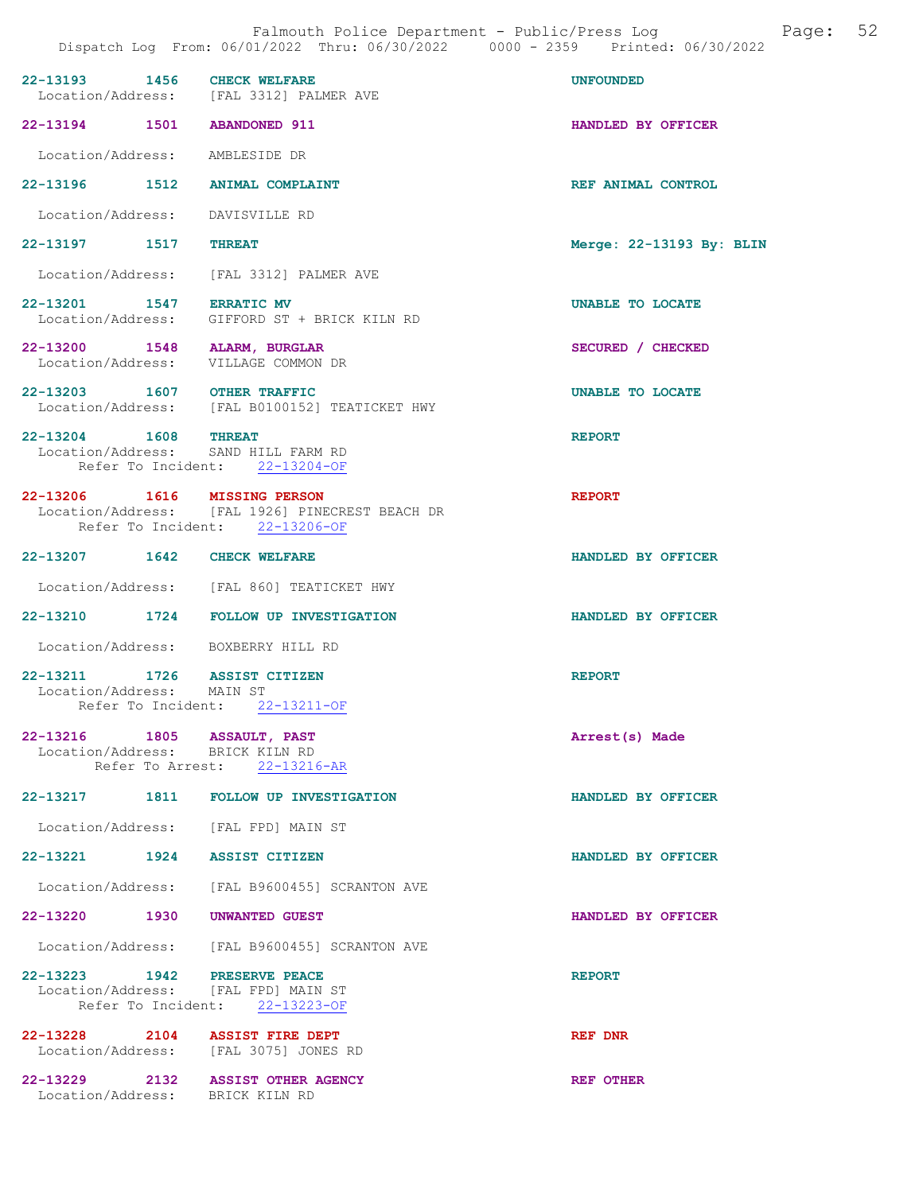| 22-13193 1456 CHECK WELFARE                                    | Location/Address: [FAL 3312] PALMER AVE                                                                           | <b>UNFOUNDED</b>         |
|----------------------------------------------------------------|-------------------------------------------------------------------------------------------------------------------|--------------------------|
| 22-13194 1501 ABANDONED 911                                    |                                                                                                                   | HANDLED BY OFFICER       |
| Location/Address: AMBLESIDE DR                                 |                                                                                                                   |                          |
|                                                                | 22-13196 1512 ANIMAL COMPLAINT                                                                                    | REF ANIMAL CONTROL       |
| Location/Address: DAVISVILLE RD                                |                                                                                                                   |                          |
| 22-13197 1517 THREAT                                           |                                                                                                                   | Merge: 22-13193 By: BLIN |
|                                                                | Location/Address: [FAL 3312] PALMER AVE                                                                           |                          |
| 22-13201 1547 ERRATIC MV                                       | Location/Address: GIFFORD ST + BRICK KILN RD                                                                      | UNABLE TO LOCATE         |
| 22-13200 1548 ALARM, BURGLAR                                   | Location/Address: VILLAGE COMMON DR                                                                               | SECURED / CHECKED        |
| 22-13203 1607 OTHER TRAFFIC                                    | Location/Address: [FAL B0100152] TEATICKET HWY                                                                    | UNABLE TO LOCATE         |
| 22-13204 1608 THREAT                                           | Location/Address: SAND HILL FARM RD<br>Refer To Incident: 22-13204-OF                                             | <b>REPORT</b>            |
|                                                                | 22-13206 1616 MISSING PERSON<br>Location/Address: [FAL 1926] PINECREST BEACH DR<br>Refer To Incident: 22-13206-OF | <b>REPORT</b>            |
| 22-13207 1642 CHECK WELFARE                                    |                                                                                                                   | HANDLED BY OFFICER       |
|                                                                | Location/Address: [FAL 860] TEATICKET HWY                                                                         |                          |
|                                                                | 22-13210 1724 FOLLOW UP INVESTIGATION                                                                             | HANDLED BY OFFICER       |
|                                                                | Location/Address: BOXBERRY HILL RD                                                                                |                          |
| 22-13211 1726<br>Location/Address: MAIN ST                     | <b>ASSIST CITIZEN</b><br>Refer To Incident: 22-13211-OF                                                           | <b>REPORT</b>            |
|                                                                |                                                                                                                   |                          |
| 22-13216 1805 ASSAULT, PAST<br>Location/Address: BRICK KILN RD | Refer To Arrest: 22-13216-AR                                                                                      | Arrest(s) Made           |
|                                                                | 22-13217 1811 FOLLOW UP INVESTIGATION                                                                             | HANDLED BY OFFICER       |
|                                                                | Location/Address: [FAL FPD] MAIN ST                                                                               |                          |
| 22-13221 1924 ASSIST CITIZEN                                   |                                                                                                                   | HANDLED BY OFFICER       |
|                                                                | Location/Address: [FAL B9600455] SCRANTON AVE                                                                     |                          |
| 22-13220 1930 UNWANTED GUEST                                   |                                                                                                                   | HANDLED BY OFFICER       |
|                                                                | Location/Address: [FAL B9600455] SCRANTON AVE                                                                     |                          |
| 22-13223 1942                                                  | <b>PRESERVE PEACE</b><br>Location/Address: [FAL FPD] MAIN ST<br>Refer To Incident: 22-13223-OF                    | <b>REPORT</b>            |
|                                                                | 22-13228 2104 ASSIST FIRE DEPT<br>Location/Address: [FAL 3075] JONES RD                                           | REF DNR                  |
| Location/Address: BRICK KILN RD                                | 22-13229 2132 ASSIST OTHER AGENCY                                                                                 | REF OTHER                |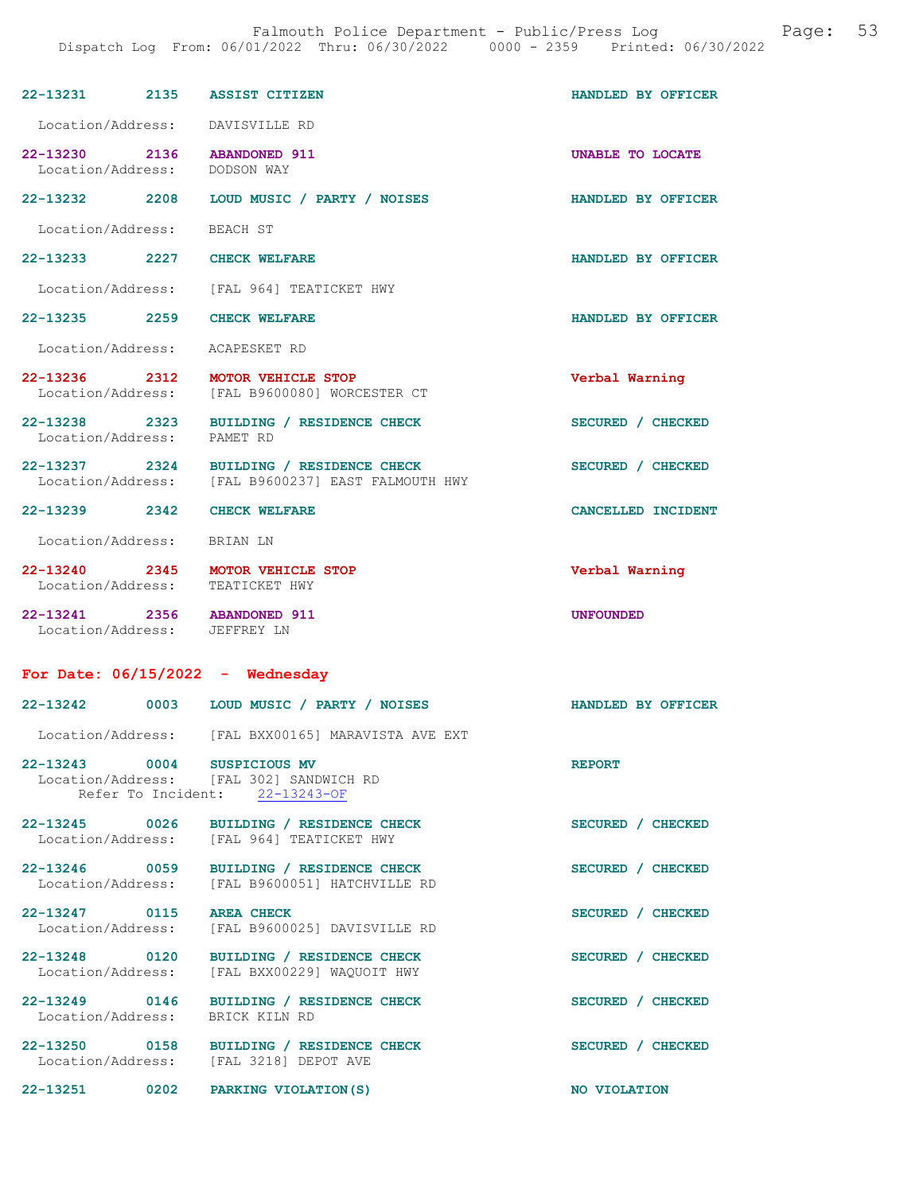| 22-13231 2135                                               | <b>ASSIST CITIZEN</b>                                                                          | HANDLED BY OFFICER      |
|-------------------------------------------------------------|------------------------------------------------------------------------------------------------|-------------------------|
|                                                             | Location/Address: DAVISVILLE RD                                                                |                         |
| 22-13230 2136 ABANDONED 911<br>Location/Address: DODSON WAY |                                                                                                | <b>UNABLE TO LOCATE</b> |
|                                                             | 22-13232 2208 LOUD MUSIC / PARTY / NOISES                                                      | HANDLED BY OFFICER      |
| Location/Address: BEACH ST                                  |                                                                                                |                         |
| 22-13233 2227 CHECK WELFARE                                 |                                                                                                | HANDLED BY OFFICER      |
|                                                             | Location/Address: [FAL 964] TEATICKET HWY                                                      |                         |
| 22-13235 2259                                               | <b>CHECK WELFARE</b>                                                                           | HANDLED BY OFFICER      |
| Location/Address: ACAPESKET RD                              |                                                                                                |                         |
| 22-13236 2312                                               | MOTOR VEHICLE STOP<br>Location/Address: [FAL B9600080] WORCESTER CT                            | Verbal Warning          |
| Location/Address: PAMET RD                                  | 22-13238 2323 BUILDING / RESIDENCE CHECK                                                       | SECURED / CHECKED       |
|                                                             | 22-13237 2324 BUILDING / RESIDENCE CHECK<br>Location/Address: [FAL B9600237] EAST FALMOUTH HWY | SECURED / CHECKED       |
| 22-13239 2342 CHECK WELFARE                                 |                                                                                                | CANCELLED INCIDENT      |
| Location/Address: BRIAN LN                                  |                                                                                                |                         |
|                                                             | 22-13240 2345 MOTOR VEHICLE STOP<br>Location/Address: TEATICKET HWY                            | Verbal Warning          |
| 22-13241 2356 ABANDONED 911<br>Location/Address: JEFFREY LN |                                                                                                | <b>UNFOUNDED</b>        |
|                                                             | For Date: $06/15/2022 -$ Wednesday                                                             |                         |
|                                                             | 22-13242 0003 LOUD MUSIC / PARTY / NOISES                                                      | HANDLED BY OFFICER      |
|                                                             | Location/Address: [FAL BXX00165] MARAVISTA AVE EXT                                             |                         |
| 22-13243 0004 SUSPICIOUS MV                                 | Location/Address: [FAL 302] SANDWICH RD<br>Refer To Incident: 22-13243-OF                      | <b>REPORT</b>           |
|                                                             | 22-13245 0026 BUILDING / RESIDENCE CHECK<br>Location/Address: [FAL 964] TEATICKET HWY          | SECURED / CHECKED       |
| 22-13246 0059<br>Location/Address:                          | BUILDING / RESIDENCE CHECK<br>[FAL B9600051] HATCHVILLE RD                                     | SECURED / CHECKED       |
| 22-13247 0115<br>Location/Address:                          | <b>AREA CHECK</b><br>[FAL B9600025] DAVISVILLE RD                                              | SECURED / CHECKED       |
| 22-13248 0120<br>Location/Address:                          | BUILDING / RESIDENCE CHECK<br>[FAL BXX00229] WAQUOIT HWY                                       | SECURED / CHECKED       |
| 22-13249 0146<br>Location/Address:                          | BUILDING / RESIDENCE CHECK<br>BRICK KILN RD                                                    | SECURED / CHECKED       |
|                                                             | 22-13250 0158 BUILDING / RESIDENCE CHECK                                                       | SECURED / CHECKED       |
|                                                             | Location/Address: [FAL 3218] DEPOT AVE                                                         |                         |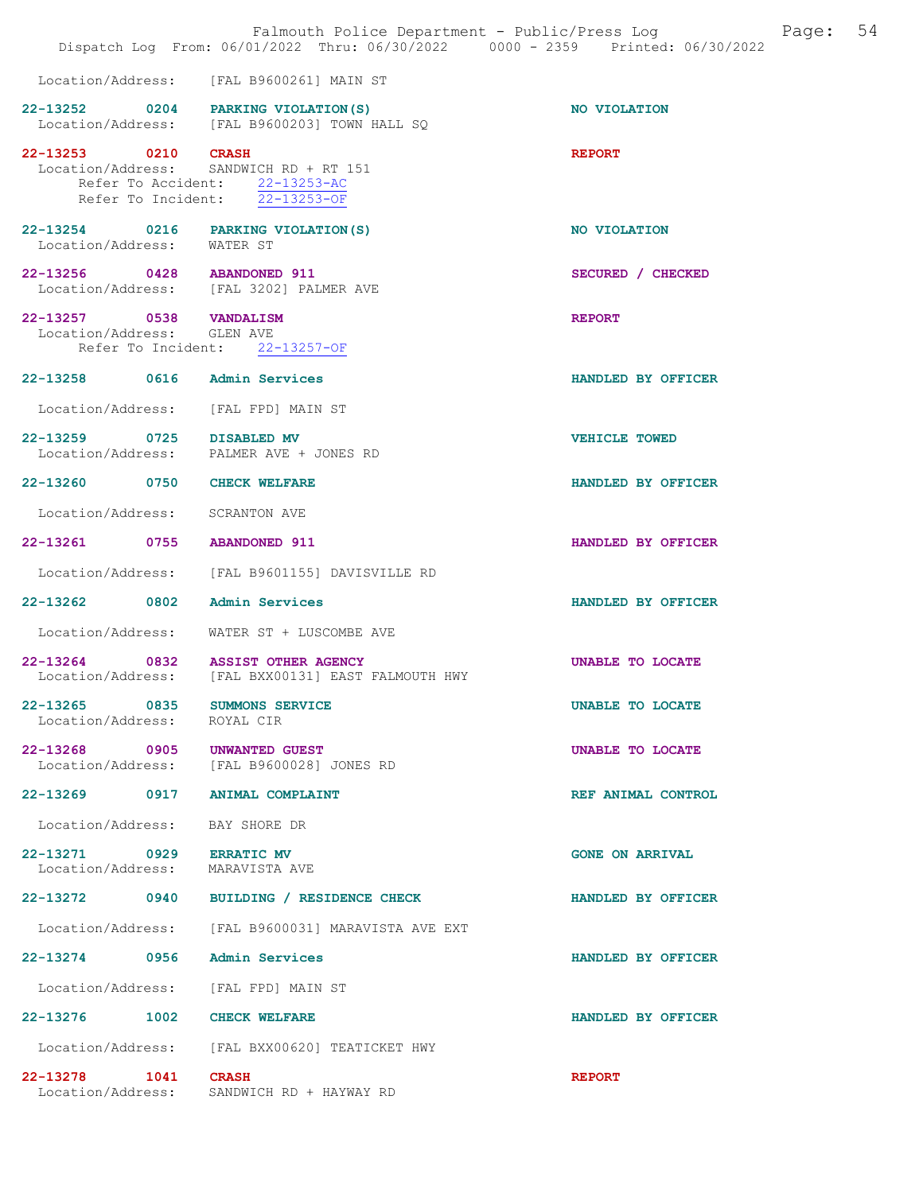|                                                       | Falmouth Police Department - Public/Press Log<br>Dispatch Log From: 06/01/2022 Thru: 06/30/2022 0000 - 2359 Printed: 06/30/2022 | Page:                  | 54 |
|-------------------------------------------------------|---------------------------------------------------------------------------------------------------------------------------------|------------------------|----|
|                                                       | Location/Address: [FAL B9600261] MAIN ST                                                                                        |                        |    |
|                                                       | 22-13252 0204 PARKING VIOLATION (S)<br>Location/Address: [FAL B9600203] TOWN HALL SQ                                            | NO VIOLATION           |    |
| 22-13253 0210 CRASH                                   | Location/Address: SANDWICH RD + RT 151<br>Refer To Accident: 22-13253-AC<br>Refer To Incident: $22-13253-OF$                    | <b>REPORT</b>          |    |
| Location/Address:                                     | 22-13254 0216 PARKING VIOLATION (S)<br>WATER ST                                                                                 | NO VIOLATION           |    |
| 22-13256 0428 ABANDONED 911                           | Location/Address: [FAL 3202] PALMER AVE                                                                                         | SECURED / CHECKED      |    |
| 22-13257 0538 VANDALISM<br>Location/Address: GLEN AVE | Refer To Incident: 22-13257-OF                                                                                                  | <b>REPORT</b>          |    |
| 22-13258 0616 Admin Services                          |                                                                                                                                 | HANDLED BY OFFICER     |    |
|                                                       | Location/Address: [FAL FPD] MAIN ST                                                                                             |                        |    |
| 22-13259 0725 DISABLED MV                             | Location/Address: PALMER AVE + JONES RD                                                                                         | <b>VEHICLE TOWED</b>   |    |
| 22-13260 0750 CHECK WELFARE                           |                                                                                                                                 | HANDLED BY OFFICER     |    |
| Location/Address:                                     | SCRANTON AVE                                                                                                                    |                        |    |
| 22-13261 0755 ABANDONED 911                           |                                                                                                                                 | HANDLED BY OFFICER     |    |
| Location/Address:                                     | [FAL B9601155] DAVISVILLE RD                                                                                                    |                        |    |
| 22-13262<br>0802                                      | Admin Services                                                                                                                  | HANDLED BY OFFICER     |    |
|                                                       | Location/Address: WATER ST + LUSCOMBE AVE                                                                                       |                        |    |
|                                                       | 22-13264 0832 ASSIST OTHER AGENCY<br>Location/Address: [FAL BXX00131] EAST FALMOUTH HWY                                         | UNABLE TO LOCATE       |    |
| 22-13265 0835<br>Location/Address:                    | SUMMONS SERVICE<br>ROYAL CIR                                                                                                    | UNABLE TO LOCATE       |    |
| 22-13268 0905                                         | <b>UNWANTED GUEST</b><br>Location/Address: [FAL B9600028] JONES RD                                                              | UNABLE TO LOCATE       |    |
|                                                       | 22-13269 0917 ANIMAL COMPLAINT                                                                                                  | REF ANIMAL CONTROL     |    |
| Location/Address:                                     | BAY SHORE DR                                                                                                                    |                        |    |
| 22-13271 0929<br>Location/Address:                    | <b>ERRATIC MV</b><br>MARAVISTA AVE                                                                                              | <b>GONE ON ARRIVAL</b> |    |
| 22-13272<br>0940                                      | BUILDING / RESIDENCE CHECK                                                                                                      | HANDLED BY OFFICER     |    |
| Location/Address:                                     | [FAL B9600031] MARAVISTA AVE EXT                                                                                                |                        |    |
| 22-13274 0956                                         | Admin Services                                                                                                                  | HANDLED BY OFFICER     |    |
| Location/Address:                                     | [FAL FPD] MAIN ST                                                                                                               |                        |    |
| 22-13276 1002                                         | <b>CHECK WELFARE</b>                                                                                                            | HANDLED BY OFFICER     |    |
|                                                       | Location/Address: [FAL BXX00620] TEATICKET HWY                                                                                  |                        |    |
| 22-13278 1041<br>Location/Address:                    | <b>CRASH</b><br>SANDWICH RD + HAYWAY RD                                                                                         | <b>REPORT</b>          |    |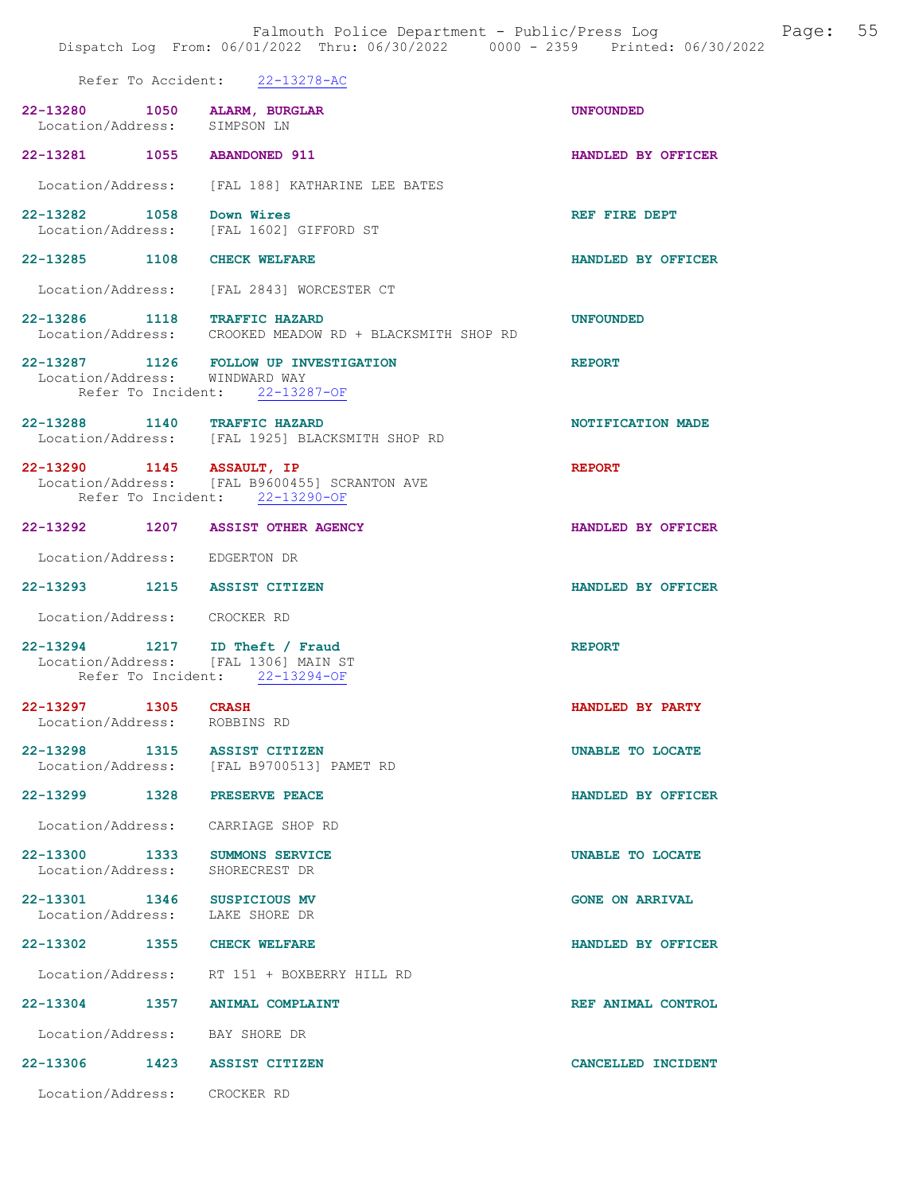Refer To Accident: 22-13278-AC

| 22-13280 1050 ALARM, BURGLAR<br>Location/Address:                      | SIMPSON LN                                                                                                | <b>UNFOUNDED</b>        |
|------------------------------------------------------------------------|-----------------------------------------------------------------------------------------------------------|-------------------------|
| 22-13281 1055 ABANDONED 911                                            |                                                                                                           | HANDLED BY OFFICER      |
|                                                                        | Location/Address: [FAL 188] KATHARINE LEE BATES                                                           |                         |
| 22-13282 1058 Down Wires                                               | Location/Address: [FAL 1602] GIFFORD ST                                                                   | REF FIRE DEPT           |
| 22-13285 1108 CHECK WELFARE                                            |                                                                                                           | HANDLED BY OFFICER      |
|                                                                        | Location/Address: [FAL 2843] WORCESTER CT                                                                 |                         |
|                                                                        | 22-13286 1118 TRAFFIC HAZARD<br>Location/Address: CROOKED MEADOW RD + BLACKSMITH SHOP RD                  | <b>UNFOUNDED</b>        |
|                                                                        | 22-13287 1126 FOLLOW UP INVESTIGATION<br>Location/Address: WINDWARD WAY<br>Refer To Incident: 22-13287-OF | <b>REPORT</b>           |
| 22-13288 1140 TRAFFIC HAZARD                                           | Location/Address: [FAL 1925] BLACKSMITH SHOP RD                                                           | NOTIFICATION MADE       |
| 22-13290 1145 ASSAULT, IP                                              | Location/Address: [FAL B9600455] SCRANTON AVE<br>Refer To Incident: 22-13290-OF                           | <b>REPORT</b>           |
| 22-13292 1207 ASSIST OTHER AGENCY                                      |                                                                                                           | HANDLED BY OFFICER      |
| Location/Address: EDGERTON DR                                          |                                                                                                           |                         |
| 22-13293 1215 ASSIST CITIZEN                                           |                                                                                                           | HANDLED BY OFFICER      |
| Location/Address: CROCKER RD                                           |                                                                                                           |                         |
| 22-13294 1217 ID Theft / Fraud<br>Location/Address: [FAL 1306] MAIN ST | Refer To Incident: 22-13294-OF                                                                            | <b>REPORT</b>           |
| 22-13297 1305 CRASH                                                    |                                                                                                           | HANDLED BY PARTY        |
| Location/Address: ROBBINS RD                                           |                                                                                                           |                         |
| 22-13298                                                               | 1315 ASSIST CITIZEN<br>Location/Address: [FAL B9700513] PAMET RD                                          | <b>UNABLE TO LOCATE</b> |
| 22-13299 1328 PRESERVE PEACE                                           |                                                                                                           | HANDLED BY OFFICER      |
| Location/Address: CARRIAGE SHOP RD                                     |                                                                                                           |                         |
| 22-13300 1333 SUMMONS SERVICE<br>Location/Address: SHORECREST DR       |                                                                                                           | UNABLE TO LOCATE        |
| 22-13301 1346 SUSPICIOUS MV<br>Location/Address: LAKE SHORE DR         |                                                                                                           | <b>GONE ON ARRIVAL</b>  |
| 22-13302 1355 CHECK WELFARE                                            |                                                                                                           | HANDLED BY OFFICER      |
|                                                                        | Location/Address: RT 151 + BOXBERRY HILL RD                                                               |                         |
| 22-13304 1357 ANIMAL COMPLAINT                                         |                                                                                                           | REF ANIMAL CONTROL      |
| Location/Address: BAY SHORE DR                                         |                                                                                                           |                         |
| 22-13306 1423 ASSIST CITIZEN                                           |                                                                                                           | CANCELLED INCIDENT      |
| Location/Address: CROCKER RD                                           |                                                                                                           |                         |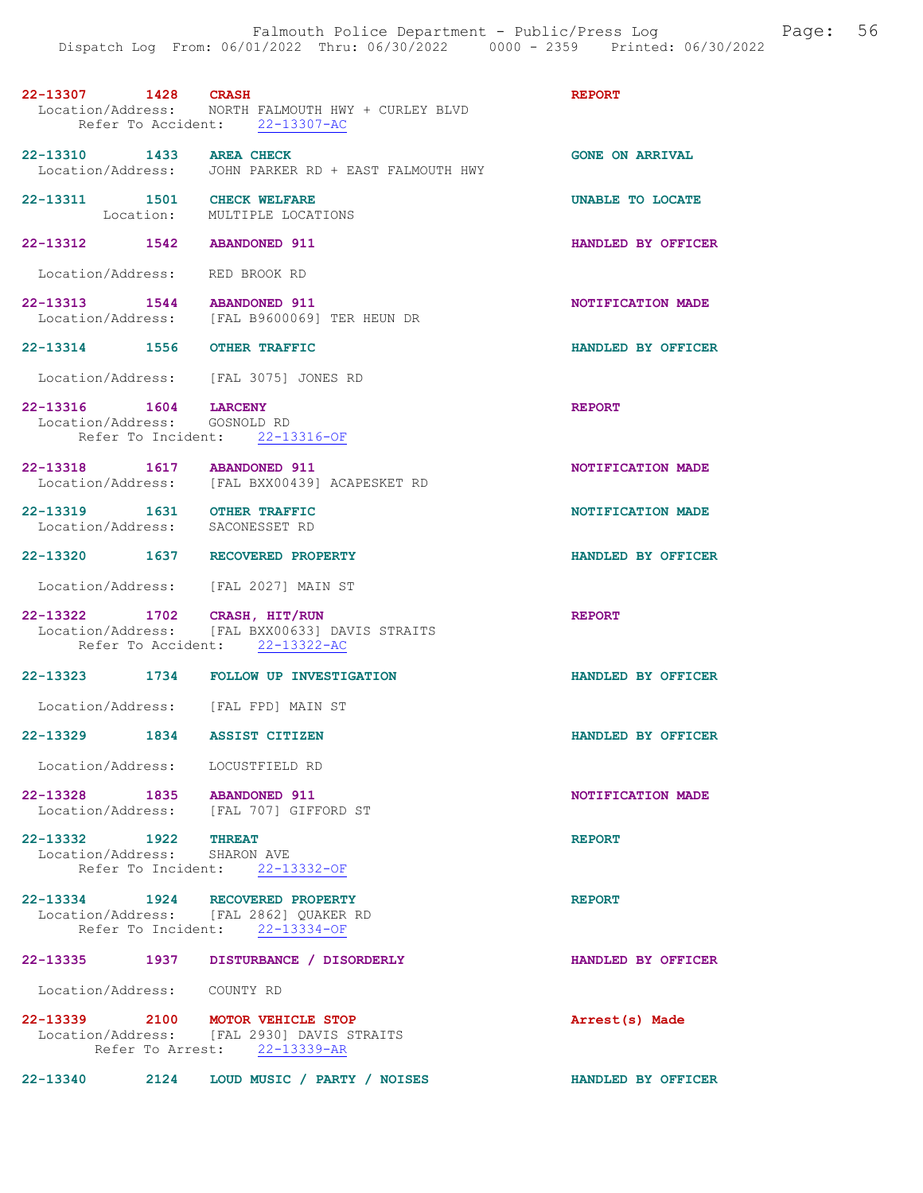| 22-13307 1428 CRASH                                                        | Location/Address: NORTH FALMOUTH HWY + CURLEY BLVD<br>Refer To Accident: 22-13307-AC | <b>REPORT</b>          |
|----------------------------------------------------------------------------|--------------------------------------------------------------------------------------|------------------------|
| 22-13310 1433 AREA CHECK                                                   | Location/Address: JOHN PARKER RD + EAST FALMOUTH HWY                                 | <b>GONE ON ARRIVAL</b> |
| 22-13311 1501 CHECK WELFARE                                                | Location: MULTIPLE LOCATIONS                                                         | UNABLE TO LOCATE       |
| 22-13312 1542 ABANDONED 911                                                |                                                                                      | HANDLED BY OFFICER     |
| Location/Address: RED BROOK RD                                             |                                                                                      |                        |
|                                                                            | 22-13313 1544 ABANDONED 911<br>Location/Address: [FAL B9600069] TER HEUN DR          | NOTIFICATION MADE      |
| 22-13314 1556 OTHER TRAFFIC                                                |                                                                                      | HANDLED BY OFFICER     |
| Location/Address: [FAL 3075] JONES RD                                      |                                                                                      |                        |
| 22-13316 1604 LARCENY<br>Location/Address: GOSNOLD RD                      | Refer To Incident: 22-13316-OF                                                       | <b>REPORT</b>          |
| 22-13318  1617  ABANDONED  911                                             | Location/Address: [FAL BXX00439] ACAPESKET RD                                        | NOTIFICATION MADE      |
| 22-13319   1631   OTHER TRAFFIC<br>Location/Address:   SACONESSET RD       |                                                                                      | NOTIFICATION MADE      |
| 22-13320 1637 RECOVERED PROPERTY                                           |                                                                                      | HANDLED BY OFFICER     |
| Location/Address: [FAL 2027] MAIN ST                                       |                                                                                      |                        |
| 22-13322 1702 CRASH, HIT/RUN                                               | Location/Address: [FAL BXX00633] DAVIS STRAITS<br>Refer To Accident: 22-13322-AC     | <b>REPORT</b>          |
|                                                                            | 22-13323 1734 FOLLOW UP INVESTIGATION                                                | HANDLED BY OFFICER     |
| Location/Address: [FAL FPD] MAIN ST                                        |                                                                                      |                        |
| 22-13329 1834 ASSIST CITIZEN                                               |                                                                                      | HANDLED BY OFFICER     |
| Location/Address: LOCUSTFIELD RD                                           |                                                                                      |                        |
| 22-13328 1835 ABANDONED 911                                                | Location/Address: [FAL 707] GIFFORD ST                                               | NOTIFICATION MADE      |
| 22-13332 1922 THREAT<br>Location/Address: SHARON AVE                       | Refer To Incident: 22-13332-OF                                                       | <b>REPORT</b>          |
| 22-13334 1924 RECOVERED PROPERTY<br>Location/Address: [FAL 2862] QUAKER RD | Refer To Incident: 22-13334-OF                                                       | <b>REPORT</b>          |
|                                                                            | 22-13335 1937 DISTURBANCE / DISORDERLY                                               | HANDLED BY OFFICER     |
| Location/Address: COUNTY RD                                                |                                                                                      |                        |
| 22-13339 2100 MOTOR VEHICLE STOP                                           | Location/Address: [FAL 2930] DAVIS STRAITS<br>Refer To Arrest: 22-13339-AR           | Arrest(s) Made         |

22-13340 2124 LOUD MUSIC / PARTY / NOISES HANDLED BY OFFICER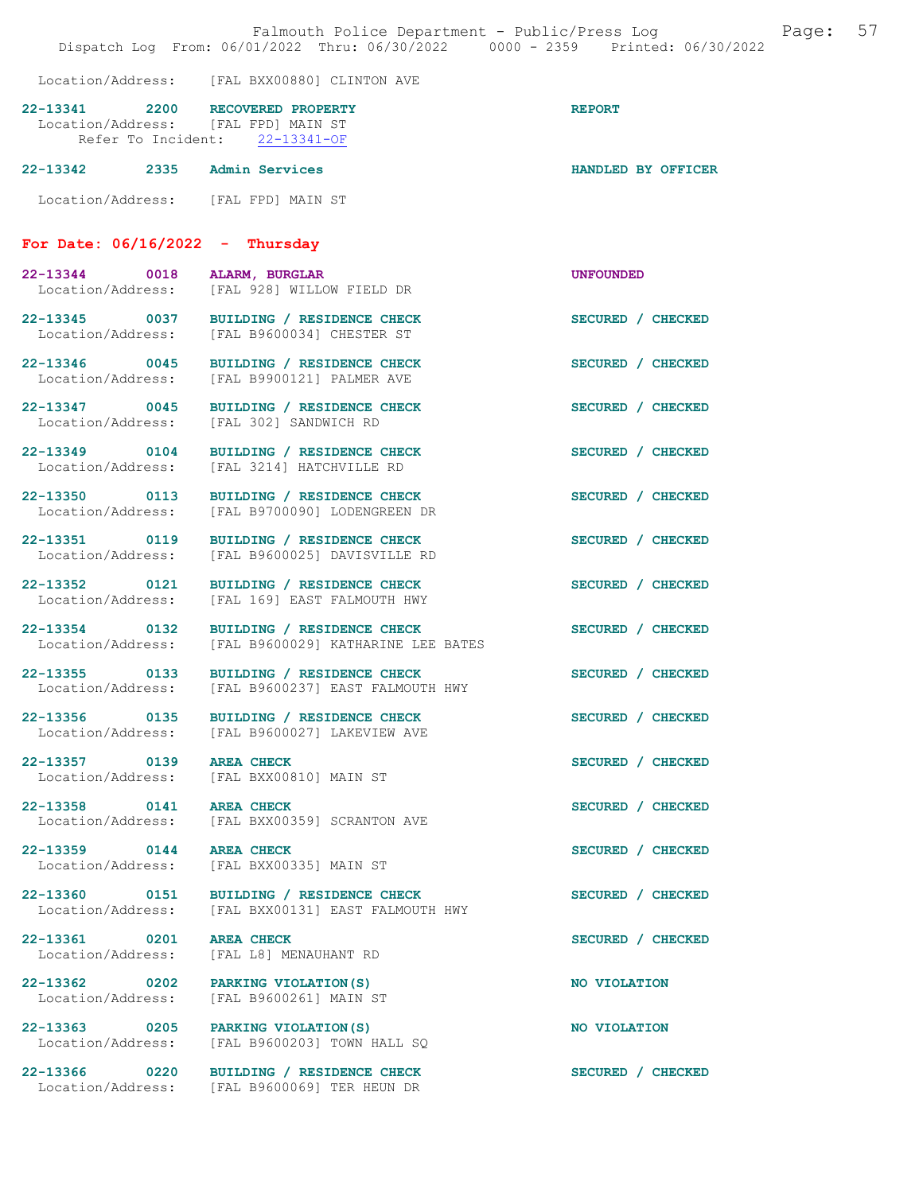|                                                                         | Falmouth Police Department - Public/Press Log<br>Dispatch Log From: 06/01/2022 Thru: 06/30/2022 0000 - 2359 Printed: 06/30/2022 |                    | Page: | 57 |
|-------------------------------------------------------------------------|---------------------------------------------------------------------------------------------------------------------------------|--------------------|-------|----|
|                                                                         | Location/Address: [FAL BXX00880] CLINTON AVE                                                                                    |                    |       |    |
| 22-13341 2200 RECOVERED PROPERTY<br>Location/Address: [FAL FPD] MAIN ST | Refer To Incident: 22-13341-OF                                                                                                  | <b>REPORT</b>      |       |    |
| 22-13342 2335 Admin Services                                            |                                                                                                                                 | HANDLED BY OFFICER |       |    |
| Location/Address: [FAL FPD] MAIN ST                                     |                                                                                                                                 |                    |       |    |
| For Date: $06/16/2022 - Thursday$                                       |                                                                                                                                 |                    |       |    |
| 22-13344 0018 ALARM, BURGLAR                                            | Location/Address: [FAL 928] WILLOW FIELD DR                                                                                     | <b>UNFOUNDED</b>   |       |    |
|                                                                         | 22-13345 0037 BUILDING / RESIDENCE CHECK<br>Location/Address: [FAL B9600034] CHESTER ST                                         | SECURED / CHECKED  |       |    |
|                                                                         | 22-13346 0045 BUILDING / RESIDENCE CHECK<br>Location/Address: [FAL B9900121] PALMER AVE                                         | SECURED / CHECKED  |       |    |
| Location/Address:                                                       | 22-13347 0045 BUILDING / RESIDENCE CHECK<br>[FAL 302] SANDWICH RD                                                               | SECURED / CHECKED  |       |    |
|                                                                         | 22-13349 0104 BUILDING / RESIDENCE CHECK<br>Location/Address: [FAL 3214] HATCHVILLE RD                                          | SECURED / CHECKED  |       |    |
| Location/Address:                                                       | 22-13350 0113 BUILDING / RESIDENCE CHECK<br>[FAL B9700090] LODENGREEN DR                                                        | SECURED / CHECKED  |       |    |
| 22-13351 0119<br>Location/Address:                                      | BUILDING / RESIDENCE CHECK<br>[FAL B9600025] DAVISVILLE RD                                                                      | SECURED / CHECKED  |       |    |
| Location/Address:                                                       | 22-13352 0121 BUILDING / RESIDENCE CHECK<br>[FAL 169] EAST FALMOUTH HWY                                                         | SECURED / CHECKED  |       |    |
| Location/Address:                                                       | 22-13354 0132 BUILDING / RESIDENCE CHECK<br>[FAL B9600029] KATHARINE LEE BATES                                                  | SECURED / CHECKED  |       |    |
|                                                                         | 22-13355 0133 BUILDING / RESIDENCE CHECK<br>Location/Address: [FAL B9600237] EAST FALMOUTH HWY                                  | SECURED / CHECKED  |       |    |
|                                                                         | 22-13356 0135 BUILDING / RESIDENCE CHECK<br>Location/Address: [FAL B9600027] LAKEVIEW AVE                                       | SECURED / CHECKED  |       |    |
| 22-13357 0139 AREA CHECK                                                | Location/Address: [FAL BXX00810] MAIN ST                                                                                        | SECURED / CHECKED  |       |    |
| 22-13358 0141 AREA CHECK<br>Location/Address:                           | [FAL BXX00359] SCRANTON AVE                                                                                                     | SECURED / CHECKED  |       |    |
| 22-13359 0144<br>Location/Address:                                      | <b>AREA CHECK</b><br>[FAL BXX00335] MAIN ST                                                                                     | SECURED / CHECKED  |       |    |
| Location/Address:                                                       | 22-13360 0151 BUILDING / RESIDENCE CHECK<br>[FAL BXX00131] EAST FALMOUTH HWY                                                    | SECURED / CHECKED  |       |    |
| 22-13361 0201<br>Location/Address:                                      | <b>AREA CHECK</b><br>[FAL L8] MENAUHANT RD                                                                                      | SECURED / CHECKED  |       |    |
| 22-13362 0202 PARKING VIOLATION(S)<br>Location/Address:                 | [FAL B9600261] MAIN ST                                                                                                          | NO VIOLATION       |       |    |
| 22-13363 0205 PARKING VIOLATION (S)<br>Location/Address:                | [FAL B9600203] TOWN HALL SQ                                                                                                     | NO VIOLATION       |       |    |
|                                                                         | 22-13366 0220 BUILDING / RESIDENCE CHECK<br>Location/Address: [FAL B9600069] TER HEUN DR                                        | SECURED / CHECKED  |       |    |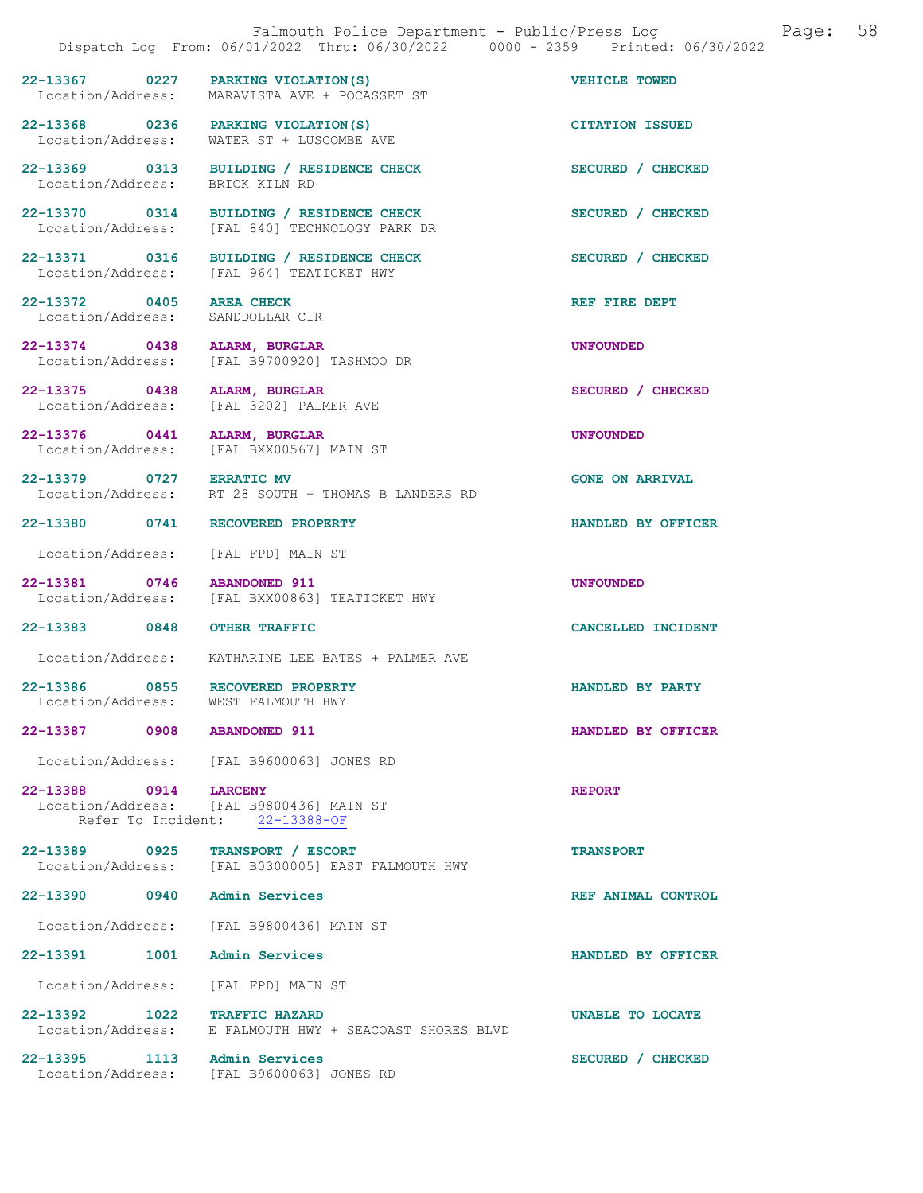22-13367 0227 PARKING VIOLATION(S) VEHICLE TOWED<br>
Location/Address: MARAVISTA AVE + POCASSET ST Location/Address: MARAVISTA AVE + POCASSET ST

WATER ST + LUSCOMBE AVE

[FAL 964] TEATICKET HWY

22-13368 0236 PARKING VIOLATION(S) CITATION ISSUED<br>Location/Address: WATER ST + LUSCOMBE AVE

22-13369 0313 BUILDING / RESIDENCE CHECK SECURED / CHECKED Location/Address: BRICK KILN RD Location/Address:

22-13370 0314 BUILDING / RESIDENCE CHECK SECURED / CHECKED Location/Address: [FAL 840] TECHNOLOGY PARK DR

22-13371 0316 BUILDING / RESIDENCE CHECK SECURED / CHECKED Location/Address: [FAL 964] TEATICKET HWY

22-13372 0405 AREA CHECK 22-13372 DEPT Location/Address: SANDDOLLAR CIR Location/Address:

22-13374 0438 ALARM, BURGLAR UNFOUNDED Location/Address: [FAL B9700920] TASHMOO DR

22-13375 0438 ALARM, BURGLAR SECURED / CHECKED

Location/Address: [FAL 3202] PALMER AVE

22-13376 0441 ALARM, BURGLAR UNFOUNDED Location/Address: [FAL BXX00567] MAIN ST

22-13379 0727 ERRATIC MV<br>Location/Address: RT 28 SOUTH + THOMAS B LANDERS RD

Location/Address: [FAL FPD] MAIN ST

22-13381 0746 ABANDONED 911 UNFOUNDED<br>Location/Address: [FAL BXX00863] TEATICKET HWY

Location/Address: KATHARINE LEE BATES + PALMER AVE

[FAL BXX00863] TEATICKET HWY

RT 28 SOUTH + THOMAS B LANDERS RD

22-13386 0855 RECOVERED PROPERTY<br>
Location/Address: WEST FALMOUTH HWY Location/Address:

22-13387 0908 ABANDONED 911 HANDLED BY OFFICER

Location/Address: [FAL B9600063] JONES RD

22-13388 0914 LARCENY<br>
Location/Address: [FAL B9800436] MAIN ST [FAL B9800436] MAIN ST Refer To Incident: 22-13388-OF

22-13389 0925 TRANSPORT / ESCORT<br>
Location/Address: [FAL B0300005] EAST FALMOUTH HWY [FAL B0300005] EAST FALMOUTH HWY

22-13390 0940 Admin Services REF ANIMAL CONTROL

Location/Address: [FAL B9800436] MAIN ST

22-13391 1001 Admin Services HANDLED BY OFFICER

Location/Address: [FAL FPD] MAIN ST

22-13392 1022 TRAFFIC HAZARD<br>Location/Address: E FALMOUTH HWY + SEACOAST SHORES BLVD E FALMOUTH HWY + SEACOAST SHORES BLVD

22-13395 1113 Admin Services SECURED / CHECKED Location/Address: [FAL B9600063] JONES RD

22-13380 0741 RECOVERED PROPERTY HANDLED BY OFFICER

22-13383 0848 OTHER TRAFFIC CANCELLED INCIDENT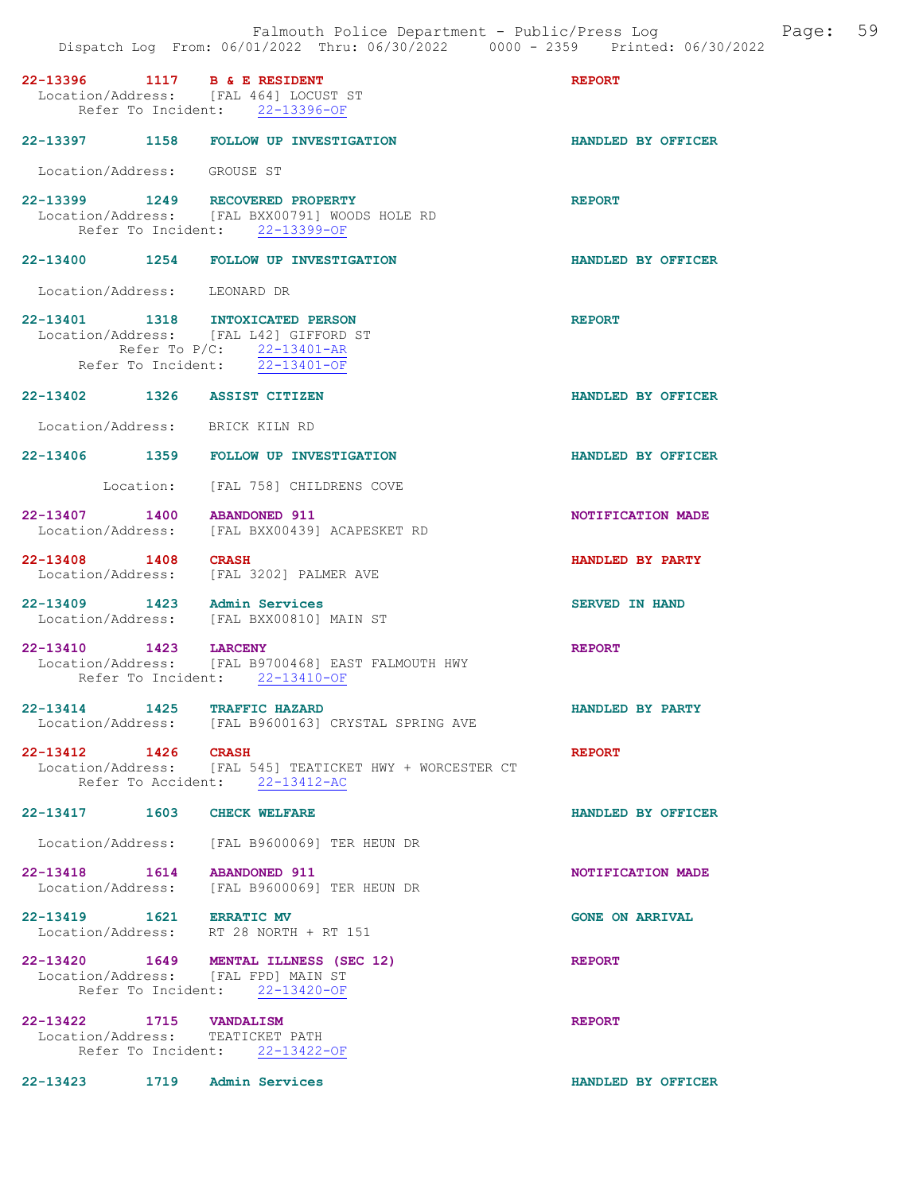|                                                             | Falmouth Police Department - Public/Press Log<br>Dispatch Log From: 06/01/2022 Thru: 06/30/2022 0000 - 2359 Printed: 06/30/2022             |                        | Page: | 59 |
|-------------------------------------------------------------|---------------------------------------------------------------------------------------------------------------------------------------------|------------------------|-------|----|
| 22-13396 1117 B & E RESIDENT                                | Location/Address: [FAL 464] LOCUST ST<br>Refer To Incident: 22-13396-OF                                                                     | <b>REPORT</b>          |       |    |
|                                                             | 22-13397 1158 FOLLOW UP INVESTIGATION                                                                                                       | HANDLED BY OFFICER     |       |    |
| Location/Address: GROUSE ST                                 |                                                                                                                                             |                        |       |    |
|                                                             | 22-13399 1249 RECOVERED PROPERTY<br>Location/Address: [FAL BXX00791] WOODS HOLE RD<br>Refer To Incident: 22-13399-OF                        | <b>REPORT</b>          |       |    |
|                                                             | 22-13400 1254 FOLLOW UP INVESTIGATION                                                                                                       | HANDLED BY OFFICER     |       |    |
| Location/Address: LEONARD DR                                |                                                                                                                                             |                        |       |    |
|                                                             | 22-13401 1318 INTOXICATED PERSON<br>Location/Address: [FAL L42] GIFFORD ST<br>Refer To P/C: 22-13401-AR<br>Refer To Incident: $22-13401-OF$ | <b>REPORT</b>          |       |    |
| 22-13402 1326 ASSIST CITIZEN                                |                                                                                                                                             | HANDLED BY OFFICER     |       |    |
| Location/Address: BRICK KILN RD                             |                                                                                                                                             |                        |       |    |
|                                                             | 22-13406 1359 FOLLOW UP INVESTIGATION                                                                                                       | HANDLED BY OFFICER     |       |    |
|                                                             | Location: [FAL 758] CHILDRENS COVE                                                                                                          |                        |       |    |
| 22-13407 1400<br>Location/Address:                          | <b>ABANDONED 911</b><br>[FAL BXX00439] ACAPESKET RD                                                                                         | NOTIFICATION MADE      |       |    |
| 22-13408 1408<br>Location/Address:                          | <b>CRASH</b><br>[FAL 3202] PALMER AVE                                                                                                       | HANDLED BY PARTY       |       |    |
| 22-13409 1423 Admin Services                                | Location/Address: [FAL BXX00810] MAIN ST                                                                                                    | <b>SERVED IN HAND</b>  |       |    |
| 22-13410 1423                                               | <b>LARCENY</b><br>Location/Address: [FAL B9700468] EAST FALMOUTH HWY                                                                        | <b>REPORT</b>          |       |    |
|                                                             | Refer To Incident: 22-13410-OF                                                                                                              |                        |       |    |
| 22-13414 1425 TRAFFIC HAZARD                                | Location/Address: [FAL B9600163] CRYSTAL SPRING AVE                                                                                         | HANDLED BY PARTY       |       |    |
| 22-13412 1426 CRASH                                         | Location/Address: [FAL 545] TEATICKET HWY + WORCESTER CT<br>Refer To Accident: 22-13412-AC                                                  | <b>REPORT</b>          |       |    |
| 22-13417 1603 CHECK WELFARE                                 |                                                                                                                                             | HANDLED BY OFFICER     |       |    |
|                                                             | Location/Address: [FAL B9600069] TER HEUN DR                                                                                                |                        |       |    |
| 22-13418  1614  ABANDONED  911                              | Location/Address: [FAL B9600069] TER HEUN DR                                                                                                | NOTIFICATION MADE      |       |    |
| 22-13419   1621   ERRATIC MV                                | Location/Address: RT 28 NORTH + RT 151                                                                                                      | <b>GONE ON ARRIVAL</b> |       |    |
|                                                             | 22-13420 1649 MENTAL ILLNESS (SEC 12)<br>Location/Address: [FAL FPD] MAIN ST<br>Refer To Incident: 22-13420-OF                              | <b>REPORT</b>          |       |    |
| 22-13422 1715 VANDALISM<br>Location/Address: TEATICKET PATH | Refer To Incident: 22-13422-OF                                                                                                              | <b>REPORT</b>          |       |    |
| 22-13423 1719 Admin Services                                |                                                                                                                                             | HANDLED BY OFFICER     |       |    |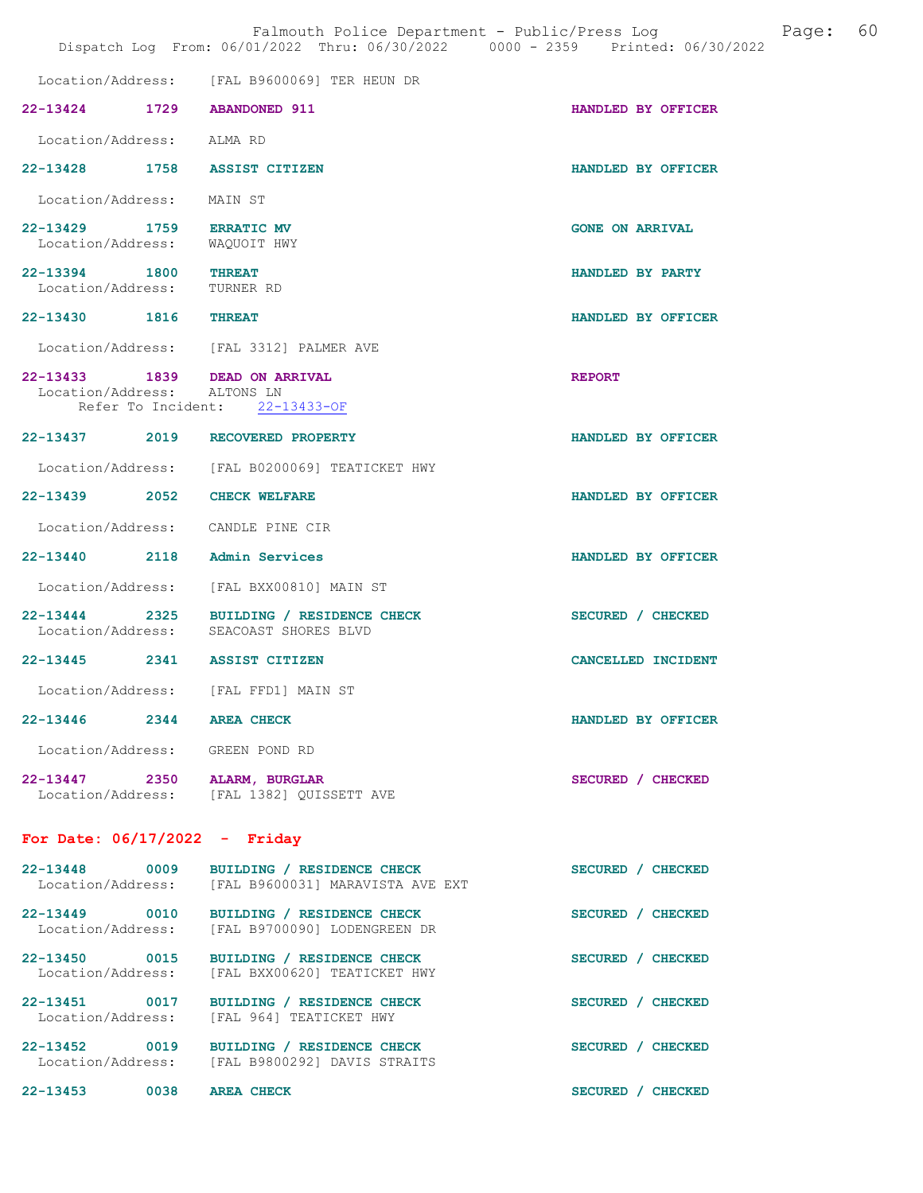|                                                           |                                                                                                | Dispatch Log From: 06/01/2022 Thru: 06/30/2022 0000 - 2359 Printed: 06/30/2022 |
|-----------------------------------------------------------|------------------------------------------------------------------------------------------------|--------------------------------------------------------------------------------|
|                                                           | Location/Address: [FAL B9600069] TER HEUN DR                                                   |                                                                                |
|                                                           | 22-13424 1729 ABANDONED 911                                                                    | HANDLED BY OFFICER                                                             |
| Location/Address: ALMA RD                                 |                                                                                                |                                                                                |
|                                                           | 22-13428 1758 ASSIST CITIZEN                                                                   | HANDLED BY OFFICER                                                             |
| Location/Address: MAIN ST                                 |                                                                                                |                                                                                |
| 22-13429 1759 ERRATIC MV<br>Location/Address: WAQUOIT HWY |                                                                                                | <b>GONE ON ARRIVAL</b>                                                         |
| 22-13394 1800 THREAT<br>Location/Address: TURNER RD       |                                                                                                | HANDLED BY PARTY                                                               |
| 22-13430 1816                                             | <b>THREAT</b>                                                                                  | HANDLED BY OFFICER                                                             |
|                                                           | Location/Address: [FAL 3312] PALMER AVE                                                        |                                                                                |
| Location/Address: ALTONS LN                               | 22-13433 1839 DEAD ON ARRIVAL<br>Refer To Incident: 22-13433-OF                                | <b>REPORT</b>                                                                  |
|                                                           | 22-13437 2019 RECOVERED PROPERTY                                                               | HANDLED BY OFFICER                                                             |
|                                                           | Location/Address: [FAL B0200069] TEATICKET HWY                                                 |                                                                                |
|                                                           | 22-13439 2052 CHECK WELFARE                                                                    | HANDLED BY OFFICER                                                             |
|                                                           | Location/Address: CANDLE PINE CIR                                                              |                                                                                |
|                                                           | 22-13440 2118 Admin Services                                                                   | HANDLED BY OFFICER                                                             |
|                                                           | Location/Address: [FAL BXX00810] MAIN ST                                                       |                                                                                |
|                                                           | 22-13444 2325 BUILDING / RESIDENCE CHECK<br>Location/Address: SEACOAST SHORES BLVD             | SECURED / CHECKED                                                              |
|                                                           | 22-13445 2341 ASSIST CITIZEN                                                                   | CANCELLED INCIDENT                                                             |
|                                                           | Location/Address: [FAL FFD1] MAIN ST                                                           |                                                                                |
| 22-13446 2344 AREA CHECK                                  |                                                                                                | HANDLED BY OFFICER                                                             |
|                                                           | Location/Address: GREEN POND RD                                                                |                                                                                |
|                                                           | 22-13447 2350 ALARM, BURGLAR<br>Location/Address: [FAL 1382] QUISSETT AVE                      | SECURED / CHECKED                                                              |
| For Date: $06/17/2022 -$ Friday                           |                                                                                                |                                                                                |
|                                                           | 22-13448 0009 BUILDING / RESIDENCE CHECK<br>Location/Address: [FAL B9600031] MARAVISTA AVE EXT | SECURED / CHECKED                                                              |
|                                                           | 22-13449 0010 BUILDING / RESIDENCE CHECK<br>Location/Address: [FAL B9700090] LODENGREEN DR     | SECURED / CHECKED                                                              |
| Location/Address:                                         | 22-13450 0015 BUILDING / RESIDENCE CHECK<br>[FAL BXX00620] TEATICKET HWY                       | SECURED / CHECKED                                                              |
|                                                           | 22-13451 0017 BUILDING / RESIDENCE CHECK<br>Location/Address: [FAL 964] TEATICKET HWY          | SECURED / CHECKED                                                              |
|                                                           | 22-13452 0019 BUILDING / RESIDENCE CHECK<br>Location/Address: [FAL B9800292] DAVIS STRAITS     | SECURED / CHECKED                                                              |
| 22-13453 0038 AREA CHECK                                  |                                                                                                | SECURED / CHECKED                                                              |

Falmouth Police Department - Public/Press Log and Page: 60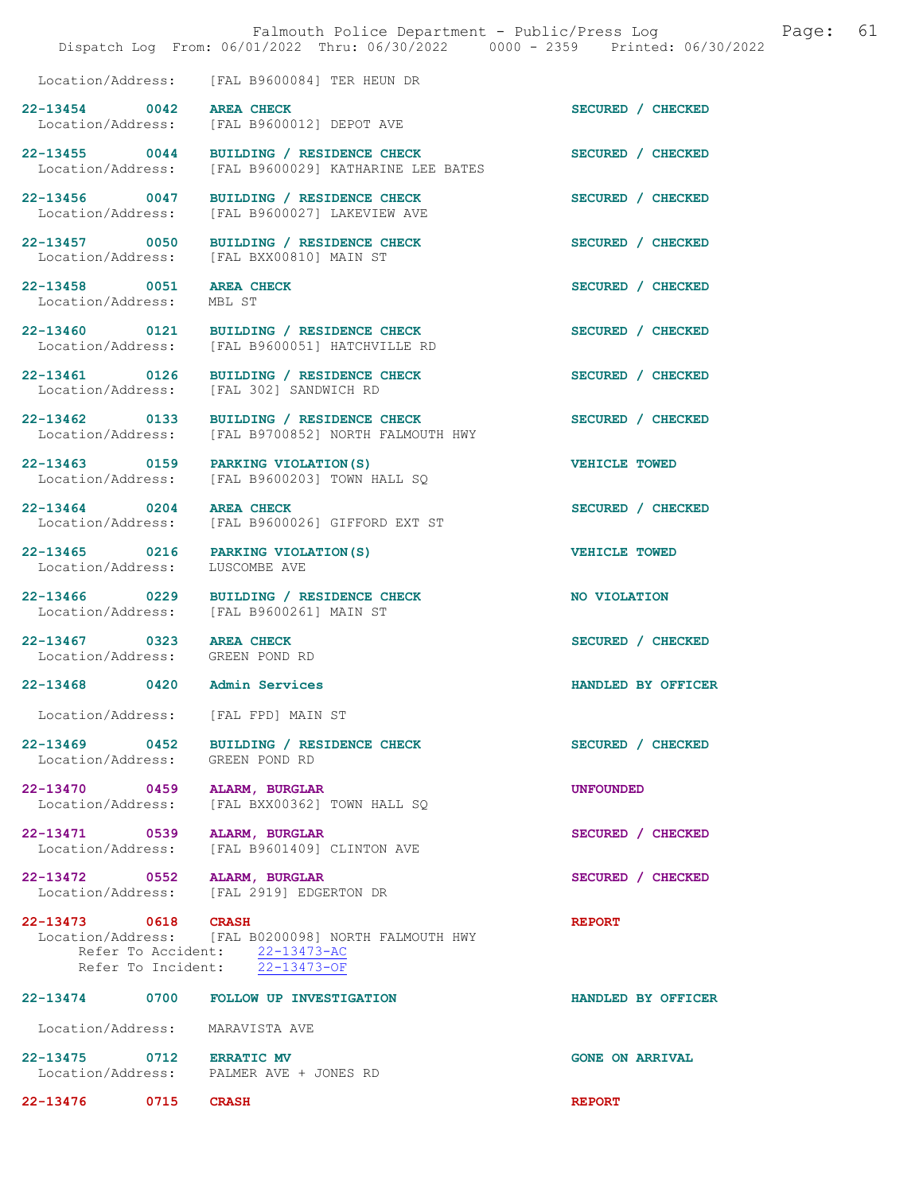|                                                             | Falmouth Police Department - Public/Press Log<br>Dispatch Log From: 06/01/2022 Thru: 06/30/2022 0000 - 2359 Printed: 06/30/2022 | 61<br>Page:            |
|-------------------------------------------------------------|---------------------------------------------------------------------------------------------------------------------------------|------------------------|
|                                                             | Location/Address: [FAL B9600084] TER HEUN DR                                                                                    |                        |
| 22-13454 0042 AREA CHECK                                    | Location/Address: [FAL B9600012] DEPOT AVE                                                                                      | SECURED / CHECKED      |
| Location/Address:                                           | 22-13455 0044 BUILDING / RESIDENCE CHECK<br>[FAL B9600029] KATHARINE LEE BATES                                                  | SECURED / CHECKED      |
| 22-13456 0047<br>Location/Address:                          | BUILDING / RESIDENCE CHECK<br>[FAL B9600027] LAKEVIEW AVE                                                                       | SECURED / CHECKED      |
| 22-13457 0050                                               | BUILDING / RESIDENCE CHECK<br>Location/Address: [FAL BXX00810] MAIN ST                                                          | SECURED / CHECKED      |
| 22-13458 0051<br>Location/Address:                          | <b>AREA CHECK</b><br>MBL ST                                                                                                     | SECURED / CHECKED      |
|                                                             | 22-13460 0121 BUILDING / RESIDENCE CHECK<br>Location/Address: [FAL B9600051] HATCHVILLE RD                                      | SECURED / CHECKED      |
|                                                             | 22-13461 0126 BUILDING / RESIDENCE CHECK<br>Location/Address: [FAL 302] SANDWICH RD                                             | SECURED / CHECKED      |
|                                                             | 22-13462 0133 BUILDING / RESIDENCE CHECK<br>Location/Address: [FAL B9700852] NORTH FALMOUTH HWY                                 | SECURED / CHECKED      |
|                                                             | 22-13463 0159 PARKING VIOLATION (S)<br>Location/Address: [FAL B9600203] TOWN HALL SQ                                            | <b>VEHICLE TOWED</b>   |
| 22-13464 0204                                               | <b>AREA CHECK</b><br>Location/Address: [FAL B9600026] GIFFORD EXT ST                                                            | SECURED / CHECKED      |
| Location/Address:                                           | 22-13465 0216 PARKING VIOLATION (S)<br>LUSCOMBE AVE                                                                             | <b>VEHICLE TOWED</b>   |
|                                                             | 22-13466 0229 BUILDING / RESIDENCE CHECK<br>Location/Address: [FAL B9600261] MAIN ST                                            | NO VIOLATION           |
| 22-13467 0323 AREA CHECK<br>Location/Address: GREEN POND RD |                                                                                                                                 | SECURED / CHECKED      |
| 22-13468 0420 Admin Services                                |                                                                                                                                 | HANDLED BY OFFICER     |
|                                                             | Location/Address: [FAL FPD] MAIN ST                                                                                             |                        |
| Location/Address: GREEN POND RD                             | 22-13469 0452 BUILDING / RESIDENCE CHECK                                                                                        | SECURED / CHECKED      |
| 22-13470 0459 ALARM, BURGLAR                                | Location/Address: [FAL BXX00362] TOWN HALL SQ                                                                                   | <b>UNFOUNDED</b>       |
| 22-13471 0539 ALARM, BURGLAR                                | Location/Address: [FAL B9601409] CLINTON AVE                                                                                    | SECURED / CHECKED      |
| 22-13472 0552 ALARM, BURGLAR                                | Location/Address: [FAL 2919] EDGERTON DR                                                                                        | SECURED / CHECKED      |
| 22-13473 0618 CRASH                                         | Location/Address: [FAL B0200098] NORTH FALMOUTH HWY<br>Refer To Accident: 22-13473-AC<br>Refer To Incident: $22-13473-OF$       | <b>REPORT</b>          |
|                                                             | 22-13474 0700 FOLLOW UP INVESTIGATION                                                                                           | HANDLED BY OFFICER     |
| Location/Address: MARAVISTA AVE                             |                                                                                                                                 |                        |
| 22-13475 0712 ERRATIC MV                                    | Location/Address: PALMER AVE + JONES RD                                                                                         | <b>GONE ON ARRIVAL</b> |
| 22-13476 0715 CRASH                                         |                                                                                                                                 | <b>REPORT</b>          |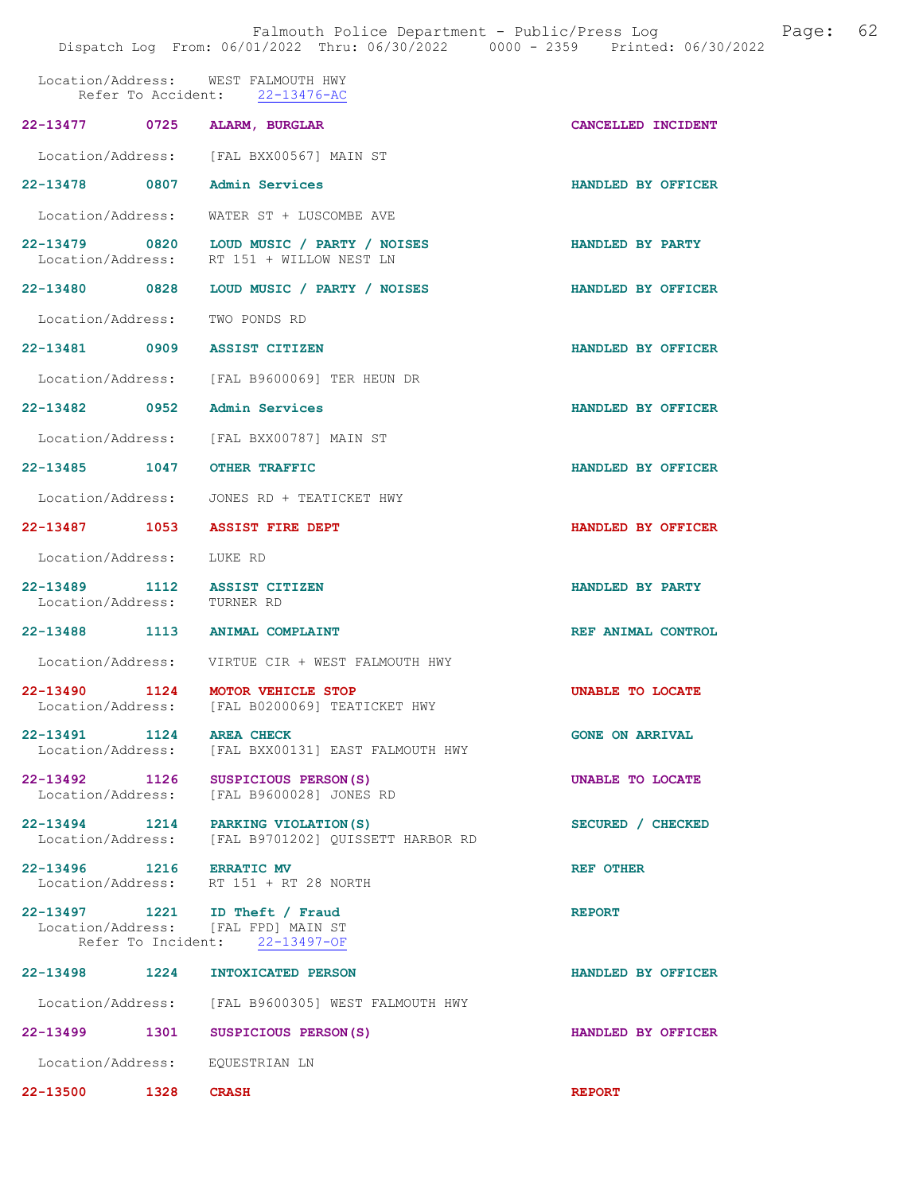|                                    |      | Dispatch Log From: 06/01/2022 Thru: 06/30/2022 0000 - 2359 Printed: 06/30/2022                          |                         |
|------------------------------------|------|---------------------------------------------------------------------------------------------------------|-------------------------|
|                                    |      | Location/Address: WEST FALMOUTH HWY<br>Refer To Accident: 22-13476-AC                                   |                         |
|                                    |      | 22-13477 0725 ALARM, BURGLAR                                                                            | CANCELLED INCIDENT      |
|                                    |      | Location/Address: [FAL BXX00567] MAIN ST                                                                |                         |
|                                    |      | 22-13478 0807 Admin Services                                                                            | HANDLED BY OFFICER      |
|                                    |      | Location/Address: WATER ST + LUSCOMBE AVE                                                               |                         |
|                                    |      | 22-13479 0820 LOUD MUSIC / PARTY / NOISES<br>Location/Address: RT 151 + WILLOW NEST LN                  | <b>HANDLED BY PARTY</b> |
|                                    |      | 22-13480 0828 LOUD MUSIC / PARTY / NOISES                                                               | HANDLED BY OFFICER      |
| Location/Address: TWO PONDS RD     |      |                                                                                                         |                         |
|                                    |      | 22-13481 0909 ASSIST CITIZEN                                                                            | HANDLED BY OFFICER      |
|                                    |      | Location/Address: [FAL B9600069] TER HEUN DR                                                            |                         |
| 22-13482 0952 Admin Services       |      |                                                                                                         | HANDLED BY OFFICER      |
|                                    |      | Location/Address: [FAL BXX00787] MAIN ST                                                                |                         |
| 22-13485 1047 OTHER TRAFFIC        |      |                                                                                                         | HANDLED BY OFFICER      |
|                                    |      | Location/Address: JONES RD + TEATICKET HWY                                                              |                         |
|                                    |      | 22-13487 1053 ASSIST FIRE DEPT                                                                          | HANDLED BY OFFICER      |
| Location/Address: LUKE RD          |      |                                                                                                         |                         |
| Location/Address: TURNER RD        |      | 22-13489 1112 ASSIST CITIZEN                                                                            | HANDLED BY PARTY        |
|                                    |      | 22-13488 1113 ANIMAL COMPLAINT                                                                          | REF ANIMAL CONTROL      |
|                                    |      | Location/Address: VIRTUE CIR + WEST FALMOUTH HWY                                                        |                         |
|                                    |      | 22-13490 1124 MOTOR VEHICLE STOP<br>Location/Address: [FAL B0200069] TEATICKET HWY                      | UNABLE TO LOCATE        |
| 22-13491 1124                      |      | <b>AREA CHECK</b><br>Location/Address: [FAL BXX00131] EAST FALMOUTH HWY                                 | <b>GONE ON ARRIVAL</b>  |
| 22-13492 1126<br>Location/Address: |      | SUSPICIOUS PERSON(S)<br>[FAL B9600028] JONES RD                                                         | UNABLE TO LOCATE        |
|                                    |      | 22-13494 1214 PARKING VIOLATION (S)<br>Location/Address: [FAL B9701202] OUISSETT HARBOR RD              | SECURED / CHECKED       |
| 22-13496 1216 ERRATIC MV           |      | Location/Address: RT 151 + RT 28 NORTH                                                                  | <b>REF OTHER</b>        |
|                                    |      | 22-13497 1221 ID Theft / Fraud<br>Location/Address: [FAL FPD] MAIN ST<br>Refer To Incident: 22-13497-OF | <b>REPORT</b>           |
| 22-13498                           | 1224 | INTOXICATED PERSON                                                                                      | HANDLED BY OFFICER      |
|                                    |      | Location/Address: [FAL B9600305] WEST FALMOUTH HWY                                                      |                         |
| 22-13499 1301                      |      | SUSPICIOUS PERSON(S)                                                                                    | HANDLED BY OFFICER      |

Location/Address: EQUESTRIAN LN

22-13500 1328 CRASH REPORT

Falmouth Police Department - Public/Press Log and Page: 62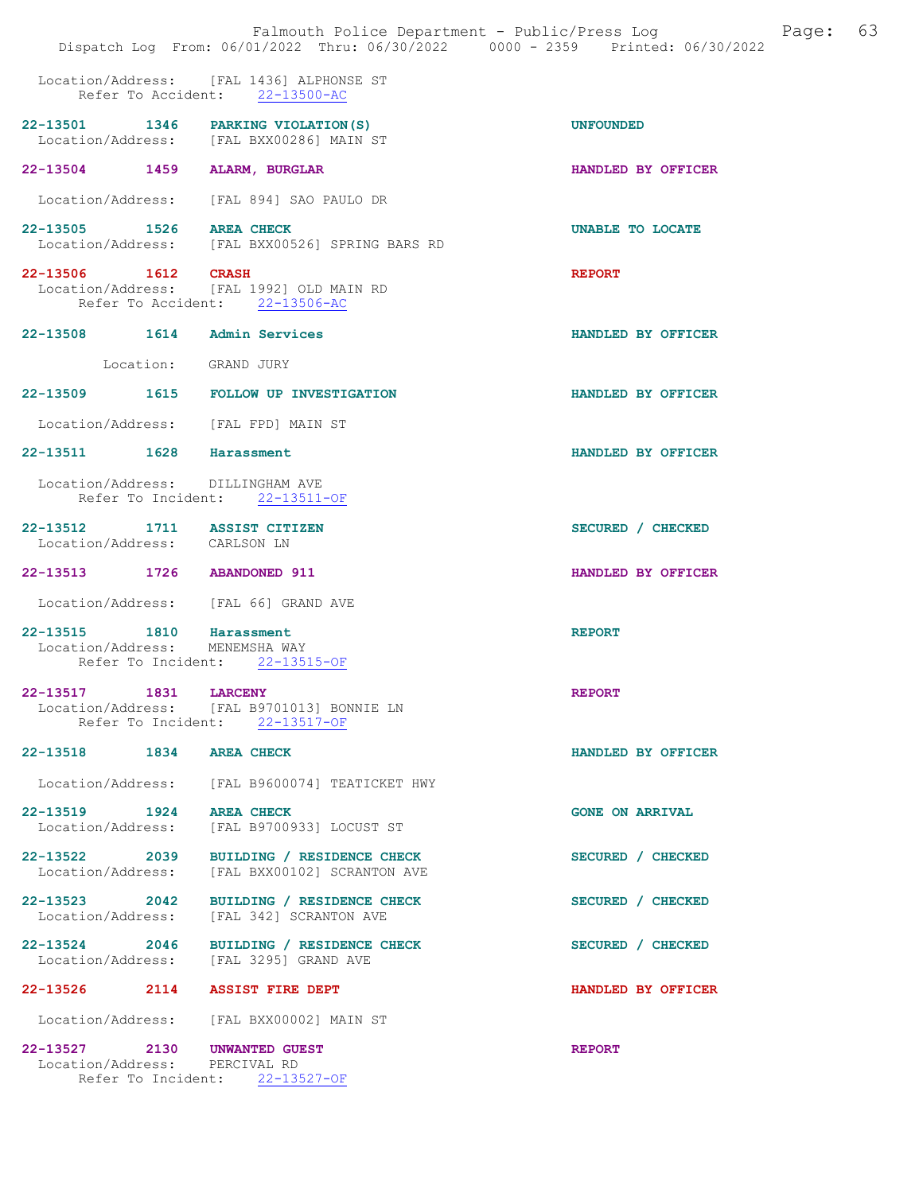|                                                               |                      | Falmouth Police Department - Public/Press Log Fage: 63<br>Dispatch Log From: 06/01/2022 Thru: 06/30/2022 0000 - 2359 Printed: 06/30/2022 |                        |
|---------------------------------------------------------------|----------------------|------------------------------------------------------------------------------------------------------------------------------------------|------------------------|
|                                                               |                      | Location/Address: [FAL 1436] ALPHONSE ST<br>Refer To Accident: 22-13500-AC                                                               |                        |
|                                                               |                      | 22-13501 1346 PARKING VIOLATION (S)<br>Location/Address: [FAL BXX00286] MAIN ST                                                          | <b>UNFOUNDED</b>       |
| 22-13504 1459 ALARM, BURGLAR                                  |                      |                                                                                                                                          | HANDLED BY OFFICER     |
|                                                               |                      | Location/Address: [FAL 894] SAO PAULO DR                                                                                                 |                        |
| 22-13505 1526 AREA CHECK                                      |                      | Location/Address: [FAL BXX00526] SPRING BARS RD                                                                                          | UNABLE TO LOCATE       |
| Refer To Accident: 22-13506-AC                                |                      | 22-13506 1612 CRASH<br>Location/Address: [FAL 1992] OLD MAIN RD                                                                          | <b>REPORT</b>          |
| 22-13508 1614 Admin Services                                  |                      |                                                                                                                                          | HANDLED BY OFFICER     |
|                                                               | Location: GRAND JURY |                                                                                                                                          |                        |
|                                                               |                      | 22-13509 1615 FOLLOW UP INVESTIGATION                                                                                                    | HANDLED BY OFFICER     |
| Location/Address: [FAL FPD] MAIN ST                           |                      |                                                                                                                                          |                        |
| 22-13511 1628 Harassment                                      |                      |                                                                                                                                          | HANDLED BY OFFICER     |
| Location/Address: DILLINGHAM AVE                              |                      | Refer To Incident: 22-13511-OF                                                                                                           |                        |
| 22-13512 1711 ASSIST CITIZEN<br>Location/Address: CARLSON LN  |                      |                                                                                                                                          | SECURED / CHECKED      |
| 22-13513 1726 ABANDONED 911                                   |                      |                                                                                                                                          | HANDLED BY OFFICER     |
| Location/Address: [FAL 66] GRAND AVE                          |                      |                                                                                                                                          |                        |
| 22-13515 1810 Harassment<br>Location/Address: MENEMSHA WAY    |                      | Refer To Incident: 22-13515-OF                                                                                                           | <b>REPORT</b>          |
| 22-13517 1831 LARCENY                                         |                      | Location/Address: [FAL B9701013] BONNIE LN<br>Refer To Incident: 22-13517-OF                                                             | <b>REPORT</b>          |
| 22-13518 1834 AREA CHECK                                      |                      |                                                                                                                                          | HANDLED BY OFFICER     |
|                                                               |                      | Location/Address: [FAL B9600074] TEATICKET HWY                                                                                           |                        |
| 22-13519 1924 AREA CHECK<br>Location/Address:                 |                      | [FAL B9700933] LOCUST ST                                                                                                                 | <b>GONE ON ARRIVAL</b> |
|                                                               |                      | 22-13522 2039 BUILDING / RESIDENCE CHECK<br>Location/Address: [FAL BXX00102] SCRANTON AVE                                                | SECURED / CHECKED      |
| Location/Address:                                             |                      | 22-13523 2042 BUILDING / RESIDENCE CHECK<br>[FAL 342] SCRANTON AVE                                                                       | SECURED / CHECKED      |
| Location/Address: [FAL 3295] GRAND AVE                        |                      | 22-13524 2046 BUILDING / RESIDENCE CHECK                                                                                                 | SECURED / CHECKED      |
| 22-13526 2114 ASSIST FIRE DEPT                                |                      |                                                                                                                                          | HANDLED BY OFFICER     |
|                                                               |                      | Location/Address: [FAL BXX00002] MAIN ST                                                                                                 |                        |
| 22-13527 2130 UNWANTED GUEST<br>Location/Address: PERCIVAL RD |                      | Refer To Incident: 22-13527-OF                                                                                                           | <b>REPORT</b>          |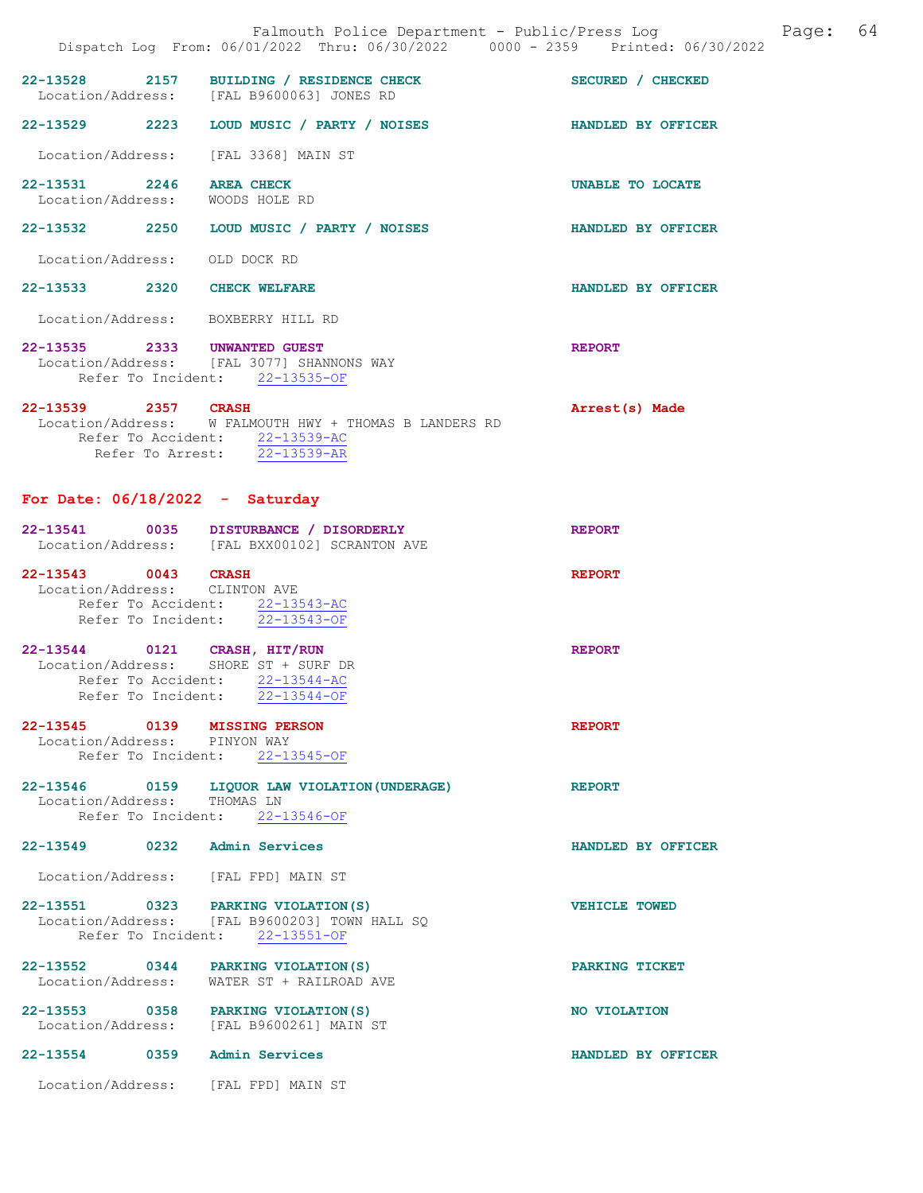|                                                              | Falmouth Police Department - Public/Press Log Bage: 64<br>Dispatch Log From: 06/01/2022 Thru: 06/30/2022 0000 - 2359 Printed: 06/30/2022 |                    |  |
|--------------------------------------------------------------|------------------------------------------------------------------------------------------------------------------------------------------|--------------------|--|
|                                                              | 22-13528 2157 BUILDING / RESIDENCE CHECK SECURED / CHECKED<br>Location/Address: [FAL B9600063] JONES RD                                  |                    |  |
|                                                              | 22-13529 2223 LOUD MUSIC / PARTY / NOISES HANDLED BY OFFICER                                                                             |                    |  |
|                                                              | Location/Address: [FAL 3368] MAIN ST                                                                                                     |                    |  |
| 22-13531 2246 AREA CHECK<br>Location/Address: WOODS HOLE RD  |                                                                                                                                          | UNABLE TO LOCATE   |  |
|                                                              | 22-13532 2250 LOUD MUSIC / PARTY / NOISES                                                                                                | HANDLED BY OFFICER |  |
| Location/Address: OLD DOCK RD                                |                                                                                                                                          |                    |  |
| 22-13533 2320 CHECK WELFARE                                  |                                                                                                                                          | HANDLED BY OFFICER |  |
| Location/Address: BOXBERRY HILL RD                           |                                                                                                                                          |                    |  |
|                                                              | 22-13535 2333 UNWANTED GUEST<br>Location/Address: [FAL 3077] SHANNONS WAY<br>Refer To Incident: 22-13535-OF                              | <b>REPORT</b>      |  |
| 22-13539 2357 CRASH<br>For Date: $06/18/2022 -$ Saturday     | Location/Address: W FALMOUTH HWY + THOMAS B LANDERS RD<br>Refer To Accident: 22-13539-AC<br>Refer To Arrest: 22-13539-AR                 | Arrest(s) Made     |  |
|                                                              | 22-13541 0035 DISTURBANCE / DISORDERLY<br>Location/Address: [FAL BXX00102] SCRANTON AVE                                                  | <b>REPORT</b>      |  |
| 22-13543 0043 CRASH<br>Location/Address: CLINTON AVE         | Refer To Accident: 22-13543-AC<br>Refer To Incident: 22-13543-OF                                                                         | <b>REPORT</b>      |  |
|                                                              | 22-13544 0121 CRASH, HIT/RUN<br>Location/Address: SHORE ST + SURF DR<br>Refer To Accident: 22-13544-AC<br>Refer To Incident: 22-13544-OF | <b>REPORT</b>      |  |
| 22-13545 0139 MISSING PERSON<br>Location/Address: PINYON WAY | Refer To Incident: 22-13545-OF                                                                                                           | <b>REPORT</b>      |  |
| Location/Address: THOMAS LN                                  | 22-13546 0159 LIQUOR LAW VIOLATION (UNDERAGE)<br>Refer To Incident: 22-13546-OF                                                          | <b>REPORT</b>      |  |
| 22-13549 0232 Admin Services                                 |                                                                                                                                          | HANDLED BY OFFICER |  |
|                                                              | Location/Address: [FAL FPD] MAIN ST                                                                                                      |                    |  |
|                                                              | 22-13551 0323 PARKING VIOLATION (S)<br>Location/Address: [FAL B9600203] TOWN HALL SQ                                                     | VEHICLE TOWED      |  |

Refer To Incident: 22-13551-OF

Location/Address: WATER ST + RAILROAD AVE

Location/Address: [FAL B9600261] MAIN ST

Location/Address: [FAL FPD] MAIN ST

22-13552 0344 PARKING VIOLATION(S) PARKING TICKET

22-13553 0358 PARKING VIOLATION(S) NO VIOLATION

22-13554 0359 Admin Services HANDLED BY OFFICER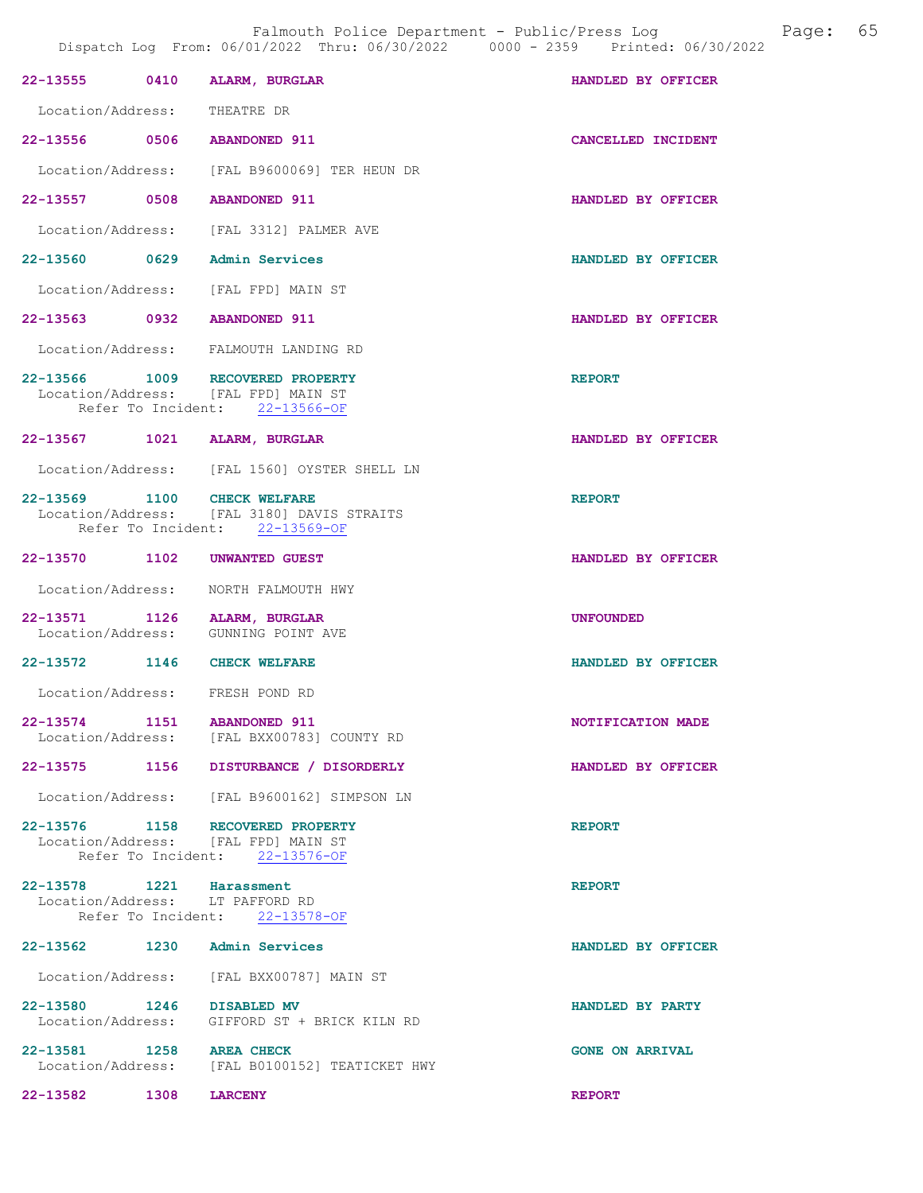|                              |      | 22-13555 0410 ALARM, BURGLAR                                                                              | HANDLED BY OFFICER     |
|------------------------------|------|-----------------------------------------------------------------------------------------------------------|------------------------|
| Location/Address: THEATRE DR |      |                                                                                                           |                        |
| 22-13556 0506 ABANDONED 911  |      |                                                                                                           | CANCELLED INCIDENT     |
|                              |      | Location/Address: [FAL B9600069] TER HEUN DR                                                              |                        |
| 22-13557 0508 ABANDONED 911  |      |                                                                                                           | HANDLED BY OFFICER     |
|                              |      | Location/Address: [FAL 3312] PALMER AVE                                                                   |                        |
|                              |      | 22-13560 0629 Admin Services                                                                              | HANDLED BY OFFICER     |
|                              |      | Location/Address: [FAL FPD] MAIN ST                                                                       |                        |
| 22-13563 0932 ABANDONED 911  |      |                                                                                                           | HANDLED BY OFFICER     |
|                              |      | Location/Address: FALMOUTH LANDING RD                                                                     |                        |
|                              |      | 22-13566 1009 RECOVERED PROPERTY<br>Location/Address: [FAL FPD] MAIN ST<br>Refer To Incident: 22-13566-OF | <b>REPORT</b>          |
|                              |      | 22-13567 1021 ALARM, BURGLAR                                                                              | HANDLED BY OFFICER     |
|                              |      | Location/Address: [FAL 1560] OYSTER SHELL LN                                                              |                        |
| 22-13569 1100 CHECK WELFARE  |      | Location/Address: [FAL 3180] DAVIS STRAITS<br>Refer To Incident: 22-13569-OF                              | <b>REPORT</b>          |
|                              |      | 22-13570 1102 UNWANTED GUEST                                                                              | HANDLED BY OFFICER     |
|                              |      | Location/Address: NORTH FALMOUTH HWY                                                                      |                        |
|                              |      | 22-13571 1126 ALARM, BURGLAR<br>Location/Address: GUNNING POINT AVE                                       | <b>UNFOUNDED</b>       |
| 22-13572 1146 CHECK WELFARE  |      |                                                                                                           | HANDLED BY OFFICER     |
|                              |      | Location/Address: FRESH POND RD                                                                           |                        |
| 22-13574                     |      | 1151 ABANDONED 911<br>Location/Address: [FAL BXX00783] COUNTY RD                                          | NOTIFICATION MADE      |
|                              |      | 22-13575 1156 DISTURBANCE / DISORDERLY                                                                    | HANDLED BY OFFICER     |
|                              |      | Location/Address: [FAL B9600162] SIMPSON LN                                                               |                        |
|                              |      | 22-13576 1158 RECOVERED PROPERTY<br>Location/Address: [FAL FPD] MAIN ST<br>Refer To Incident: 22-13576-OF | <b>REPORT</b>          |
| 22-13578 1221 Harassment     |      | Location/Address: LT PAFFORD RD<br>Refer To Incident: 22-13578-OF                                         | <b>REPORT</b>          |
|                              |      | 22-13562 1230 Admin Services                                                                              | HANDLED BY OFFICER     |
|                              |      | Location/Address: [FAL BXX00787] MAIN ST                                                                  |                        |
| 22-13580 1246 DISABLED MV    |      | Location/Address: GIFFORD ST + BRICK KILN RD                                                              | HANDLED BY PARTY       |
| 22-13581 1258 AREA CHECK     |      | Location/Address: [FAL B0100152] TEATICKET HWY                                                            | <b>GONE ON ARRIVAL</b> |
| 22-13582                     | 1308 | <b>LARCENY</b>                                                                                            | <b>REPORT</b>          |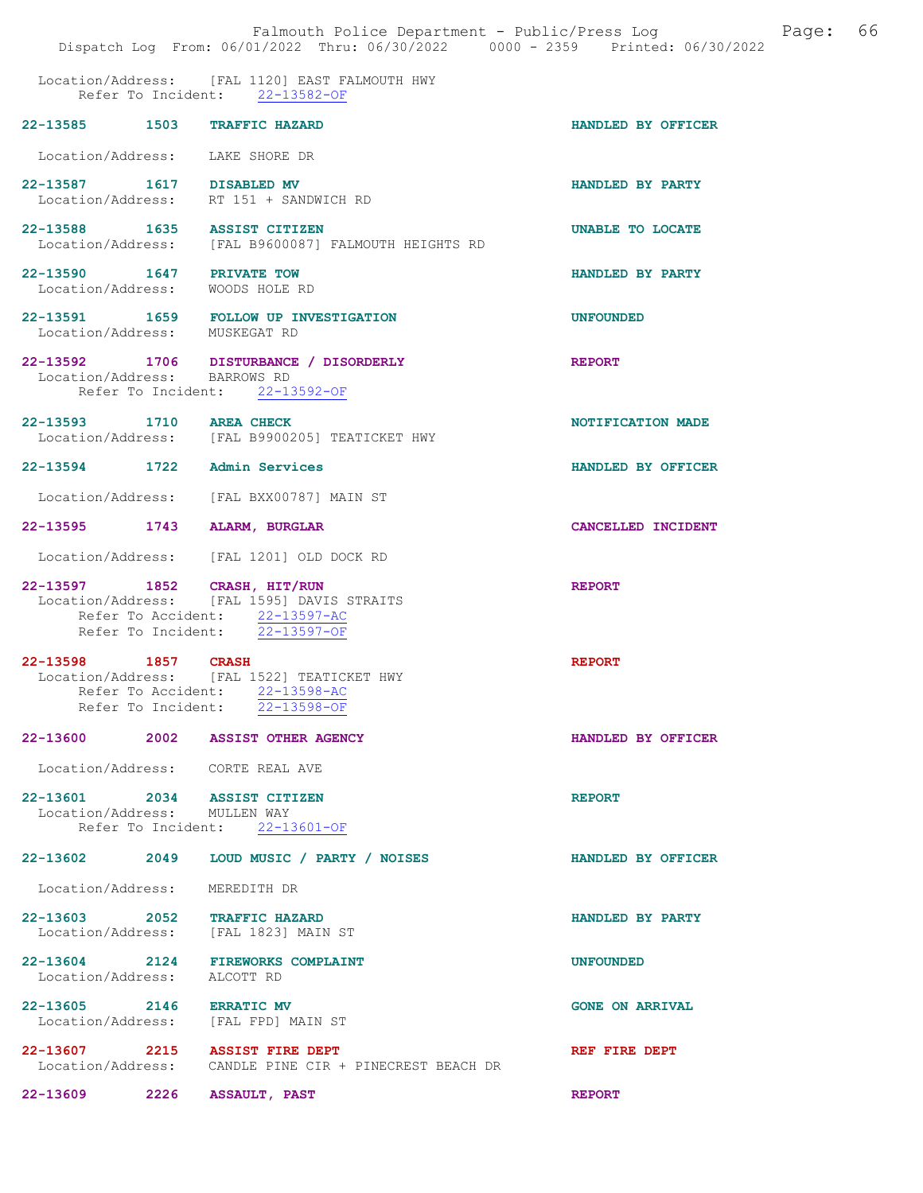|                                                                  | Falmouth Police Department - Public/Press Log<br>Dispatch Log From: 06/01/2022 Thru: 06/30/2022 0000 - 2359 Printed: 06/30/2022 | 66<br>Page:             |
|------------------------------------------------------------------|---------------------------------------------------------------------------------------------------------------------------------|-------------------------|
|                                                                  | Location/Address: [FAL 1120] EAST FALMOUTH HWY<br>Refer To Incident: 22-13582-OF                                                |                         |
| 22-13585 1503                                                    | <b>TRAFFIC HAZARD</b>                                                                                                           | HANDLED BY OFFICER      |
| Location/Address: LAKE SHORE DR                                  |                                                                                                                                 |                         |
| 22-13587 1617 DISABLED MV                                        | Location/Address: RT 151 + SANDWICH RD                                                                                          | HANDLED BY PARTY        |
| 22-13588 1635 ASSIST CITIZEN                                     | Location/Address: [FAL B9600087] FALMOUTH HEIGHTS RD                                                                            | <b>UNABLE TO LOCATE</b> |
| 22-13590 1647<br>Location/Address: WOODS HOLE RD                 | <b>PRIVATE TOW</b>                                                                                                              | HANDLED BY PARTY        |
| Location/Address: MUSKEGAT RD                                    | 22-13591 1659 FOLLOW UP INVESTIGATION                                                                                           | <b>UNFOUNDED</b>        |
| Location/Address: BARROWS RD                                     | 22-13592 1706 DISTURBANCE / DISORDERLY<br>Refer To Incident: 22-13592-OF                                                        | <b>REPORT</b>           |
| 22-13593 1710 AREA CHECK                                         | Location/Address: [FAL B9900205] TEATICKET HWY                                                                                  | NOTIFICATION MADE       |
| 22-13594 1722                                                    | Admin Services                                                                                                                  | HANDLED BY OFFICER      |
| Location/Address:                                                | [FAL BXX00787] MAIN ST                                                                                                          |                         |
| 22-13595<br>1743                                                 | ALARM, BURGLAR                                                                                                                  | CANCELLED INCIDENT      |
|                                                                  | Location/Address: [FAL 1201] OLD DOCK RD                                                                                        |                         |
| 22-13597 1852 CRASH, HIT/RUN<br>Location/Address:                | [FAL 1595] DAVIS STRAITS<br>Refer To Accident: 22-13597-AC<br>Refer To Incident: 22-13597-OF                                    | <b>REPORT</b>           |
| $22 - 13598$<br>1857<br>Location/Address:<br>Refer To Accident:  | <b>CRASH</b><br>[FAL 1522] TEATICKET HWY<br>22-13598-AC<br>Refer To Incident: 22-13598-OF                                       | <b>REPORT</b>           |
|                                                                  | 22-13600 2002 ASSIST OTHER AGENCY                                                                                               | HANDLED BY OFFICER      |
| Location/Address: CORTE REAL AVE                                 |                                                                                                                                 |                         |
| 22-13601 2034 ASSIST CITIZEN<br>Location/Address: MULLEN WAY     | Refer To Incident: 22-13601-OF                                                                                                  | <b>REPORT</b>           |
| 22-13602 2049                                                    | LOUD MUSIC / PARTY / NOISES                                                                                                     | HANDLED BY OFFICER      |
| Location/Address:                                                | MEREDITH DR                                                                                                                     |                         |
| 22-13603 2052 TRAFFIC HAZARD                                     | Location/Address: [FAL 1823] MAIN ST                                                                                            | HANDLED BY PARTY        |
| 22-13604 2124 FIREWORKS COMPLAINT<br>Location/Address: ALCOTT RD |                                                                                                                                 | <b>UNFOUNDED</b>        |
| 22-13605 2146 ERRATIC MV<br>Location/Address: [FAL FPD] MAIN ST  |                                                                                                                                 | <b>GONE ON ARRIVAL</b>  |
| 22-13607 2215<br>Location/Address:                               | <b>ASSIST FIRE DEPT</b><br>CANDLE PINE CIR + PINECREST BEACH DR                                                                 | REF FIRE DEPT           |
| 22-13609<br>2226                                                 | <b>ASSAULT, PAST</b>                                                                                                            | <b>REPORT</b>           |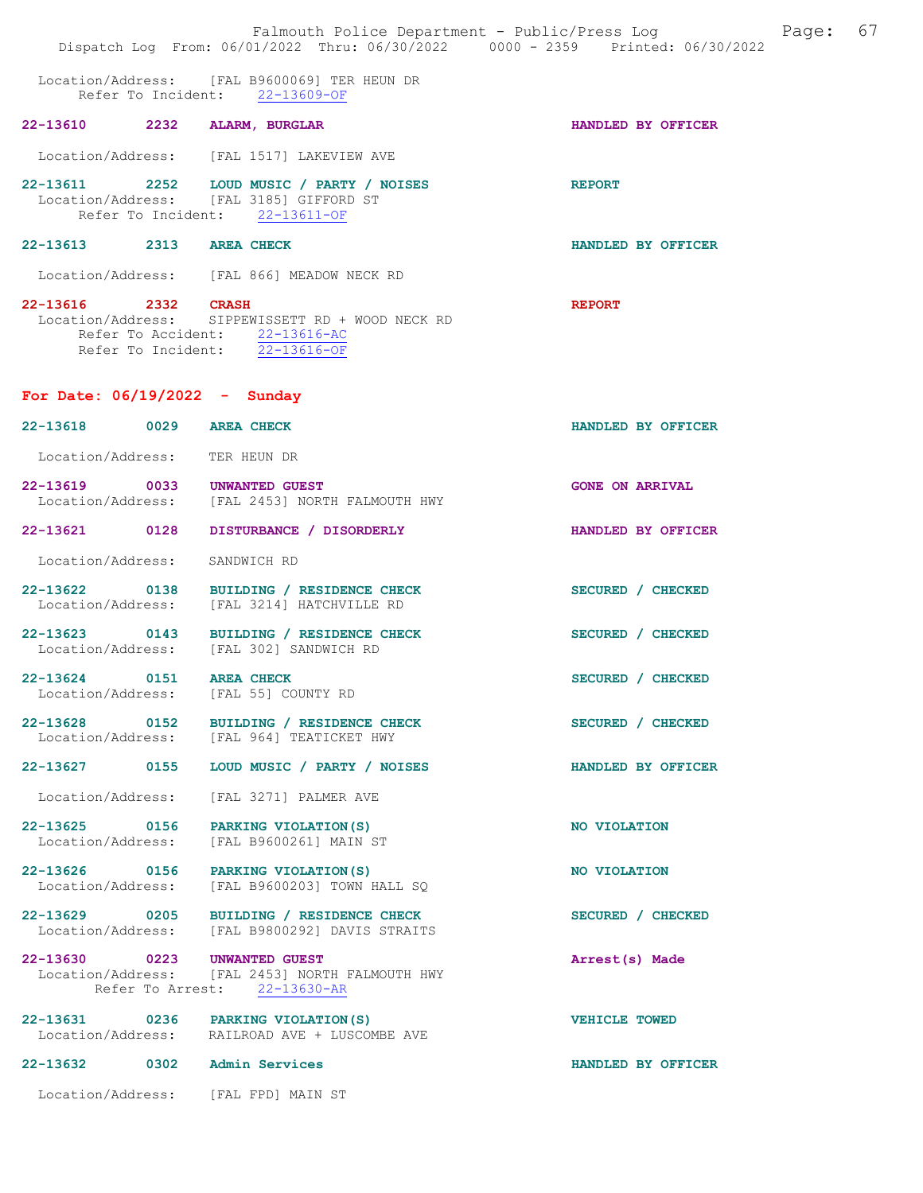|                                 | Falmouth Police Department - Public/Press Log Fage: 67<br>Dispatch Log From: 06/01/2022 Thru: 06/30/2022 0000 - 2359 Printed: 06/30/2022 |                        |
|---------------------------------|------------------------------------------------------------------------------------------------------------------------------------------|------------------------|
|                                 | Location/Address: [FAL B9600069] TER HEUN DR<br>Refer To Incident: 22-13609-OF                                                           |                        |
| 22-13610 2232 ALARM, BURGLAR    |                                                                                                                                          | HANDLED BY OFFICER     |
|                                 | Location/Address: [FAL 1517] LAKEVIEW AVE                                                                                                |                        |
|                                 | 22-13611 2252 LOUD MUSIC / PARTY / NOISES<br>Location/Address: [FAL 3185] GIFFORD ST<br>Refer To Incident: 22-13611-OF                   | <b>REPORT</b>          |
| 22-13613 2313 AREA CHECK        |                                                                                                                                          | HANDLED BY OFFICER     |
|                                 | Location/Address: [FAL 866] MEADOW NECK RD                                                                                               |                        |
| 22-13616 2332 CRASH             | Location/Address: SIPPEWISSETT RD + WOOD NECK RD<br>Refer To Accident: $\frac{22-13616-AC}{22-13616-OF}$                                 | <b>REPORT</b>          |
| For Date: $06/19/2022 -$ Sunday |                                                                                                                                          |                        |
| 22-13618 0029 AREA CHECK        |                                                                                                                                          | HANDLED BY OFFICER     |
| Location/Address: TER HEUN DR   |                                                                                                                                          |                        |
| 22-13619 0033 UNWANTED GUEST    | Location/Address: [FAL 2453] NORTH FALMOUTH HWY                                                                                          | <b>GONE ON ARRIVAL</b> |
|                                 | 22-13621 0128 DISTURBANCE / DISORDERLY                                                                                                   | HANDLED BY OFFICER     |
| Location/Address:               | SANDWICH RD                                                                                                                              |                        |
|                                 | 22-13622 0138 BUILDING / RESIDENCE CHECK<br>Location/Address: [FAL 3214] HATCHVILLE RD                                                   | SECURED / CHECKED      |
|                                 | 22-13623 0143 BUILDING / RESIDENCE CHECK<br>Location/Address: [FAL 302] SANDWICH RD                                                      | SECURED / CHECKED      |
| 22-13624 0151 AREA CHECK        | Location/Address: [FAL 55] COUNTY RD                                                                                                     | SECURED / CHECKED      |
|                                 | 22-13628 0152 BUILDING / RESIDENCE CHECK<br>Location/Address: [FAL 964] TEATICKET HWY                                                    | SECURED / CHECKED      |
|                                 | 22-13627 0155 LOUD MUSIC / PARTY / NOISES                                                                                                | HANDLED BY OFFICER     |
|                                 | Location/Address: [FAL 3271] PALMER AVE                                                                                                  |                        |
|                                 | 22-13625 0156 PARKING VIOLATION (S)<br>Location/Address: [FAL B9600261] MAIN ST                                                          | NO VIOLATION           |
|                                 | 22-13626 0156 PARKING VIOLATION(S)<br>Location/Address: [FAL B9600203] TOWN HALL SQ                                                      | NO VIOLATION           |
|                                 | 22-13629 0205 BUILDING / RESIDENCE CHECK<br>Location/Address: [FAL B9800292] DAVIS STRAITS                                               | SECURED / CHECKED      |
| 22-13630 0223 UNWANTED GUEST    | Location/Address: [FAL 2453] NORTH FALMOUTH HWY<br>Refer To Arrest: 22-13630-AR                                                          | Arrest(s) Made         |
|                                 | 22-13631 0236 PARKING VIOLATION (S)<br>Location/Address: RAILROAD AVE + LUSCOMBE AVE                                                     | <b>VEHICLE TOWED</b>   |
| 22-13632 0302 Admin Services    |                                                                                                                                          | HANDLED BY OFFICER     |
|                                 | Location/Address: [FAL FPD] MAIN ST                                                                                                      |                        |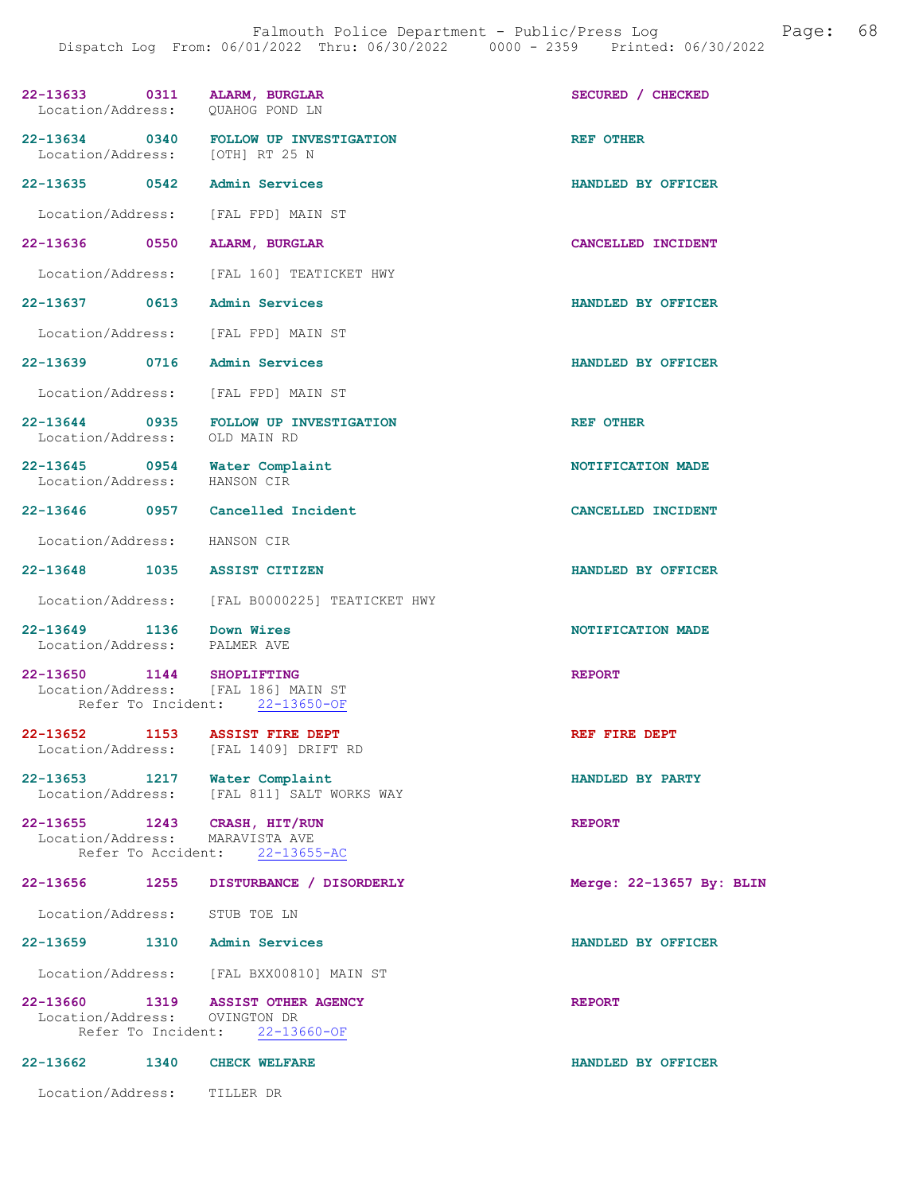| 22-13633 0311 ALARM, BURGLAR<br>Location/Address: QUAHOG POND LN |      |                                                                         | SECURED / CHECKED        |
|------------------------------------------------------------------|------|-------------------------------------------------------------------------|--------------------------|
| Location/Address: [OTH] RT 25 N                                  |      | 22-13634 0340 FOLLOW UP INVESTIGATION                                   | <b>REF OTHER</b>         |
| 22-13635 0542 Admin Services                                     |      |                                                                         | HANDLED BY OFFICER       |
|                                                                  |      | Location/Address: [FAL FPD] MAIN ST                                     |                          |
| 22-13636 0550 ALARM, BURGLAR                                     |      |                                                                         | CANCELLED INCIDENT       |
|                                                                  |      | Location/Address: [FAL 160] TEATICKET HWY                               |                          |
| 22-13637 0613 Admin Services                                     |      |                                                                         | HANDLED BY OFFICER       |
|                                                                  |      | Location/Address: [FAL FPD] MAIN ST                                     |                          |
| 22-13639 0716 Admin Services                                     |      |                                                                         | HANDLED BY OFFICER       |
|                                                                  |      | Location/Address: [FAL FPD] MAIN ST                                     |                          |
|                                                                  |      | 22-13644 0935 FOLLOW UP INVESTIGATION<br>Location/Address: OLD MAIN RD  | <b>REF OTHER</b>         |
| Location/Address: HANSON CIR                                     |      | 22-13645 0954 Water Complaint                                           | NOTIFICATION MADE        |
|                                                                  |      | 22-13646 0957 Cancelled Incident                                        | CANCELLED INCIDENT       |
| Location/Address: HANSON CIR                                     |      |                                                                         |                          |
| 22-13648 1035 ASSIST CITIZEN                                     |      |                                                                         | HANDLED BY OFFICER       |
|                                                                  |      | Location/Address: [FAL B0000225] TEATICKET HWY                          |                          |
| 22-13649 1136 Down Wires<br>Location/Address: PALMER AVE         |      |                                                                         | NOTIFICATION MADE        |
| 22-13650 1144 SHOPLIFTING                                        |      | Location/Address: [FAL 186] MAIN ST<br>Refer To Incident: 22-13650-OF   | <b>REPORT</b>            |
|                                                                  |      | 22-13652 1153 ASSIST FIRE DEPT<br>Location/Address: [FAL 1409] DRIFT RD | REF FIRE DEPT            |
| 22-13653                                                         | 1217 | Water Complaint<br>Location/Address: [FAL 811] SALT WORKS WAY           | HANDLED BY PARTY         |
| 22-13655<br>Location/Address:<br>Refer To Accident:              | 1243 | CRASH, HIT/RUN<br>MARAVISTA AVE<br>$22 - 13655 - AC$                    | <b>REPORT</b>            |
| 22-13656                                                         | 1255 | DISTURBANCE / DISORDERLY                                                | Merge: 22-13657 By: BLIN |
| Location/Address:                                                |      | STUB TOE LN                                                             |                          |
| 22-13659                                                         | 1310 | <b>Admin Services</b>                                                   | HANDLED BY OFFICER       |
| Location/Address:                                                |      | [FAL BXX00810] MAIN ST                                                  |                          |
| 22-13660<br>1319<br>Location/Address:<br>Refer To Incident:      |      | <b>ASSIST OTHER AGENCY</b><br>OVINGTON DR<br>$22 - 13660 - OF$          | <b>REPORT</b>            |
| $22 - 13662$                                                     | 1340 | <b>CHECK WELFARE</b>                                                    | HANDLED BY OFFICER       |
| Location/Address:                                                |      | TILLER DR                                                               |                          |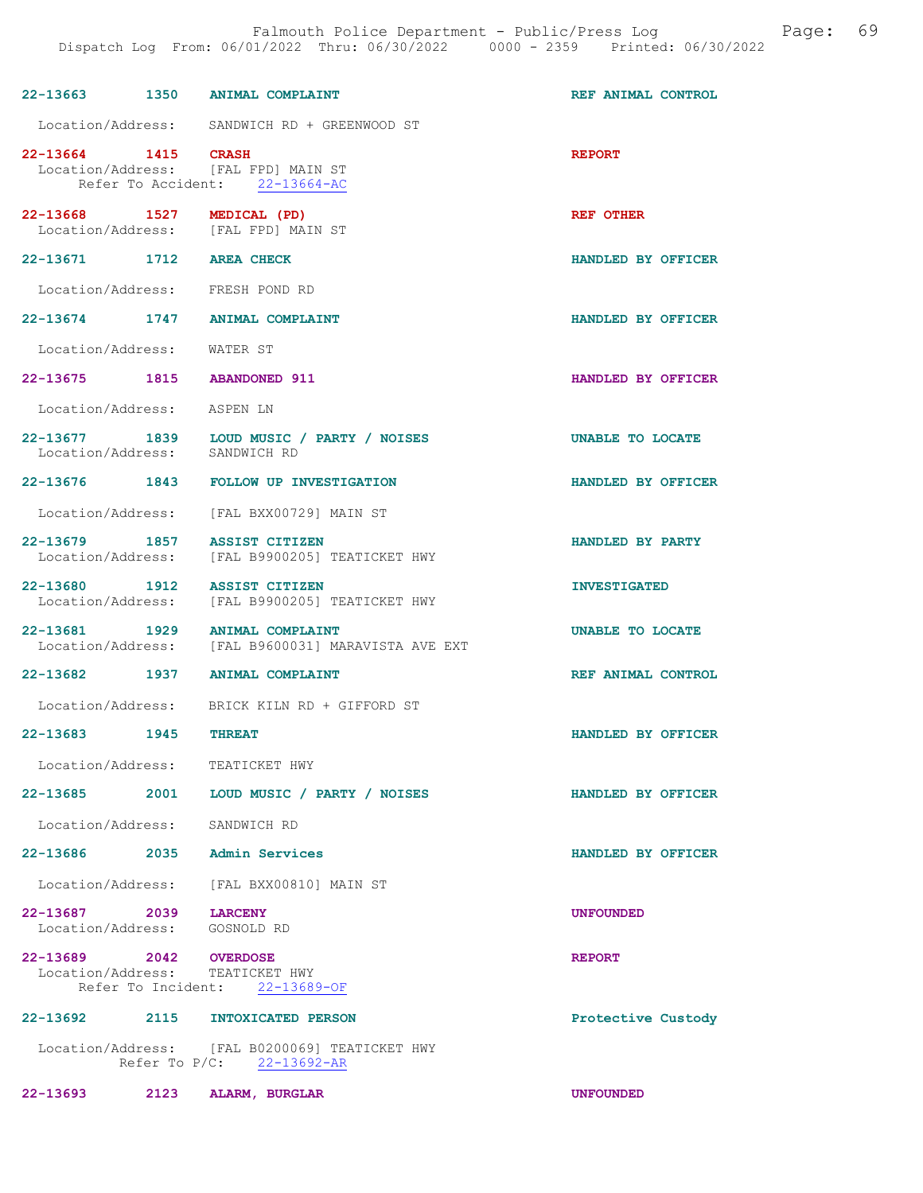| 22-13663 1350                                         |      | <b>ANIMAL COMPLAINT</b>                                                     | REF ANIMAL CONTROL      |
|-------------------------------------------------------|------|-----------------------------------------------------------------------------|-------------------------|
|                                                       |      | Location/Address: SANDWICH RD + GREENWOOD ST                                |                         |
| 22-13664 1415 CRASH                                   |      | Location/Address: [FAL FPD] MAIN ST<br>Refer To Accident: 22-13664-AC       | <b>REPORT</b>           |
| 22-13668 1527<br>Location/Address:                    |      | MEDICAL (PD)<br>[FAL FPD] MAIN ST                                           | REF OTHER               |
| 22-13671 1712                                         |      | <b>AREA CHECK</b>                                                           | HANDLED BY OFFICER      |
|                                                       |      | Location/Address: FRESH POND RD                                             |                         |
|                                                       |      | 22-13674 1747 ANIMAL COMPLAINT                                              | HANDLED BY OFFICER      |
| Location/Address: WATER ST                            |      |                                                                             |                         |
| 22-13675 1815                                         |      | <b>ABANDONED 911</b>                                                        | HANDLED BY OFFICER      |
| Location/Address:                                     |      | ASPEN LN                                                                    |                         |
| 22-13677 1839<br>Location/Address:                    |      | LOUD MUSIC / PARTY / NOISES<br>SANDWICH RD                                  | <b>UNABLE TO LOCATE</b> |
|                                                       |      | 22-13676 1843 FOLLOW UP INVESTIGATION                                       | HANDLED BY OFFICER      |
|                                                       |      | Location/Address: [FAL BXX00729] MAIN ST                                    |                         |
| 22-13679 1857<br>Location/Address:                    |      | ASSIST CITIZEN<br>[FAL B9900205] TEATICKET HWY                              | HANDLED BY PARTY        |
| 22-13680 1912<br>Location/Address:                    |      | <b>ASSIST CITIZEN</b><br>[FAL B9900205] TEATICKET HWY                       | <b>INVESTIGATED</b>     |
| 22-13681 1929<br>Location/Address:                    |      | <b>ANIMAL COMPLAINT</b><br>[FAL B9600031] MARAVISTA AVE EXT                 | UNABLE TO LOCATE        |
| 22-13682 1937                                         |      | <b>ANIMAL COMPLAINT</b>                                                     | REF ANIMAL CONTROL      |
|                                                       |      | Location/Address: BRICK KILN RD + GIFFORD ST                                |                         |
| $22 - 13683$                                          | 1945 | <b>THREAT</b>                                                               | HANDLED BY OFFICER      |
|                                                       |      | Location/Address: TEATICKET HWY                                             |                         |
|                                                       |      | 22-13685 2001 LOUD MUSIC / PARTY / NOISES                                   | HANDLED BY OFFICER      |
| Location/Address:                                     |      | SANDWICH RD                                                                 |                         |
|                                                       |      | 22-13686 2035 Admin Services                                                | HANDLED BY OFFICER      |
|                                                       |      | Location/Address: [FAL BXX00810] MAIN ST                                    |                         |
| 22-13687 2039 LARCENY<br>Location/Address: GOSNOLD RD |      |                                                                             | <b>UNFOUNDED</b>        |
| 22-13689 2042 OVERDOSE                                |      | Location/Address: TEATICKET HWY<br>Refer To Incident: 22-13689-OF           | <b>REPORT</b>           |
|                                                       |      | 22-13692 2115 INTOXICATED PERSON                                            | Protective Custody      |
|                                                       |      | Location/Address: [FAL B0200069] TEATICKET HWY<br>Refer To P/C: 22-13692-AR |                         |

22-13693 2123 ALARM, BURGLAR UNFOUNDED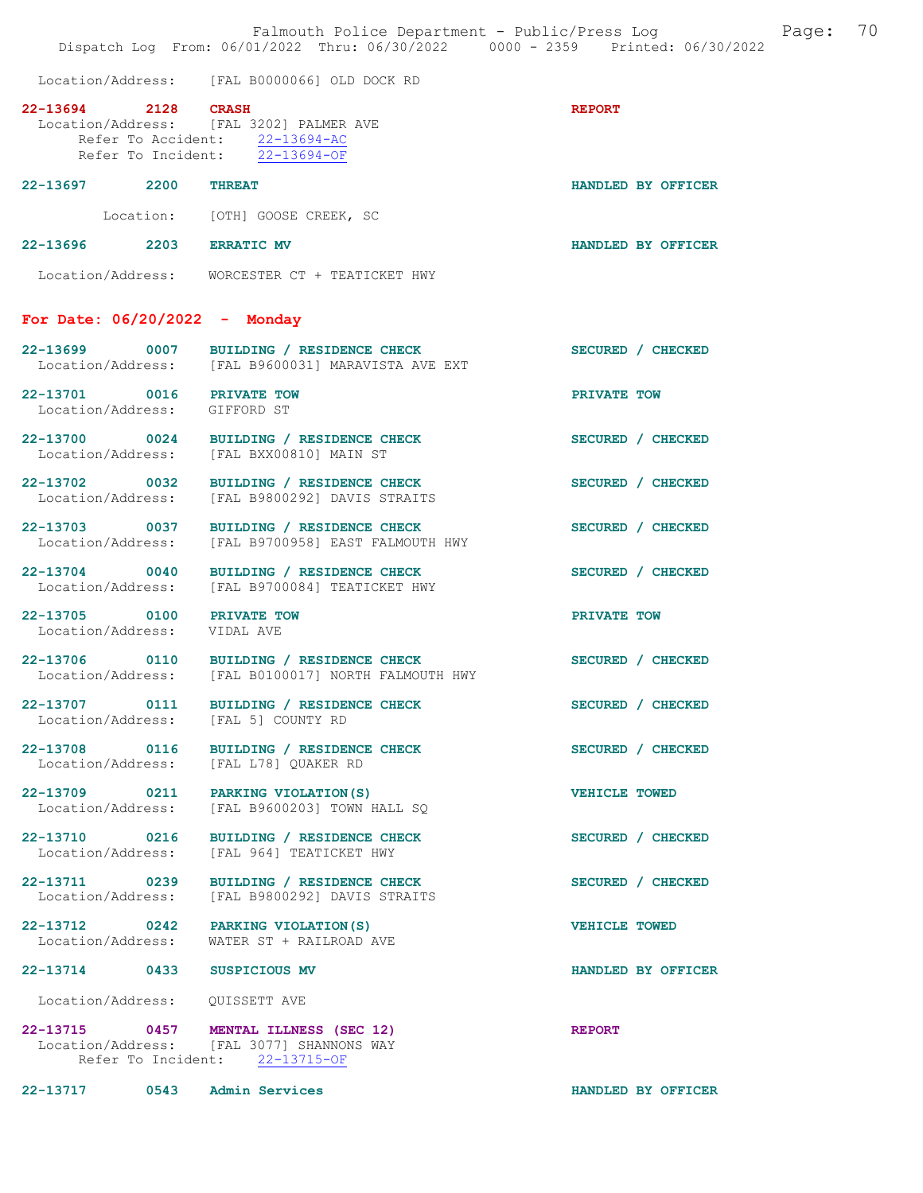|                                                           | Falmouth Police Department - Public/Press Log Fage: 70<br>Dispatch Log From: 06/01/2022 Thru: 06/30/2022 0000 - 2359 Printed: 06/30/2022 |                      |  |
|-----------------------------------------------------------|------------------------------------------------------------------------------------------------------------------------------------------|----------------------|--|
|                                                           | Location/Address: [FAL B0000066] OLD DOCK RD                                                                                             |                      |  |
| 22-13694 2128 CRASH                                       | Location/Address: [FAL 3202] PALMER AVE<br>Refer To Accident: 22-13694-AC<br>Refer To Incident: 22-13694-OF                              | <b>REPORT</b>        |  |
| 22-13697 2200 THREAT                                      |                                                                                                                                          | HANDLED BY OFFICER   |  |
|                                                           | Location: [OTH] GOOSE CREEK, SC                                                                                                          |                      |  |
| 22-13696 2203 ERRATIC MV                                  |                                                                                                                                          | HANDLED BY OFFICER   |  |
|                                                           | Location/Address: WORCESTER CT + TEATICKET HWY                                                                                           |                      |  |
| For Date: $06/20/2022 -$ Monday                           |                                                                                                                                          |                      |  |
|                                                           | 22-13699 0007 BUILDING / RESIDENCE CHECK<br>Location/Address: [FAL B9600031] MARAVISTA AVE EXT                                           | SECURED / CHECKED    |  |
| 22-13701 0016 PRIVATE TOW<br>Location/Address: GIFFORD ST |                                                                                                                                          | PRIVATE TOW          |  |
|                                                           | 22-13700 0024 BUILDING / RESIDENCE CHECK<br>Location/Address: [FAL BXX00810] MAIN ST                                                     | SECURED / CHECKED    |  |
| Location/Address:                                         | 22-13702 0032 BUILDING / RESIDENCE CHECK<br>[FAL B9800292] DAVIS STRAITS                                                                 | SECURED / CHECKED    |  |
| Location/Address:                                         | 22-13703 0037 BUILDING / RESIDENCE CHECK<br>[FAL B9700958] EAST FALMOUTH HWY                                                             | SECURED / CHECKED    |  |
|                                                           | 22-13704 0040 BUILDING / RESIDENCE CHECK<br>Location/Address: [FAL B9700084] TEATICKET HWY                                               | SECURED / CHECKED    |  |
| 22-13705 0100 PRIVATE TOW<br>Location/Address: VIDAL AVE  |                                                                                                                                          | PRIVATE TOW          |  |
|                                                           | 22-13706 0110 BUILDING / RESIDENCE CHECK<br>Location/Address: [FAL B0100017] NORTH FALMOUTH HWY                                          | SECURED / CHECKED    |  |
|                                                           | 22-13707 0111 BUILDING / RESIDENCE CHECK<br>Location/Address: [FAL 5] COUNTY RD                                                          | SECURED / CHECKED    |  |
|                                                           | 22-13708 0116 BUILDING / RESIDENCE CHECK<br>Location/Address: [FAL L78] QUAKER RD                                                        | SECURED / CHECKED    |  |
|                                                           | 22-13709 0211 PARKING VIOLATION (S)<br>Location/Address: [FAL B9600203] TOWN HALL SQ                                                     | <b>VEHICLE TOWED</b> |  |
|                                                           | 22-13710 0216 BUILDING / RESIDENCE CHECK<br>Location/Address: [FAL 964] TEATICKET HWY                                                    | SECURED / CHECKED    |  |
| Location/Address:                                         | 22-13711 0239 BUILDING / RESIDENCE CHECK<br>[FAL B9800292] DAVIS STRAITS                                                                 | SECURED / CHECKED    |  |
|                                                           | 22-13712 0242 PARKING VIOLATION (S)<br>Location/Address: WATER ST + RAILROAD AVE                                                         | <b>VEHICLE TOWED</b> |  |
| 22-13714 0433 SUSPICIOUS MV                               |                                                                                                                                          | HANDLED BY OFFICER   |  |
|                                                           |                                                                                                                                          |                      |  |
|                                                           | 22-13715 0457 MENTAL ILLNESS (SEC 12)<br>Location/Address: [FAL 3077] SHANNONS WAY<br>Refer To Incident: 22-13715-OF                     | <b>REPORT</b>        |  |
| 22-13717 0543 Admin Services                              |                                                                                                                                          | HANDLED BY OFFICER   |  |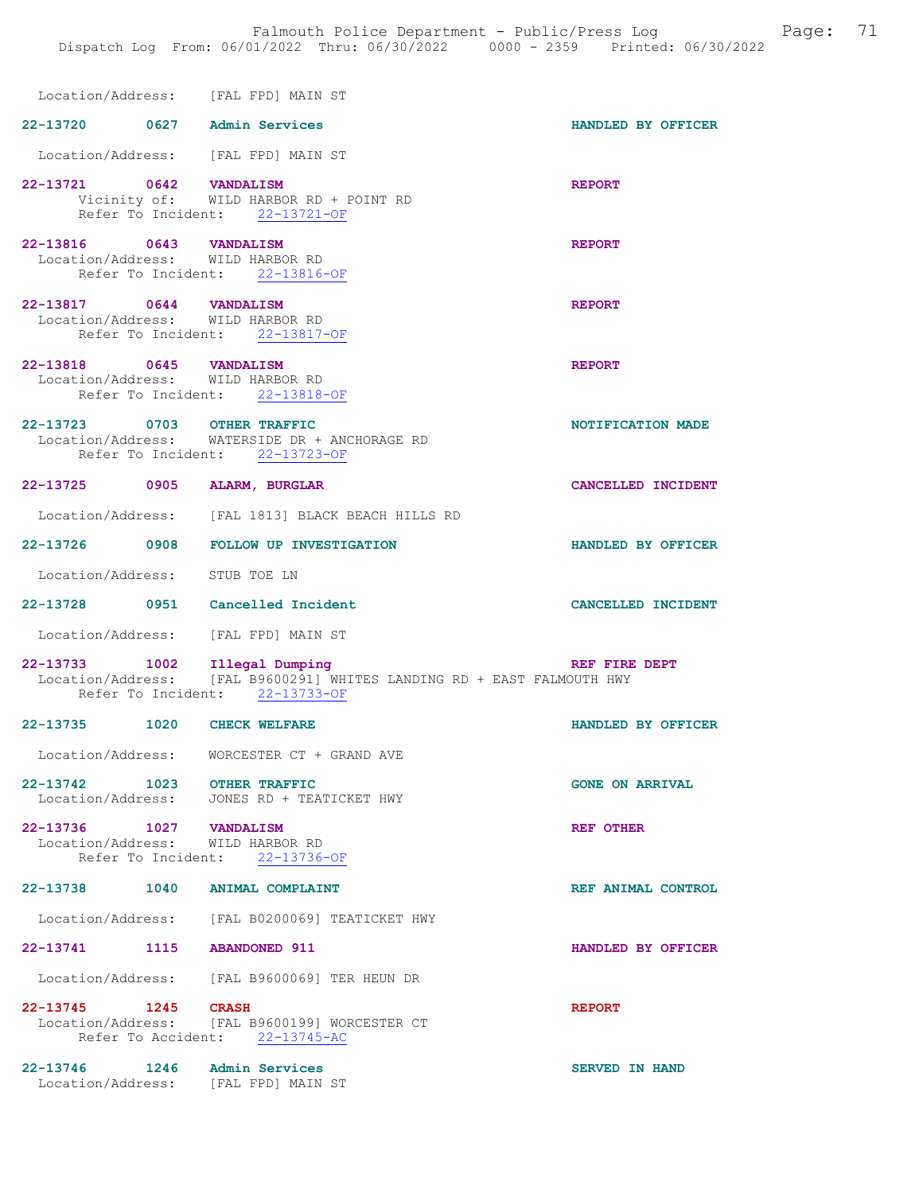| Location/Address: [FAL FPD] MAIN ST |                                                                                                         |                        |
|-------------------------------------|---------------------------------------------------------------------------------------------------------|------------------------|
| 22-13720 0627 Admin Services        |                                                                                                         | HANDLED BY OFFICER     |
| Location/Address: [FAL FPD] MAIN ST |                                                                                                         |                        |
|                                     | 22-13721 0642 VANDALISM<br>Vicinity of: WILD HARBOR RD + POINT RD                                       | <b>REPORT</b>          |
|                                     | Refer To Incident: 22-13721-OF                                                                          |                        |
| 22-13816 0643 VANDALISM             |                                                                                                         | <b>REPORT</b>          |
| Location/Address: WILD HARBOR RD    | Refer To Incident: 22-13816-OF                                                                          |                        |
| 22-13817 0644 VANDALISM             |                                                                                                         | <b>REPORT</b>          |
| Location/Address: WILD HARBOR RD    | Refer To Incident: 22-13817-OF                                                                          |                        |
| 22-13818 0645 VANDALISM             |                                                                                                         | <b>REPORT</b>          |
| Location/Address: WILD HARBOR RD    |                                                                                                         |                        |
|                                     | Refer To Incident: 22-13818-OF                                                                          |                        |
| 22-13723 0703 OTHER TRAFFIC         | Location/Address: WATERSIDE DR + ANCHORAGE RD                                                           | NOTIFICATION MADE      |
|                                     | Refer To Incident: 22-13723-OF                                                                          |                        |
| 22-13725 0905 ALARM, BURGLAR        |                                                                                                         | CANCELLED INCIDENT     |
|                                     | Location/Address: [FAL 1813] BLACK BEACH HILLS RD                                                       |                        |
|                                     | 22-13726 0908 FOLLOW UP INVESTIGATION                                                                   | HANDLED BY OFFICER     |
| Location/Address: STUB TOE LN       |                                                                                                         |                        |
| 22-13728 0951 Cancelled Incident    |                                                                                                         | CANCELLED INCIDENT     |
| Location/Address: [FAL FPD] MAIN ST |                                                                                                         |                        |
|                                     | 22-13733 1002 Illegal Dumping<br>Location/Address: [FAL B9600291] WHITES LANDING RD + EAST FALMOUTH HWY | REF FIRE DEPT          |
|                                     | Refer To Incident: 22-13733-OF                                                                          |                        |
| 22-13735 1020 CHECK WELFARE         |                                                                                                         | HANDLED BY OFFICER     |
| Location/Address:                   | WORCESTER CT + GRAND AVE                                                                                |                        |
| 22-13742 1023 OTHER TRAFFIC         | Location/Address: JONES RD + TEATICKET HWY                                                              | <b>GONE ON ARRIVAL</b> |
| 22-13736 1027 VANDALISM             |                                                                                                         |                        |
| Location/Address: WILD HARBOR RD    |                                                                                                         | <b>REF OTHER</b>       |
|                                     | Refer To Incident: 22-13736-OF                                                                          |                        |
| 22-13738 1040 ANIMAL COMPLAINT      |                                                                                                         | REF ANIMAL CONTROL     |
|                                     | Location/Address: [FAL B0200069] TEATICKET HWY                                                          |                        |
| 22-13741 1115 ABANDONED 911         |                                                                                                         | HANDLED BY OFFICER     |
|                                     | Location/Address: [FAL B9600069] TER HEUN DR                                                            |                        |
| 22-13745 1245 CRASH                 | Location/Address: [FAL B9600199] WORCESTER CT                                                           | <b>REPORT</b>          |
|                                     | Refer To Accident: 22-13745-AC                                                                          |                        |
| 22-13746   1246   Admin Services    |                                                                                                         | <b>SERVED IN HAND</b>  |
|                                     | Location/Address: [FAL FPD] MAIN ST                                                                     |                        |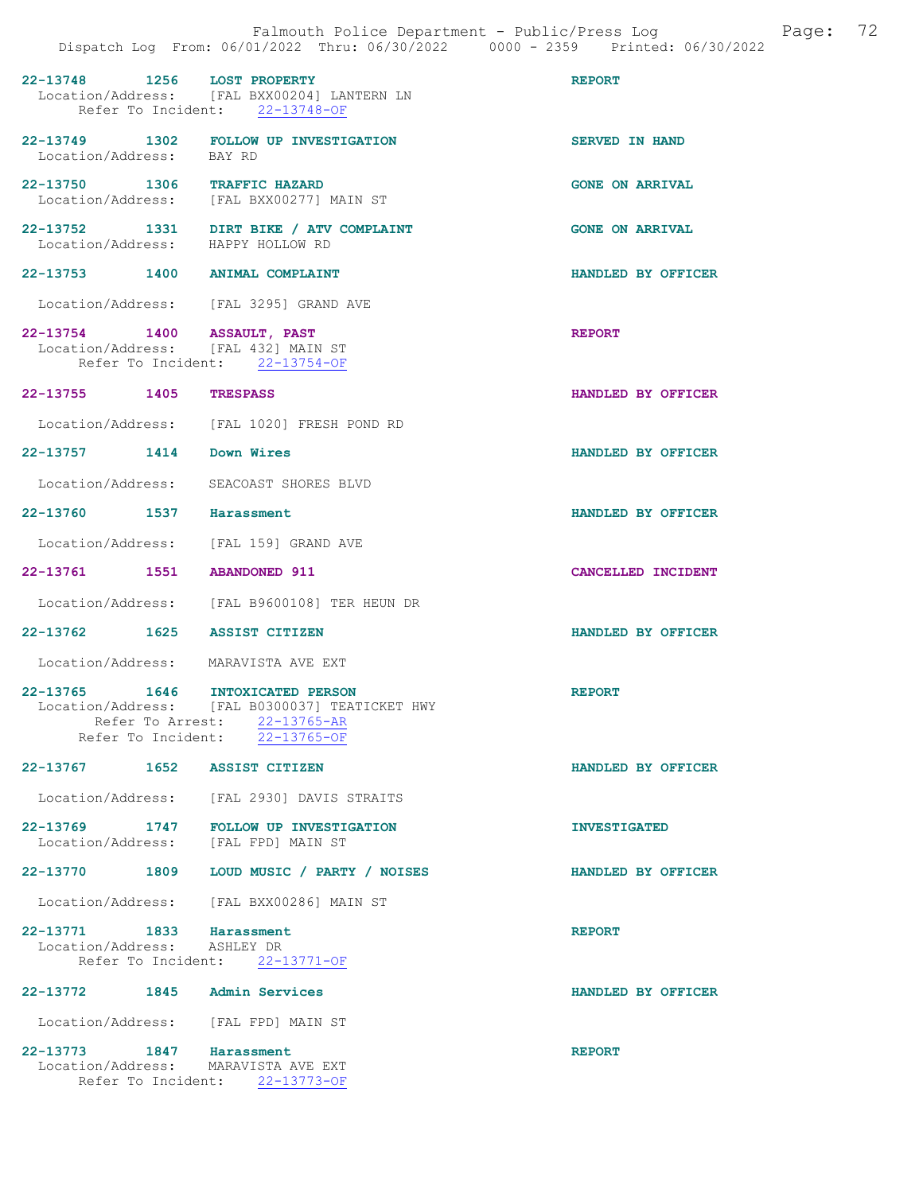| 22-13748 1256 LOST PROPERTY                                        | Location/Address: [FAL BXX00204] LANTERN LN<br>Refer To Incident: 22-13748-OF                                    | <b>REPORT</b>          |
|--------------------------------------------------------------------|------------------------------------------------------------------------------------------------------------------|------------------------|
| Location/Address: BAY RD                                           | 22-13749 1302 FOLLOW UP INVESTIGATION                                                                            | <b>SERVED IN HAND</b>  |
| 22-13750 1306 TRAFFIC HAZARD                                       | Location/Address: [FAL BXX00277] MAIN ST                                                                         | <b>GONE ON ARRIVAL</b> |
|                                                                    | 22-13752 1331 DIRT BIKE / ATV COMPLAINT<br>Location/Address: HAPPY HOLLOW RD                                     | <b>GONE ON ARRIVAL</b> |
| 22-13753 1400 ANIMAL COMPLAINT                                     |                                                                                                                  | HANDLED BY OFFICER     |
| Location/Address: [FAL 3295] GRAND AVE                             |                                                                                                                  |                        |
| 22-13754 1400 ASSAULT, PAST<br>Location/Address: [FAL 432] MAIN ST | Refer To Incident: 22-13754-OF                                                                                   | <b>REPORT</b>          |
| 22-13755 1405                                                      | <b>TRESPASS</b>                                                                                                  | HANDLED BY OFFICER     |
|                                                                    | Location/Address: [FAL 1020] FRESH POND RD                                                                       |                        |
| 22-13757 1414 Down Wires                                           |                                                                                                                  | HANDLED BY OFFICER     |
| Location/Address: SEACOAST SHORES BLVD                             |                                                                                                                  |                        |
| 22-13760 1537 Harassment                                           |                                                                                                                  | HANDLED BY OFFICER     |
| Location/Address: [FAL 159] GRAND AVE                              |                                                                                                                  |                        |
| 22-13761 1551 ABANDONED 911                                        |                                                                                                                  | CANCELLED INCIDENT     |
|                                                                    | Location/Address: [FAL B9600108] TER HEUN DR                                                                     |                        |
| 22-13762 1625 ASSIST CITIZEN                                       |                                                                                                                  | HANDLED BY OFFICER     |
| Location/Address: MARAVISTA AVE EXT                                |                                                                                                                  |                        |
| 22-13765 1646 INTOXICATED PERSON                                   | Location/Address: [FAL B0300037] TEATICKET HWY<br>Refer To Arrest: 22-13765-AR<br>Refer To Incident: 22-13765-OF | <b>REPORT</b>          |
| 22-13767 1652 ASSIST CITIZEN                                       |                                                                                                                  | HANDLED BY OFFICER     |
|                                                                    | Location/Address: [FAL 2930] DAVIS STRAITS                                                                       |                        |
| Location/Address: [FAL FPD] MAIN ST                                | 22-13769 1747 FOLLOW UP INVESTIGATION                                                                            | <b>INVESTIGATED</b>    |
|                                                                    | 22-13770 1809 LOUD MUSIC / PARTY / NOISES                                                                        | HANDLED BY OFFICER     |
|                                                                    | Location/Address: [FAL BXX00286] MAIN ST                                                                         |                        |
| 22-13771 1833 Harassment<br>Location/Address: ASHLEY DR            | Refer To Incident: 22-13771-OF                                                                                   | <b>REPORT</b>          |
| 22-13772 1845 Admin Services                                       |                                                                                                                  | HANDLED BY OFFICER     |
| Location/Address: [FAL FPD] MAIN ST                                |                                                                                                                  |                        |
| 22-13773 1847 Harassment<br>Location/Address: MARAVISTA AVE EXT    | Refer To Incident: 22-13773-OF                                                                                   | <b>REPORT</b>          |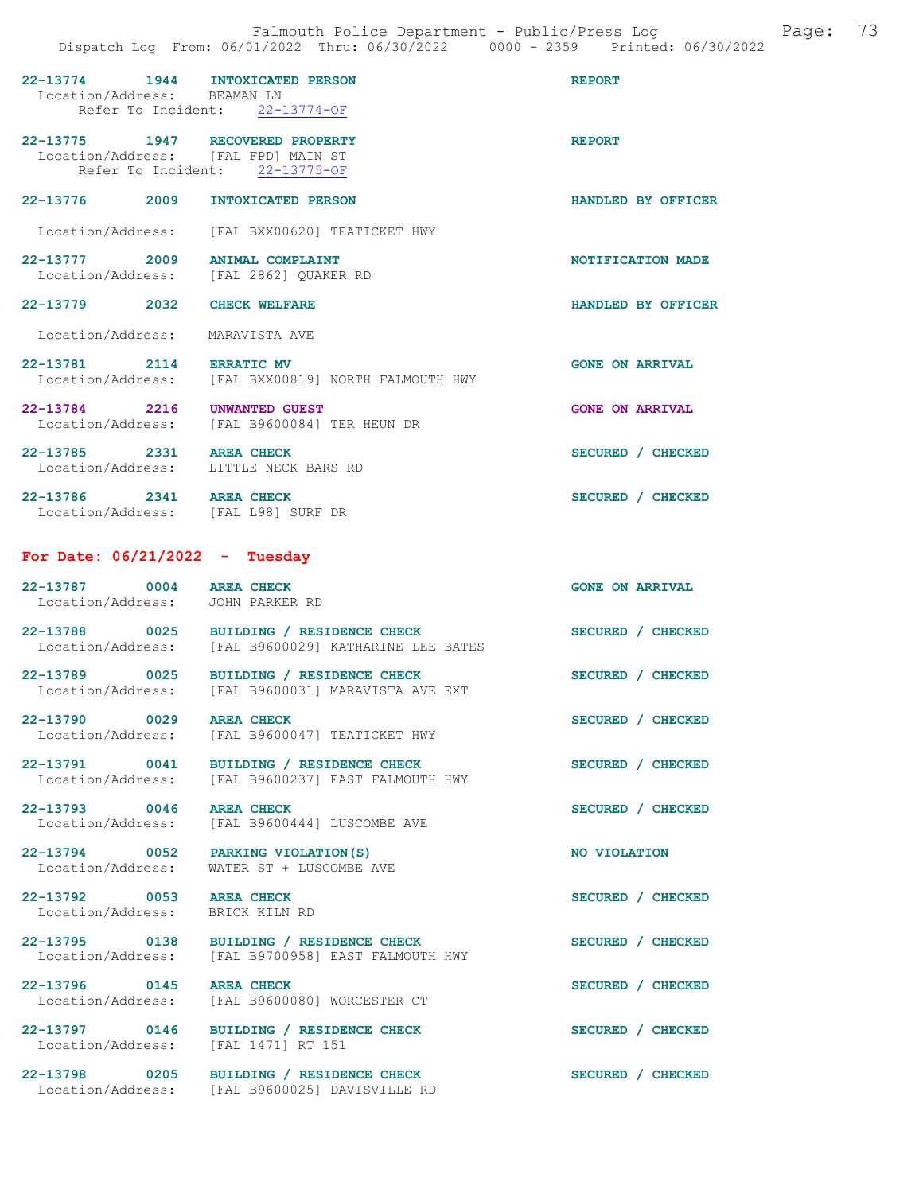| 22-13774 1944 INTOXICATED PERSON<br>Location/Address: BEAMAN LN         | Refer To Incident: 22-13774-OF                                                                 | <b>REPORT</b>          |
|-------------------------------------------------------------------------|------------------------------------------------------------------------------------------------|------------------------|
| 22-13775 1947 RECOVERED PROPERTY<br>Location/Address: [FAL FPD] MAIN ST | Refer To Incident: 22-13775-OF                                                                 | <b>REPORT</b>          |
| 22-13776 2009 INTOXICATED PERSON                                        |                                                                                                | HANDLED BY OFFICER     |
|                                                                         | Location/Address: [FAL BXX00620] TEATICKET HWY                                                 |                        |
| 22-13777 2009                                                           | <b>ANIMAL COMPLAINT</b><br>Location/Address: [FAL 2862] QUAKER RD                              | NOTIFICATION MADE      |
| 22-13779 2032 CHECK WELFARE                                             |                                                                                                | HANDLED BY OFFICER     |
| Location/Address: MARAVISTA AVE                                         |                                                                                                |                        |
| 22-13781 2114 ERRATIC MV<br>Location/Address:                           | [FAL BXX00819] NORTH FALMOUTH HWY                                                              | <b>GONE ON ARRIVAL</b> |
| 22-13784 2216 UNWANTED GUEST                                            | Location/Address: [FAL B9600084] TER HEUN DR                                                   | <b>GONE ON ARRIVAL</b> |
| 22-13785 2331 AREA CHECK<br>Location/Address: LITTLE NECK BARS RD       |                                                                                                | SECURED / CHECKED      |
| 22-13786 2341 AREA CHECK<br>Location/Address: [FAL L98] SURF DR         |                                                                                                | SECURED / CHECKED      |
| For Date: $06/21/2022 -$ Tuesday                                        |                                                                                                |                        |
| 22-13787 0004 AREA CHECK<br>Location/Address: JOHN PARKER RD            |                                                                                                | <b>GONE ON ARRIVAL</b> |
| 22-13788 0025<br>Location/Address:                                      | BUILDING / RESIDENCE CHECK<br>[FAL B9600029] KATHARINE LEE BATES                               | SECURED / CHECKED      |
| 22-13789 0025<br>Location/Address:                                      | BUILDING / RESIDENCE CHECK<br>[FAL B9600031] MARAVISTA AVE EXT                                 | SECURED / CHECKED      |
| 22-13790 0029<br>Location/Address:                                      | <b>AREA CHECK</b><br>[FAL B9600047] TEATICKET HWY                                              | SECURED / CHECKED      |
|                                                                         | 22-13791 0041 BUILDING / RESIDENCE CHECK<br>Location/Address: [FAL B9600237] EAST FALMOUTH HWY | SECURED / CHECKED      |

22-13793 0046 AREA CHECK SECURED / CHECKED Location/Address: [FAL B9600444] LUSCOMBE AVE

Location/Address: WATER ST + LUSCOMBE AVE

22-13792 0053 AREA CHECK SECURED / CHECKED Location/Address: BRICK KILN RD

22-13794 0052 PARKING VIOLATION(S) NO VIOLATION

22-13795 0138 BUILDING / RESIDENCE CHECK SECURED / CHECKED Location/Address: [FAL B9700958] EAST FALMOUTH HWY

22-13796 0145 AREA CHECK SECURED / CHECKED<br>Location/Address: [FAL B9600080] WORCESTER CT [FAL B9600080] WORCESTER CT

22-13797 0146 BUILDING / RESIDENCE CHECK SECURED / CHECKED Location/Address: [FAL 1471] RT 151

22-13798 0205 BUILDING / RESIDENCE CHECK SECURED / CHECKED Location/Address: [FAL B9600025] DAVISVILLE RD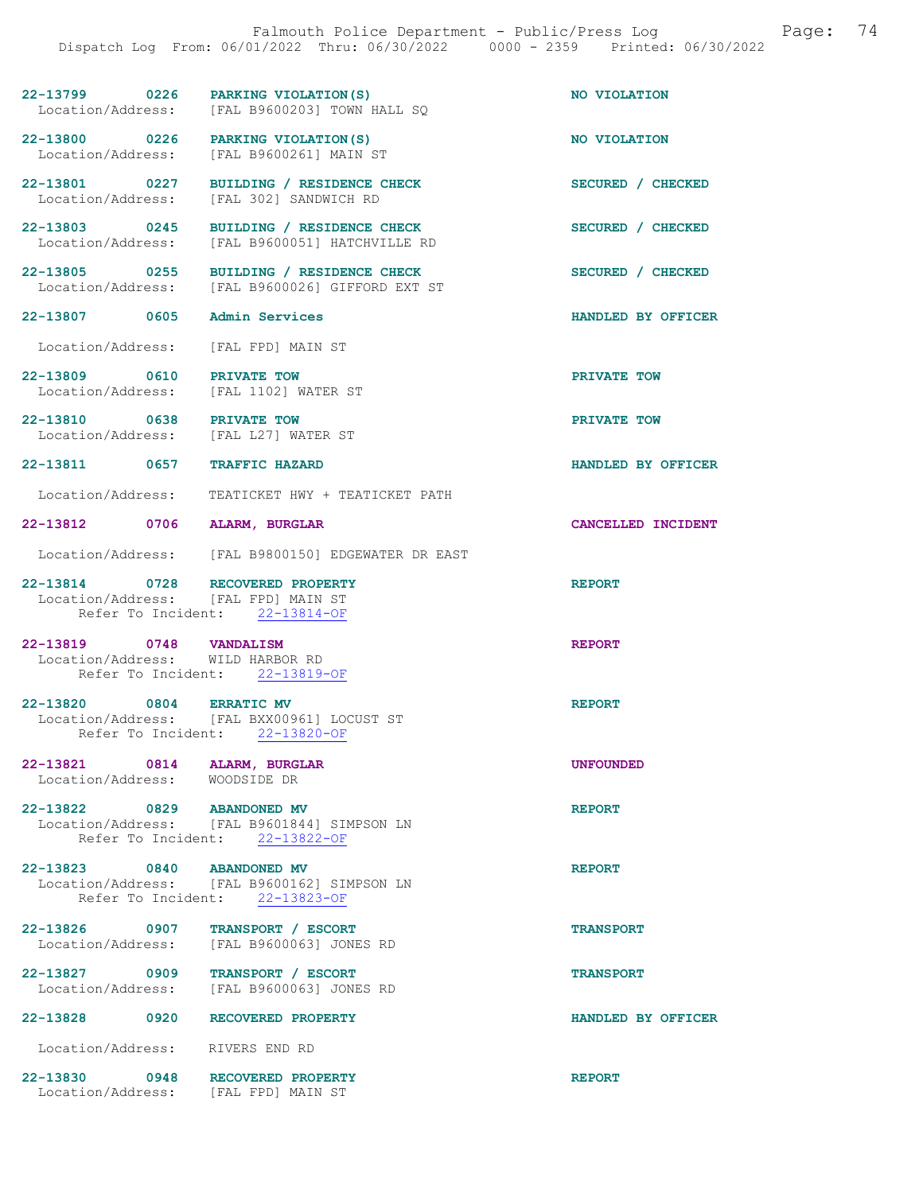| 22-13799          | 0226 | PARKING VIOLATION (S)       | NO VIOLATION |
|-------------------|------|-----------------------------|--------------|
| Location/Address: |      | [FAL B9600203] TOWN HALL SO |              |

[FAL B9600026] GIFFORD EXT ST

22-13800 0226 PARKING VIOLATION(S) NO VIOLATION Location/Address: [FAL B9600261] MAIN ST

22-13801 0227 BUILDING / RESIDENCE CHECK SECURED / CHECKED Location/Address: [FAL 302] SANDWICH RD

22-13803 0245 BUILDING / RESIDENCE CHECK SECURED / CHECKED

22-13805 0255 BUILDING / RESIDENCE CHECK<br>
Location/Address: [FAL B9600026] GIFFORD EXT ST

Location/Address: [FAL FPD] MAIN ST

22-13809 0610 PRIVATE TOW PRIVATE TOW Location/Address: [FAL 1102] WATER ST

Location/Address: [FAL B9600051] HATCHVILLE RD

22-13810 0638 PRIVATE TOW PRIVATE TOW Location/Address: [FAL L27] WATER ST

22-13811 0657 TRAFFIC HAZARD HANDLED BY OFFICER

Location/Address: TEATICKET HWY + TEATICKET PATH

22-13812 0706 ALARM, BURGLAR CANCELLED INCIDENT

Location/Address: [FAL B9800150] EDGEWATER DR EAST

22-13814 0728 RECOVERED PROPERTY REPORT Location/Address: [FAL FPD] MAIN ST Refer To Incident: 22-13814-OF

22-13819 0748 VANDALISM REPORT Location/Address: WILD HARBOR RD Refer To Incident: 22-13819-OF

#### 22-13820 0804 ERRATIC MV REPORT Location/Address: [FAL BXX00961] LOCUST ST Refer To Incident: 22-13820-OF

22-13821 0814 ALARM, BURGLAR UNE UNFOUNDED<br>
Location/Address: WOODSIDE DR Location/Address:

22-13822 0829 ABANDONED MV REPORT Location/Address: [FAL B9601844] SIMPSON LN Refer To Incident: 22-13822-OF

22-13823 0840 ABANDONED MV REPORT Location/Address: [FAL B9600162] SIMPSON LN Refer To Incident: 22-13823-OF

22-13826 0907 TRANSPORT / ESCORT TRANSPORT Location/Address: [FAL B9600063] JONES RD

22-13827 0909 TRANSPORT / ESCORT TRANSPORT Location/Address: [FAL B9600063] JONES RD

22-13828 0920 RECOVERED PROPERTY HANDLED BY OFFICER

Location/Address: RIVERS END RD

22-13830 0948 RECOVERED PROPERTY REPORT Location/Address: [FAL FPD] MAIN ST

22-13807 0605 Admin Services HANDLED BY OFFICER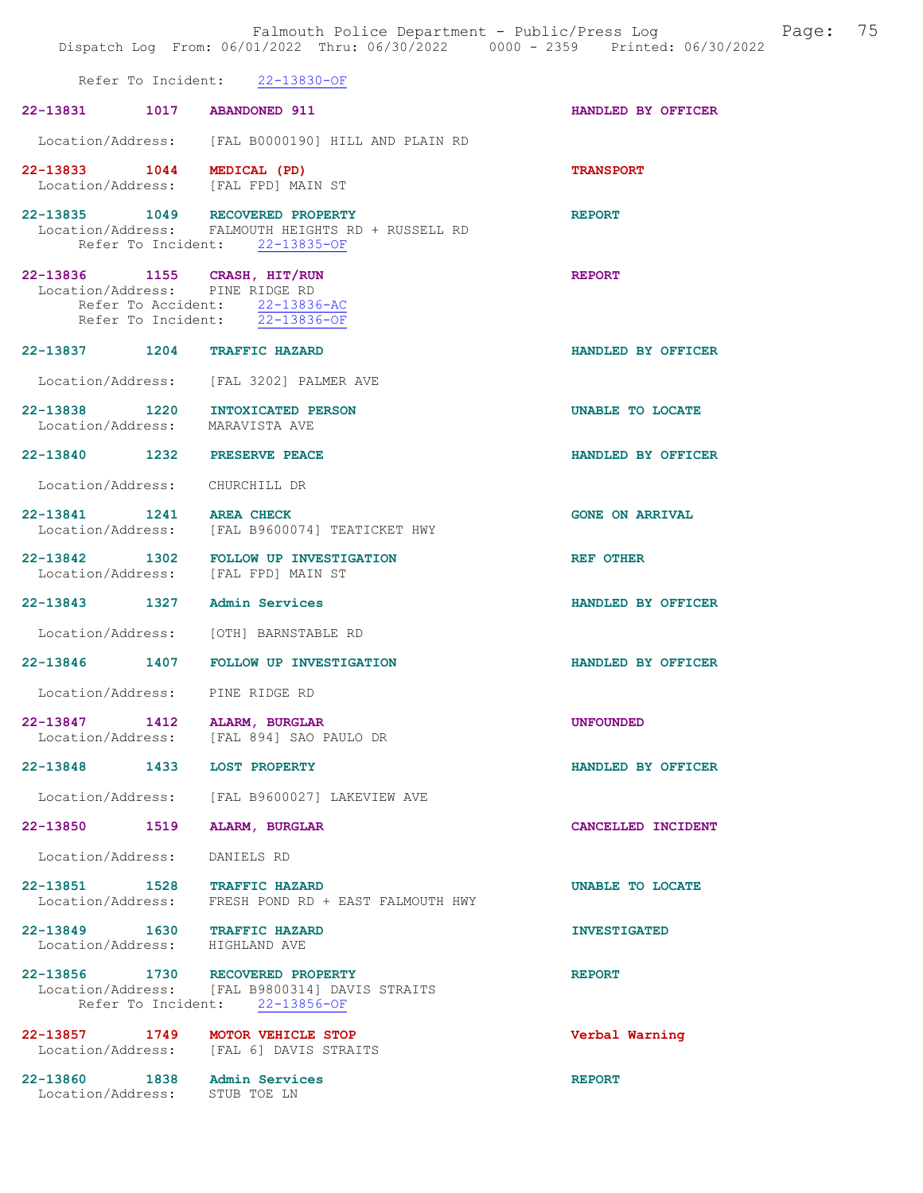|                                                                     | Falmouth Police Department - Public/Press Log Fage: 75<br>Dispatch Log From: 06/01/2022 Thru: 06/30/2022 0000 - 2359 Printed: 06/30/2022 |                        |
|---------------------------------------------------------------------|------------------------------------------------------------------------------------------------------------------------------------------|------------------------|
|                                                                     | Refer To Incident: 22-13830-OF                                                                                                           |                        |
| 22-13831 1017 ABANDONED 911                                         |                                                                                                                                          | HANDLED BY OFFICER     |
|                                                                     | Location/Address: [FAL B0000190] HILL AND PLAIN RD                                                                                       |                        |
| 22-13833 1044 MEDICAL (PD)<br>Location/Address: [FAL FPD] MAIN ST   |                                                                                                                                          | <b>TRANSPORT</b>       |
| 22-13835 1049 RECOVERED PROPERTY                                    | Location/Address: FALMOUTH HEIGHTS RD + RUSSELL RD<br>Refer To Incident: 22-13835-OF                                                     | <b>REPORT</b>          |
| 22-13836 1155 CRASH, HIT/RUN<br>Location/Address: PINE RIDGE RD     | Refer To Accident: 22-13836-AC<br>Refer To Incident: 22-13836-OF                                                                         | <b>REPORT</b>          |
| 22-13837 1204 TRAFFIC HAZARD                                        |                                                                                                                                          | HANDLED BY OFFICER     |
|                                                                     | Location/Address: [FAL 3202] PALMER AVE                                                                                                  |                        |
| 22-13838 1220 INTOXICATED PERSON<br>Location/Address: MARAVISTA AVE |                                                                                                                                          | UNABLE TO LOCATE       |
| 22-13840 1232 PRESERVE PEACE                                        |                                                                                                                                          | HANDLED BY OFFICER     |
| Location/Address: CHURCHILL DR                                      |                                                                                                                                          |                        |
| 22-13841 1241 AREA CHECK                                            | Location/Address: [FAL B9600074] TEATICKET HWY                                                                                           | <b>GONE ON ARRIVAL</b> |
|                                                                     | 22-13842 1302 FOLLOW UP INVESTIGATION<br>Location/Address: [FAL FPD] MAIN ST                                                             | REF OTHER              |
| 22-13843 1327 Admin Services                                        |                                                                                                                                          | HANDLED BY OFFICER     |
| Location/Address: [OTH] BARNSTABLE RD                               |                                                                                                                                          |                        |
|                                                                     | 22-13846 1407 FOLLOW UP INVESTIGATION                                                                                                    | HANDLED BY OFFICER     |
| Location/Address: PINE RIDGE RD                                     |                                                                                                                                          |                        |
| 22-13847<br>1412                                                    | ALARM, BURGLAR<br>Location/Address: [FAL 894] SAO PAULO DR                                                                               | <b>UNFOUNDED</b>       |
| $22 - 13848$<br>1433                                                | <b>LOST PROPERTY</b>                                                                                                                     | HANDLED BY OFFICER     |
|                                                                     | Location/Address: [FAL B9600027] LAKEVIEW AVE                                                                                            |                        |
| 22-13850 1519                                                       | <b>ALARM, BURGLAR</b>                                                                                                                    | CANCELLED INCIDENT     |
| Location/Address:                                                   | DANIELS RD                                                                                                                               |                        |
| 22-13851 1528<br>Location/Address:                                  | <b>TRAFFIC HAZARD</b><br>FRESH POND RD + EAST FALMOUTH HWY                                                                               | UNABLE TO LOCATE       |
| 22-13849 1630 TRAFFIC HAZARD<br>Location/Address: HIGHLAND AVE      |                                                                                                                                          | <b>INVESTIGATED</b>    |
| 22-13856 1730 RECOVERED PROPERTY                                    | Location/Address: [FAL B9800314] DAVIS STRAITS<br>Refer To Incident: 22-13856-OF                                                         | <b>REPORT</b>          |
| 22-13857 1749                                                       | MOTOR VEHICLE STOP<br>Location/Address: [FAL 6] DAVIS STRAITS                                                                            | Verbal Warning         |
| 22-13860 1838 Admin Services<br>Location/Address: STUB TOE LN       |                                                                                                                                          | <b>REPORT</b>          |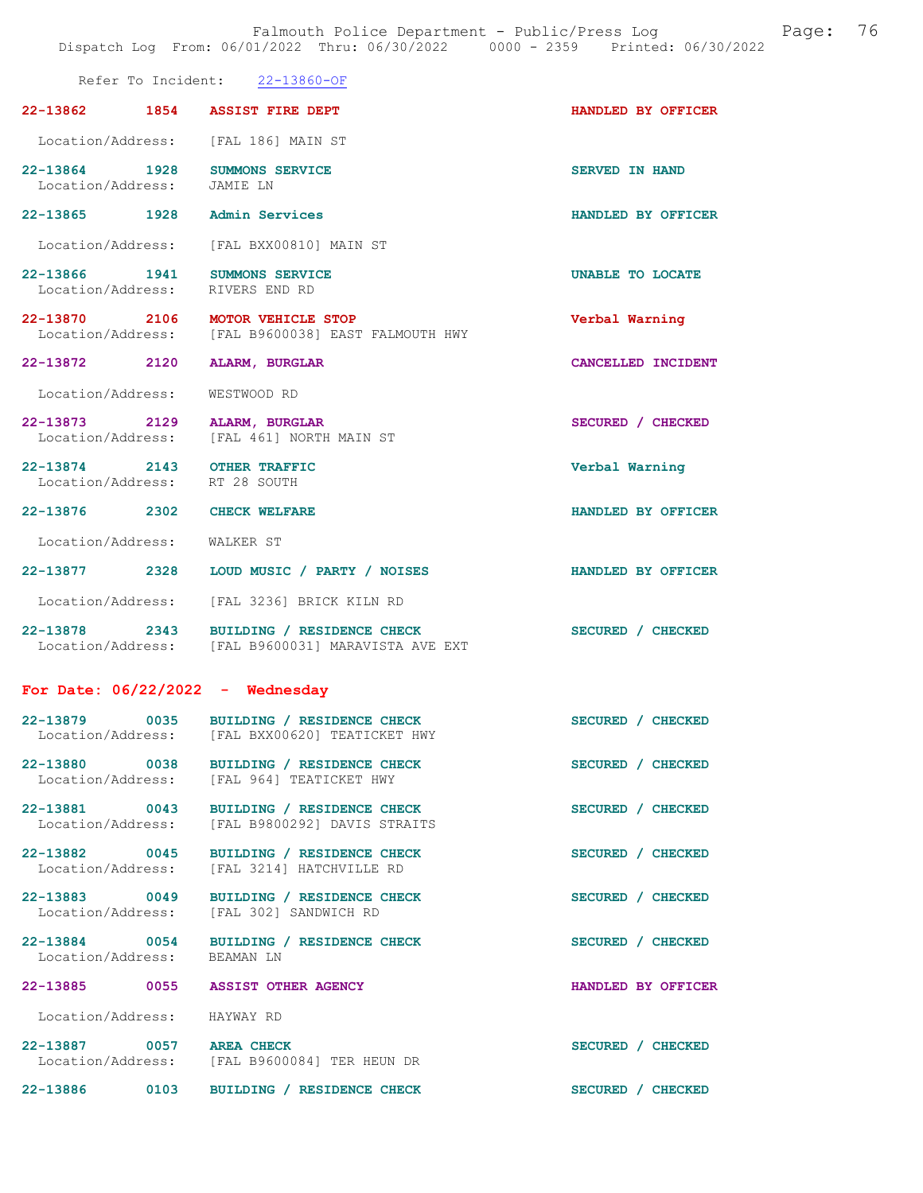Falmouth Police Department - Public/Press Log and Page: 76 Dispatch Log From: 06/01/2022 Thru: 06/30/2022 0000 - 2359 Printed: 06/30/2022

|                                               | Refer To Incident: 22-13860-OF                                                   |                       |
|-----------------------------------------------|----------------------------------------------------------------------------------|-----------------------|
| 22-13862<br>1854                              | <b>ASSIST FIRE DEPT</b>                                                          | HANDLED BY OFFICER    |
| Location/Address:                             | [FAL 186] MAIN ST                                                                |                       |
| 22-13864 1928<br>Location/Address:            | <b>SUMMONS SERVICE</b><br>JAMIE LN                                               | <b>SERVED IN HAND</b> |
| 22-13865 1928                                 | <b>Admin Services</b>                                                            | HANDLED BY OFFICER    |
| Location/Address:                             | [FAL BXX00810] MAIN ST                                                           |                       |
| 22-13866 1941<br>Location/Address:            | SUMMONS SERVICE<br>RIVERS END RD                                                 | UNABLE TO LOCATE      |
| 22-13870 2106<br>Location/Address:            | <b>MOTOR VEHICLE STOP</b><br>[FAL B9600038] EAST FALMOUTH HWY                    | Verbal Warning        |
| 22-13872<br>2120                              | ALARM, BURGLAR                                                                   | CANCELLED INCIDENT    |
| Location/Address:                             | WESTWOOD RD                                                                      |                       |
| 22-13873 2129<br>Location/Address:            | ALARM, BURGLAR<br>[FAL 461] NORTH MAIN ST                                        | SECURED / CHECKED     |
| 22-13874 2143<br>Location/Address:            | <b>OTHER TRAFFIC</b><br>RT 28 SOUTH                                              | Verbal Warning        |
| 22-13876 2302                                 | <b>CHECK WELFARE</b>                                                             | HANDLED BY OFFICER    |
| Location/Address:                             | WALKER ST                                                                        |                       |
| 22-13877 2328                                 | LOUD MUSIC / PARTY / NOISES                                                      | HANDLED BY OFFICER    |
| Location/Address:                             | [FAL 3236] BRICK KILN RD                                                         |                       |
| 22-13878 2343                                 | BUILDING / RESIDENCE CHECK<br>Location/Address: [FAL B9600031] MARAVISTA AVE EXT | SECURED / CHECKED     |
| For Date: $06/22/2022 -$ Wednesday            |                                                                                  |                       |
| 22-13879<br>0035<br>Location/Address:         | BUILDING / RESIDENCE CHECK<br>[FAL BXX00620] TEATICKET HWY                       | SECURED / CHECKED     |
| 22-13880 0038<br>Location/Address:            | BUILDING / RESIDENCE CHECK<br>[FAL 964] TEATICKET HWY                            | SECURED / CHECKED     |
| 22-13881 0043<br>Location/Address:            | BUILDING / RESIDENCE CHECK<br>[FAL B9800292] DAVIS STRAITS                       | SECURED / CHECKED     |
| 22-13882 0045<br>Location/Address:            | BUILDING / RESIDENCE CHECK<br>[FAL 3214] HATCHVILLE RD                           | SECURED / CHECKED     |
| 22-13883 0049<br>Location/Address:            | BUILDING / RESIDENCE CHECK<br>[FAL 302] SANDWICH RD                              | SECURED / CHECKED     |
| 22-13884 0054<br>Location/Address:            | BUILDING / RESIDENCE CHECK<br>BEAMAN LN                                          | SECURED / CHECKED     |
| 22-13885<br>0055                              | <b>ASSIST OTHER AGENCY</b>                                                       | HANDLED BY OFFICER    |
| Location/Address:                             | HAYWAY RD                                                                        |                       |
| 22-13887 0057 AREA CHECK<br>Location/Address: | [FAL B9600084] TER HEUN DR                                                       | SECURED / CHECKED     |
| 22-13886<br>0103                              | BUILDING / RESIDENCE CHECK                                                       | SECURED / CHECKED     |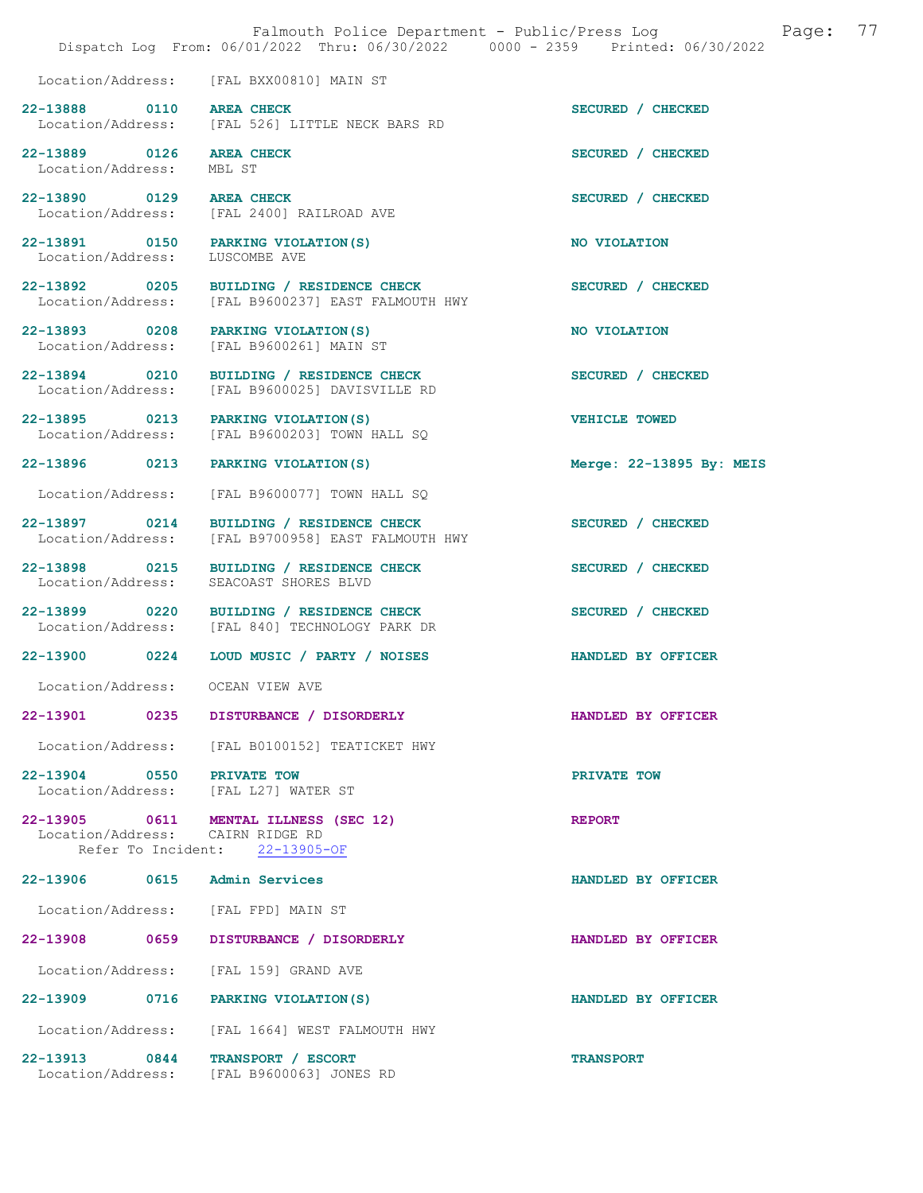|                                    | Falmouth Police Department - Public/Press Log<br>Dispatch Log From: 06/01/2022 Thru: 06/30/2022 0000 - 2359 Printed: 06/30/2022 | Page:                    | 77 |
|------------------------------------|---------------------------------------------------------------------------------------------------------------------------------|--------------------------|----|
|                                    | Location/Address: [FAL BXX00810] MAIN ST                                                                                        |                          |    |
| 22-13888 0110<br>Location/Address: | <b>AREA CHECK</b><br>[FAL 526] LITTLE NECK BARS RD                                                                              | SECURED / CHECKED        |    |
| 22-13889 0126<br>Location/Address: | <b>AREA CHECK</b><br>MBL ST                                                                                                     | SECURED / CHECKED        |    |
| 22-13890 0129<br>Location/Address: | <b>AREA CHECK</b><br>[FAL 2400] RAILROAD AVE                                                                                    | SECURED / CHECKED        |    |
| 22-13891 0150<br>Location/Address: | PARKING VIOLATION (S)<br>LUSCOMBE AVE                                                                                           | NO VIOLATION             |    |
| 22-13892 0205<br>Location/Address: | BUILDING / RESIDENCE CHECK<br>[FAL B9600237] EAST FALMOUTH HWY                                                                  | SECURED / CHECKED        |    |
| 22-13893 0208<br>Location/Address: | PARKING VIOLATION (S)<br>[FAL B9600261] MAIN ST                                                                                 | NO VIOLATION             |    |
| 22-13894 0210<br>Location/Address: | BUILDING / RESIDENCE CHECK<br>[FAL B9600025] DAVISVILLE RD                                                                      | SECURED / CHECKED        |    |
| 22-13895 0213<br>Location/Address: | PARKING VIOLATION (S)<br>[FAL B9600203] TOWN HALL SQ                                                                            | <b>VEHICLE TOWED</b>     |    |
| 22-13896 0213                      | PARKING VIOLATION (S)                                                                                                           | Merge: 22-13895 By: MEIS |    |
| Location/Address:                  | [FAL B9600077] TOWN HALL SQ                                                                                                     |                          |    |
| 22-13897 0214<br>Location/Address: | BUILDING / RESIDENCE CHECK<br>[FAL B9700958] EAST FALMOUTH HWY                                                                  | SECURED / CHECKED        |    |
| 22-13898 0215<br>Location/Address: | BUILDING / RESIDENCE CHECK<br>SEACOAST SHORES BLVD                                                                              | SECURED / CHECKED        |    |
| 22-13899 0220<br>Location/Address: | BUILDING / RESIDENCE CHECK<br>[FAL 840] TECHNOLOGY PARK DR                                                                      | SECURED / CHECKED        |    |
| 22-13900 0224                      | LOUD MUSIC / PARTY / NOISES                                                                                                     | HANDLED BY OFFICER       |    |
| Location/Address:                  | OCEAN VIEW AVE                                                                                                                  |                          |    |
| 22-13901                           | DISTURBANCE / DISORDERLY<br>0235                                                                                                | HANDLED BY OFFICER       |    |
| Location/Address:                  | [FAL B0100152] TEATICKET HWY                                                                                                    |                          |    |
| 22-13904 0550 PRIVATE TOW          | Location/Address: [FAL L27] WATER ST                                                                                            | PRIVATE TOW              |    |
| 22-13905 0611                      | MENTAL ILLNESS (SEC 12)<br>Location/Address: CAIRN RIDGE RD<br>Refer To Incident: 22-13905-OF                                   | <b>REPORT</b>            |    |
| 22-13906<br>0615                   | Admin Services                                                                                                                  | HANDLED BY OFFICER       |    |
| Location/Address:                  | [FAL FPD] MAIN ST                                                                                                               |                          |    |
| 22-13908 0659                      | DISTURBANCE / DISORDERLY                                                                                                        | HANDLED BY OFFICER       |    |
| Location/Address:                  | [FAL 159] GRAND AVE                                                                                                             |                          |    |
| 22-13909 0716                      | PARKING VIOLATION (S)                                                                                                           | HANDLED BY OFFICER       |    |
| Location/Address:                  | [FAL 1664] WEST FALMOUTH HWY                                                                                                    |                          |    |
| 22-13913 0844                      | TRANSPORT / ESCORT<br>Location/Address: [FAL B9600063] JONES RD                                                                 | <b>TRANSPORT</b>         |    |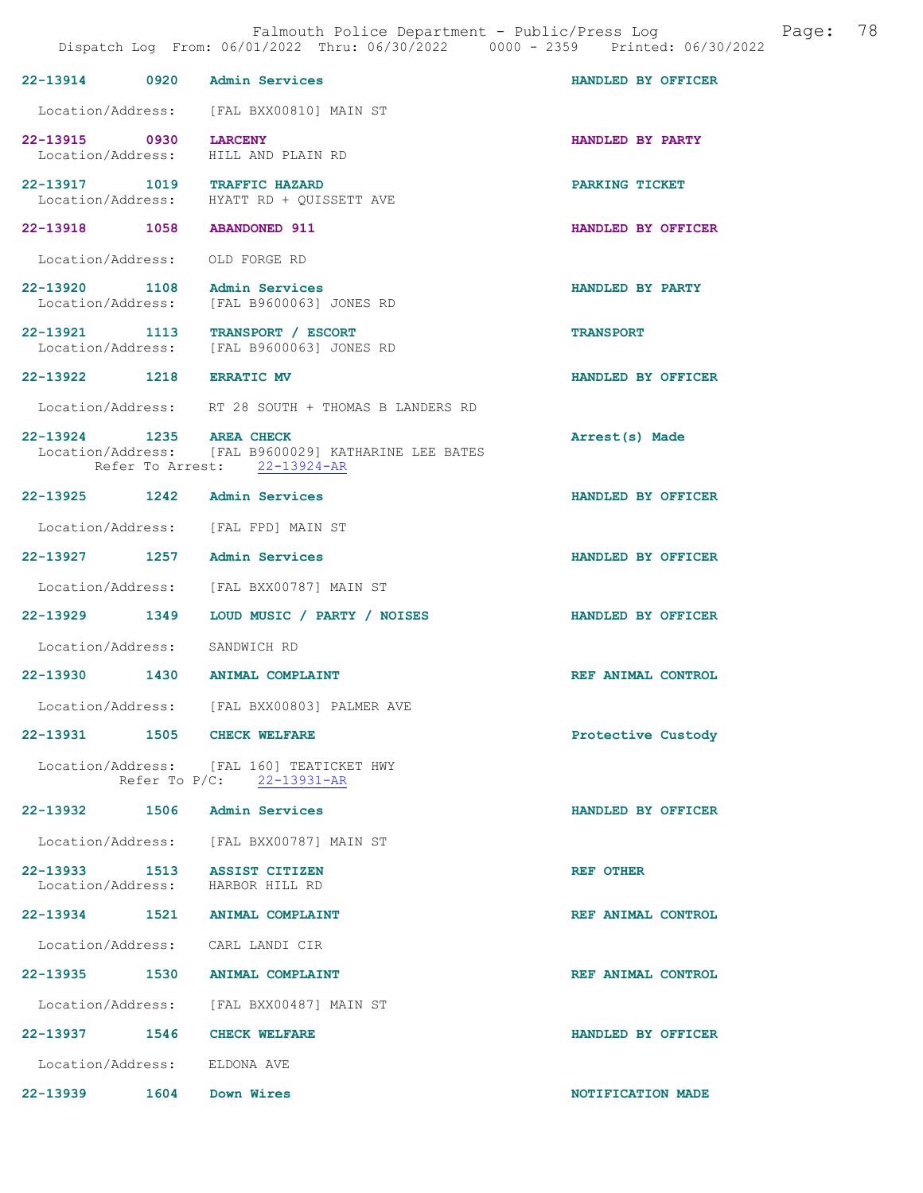| 22-13914 0920 Admin Services                                     |                                                                                      | HANDLED BY OFFICER        |
|------------------------------------------------------------------|--------------------------------------------------------------------------------------|---------------------------|
|                                                                  | Location/Address: [FAL BXX00810] MAIN ST                                             |                           |
| 22-13915 0930<br>Location/Address: HILL AND PLAIN RD             | <b>LARCENY</b>                                                                       | HANDLED BY PARTY          |
| 22-13917 1019 TRAFFIC HAZARD                                     | Location/Address: HYATT RD + QUISSETT AVE                                            | PARKING TICKET            |
| 22-13918 1058 ABANDONED 911                                      |                                                                                      | HANDLED BY OFFICER        |
| Location/Address: OLD FORGE RD                                   |                                                                                      |                           |
| 22-13920 1108 Admin Services                                     | Location/Address: [FAL B9600063] JONES RD                                            | HANDLED BY PARTY          |
|                                                                  | 22-13921 1113 TRANSPORT / ESCORT<br>Location/Address: [FAL B9600063] JONES RD        | <b>TRANSPORT</b>          |
| 22-13922 1218 ERRATIC MV                                         |                                                                                      | HANDLED BY OFFICER        |
|                                                                  | Location/Address: RT 28 SOUTH + THOMAS B LANDERS RD                                  |                           |
| 22-13924 1235 AREA CHECK                                         | Location/Address: [FAL B9600029] KATHARINE LEE BATES<br>Refer To Arrest: 22-13924-AR | Arrest(s) Made            |
| 22-13925 1242 Admin Services                                     |                                                                                      | HANDLED BY OFFICER        |
| Location/Address: [FAL FPD] MAIN ST                              |                                                                                      |                           |
| 22-13927 1257 Admin Services                                     |                                                                                      | HANDLED BY OFFICER        |
|                                                                  | Location/Address: [FAL BXX00787] MAIN ST                                             |                           |
|                                                                  | 22-13929 1349 LOUD MUSIC / PARTY / NOISES                                            | <b>HANDLED BY OFFICER</b> |
| Location/Address: SANDWICH RD                                    |                                                                                      |                           |
| 22-13930 1430 ANIMAL COMPLAINT                                   |                                                                                      | REF ANIMAL CONTROL        |
|                                                                  | Location/Address: [FAL BXX00803] PALMER AVE                                          |                           |
| 22-13931 1505 CHECK WELFARE                                      |                                                                                      | Protective Custody        |
|                                                                  | Location/Address: [FAL 160] TEATICKET HWY<br>Refer To P/C: 22-13931-AR               |                           |
| 22-13932 1506 Admin Services                                     |                                                                                      | HANDLED BY OFFICER        |
|                                                                  | Location/Address: [FAL BXX00787] MAIN ST                                             |                           |
| 22-13933 1513 ASSIST CITIZEN<br>Location/Address: HARBOR HILL RD |                                                                                      | <b>REF OTHER</b>          |
| 22-13934 1521 ANIMAL COMPLAINT                                   |                                                                                      | REF ANIMAL CONTROL        |
| Location/Address: CARL LANDI CIR                                 |                                                                                      |                           |
| 22-13935 1530 ANIMAL COMPLAINT                                   |                                                                                      | REF ANIMAL CONTROL        |
|                                                                  | Location/Address: [FAL BXX00487] MAIN ST                                             |                           |
| 22-13937 1546 CHECK WELFARE                                      |                                                                                      | HANDLED BY OFFICER        |
| Location/Address: ELDONA AVE                                     |                                                                                      |                           |

22-13939 1604 Down Wires 1000 1604 Down Wires 1000 1604 NOTIFICATION MADE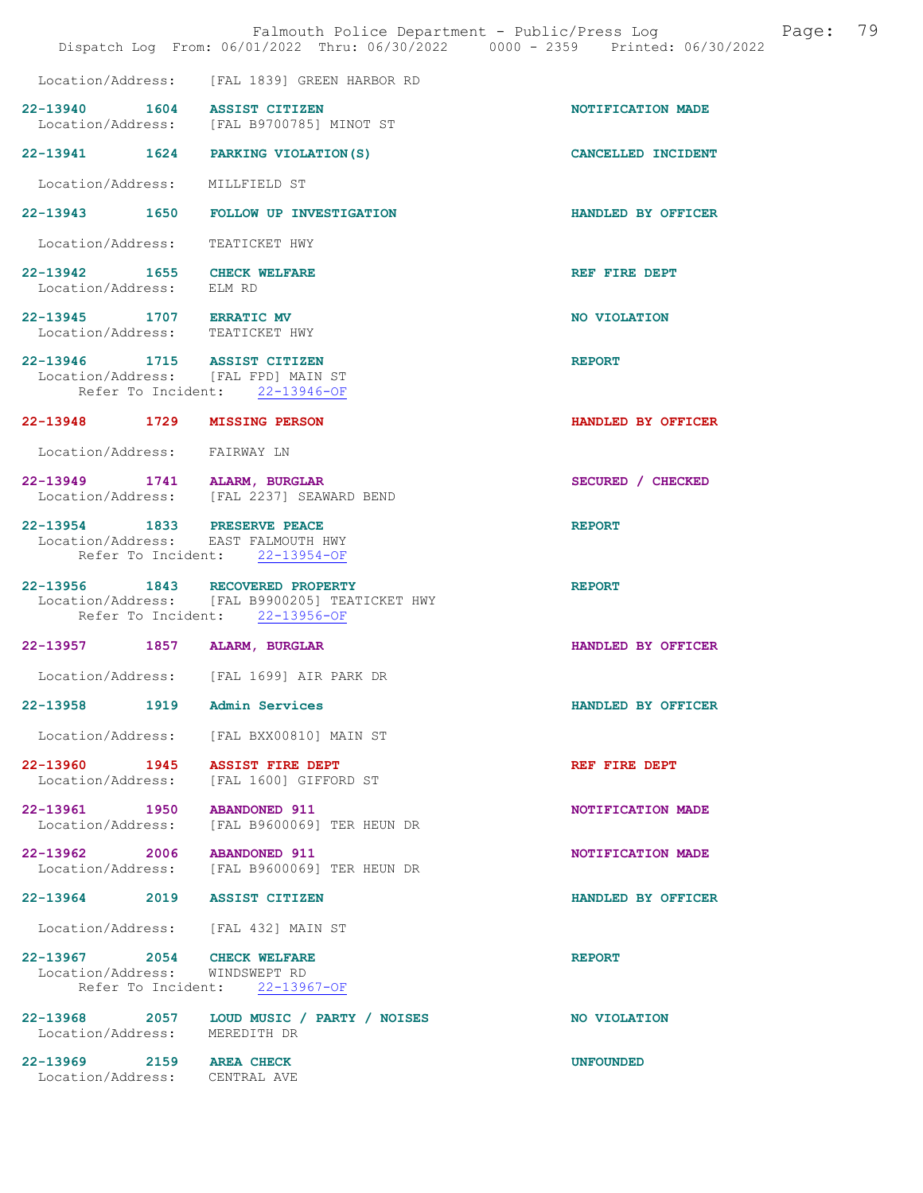|                                                               |                                                                                                                      | Page: 79<br>Falmouth Police Department - Public/Press Log<br>Dispatch Log From: 06/01/2022 Thru: 06/30/2022 0000 - 2359 Printed: 06/30/2022 |
|---------------------------------------------------------------|----------------------------------------------------------------------------------------------------------------------|---------------------------------------------------------------------------------------------------------------------------------------------|
|                                                               | Location/Address: [FAL 1839] GREEN HARBOR RD                                                                         |                                                                                                                                             |
| 22-13940 1604 ASSIST CITIZEN                                  | Location/Address: [FAL B9700785] MINOT ST                                                                            | NOTIFICATION MADE                                                                                                                           |
|                                                               | 22-13941 1624 PARKING VIOLATION(S)                                                                                   | CANCELLED INCIDENT                                                                                                                          |
| Location/Address: MILLFIELD ST                                |                                                                                                                      |                                                                                                                                             |
|                                                               | 22-13943 1650 FOLLOW UP INVESTIGATION                                                                                | HANDLED BY OFFICER                                                                                                                          |
| Location/Address: TEATICKET HWY                               |                                                                                                                      |                                                                                                                                             |
| 22-13942 1655 CHECK WELFARE<br>Location/Address: ELM RD       |                                                                                                                      | REF FIRE DEPT                                                                                                                               |
| 22-13945 1707 ERRATIC MV                                      |                                                                                                                      | NO VIOLATION                                                                                                                                |
| Location/Address: TEATICKET HWY                               |                                                                                                                      |                                                                                                                                             |
| 22-13946 1715 ASSIST CITIZEN                                  | Location/Address: [FAL FPD] MAIN ST<br>Refer To Incident: 22-13946-OF                                                | <b>REPORT</b>                                                                                                                               |
| 22-13948 1729 MISSING PERSON                                  |                                                                                                                      | HANDLED BY OFFICER                                                                                                                          |
| Location/Address: FAIRWAY LN                                  |                                                                                                                      |                                                                                                                                             |
| 22-13949 1741 ALARM, BURGLAR                                  | Location/Address: [FAL 2237] SEAWARD BEND                                                                            | SECURED / CHECKED                                                                                                                           |
| 22-13954 1833 PRESERVE PEACE                                  | Location/Address: EAST FALMOUTH HWY<br>Refer To Incident: 22-13954-OF                                                | <b>REPORT</b>                                                                                                                               |
|                                                               | 22-13956 1843 RECOVERED PROPERTY<br>Location/Address: [FAL B9900205] TEATICKET HWY<br>Refer To Incident: 22-13956-OF | <b>REPORT</b>                                                                                                                               |
| 22-13957 1857 ALARM, BURGLAR                                  |                                                                                                                      | HANDLED BY OFFICER                                                                                                                          |
|                                                               | Location/Address: [FAL 1699] AIR PARK DR                                                                             |                                                                                                                                             |
| 22-13958<br>1919                                              | Admin Services                                                                                                       | HANDLED BY OFFICER                                                                                                                          |
|                                                               | Location/Address: [FAL BXX00810] MAIN ST                                                                             |                                                                                                                                             |
|                                                               | 22-13960 1945 ASSIST FIRE DEPT<br>Location/Address: [FAL 1600] GIFFORD ST                                            | REF FIRE DEPT                                                                                                                               |
| 22-13961 1950 ABANDONED 911                                   | Location/Address: [FAL B9600069] TER HEUN DR                                                                         | NOTIFICATION MADE                                                                                                                           |
| 22-13962 2006 ABANDONED 911                                   | Location/Address: [FAL B9600069] TER HEUN DR                                                                         | NOTIFICATION MADE                                                                                                                           |
| 22-13964 2019 ASSIST CITIZEN                                  |                                                                                                                      | HANDLED BY OFFICER                                                                                                                          |
|                                                               | Location/Address: [FAL 432] MAIN ST                                                                                  |                                                                                                                                             |
| 22-13967 2054 CHECK WELFARE<br>Location/Address: WINDSWEPT RD | Refer To Incident: 22-13967-OF                                                                                       | <b>REPORT</b>                                                                                                                               |
| Location/Address: MEREDITH DR                                 | 22-13968 2057 LOUD MUSIC / PARTY / NOISES                                                                            | NO VIOLATION                                                                                                                                |
| 22-13969 2159 AREA CHECK<br>Location/Address: CENTRAL AVE     |                                                                                                                      | <b>UNFOUNDED</b>                                                                                                                            |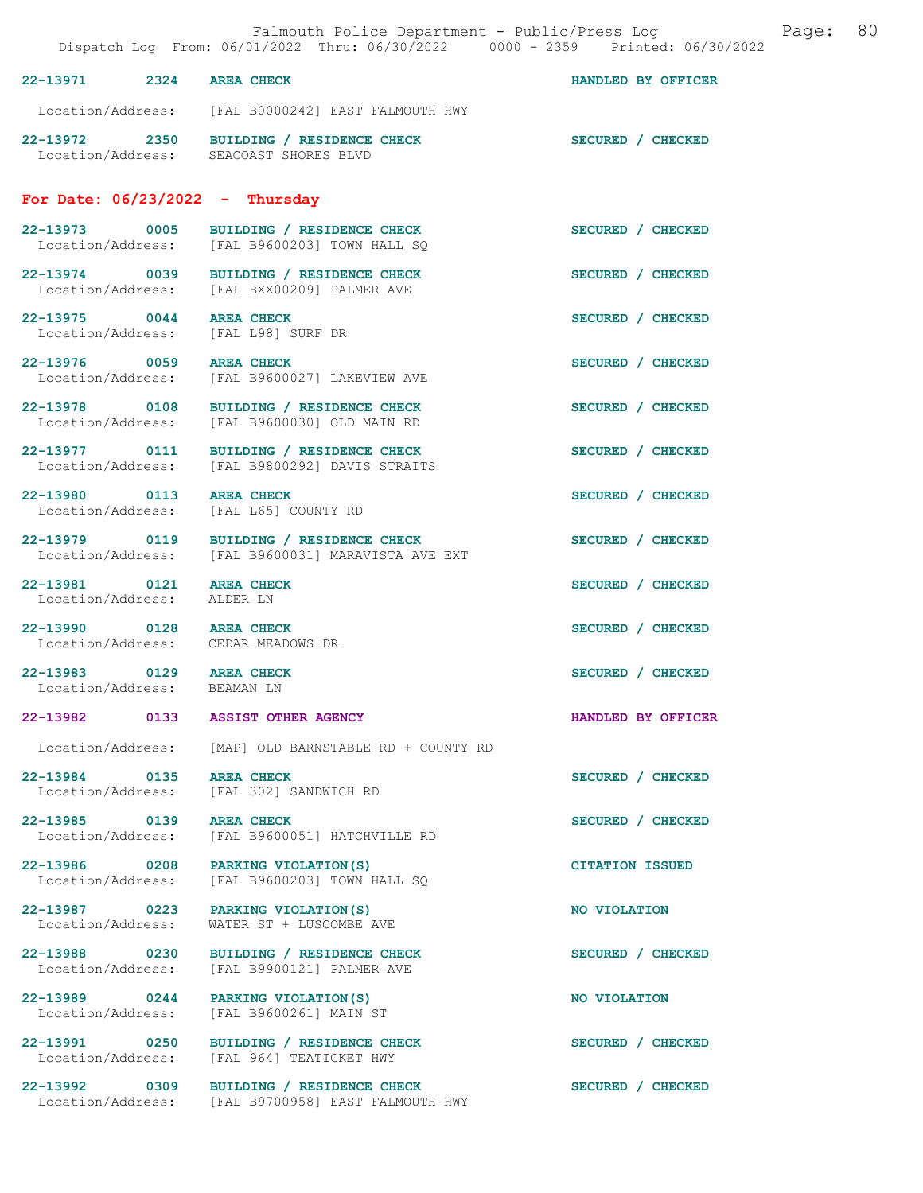|                                                         | Falmouth Police Department - Public/Press Log Cage:<br>Dispatch Log From: 06/01/2022 Thru: 06/30/2022 0000 - 2359 Printed: 06/30/2022 |                        | 80 |
|---------------------------------------------------------|---------------------------------------------------------------------------------------------------------------------------------------|------------------------|----|
| 22-13971 2324 AREA CHECK                                |                                                                                                                                       | HANDLED BY OFFICER     |    |
|                                                         | Location/Address: [FAL B0000242] EAST FALMOUTH HWY                                                                                    |                        |    |
|                                                         | 22-13972 2350 BUILDING / RESIDENCE CHECK SECURED / CHECKED Location/Address: SEACOAST SHORES BLVD                                     |                        |    |
|                                                         | For Date: $06/23/2022 - Thursday$                                                                                                     |                        |    |
| 22-13973 0005                                           | BUILDING / RESIDENCE CHECK<br>Location/Address: [FAL B9600203] TOWN HALL SQ                                                           | SECURED / CHECKED      |    |
|                                                         | 22-13974 0039 BUILDING / RESIDENCE CHECK<br>Location/Address: [FAL BXX00209] PALMER AVE                                               | SECURED / CHECKED      |    |
| 22-13975 0044 AREA CHECK                                | Location/Address: [FAL L98] SURF DR                                                                                                   | SECURED / CHECKED      |    |
| 22-13976 0059 AREA CHECK                                | Location/Address: [FAL B9600027] LAKEVIEW AVE                                                                                         | SECURED / CHECKED      |    |
|                                                         | 22-13978 0108 BUILDING / RESIDENCE CHECK<br>Location/Address: [FAL B9600030] OLD MAIN RD                                              | SECURED / CHECKED      |    |
|                                                         | 22-13977 0111 BUILDING / RESIDENCE CHECK<br>Location/Address: [FAL B9800292] DAVIS STRAITS                                            | SECURED / CHECKED      |    |
| 22-13980 0113<br>Location/Address:                      | <b>AREA CHECK</b><br>[FAL L65] COUNTY RD                                                                                              | SECURED / CHECKED      |    |
|                                                         | 22-13979 0119 BUILDING / RESIDENCE CHECK<br>Location/Address: [FAL B9600031] MARAVISTA AVE EXT                                        | SECURED / CHECKED      |    |
| 22-13981 0121 AREA CHECK<br>Location/Address:           | ALDER LN                                                                                                                              | SECURED / CHECKED      |    |
| 22-13990 0128 AREA CHECK                                | Location/Address: CEDAR MEADOWS DR                                                                                                    | SECURED / CHECKED      |    |
| 22-13983 0129 AREA CHECK<br>Location/Address: BEAMAN LN |                                                                                                                                       | SECURED / CHECKED      |    |
|                                                         | 22-13982 0133 ASSIST OTHER AGENCY                                                                                                     | HANDLED BY OFFICER     |    |
| Location/Address:                                       | [MAP] OLD BARNSTABLE RD + COUNTY RD                                                                                                   |                        |    |
| 22-13984 0135<br>Location/Address:                      | <b>AREA CHECK</b><br>[FAL 302] SANDWICH RD                                                                                            | SECURED / CHECKED      |    |
| 22-13985 0139<br>Location/Address:                      | <b>AREA CHECK</b><br>[FAL B9600051] HATCHVILLE RD                                                                                     | SECURED / CHECKED      |    |
| 22-13986 0208<br>Location/Address:                      | PARKING VIOLATION (S)<br>[FAL B9600203] TOWN HALL SO                                                                                  | <b>CITATION ISSUED</b> |    |
| 22-13987 0223<br>Location/Address:                      | PARKING VIOLATION (S)<br>WATER ST + LUSCOMBE AVE                                                                                      | NO VIOLATION           |    |
| 22-13988 0230<br>Location/Address:                      | BUILDING / RESIDENCE CHECK<br>[FAL B9900121] PALMER AVE                                                                               | SECURED / CHECKED      |    |
| 22-13989 0244<br>Location/Address:                      | PARKING VIOLATION (S)<br>[FAL B9600261] MAIN ST                                                                                       | NO VIOLATION           |    |
| 22-13991 0250<br>Location/Address:                      | BUILDING / RESIDENCE CHECK<br>[FAL 964] TEATICKET HWY                                                                                 | SECURED / CHECKED      |    |
| 22-13992 0309                                           | BUILDING / RESIDENCE CHECK<br>Location/Address: [FAL B9700958] EAST FALMOUTH HWY                                                      | SECURED / CHECKED      |    |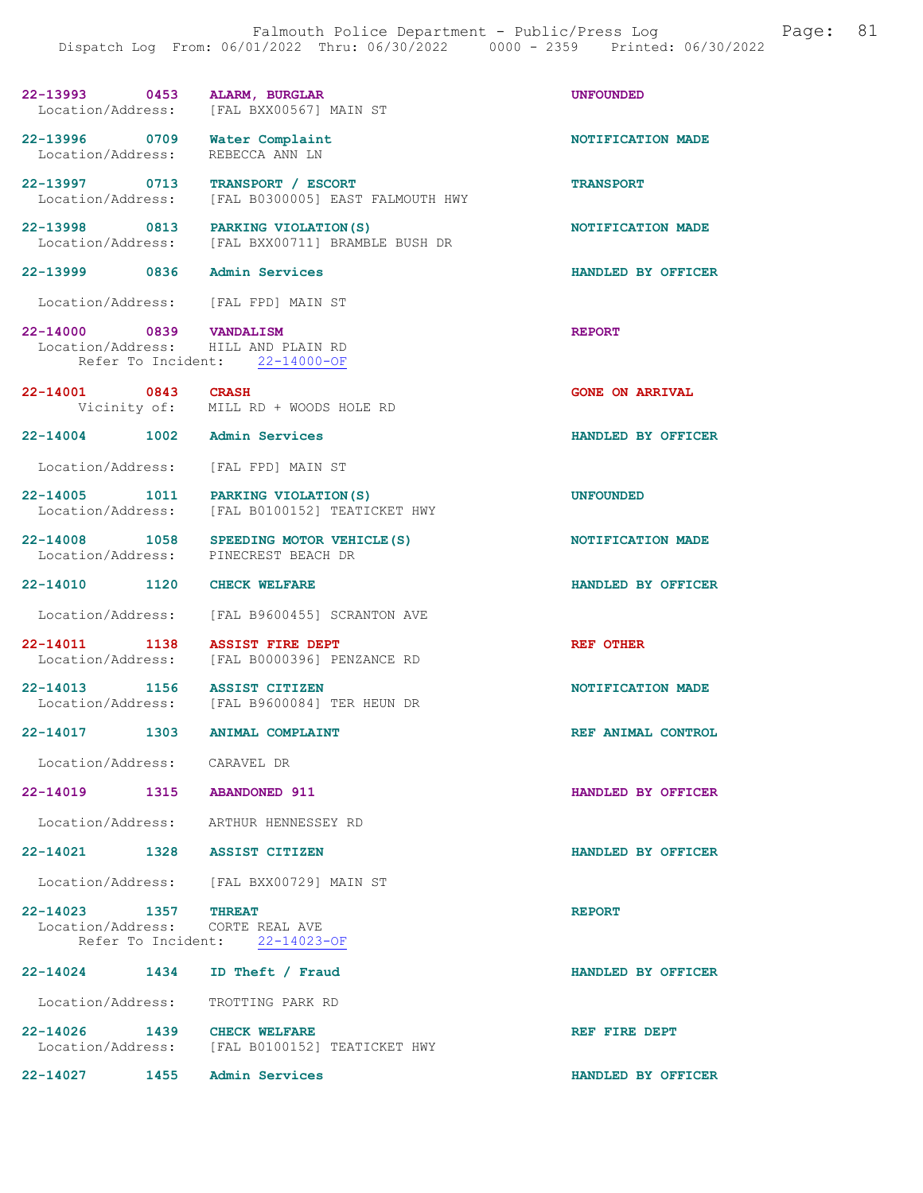#### 22-13993 0453 ALARM, BURGLAR<br>
Location/Address: [FAL BXX00567] MAIN ST Location/Address:

22-13996 0709 Water Complaint 122-13996 0709 Water Complaint Location/Address: REBECCA ANN LN

22-13997 0713 TRANSPORT / ESCORT TRANSPORT Location/Address: [FAL B0300005] EAST FALMOUTH HWY

22-13998 0813 PARKING VIOLATION(S) NOTIFICATION MADE Location/Address: [FAL BXX00711] BRAMBLE BUSH DR

### 22-13999 0836 Admin Services HANDLED BY OFFICER

Location/Address: [FAL FPD] MAIN ST

22-14000 0839 VANDALISM REPORT Location/Address: HILL AND PLAIN RD Location/Address: Refer To Incident: 22-14000-OF

- 22-14001 0843 CRASH GONE ON ARRIVAL Vicinity of: MILL RD + WOODS HOLE RD
- 22-14004 1002 Admin Services HANDLED BY OFFICER

Location/Address: [FAL FPD] MAIN ST

22-14005 1011 PARKING VIOLATION(S) UNFOUNDED Location/Address: [FAL B0100152] TEATICKET HWY

22-14008 1058 SPEEDING MOTOR VEHICLE(S) NOTIFICATION MADE<br>
Location/Address: PINECREST BEACH DR PINECREST BEACH DR

22-14010 1120 CHECK WELFARE **HANDLED BY OFFICER** 

Location/Address: [FAL B9600455] SCRANTON AVE

22-14011 1138 ASSIST FIRE DEPT<br>Location/Address: [FAL B0000396] PENZANCE RD [FAL B0000396] PENZANCE RD

22-14013 1156 ASSIST CITIZEN 16000081 CONSIDER ASSIST CONTRIGATION MADE [FAL B9600084] TER HEUN DR

22-14017 1303 ANIMAL COMPLAINT REF ANIMAL CONTROL

Location/Address: CARAVEL DR

22-14019 1315 ABANDONED 911 HANDLED BY OFFICER

Location/Address: ARTHUR HENNESSEY RD

22-14021 1328 ASSIST CITIZEN HANDLED BY OFFICER

Location/Address: [FAL BXX00729] MAIN ST

22-14023 1357 THREAT REPORT Location/Address: CORTE REAL AVE<br>Refer To Incident: 22-14023-OF Refer To Incident:

22-14024 1434 ID Theft / Fraud HANDLED BY OFFICER Location/Address: TROTTING PARK RD

22-14026 1439 CHECK WELFARE REF REF FIRE DEPT Location/Address: [FAL B0100152] TEATICKET HWY

22-14027 1455 Admin Services HANDLED BY OFFICER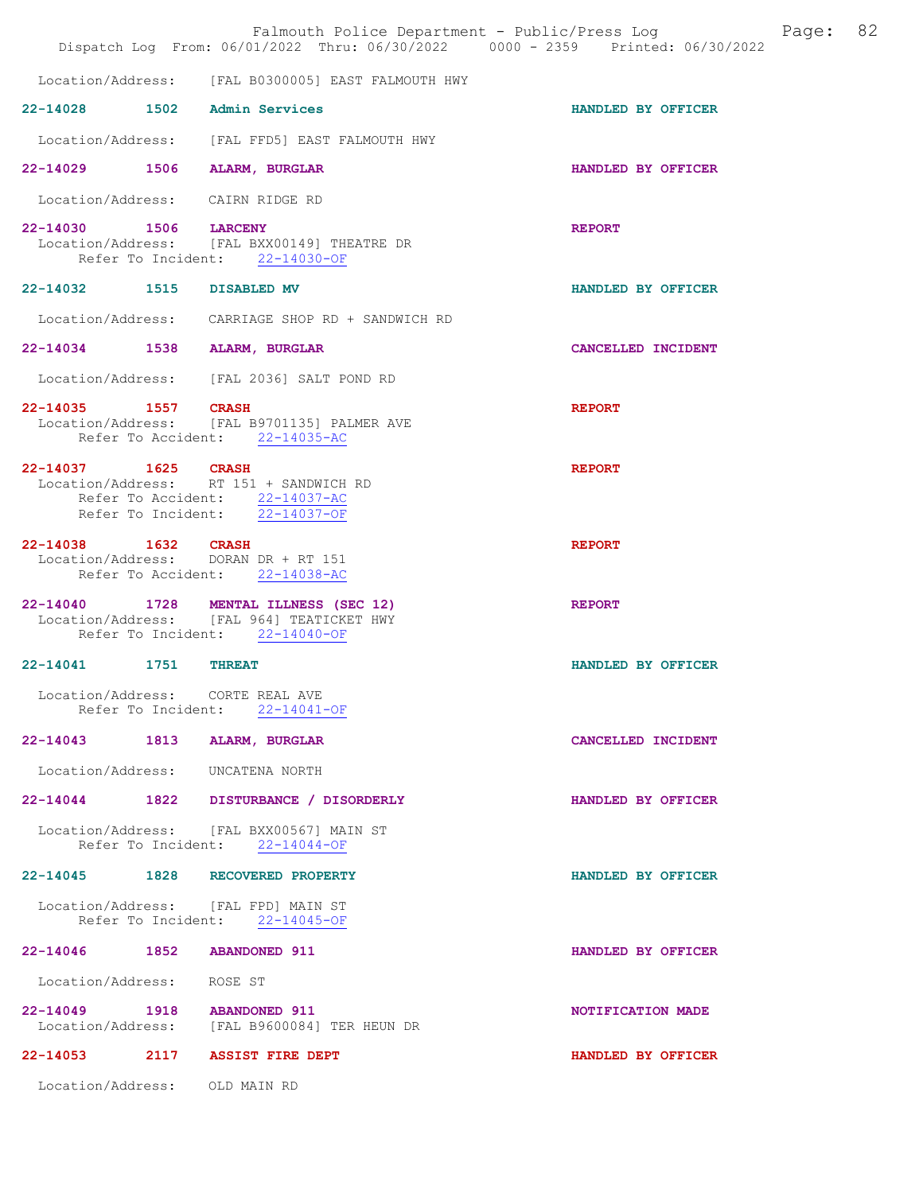|                               | Falmouth Police Department - Public/Press Log<br>Dispatch Log From: 06/01/2022 Thru: 06/30/2022 0000 - 2359 Printed: 06/30/2022 |                    | Page: | 82 |
|-------------------------------|---------------------------------------------------------------------------------------------------------------------------------|--------------------|-------|----|
|                               | Location/Address: [FAL B0300005] EAST FALMOUTH HWY                                                                              |                    |       |    |
|                               | 22-14028 1502 Admin Services                                                                                                    | HANDLED BY OFFICER |       |    |
|                               | Location/Address: [FAL FFD5] EAST FALMOUTH HWY                                                                                  |                    |       |    |
|                               | 22-14029 1506 ALARM, BURGLAR                                                                                                    | HANDLED BY OFFICER |       |    |
|                               | Location/Address: CAIRN RIDGE RD                                                                                                |                    |       |    |
| 22-14030 1506 LARCENY         | Location/Address: [FAL BXX00149] THEATRE DR<br>Refer To Incident: 22-14030-OF                                                   | <b>REPORT</b>      |       |    |
| 22-14032 1515 DISABLED MV     |                                                                                                                                 | HANDLED BY OFFICER |       |    |
|                               | Location/Address: CARRIAGE SHOP RD + SANDWICH RD                                                                                |                    |       |    |
|                               | 22-14034 1538 ALARM, BURGLAR                                                                                                    | CANCELLED INCIDENT |       |    |
|                               | Location/Address: [FAL 2036] SALT POND RD                                                                                       |                    |       |    |
| 22-14035 1557 CRASH           | Location/Address: [FAL B9701135] PALMER AVE                                                                                     | <b>REPORT</b>      |       |    |
|                               | Refer To Accident: 22-14035-AC                                                                                                  |                    |       |    |
| 22-14037 1625 CRASH           | Location/Address: RT 151 + SANDWICH RD<br>Refer To Accident: 22-14037-AC<br>Refer To Incident: 22-14037-OF                      | <b>REPORT</b>      |       |    |
| 22-14038 1632 CRASH           | Location/Address: DORAN DR + RT 151<br>Refer To Accident: 22-14038-AC                                                           | <b>REPORT</b>      |       |    |
|                               | 22-14040 1728 MENTAL ILLNESS (SEC 12)<br>Location/Address: [FAL 964] TEATICKET HWY<br>Refer To Incident: 22-14040-OF            | <b>REPORT</b>      |       |    |
| 22-14041 1751 THREAT          |                                                                                                                                 | HANDLED BY OFFICER |       |    |
|                               | Location/Address: CORTE REAL AVE<br>Refer To Incident: 22-14041-OF                                                              |                    |       |    |
|                               | 22-14043 1813 ALARM, BURGLAR                                                                                                    | CANCELLED INCIDENT |       |    |
|                               | Location/Address: UNCATENA NORTH                                                                                                |                    |       |    |
|                               | 22-14044 1822 DISTURBANCE / DISORDERLY                                                                                          | HANDLED BY OFFICER |       |    |
|                               | Location/Address: [FAL BXX00567] MAIN ST<br>Refer To Incident: 22-14044-OF                                                      |                    |       |    |
|                               | 22-14045 1828 RECOVERED PROPERTY                                                                                                | HANDLED BY OFFICER |       |    |
|                               | Location/Address: [FAL FPD] MAIN ST<br>Refer To Incident: 22-14045-OF                                                           |                    |       |    |
| 22-14046 1852 ABANDONED 911   |                                                                                                                                 | HANDLED BY OFFICER |       |    |
| Location/Address: ROSE ST     |                                                                                                                                 |                    |       |    |
| 22-14049 1918 ABANDONED 911   | Location/Address: [FAL B9600084] TER HEUN DR                                                                                    | NOTIFICATION MADE  |       |    |
|                               | 22-14053 2117 ASSIST FIRE DEPT                                                                                                  | HANDLED BY OFFICER |       |    |
| Location/Address: OLD MAIN RD |                                                                                                                                 |                    |       |    |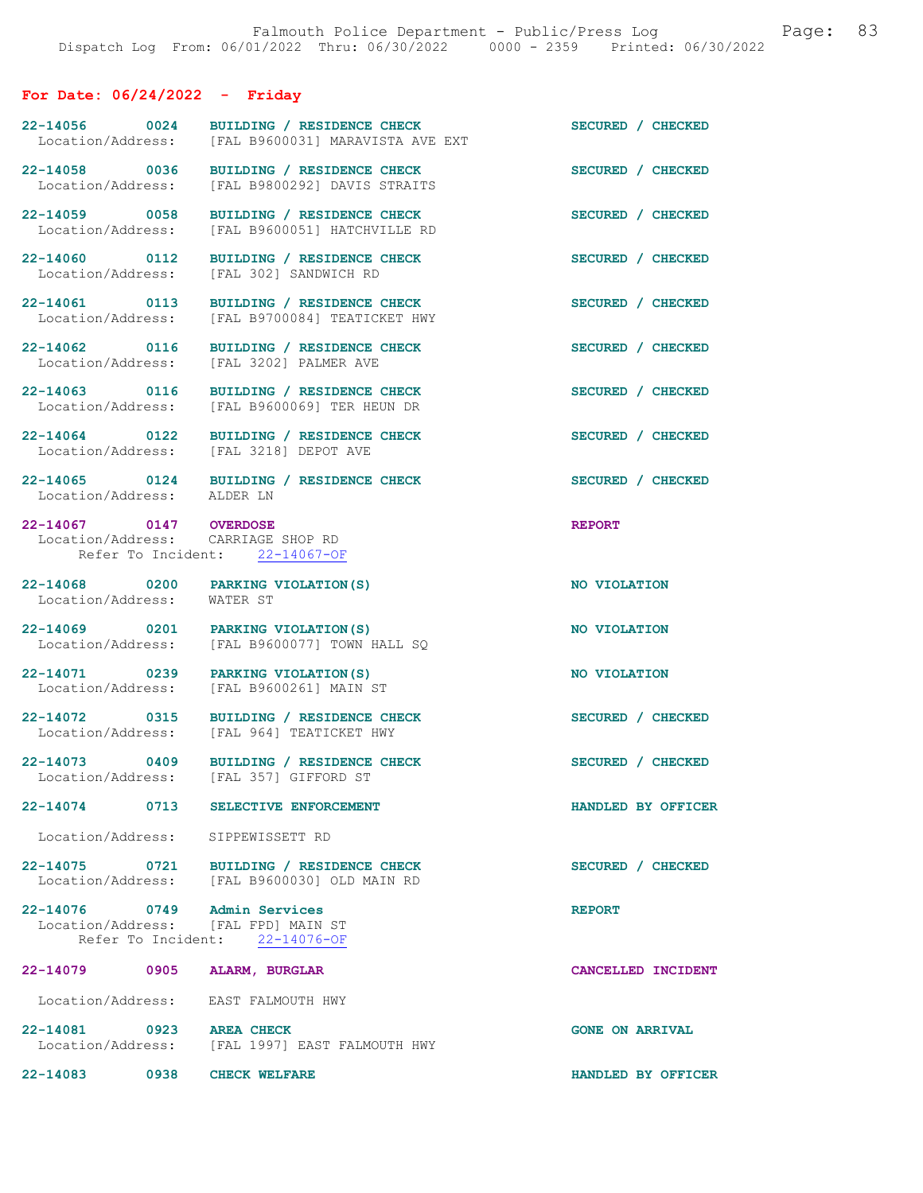# For Date: 06/24/2022 - Friday

| 22-14056 0024<br>Location/Address:                           | BUILDING / RESIDENCE CHECK<br>[FAL B9600031] MARAVISTA AVE EXT                           | SECURED / CHECKED      |
|--------------------------------------------------------------|------------------------------------------------------------------------------------------|------------------------|
| Location/Address:                                            | 22-14058 0036 BUILDING / RESIDENCE CHECK<br>[FAL B9800292] DAVIS STRAITS                 | SECURED / CHECKED      |
| 22-14059 0058<br>Location/Address:                           | BUILDING / RESIDENCE CHECK<br>[FAL B9600051] HATCHVILLE RD                               | SECURED / CHECKED      |
| 22-14060 0112<br>Location/Address:                           | BUILDING / RESIDENCE CHECK<br>[FAL 302] SANDWICH RD                                      | SECURED / CHECKED      |
| 22-14061 0113<br>Location/Address:                           | BUILDING / RESIDENCE CHECK<br>[FAL B9700084] TEATICKET HWY                               | SECURED / CHECKED      |
| 22-14062 0116<br>Location/Address:                           | BUILDING / RESIDENCE CHECK<br>[FAL 3202] PALMER AVE                                      | SECURED / CHECKED      |
| 22-14063 0116<br>Location/Address:                           | BUILDING / RESIDENCE CHECK<br>[FAL B9600069] TER HEUN DR                                 | SECURED / CHECKED      |
| 22-14064 0122                                                | BUILDING / RESIDENCE CHECK<br>Location/Address: [FAL 3218] DEPOT AVE                     | SECURED / CHECKED      |
| Location/Address: ALDER LN                                   | 22-14065 0124 BUILDING / RESIDENCE CHECK                                                 | SECURED / CHECKED      |
| 22-14067 0147 OVERDOSE<br>Location/Address: CARRIAGE SHOP RD | Refer To Incident: 22-14067-OF                                                           | <b>REPORT</b>          |
| Location/Address: WATER ST                                   | 22-14068 0200 PARKING VIOLATION (S)                                                      | NO VIOLATION           |
| 22-14069 0201<br>Location/Address:                           | PARKING VIOLATION (S)<br>[FAL B9600077] TOWN HALL SQ                                     | NO VIOLATION           |
| Location/Address:                                            | 22-14071 0239 PARKING VIOLATION (S)<br>[FAL B9600261] MAIN ST                            | NO VIOLATION           |
| Location/Address:                                            | 22-14072 0315 BUILDING / RESIDENCE CHECK<br>[FAL 964] TEATICKET HWY                      | SECURED / CHECKED      |
|                                                              | 22-14073 0409 BUILDING / RESIDENCE CHECK<br>Location/Address: [FAL 357] GIFFORD ST       | SECURED / CHECKED      |
| 22-14074 0713                                                | SELECTIVE ENFORCEMENT                                                                    | HANDLED BY OFFICER     |
| Location/Address: SIPPEWISSETT RD                            |                                                                                          |                        |
|                                                              | 22-14075 0721 BUILDING / RESIDENCE CHECK<br>Location/Address: [FAL B9600030] OLD MAIN RD | SECURED / CHECKED      |
| 22-14076 0749<br>Location/Address: [FAL FPD] MAIN ST         | Admin Services<br>Refer To Incident: 22-14076-OF                                         | <b>REPORT</b>          |
| 22-14079 0905                                                | ALARM, BURGLAR                                                                           | CANCELLED INCIDENT     |
| Location/Address: EAST FALMOUTH HWY                          |                                                                                          |                        |
| 22-14081 0923 AREA CHECK<br>Location/Address:                | [FAL 1997] EAST FALMOUTH HWY                                                             | <b>GONE ON ARRIVAL</b> |
| 22-14083 0938 CHECK WELFARE                                  |                                                                                          | HANDLED BY OFFICER     |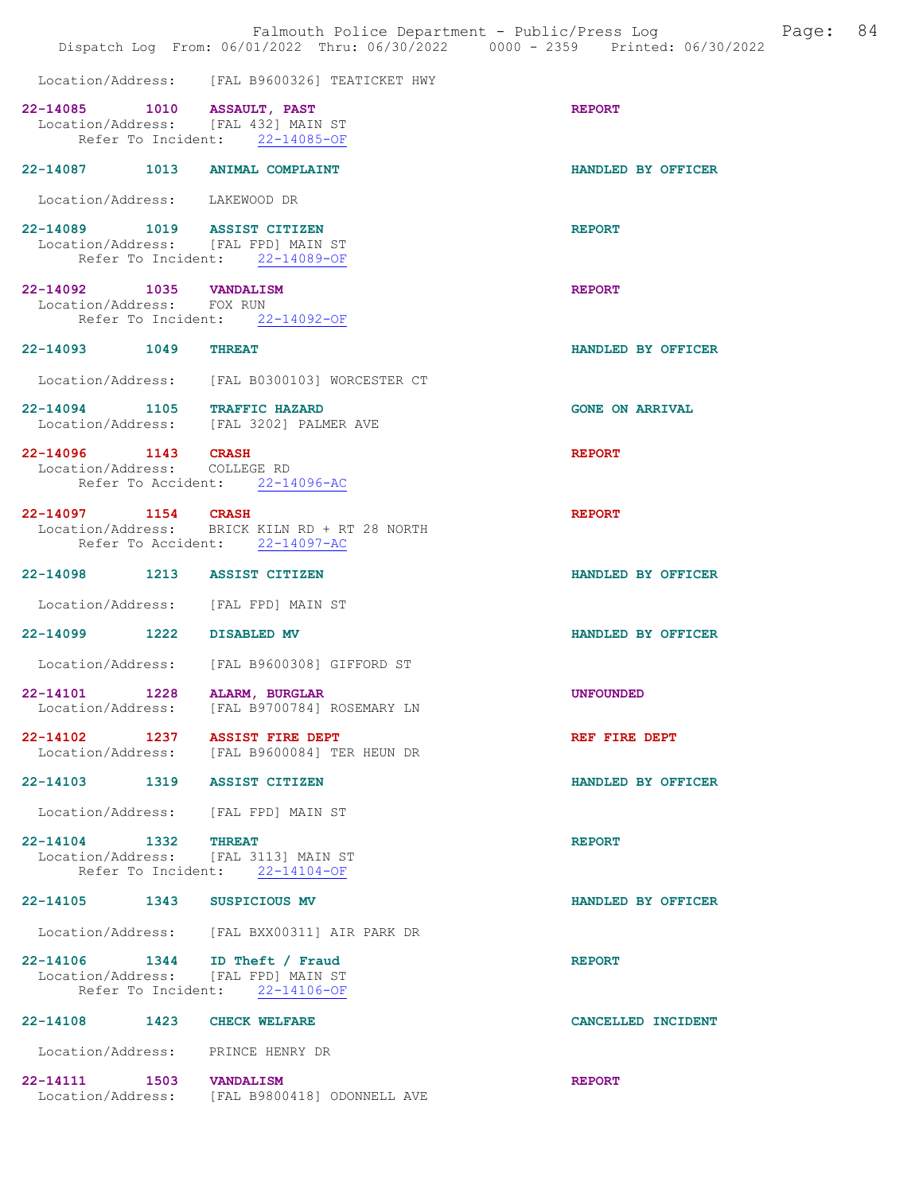|                                                      |      | Falmouth Police Department - Public/Press Log Fage: 84<br>Dispatch Log From: 06/01/2022 Thru: 06/30/2022 0000 - 2359 Printed: 06/30/2022 |                        |  |
|------------------------------------------------------|------|------------------------------------------------------------------------------------------------------------------------------------------|------------------------|--|
|                                                      |      | Location/Address: [FAL B9600326] TEATICKET HWY                                                                                           |                        |  |
| 22-14085 1010 ASSAULT, PAST                          |      | Location/Address: [FAL 432] MAIN ST<br>Refer To Incident: 22-14085-OF                                                                    | <b>REPORT</b>          |  |
|                                                      |      | 22-14087 1013 ANIMAL COMPLAINT                                                                                                           | HANDLED BY OFFICER     |  |
| Location/Address: LAKEWOOD DR                        |      |                                                                                                                                          |                        |  |
|                                                      |      | 22-14089 1019 ASSIST CITIZEN<br>Location/Address: [FAL FPD] MAIN ST<br>Refer To Incident: 22-14089-OF                                    | <b>REPORT</b>          |  |
| 22-14092 1035 VANDALISM<br>Location/Address: FOX RUN |      | Refer To Incident: 22-14092-OF                                                                                                           | <b>REPORT</b>          |  |
| 22-14093 1049                                        |      | <b>THREAT</b>                                                                                                                            | HANDLED BY OFFICER     |  |
|                                                      |      | Location/Address: [FAL B0300103] WORCESTER CT                                                                                            |                        |  |
|                                                      |      | 22-14094 1105 TRAFFIC HAZARD<br>Location/Address: [FAL 3202] PALMER AVE                                                                  | <b>GONE ON ARRIVAL</b> |  |
| 22-14096 1143 CRASH<br>Location/Address: COLLEGE RD  |      |                                                                                                                                          | <b>REPORT</b>          |  |
|                                                      |      | Refer To Accident: 22-14096-AC                                                                                                           |                        |  |
| 22-14097 1154 CRASH                                  |      | Location/Address: BRICK KILN RD + RT 28 NORTH<br>Refer To Accident: 22-14097-AC                                                          | <b>REPORT</b>          |  |
|                                                      |      | 22-14098 1213 ASSIST CITIZEN                                                                                                             | HANDLED BY OFFICER     |  |
|                                                      |      | Location/Address: [FAL FPD] MAIN ST                                                                                                      |                        |  |
| 22-14099 1222 DISABLED MV                            |      |                                                                                                                                          | HANDLED BY OFFICER     |  |
|                                                      |      | Location/Address: [FAL B9600308] GIFFORD ST                                                                                              |                        |  |
|                                                      |      | 22-14101 1228 ALARM, BURGLAR<br>Location/Address: [FAL B9700784] ROSEMARY LN                                                             | <b>UNFOUNDED</b>       |  |
|                                                      |      | 22-14102 1237 ASSIST FIRE DEPT<br>Location/Address: [FAL B9600084] TER HEUN DR                                                           | REF FIRE DEPT          |  |
|                                                      |      | 22-14103 1319 ASSIST CITIZEN                                                                                                             | HANDLED BY OFFICER     |  |
|                                                      |      | Location/Address: [FAL FPD] MAIN ST                                                                                                      |                        |  |
| 22-14104 1332 THREAT                                 |      | Location/Address: [FAL 3113] MAIN ST<br>Refer To Incident: 22-14104-OF                                                                   | <b>REPORT</b>          |  |
| 22-14105 1343 SUSPICIOUS MV                          |      |                                                                                                                                          | HANDLED BY OFFICER     |  |
|                                                      |      | Location/Address: [FAL BXX00311] AIR PARK DR                                                                                             |                        |  |
|                                                      |      | 22-14106 1344 ID Theft / Fraud<br>Location/Address: [FAL FPD] MAIN ST<br>Refer To Incident: 22-14106-OF                                  | <b>REPORT</b>          |  |
| $22 - 14108$                                         | 1423 | <b>CHECK WELFARE</b>                                                                                                                     | CANCELLED INCIDENT     |  |
|                                                      |      | Location/Address: PRINCE HENRY DR                                                                                                        |                        |  |
| 22-14111 1503 VANDALISM                              |      | Location/Address: [FAL B9800418] ODONNELL AVE                                                                                            | <b>REPORT</b>          |  |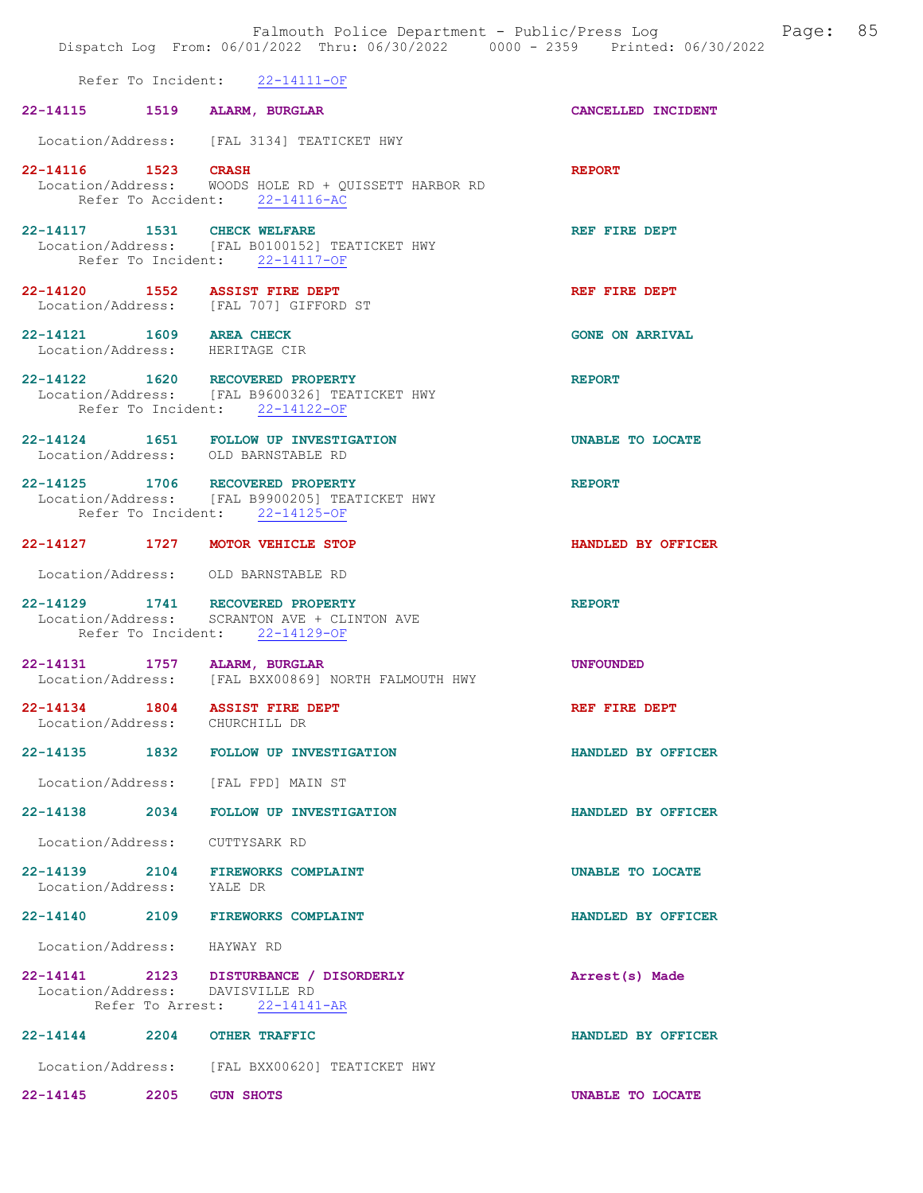|                             |      | Falmouth Police Department - Public/Press Log<br>Dispatch Log From: 06/01/2022 Thru: 06/30/2022 0000 - 2359 Printed: 06/30/2022 |                        | Page: | 85 |
|-----------------------------|------|---------------------------------------------------------------------------------------------------------------------------------|------------------------|-------|----|
|                             |      | Refer To Incident: 22-14111-OF                                                                                                  |                        |       |    |
|                             |      | 22-14115 1519 ALARM, BURGLAR                                                                                                    | CANCELLED INCIDENT     |       |    |
|                             |      | Location/Address: [FAL 3134] TEATICKET HWY                                                                                      |                        |       |    |
| 22-14116 1523 CRASH         |      | Location/Address: WOODS HOLE RD + QUISSETT HARBOR RD<br>Refer To Accident: 22-14116-AC                                          | <b>REPORT</b>          |       |    |
|                             |      | 22-14117 1531 CHECK WELFARE<br>Location/Address: [FAL B0100152] TEATICKET HWY<br>Refer To Incident: 22-14117-OF                 | REF FIRE DEPT          |       |    |
|                             |      | 22-14120 1552 ASSIST FIRE DEPT<br>Location/Address: [FAL 707] GIFFORD ST                                                        | REF FIRE DEPT          |       |    |
| 22-14121 1609 AREA CHECK    |      | Location/Address: HERITAGE CIR                                                                                                  | <b>GONE ON ARRIVAL</b> |       |    |
|                             |      | 22-14122 1620 RECOVERED PROPERTY<br>Location/Address: [FAL B9600326] TEATICKET HWY<br>Refer To Incident: 22-14122-OF            | <b>REPORT</b>          |       |    |
|                             |      | 22-14124 1651 FOLLOW UP INVESTIGATION<br>Location/Address: OLD BARNSTABLE RD                                                    | UNABLE TO LOCATE       |       |    |
|                             |      | 22-14125 1706 RECOVERED PROPERTY<br>Location/Address: [FAL B9900205] TEATICKET HWY<br>Refer To Incident: 22-14125-OF            | <b>REPORT</b>          |       |    |
|                             |      | 22-14127 1727 MOTOR VEHICLE STOP                                                                                                | HANDLED BY OFFICER     |       |    |
|                             |      | Location/Address: OLD BARNSTABLE RD                                                                                             |                        |       |    |
|                             |      | 22-14129 1741 RECOVERED PROPERTY<br>Location/Address: SCRANTON AVE + CLINTON AVE<br>Refer To Incident: 22-14129-OF              | <b>REPORT</b>          |       |    |
|                             |      | 22-14131 1757 ALARM, BURGLAR<br>Location/Address: [FAL BXX00869] NORTH FALMOUTH HWY                                             | <b>UNFOUNDED</b>       |       |    |
|                             |      | 22-14134 1804 ASSIST FIRE DEPT<br>Location/Address: CHURCHILL DR                                                                | REF FIRE DEPT          |       |    |
|                             |      | 22-14135 1832 FOLLOW UP INVESTIGATION                                                                                           | HANDLED BY OFFICER     |       |    |
|                             |      | Location/Address: [FAL FPD] MAIN ST                                                                                             |                        |       |    |
|                             |      | 22-14138 2034 FOLLOW UP INVESTIGATION                                                                                           | HANDLED BY OFFICER     |       |    |
| Location/Address:           |      | CUTTYSARK RD                                                                                                                    |                        |       |    |
| Location/Address: YALE DR   |      | 22-14139 2104 FIREWORKS COMPLAINT                                                                                               | UNABLE TO LOCATE       |       |    |
|                             |      | 22-14140 2109 FIREWORKS COMPLAINT                                                                                               | HANDLED BY OFFICER     |       |    |
| Location/Address: HAYWAY RD |      |                                                                                                                                 |                        |       |    |
|                             |      | 22-14141 2123 DISTURBANCE / DISORDERLY<br>Location/Address: DAVISVILLE RD<br>Refer To Arrest: 22-14141-AR                       | Arrest(s) Made         |       |    |
|                             |      | 22-14144 2204 OTHER TRAFFIC                                                                                                     | HANDLED BY OFFICER     |       |    |
|                             |      | Location/Address: [FAL BXX00620] TEATICKET HWY                                                                                  |                        |       |    |
| $22 - 14145$                | 2205 | <b>GUN SHOTS</b>                                                                                                                | UNABLE TO LOCATE       |       |    |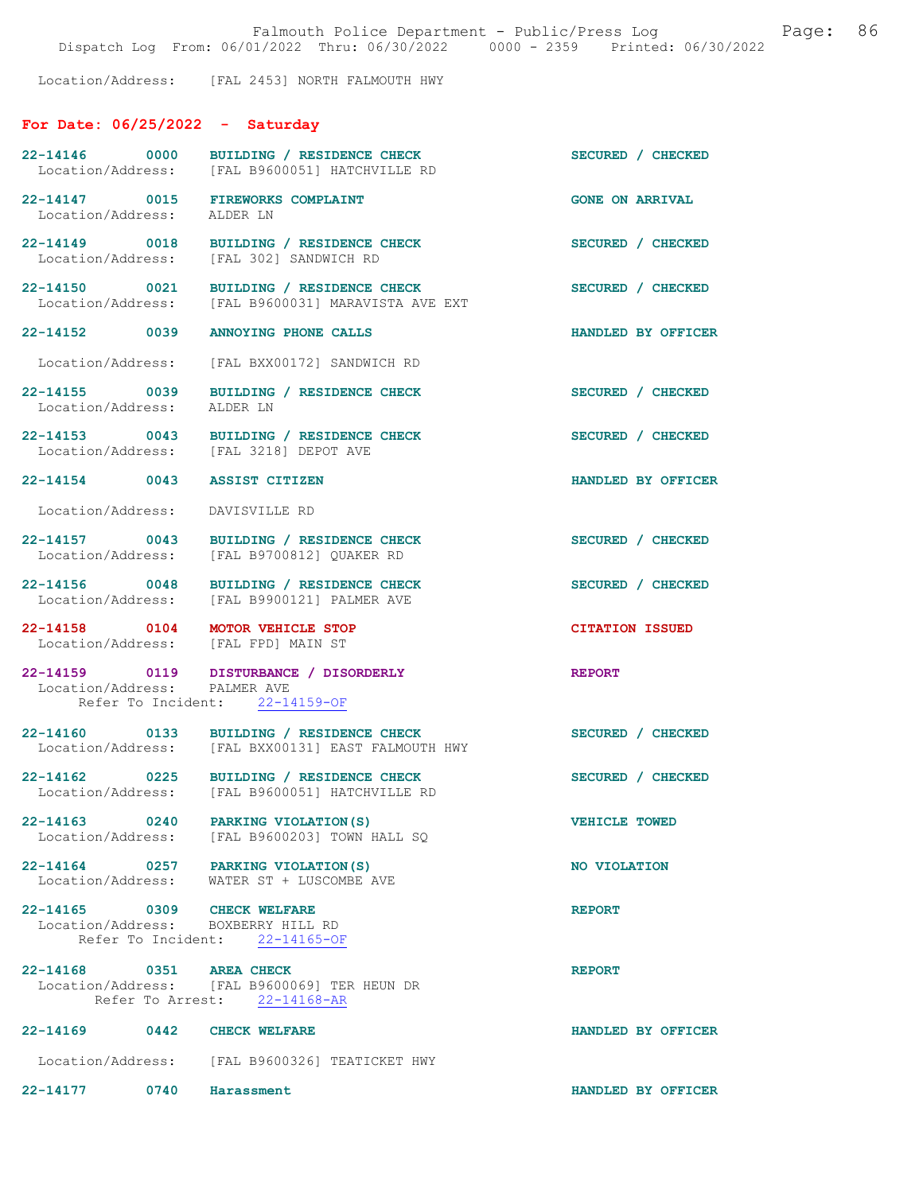Location/Address: [FAL 2453] NORTH FALMOUTH HWY

# For Date: 06/25/2022 - Saturday

| 22-14146 0000<br>Location/Address:                                      | BUILDING / RESIDENCE CHECK<br>[FAL B9600051] HATCHVILLE RD                                     | SECURED / CHECKED      |
|-------------------------------------------------------------------------|------------------------------------------------------------------------------------------------|------------------------|
| 22-14147 0015 FIREWORKS COMPLAINT<br>Location/Address: ALDER LN         |                                                                                                | <b>GONE ON ARRIVAL</b> |
| Location/Address:                                                       | 22-14149 0018 BUILDING / RESIDENCE CHECK<br>[FAL 302] SANDWICH RD                              | SECURED / CHECKED      |
|                                                                         | 22-14150 0021 BUILDING / RESIDENCE CHECK<br>Location/Address: [FAL B9600031] MARAVISTA AVE EXT | SECURED / CHECKED      |
| 22-14152 0039 ANNOYING PHONE CALLS                                      |                                                                                                | HANDLED BY OFFICER     |
|                                                                         | Location/Address: [FAL BXX00172] SANDWICH RD                                                   |                        |
| Location/Address: ALDER LN                                              | 22-14155 0039 BUILDING / RESIDENCE CHECK                                                       | SECURED / CHECKED      |
|                                                                         | 22-14153 0043 BUILDING / RESIDENCE CHECK<br>Location/Address: [FAL 3218] DEPOT AVE             | SECURED / CHECKED      |
| 22-14154 0043 ASSIST CITIZEN                                            |                                                                                                | HANDLED BY OFFICER     |
| Location/Address: DAVISVILLE RD                                         |                                                                                                |                        |
|                                                                         | 22-14157 0043 BUILDING / RESIDENCE CHECK<br>Location/Address: [FAL B9700812] QUAKER RD         | SECURED / CHECKED      |
|                                                                         | 22-14156 0048 BUILDING / RESIDENCE CHECK<br>Location/Address: [FAL B9900121] PALMER AVE        | SECURED / CHECKED      |
| 22-14158 0104 MOTOR VEHICLE STOP<br>Location/Address: [FAL FPD] MAIN ST |                                                                                                | <b>CITATION ISSUED</b> |
| Location/Address: PALMER AVE                                            | 22-14159 0119 DISTURBANCE / DISORDERLY<br>Refer To Incident: 22-14159-OF                       | <b>REPORT</b>          |
|                                                                         | 22-14160 0133 BUILDING / RESIDENCE CHECK<br>Location/Address: [FAL BXX00131] EAST FALMOUTH HWY | SECURED / CHECKED      |
|                                                                         | 22-14162 0225 BUILDING / RESIDENCE CHECK<br>Location/Address: [FAL B9600051] HATCHVILLE RD     | SECURED / CHECKED      |
|                                                                         | 22-14163 0240 PARKING VIOLATION (S)<br>Location/Address: [FAL B9600203] TOWN HALL SQ           | <b>VEHICLE TOWED</b>   |
| 22-14164 0257 PARKING VIOLATION (S)                                     | Location/Address: WATER ST + LUSCOMBE AVE                                                      | NO VIOLATION           |
| 22-14165 0309 CHECK WELFARE<br>Location/Address: BOXBERRY HILL RD       | Refer To Incident: 22-14165-OF                                                                 | <b>REPORT</b>          |
| 22-14168 0351 AREA CHECK                                                | Location/Address: [FAL B9600069] TER HEUN DR<br>Refer To Arrest: 22-14168-AR                   | <b>REPORT</b>          |
| 22-14169 0442 CHECK WELFARE                                             |                                                                                                | HANDLED BY OFFICER     |
|                                                                         | Location/Address: [FAL B9600326] TEATICKET HWY                                                 |                        |
| 22-14177 0740 Harassment                                                |                                                                                                | HANDLED BY OFFICER     |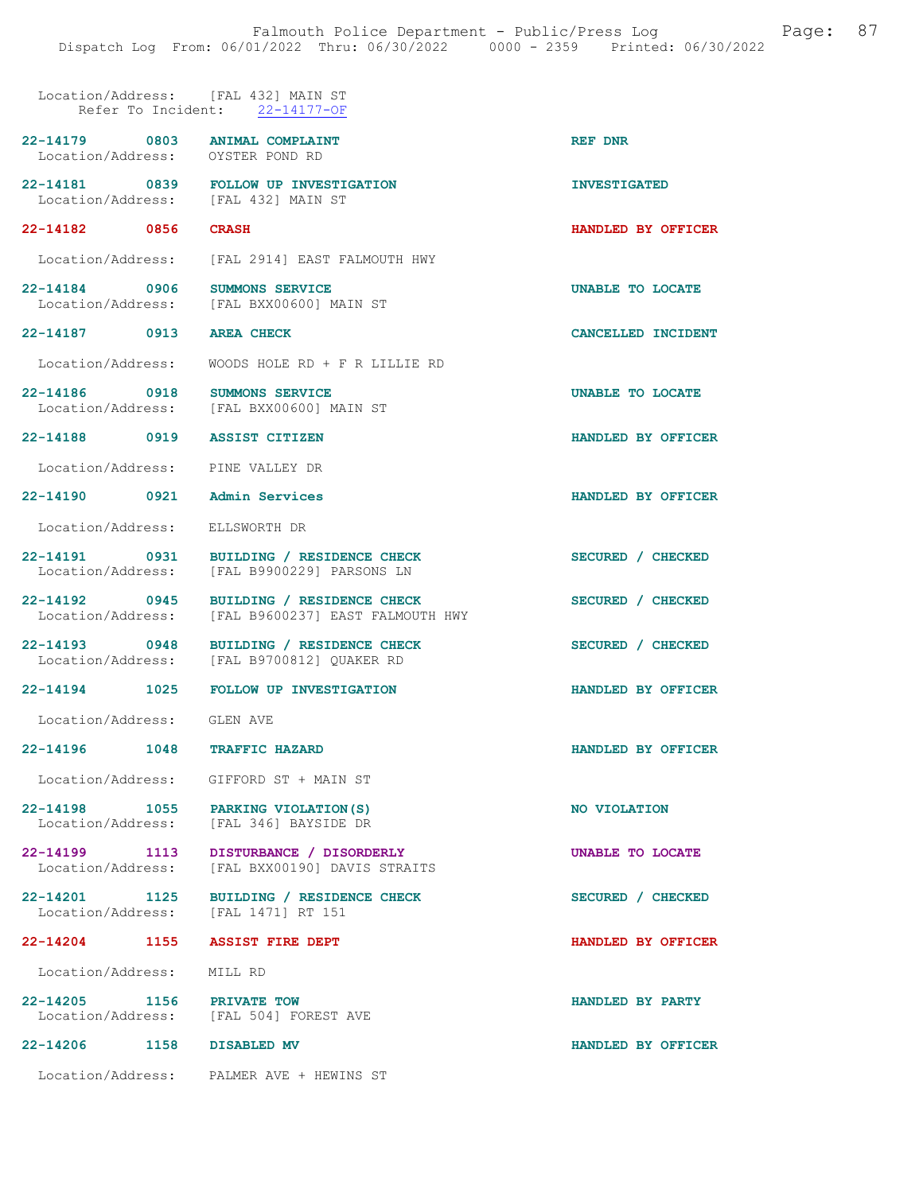### Location/Address: [FAL 432] MAIN ST Refer To Incident: 22-14177-OF

| $22 - 14179$      | 0803 | <b>ANIMAL COMPLAINT</b> | <b>REF DNR</b> |  |
|-------------------|------|-------------------------|----------------|--|
| Location/Address: |      | OYSTER POND RD          |                |  |

- 22-14181 0839 FOLLOW UP INVESTIGATION INVESTIGATED<br>
Location/Address: [FAL 432] MAIN ST Location/Address:
- 22-14182 0856 CRASH HANDLED BY OFFICER
- Location/Address: [FAL 2914] EAST FALMOUTH HWY
- 22-14184 0906 SUMMONS SERVICE UNABLE TO LOCATE Location/Address: [FAL BXX00600] MAIN ST [FAL BXX00600] MAIN ST
- 22-14187 0913 AREA CHECK CANCELLED INCIDENT
	- Location/Address: WOODS HOLE RD + F R LILLIE RD
- 22-14186 0918 SUMMONS SERVICE **120 SUMMONS SERVICE 120 SUMBLE TO LOCATE** Location/Address: [FAL BXX00600] MAIN ST
- 22-14188 0919 ASSIST CITIZEN HANDLED BY OFFICER
- Location/Address: PINE VALLEY DR
- 22-14190 0921 Admin Services HANDLED BY OFFICER
- Location/Address: ELLSWORTH DR
- 22-14191 0931 BUILDING / RESIDENCE CHECK SECURED / CHECKED Location/Address: [FAL B9900229] PARSONS LN
- 22-14192 0945 BUILDING / RESIDENCE CHECK SECURED / CHECKED
- Location/Address: [FAL B9600237] EAST FALMOUTH HWY
- 22-14193 0948 BUILDING / RESIDENCE CHECK SECURED / CHECKED Location/Address: [FAL B9700812] QUAKER RD
- 
- 22-14194 1025 FOLLOW UP INVESTIGATION HANDLED BY OFFICER
	- Location/Address: GLEN AVE
- 22-14196 1048 TRAFFIC HAZARD HANDLED BY OFFICER
	- Location/Address: GIFFORD ST + MAIN ST
- 22-14198 1055 PARKING VIOLATION(S) NO VIOLATION Location/Address: [FAL 346] BAYSIDE DR
- 22-14199 1113 DISTURBANCE / DISORDERLY UNABLE TO LOCATE Location/Address: [FAL BXX00190] DAVIS STRAITS Location/Address: [FAL BXX00190] DAVIS STRAITS
- 22-14201 1125 BUILDING / RESIDENCE CHECK SECURED / CHECKED Location/Address: [FAL 1471] RT 151 Location/Address:

#### 22-14204 1155 ASSIST FIRE DEPT HANDLED BY OFFICER

Location/Address: MILL RD

22-14205 1156 PRIVATE TOW 100 HANDLED BY PARTY<br>
Location/Address: [FAL 504] FOREST AVE

[FAL 504] FOREST AVE

# 22-14206 1158 DISABLED MV HANDLED BY OFFICER

Location/Address: PALMER AVE + HEWINS ST

- 
- 
- 
- 
- 
- 
- 
- 
- 
- 
- 
- - -
		-
	-
	-
	-
	-
	-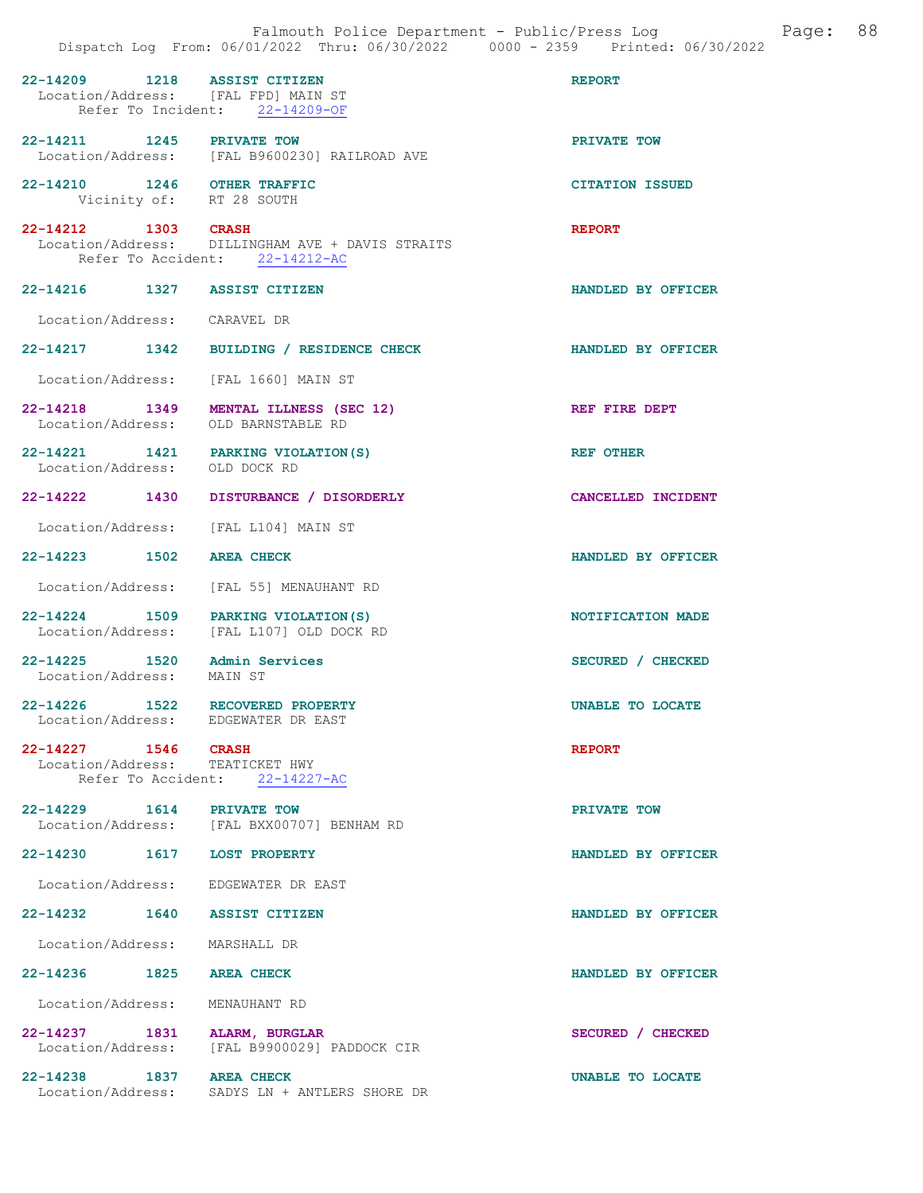|                               | Falmouth Police Department - Public/Press Log<br>Dispatch Log From: 06/01/2022 Thru: 06/30/2022 0000 - 2359 Printed: 06/30/2022 | Page:                     | 88 |
|-------------------------------|---------------------------------------------------------------------------------------------------------------------------------|---------------------------|----|
|                               | 22-14209 1218 ASSIST CITIZEN<br>Location/Address: [FAL FPD] MAIN ST<br>Refer To Incident: 22-14209-OF                           | <b>REPORT</b>             |    |
|                               | 22-14211 1245 PRIVATE TOW Location/Address: [FAL B9600230] RAILROAD AVE                                                         | PRIVATE TOW               |    |
|                               | 22-14210 1246 OTHER TRAFFIC<br>Vicinity of: RT 28 SOUTH                                                                         | <b>CITATION ISSUED</b>    |    |
| 22-14212 1303 CRASH           | Location/Address: DILLINGHAM AVE + DAVIS STRAITS<br>Refer To Accident: 22-14212-AC                                              | <b>REPORT</b>             |    |
|                               | 22-14216 1327 ASSIST CITIZEN                                                                                                    | HANDLED BY OFFICER        |    |
| Location/Address: CARAVEL DR  |                                                                                                                                 |                           |    |
|                               | 22-14217 1342 BUILDING / RESIDENCE CHECK                                                                                        | <b>HANDLED BY OFFICER</b> |    |
|                               | Location/Address: [FAL 1660] MAIN ST                                                                                            |                           |    |
|                               | 22-14218 1349 MENTAL ILLNESS (SEC 12)<br>Location/Address: OLD BARNSTABLE RD                                                    | REF FIRE DEPT             |    |
| Location/Address: OLD DOCK RD | 22-14221 1421 PARKING VIOLATION (S)                                                                                             | <b>REF OTHER</b>          |    |
|                               | 22-14222 1430 DISTURBANCE / DISORDERLY                                                                                          | CANCELLED INCIDENT        |    |
|                               | Location/Address: [FAL L104] MAIN ST                                                                                            |                           |    |
| 22-14223 1502 AREA CHECK      |                                                                                                                                 | HANDLED BY OFFICER        |    |
|                               | Location/Address: [FAL 55] MENAUHANT RD                                                                                         |                           |    |
|                               | 22-14224 1509 PARKING VIOLATION (S)<br>Location/Address: [FAL L107] OLD DOCK RD                                                 | NOTIFICATION MADE         |    |
| Location/Address: MAIN ST     | 22-14225 1520 Admin Services                                                                                                    | SECURED / CHECKED         |    |
|                               | 22-14226 1522 RECOVERED PROPERTY<br>Location/Address: EDGEWATER DR EAST                                                         | UNABLE TO LOCATE          |    |
| 22-14227 1546 CRASH           | Location/Address: TEATICKET HWY<br>Refer To Accident: 22-14227-AC                                                               | <b>REPORT</b>             |    |
| 22-14229 1614 PRIVATE TOW     | Location/Address: [FAL BXX00707] BENHAM RD                                                                                      | PRIVATE TOW               |    |
|                               | 22-14230 1617 LOST PROPERTY                                                                                                     | HANDLED BY OFFICER        |    |
|                               | Location/Address: EDGEWATER DR EAST                                                                                             |                           |    |
|                               | 22-14232 1640 ASSIST CITIZEN                                                                                                    | HANDLED BY OFFICER        |    |
| Location/Address: MARSHALL DR |                                                                                                                                 |                           |    |
| 22-14236 1825 AREA CHECK      |                                                                                                                                 | HANDLED BY OFFICER        |    |
|                               | Location/Address: MENAUHANT RD                                                                                                  |                           |    |
|                               | 22-14237 1831 ALARM, BURGLAR<br>Location/Address: [FAL B9900029] PADDOCK CIR                                                    | SECURED / CHECKED         |    |
| 22-14238 1837 AREA CHECK      | Location/Address: SADYS LN + ANTLERS SHORE DR                                                                                   | UNABLE TO LOCATE          |    |
|                               |                                                                                                                                 |                           |    |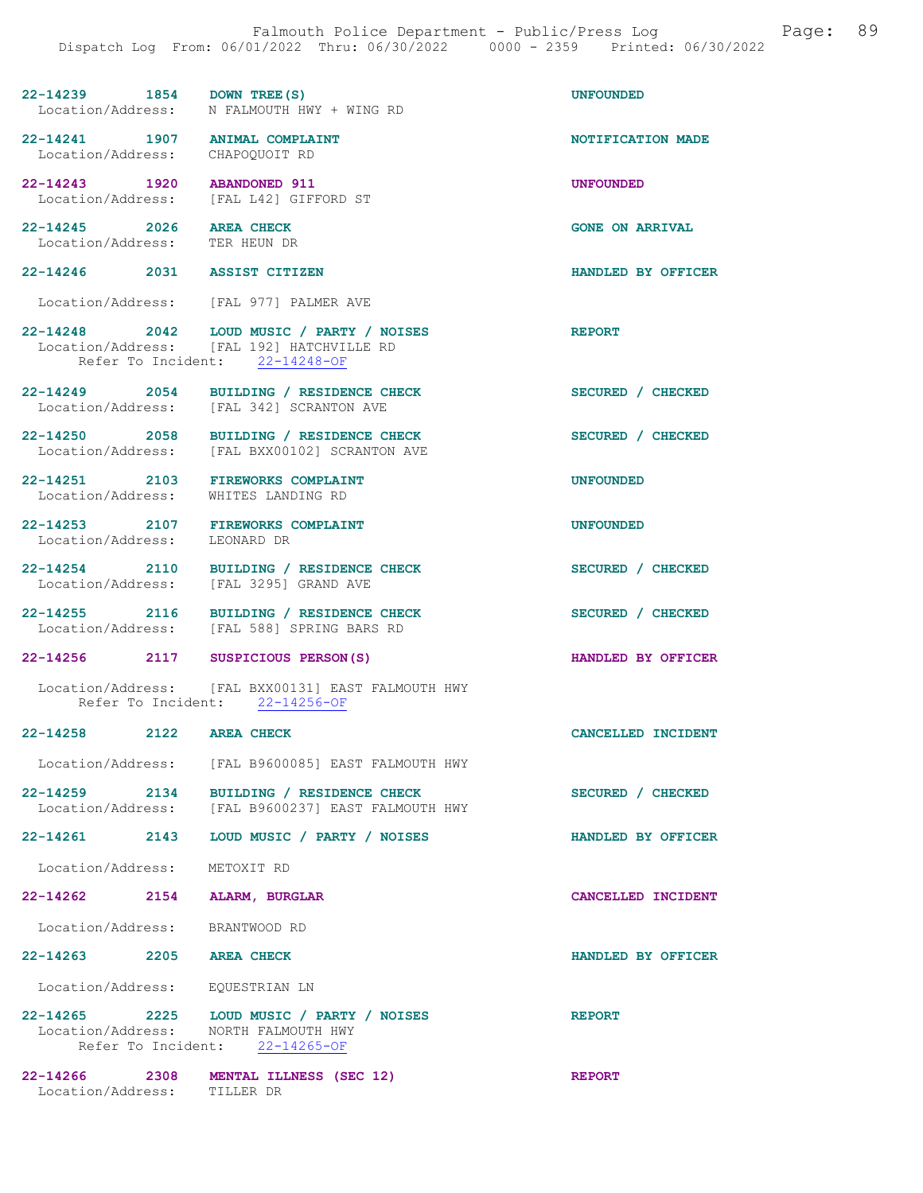### 22-14239 1854 DOWN TREE(S) UNFOUNDED<br>
Location/Address: N FALMOUTH HWY + WING RD N FALMOUTH HWY + WING RD

22-14241 1907 ANIMAL COMPLAINT NOTIFICATION MADE Location/Address: CHAPOOUOIT RD Location/Address:

22-14243 1920 ABANDONED 911 UNFOUNDED Location/Address: [FAL L42] GIFFORD ST

22-14245 2026 AREA CHECK GONE ON ARRIVAL Location/Address: TER HEUN DR

#### 22-14246 2031 ASSIST CITIZEN HANDLED BY OFFICER

Location/Address: [FAL 977] PALMER AVE

- 22-14248 2042 LOUD MUSIC / PARTY / NOISES<br>
Location/Address: [FAL 192] HATCHVILLE RD Location/Address: [FAL 192] HATCHVILLE RD Refer To Incident: 22-14248-OF
- 22-14249 2054 BUILDING / RESIDENCE CHECK SECURED / CHECKED Location/Address: [FAL 342] SCRANTON AVE
- 22-14250 2058 BUILDING / RESIDENCE CHECK SECURED / CHECKED Location/Address: [FAL BXX00102] SCRANTON AVE
- 22-14251 2103 FIREWORKS COMPLAINT 1999 1203 UNFOUNDED Location/Address:
- 22-14253 2107 FIREWORKS COMPLAINT UNFOUNDED UNFOUNDED Location/Address: LEONARD DR
- Location/Address:
- 22-14254 2110 BUILDING / RESIDENCE CHECK SECURED / CHECKED Location/Address: [FAL 3295] GRAND AVE
- 22-14255 2116 BUILDING / RESIDENCE CHECK SECURED / CHECKED
- Location/Address: [FAL 588] SPRING BARS RD
- 22-14256 2117 SUSPICIOUS PERSON(S) HANDLED BY OFFICER

#### Location/Address: [FAL BXX00131] EAST FALMOUTH HWY Refer To Incident: 22-14256-OF

22-14258 2122 AREA CHECK CANCELLED INCIDENT

Location/Address: [FAL B9600085] EAST FALMOUTH HWY

- 22-14259 2134 BUILDING / RESIDENCE CHECK SECURED / CHECKED Location/Address: [FAL B9600237] EAST FALMOUTH HWY
- 22-14261 2143 LOUD MUSIC / PARTY / NOISES HANDLED BY OFFICER
- Location/Address: METOXIT RD
- 22-14262 2154 ALARM, BURGLAR CANCELLED INCIDENT
- Location/Address: BRANTWOOD RD
- 22-14263 2205 AREA CHECK HANDLED BY OFFICER
- Location/Address: EQUESTRIAN LN
- 22-14265 2225 LOUD MUSIC / PARTY / NOISES<br>
Location/Address: NORTH FALMOUTH HWY NORTH FALMOUTH HWY<br>ent: 22-14265-OF Refer To Incident:
- 22-14266 2308 MENTAL ILLNESS (SEC 12) REPORT Location/Address: TILLER DR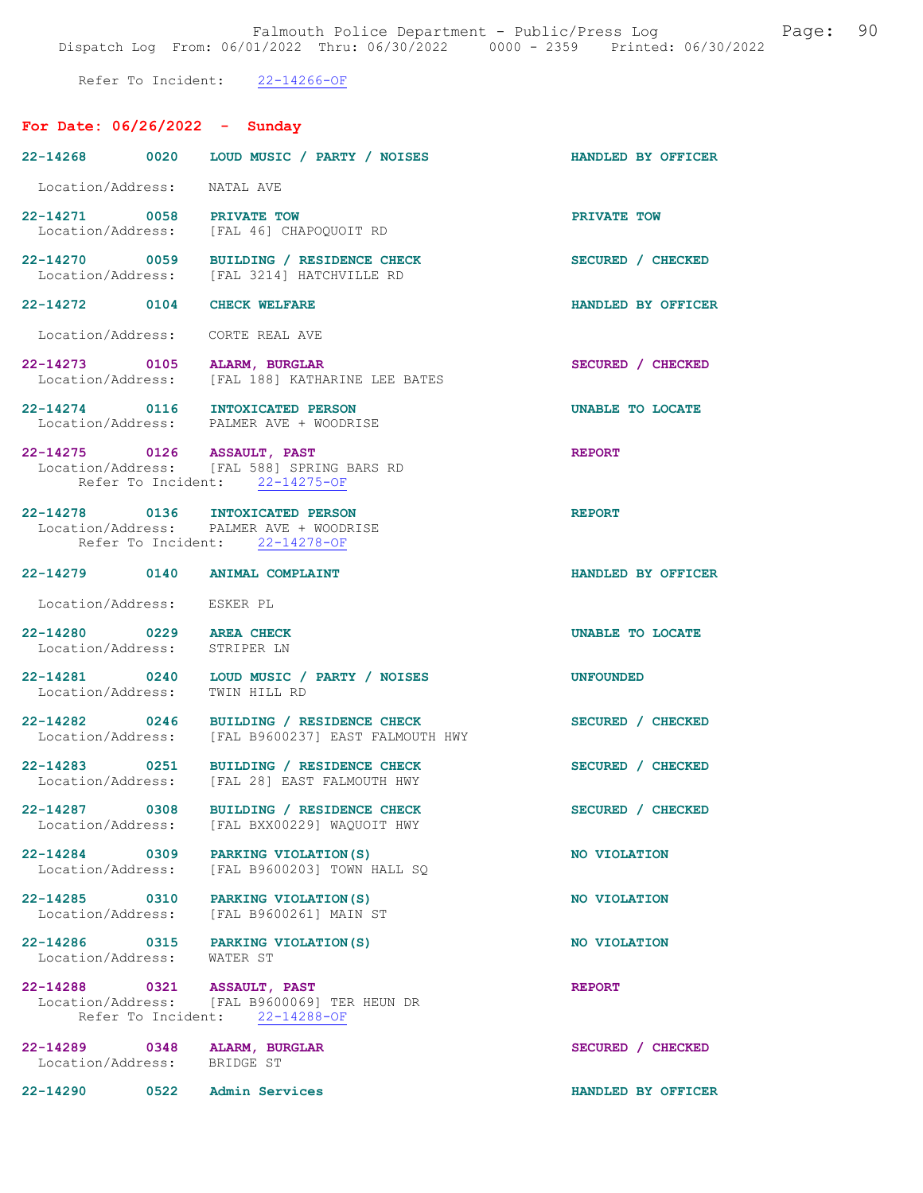Falmouth Police Department - Public/Press Log and Page: 90 Dispatch Log From: 06/01/2022 Thru: 06/30/2022 0000 - 2359 Printed: 06/30/2022

Refer To Incident: 22-14266-OF

# For Date: 06/26/2022 - Sunday

|                                                          | 22-14268 0020 LOUD MUSIC / PARTY / NOISES                                                                     | HANDLED BY OFFICER |
|----------------------------------------------------------|---------------------------------------------------------------------------------------------------------------|--------------------|
| Location/Address: NATAL AVE                              |                                                                                                               |                    |
| 22-14271 0058 PRIVATE TOW                                | Location/Address: [FAL 46] CHAPOQUOIT RD                                                                      | PRIVATE TOW        |
|                                                          | 22-14270 0059 BUILDING / RESIDENCE CHECK<br>Location/Address: [FAL 3214] HATCHVILLE RD                        | SECURED / CHECKED  |
| 22-14272 0104 CHECK WELFARE                              |                                                                                                               | HANDLED BY OFFICER |
|                                                          | Location/Address: CORTE REAL AVE                                                                              |                    |
|                                                          | 22-14273 0105 ALARM, BURGLAR<br>Location/Address: [FAL 188] KATHARINE LEE BATES                               | SECURED / CHECKED  |
|                                                          | 22-14274 0116 INTOXICATED PERSON<br>Location/Address: PALMER AVE + WOODRISE                                   | UNABLE TO LOCATE   |
|                                                          | 22-14275 0126 ASSAULT, PAST<br>Location/Address: [FAL 588] SPRING BARS RD<br>Refer To Incident: 22-14275-OF   | <b>REPORT</b>      |
|                                                          | 22-14278 0136 INTOXICATED PERSON<br>Location/Address: PALMER AVE + WOODRISE<br>Refer To Incident: 22-14278-OF | <b>REPORT</b>      |
|                                                          | 22-14279 0140 ANIMAL COMPLAINT                                                                                | HANDLED BY OFFICER |
| Location/Address: ESKER PL                               |                                                                                                               |                    |
| 22-14280 0229 AREA CHECK<br>Location/Address: STRIPER LN |                                                                                                               | UNABLE TO LOCATE   |
| Location/Address:                                        | 22-14281 0240 LOUD MUSIC / PARTY / NOISES<br>TWIN HILL RD                                                     | <b>UNFOUNDED</b>   |
|                                                          | 22-14282 0246 BUILDING / RESIDENCE CHECK<br>Location/Address: [FAL B9600237] EAST FALMOUTH HWY                | SECURED / CHECKED  |
|                                                          | 22-14283 0251 BUILDING / RESIDENCE CHECK<br>Location/Address: [FAL 28] EAST FALMOUTH HWY                      | SECURED / CHECKED  |
| 22-14287 0308                                            | <b>BUILDING / RESIDENCE CHECK</b><br>Location/Address: [FAL BXX00229] WAQUOIT HWY                             | SECURED / CHECKED  |
|                                                          | 22-14284 0309 PARKING VIOLATION (S)<br>Location/Address: [FAL B9600203] TOWN HALL SQ                          | NO VIOLATION       |
|                                                          | 22-14285 0310 PARKING VIOLATION (S)<br>Location/Address: [FAL B9600261] MAIN ST                               | NO VIOLATION       |
| Location/Address: WATER ST                               | 22-14286 0315 PARKING VIOLATION (S)                                                                           | NO VIOLATION       |
| 22-14288 0321 ASSAULT, PAST                              | Location/Address: [FAL B9600069] TER HEUN DR<br>Refer To Incident: 22-14288-OF                                | <b>REPORT</b>      |
| Location/Address: BRIDGE ST                              | 22-14289 0348 ALARM, BURGLAR                                                                                  | SECURED / CHECKED  |
| 22-14290                                                 | 0522 Admin Services                                                                                           | HANDLED BY OFFICER |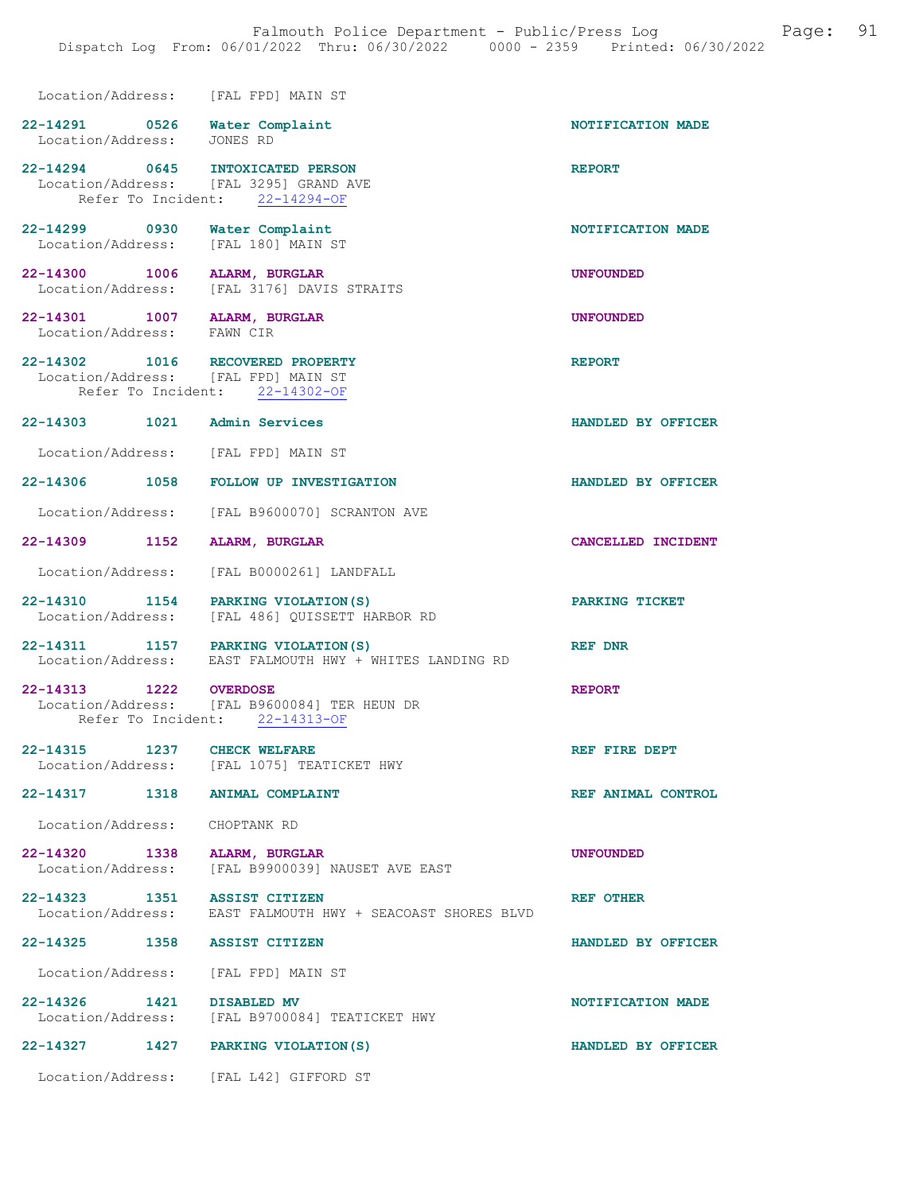| Location/Address: [FAL FPD] MAIN ST                                        |                                                                                                |                    |
|----------------------------------------------------------------------------|------------------------------------------------------------------------------------------------|--------------------|
| 22-14291 0526 Water Complaint<br>Location/Address: JONES RD                |                                                                                                | NOTIFICATION MADE  |
| 22-14294 0645 INTOXICATED PERSON<br>Location/Address: [FAL 3295] GRAND AVE | Refer To Incident: 22-14294-OF                                                                 | <b>REPORT</b>      |
| 22-14299 0930 Water Complaint<br>Location/Address: [FAL 180] MAIN ST       |                                                                                                | NOTIFICATION MADE  |
| 22-14300 1006 ALARM, BURGLAR                                               | Location/Address: [FAL 3176] DAVIS STRAITS                                                     | <b>UNFOUNDED</b>   |
| 22-14301 1007 ALARM, BURGLAR<br>Location/Address: FAWN CIR                 |                                                                                                | <b>UNFOUNDED</b>   |
| 22-14302 1016 RECOVERED PROPERTY<br>Location/Address: [FAL FPD] MAIN ST    | Refer To Incident: 22-14302-OF                                                                 | <b>REPORT</b>      |
| 22-14303 1021 Admin Services                                               |                                                                                                | HANDLED BY OFFICER |
| Location/Address: [FAL FPD] MAIN ST                                        |                                                                                                |                    |
|                                                                            | 22-14306 1058 FOLLOW UP INVESTIGATION                                                          | HANDLED BY OFFICER |
|                                                                            | Location/Address: [FAL B9600070] SCRANTON AVE                                                  |                    |
| 22-14309 1152 ALARM, BURGLAR                                               |                                                                                                | CANCELLED INCIDENT |
|                                                                            | Location/Address: [FAL B0000261] LANDFALL                                                      |                    |
|                                                                            | 22-14310 1154 PARKING VIOLATION (S)<br>Location/Address: [FAL 486] QUISSETT HARBOR RD          | PARKING TICKET     |
|                                                                            | 22-14311 1157 PARKING VIOLATION (S)<br>Location/Address: EAST FALMOUTH HWY + WHITES LANDING RD | REF DNR            |
| 22-14313 1222 OVERDOSE                                                     | Location/Address: [FAL B9600084] TER HEUN DR<br>Refer To Incident: 22-14313-OF                 | <b>REPORT</b>      |
| 22-14315 1237 CHECK WELFARE                                                | Location/Address: [FAL 1075] TEATICKET HWY                                                     | REF FIRE DEPT      |
| 22-14317 1318 ANIMAL COMPLAINT                                             |                                                                                                | REF ANIMAL CONTROL |
| Location/Address: CHOPTANK RD                                              |                                                                                                |                    |
| 22-14320 1338                                                              | ALARM, BURGLAR<br>Location/Address: [FAL B9900039] NAUSET AVE EAST                             | <b>UNFOUNDED</b>   |
| 22-14323 1351 ASSIST CITIZEN                                               | Location/Address: EAST FALMOUTH HWY + SEACOAST SHORES BLVD                                     | REF OTHER          |
| 22-14325 1358 ASSIST CITIZEN                                               |                                                                                                | HANDLED BY OFFICER |
| Location/Address: [FAL FPD] MAIN ST                                        |                                                                                                |                    |
| 22-14326 1421 DISABLED MV                                                  | Location/Address: [FAL B9700084] TEATICKET HWY                                                 | NOTIFICATION MADE  |
| 22-14327 1427 PARKING VIOLATION (S)                                        |                                                                                                | HANDLED BY OFFICER |
|                                                                            | Location/Address: [FAL L42] GIFFORD ST                                                         |                    |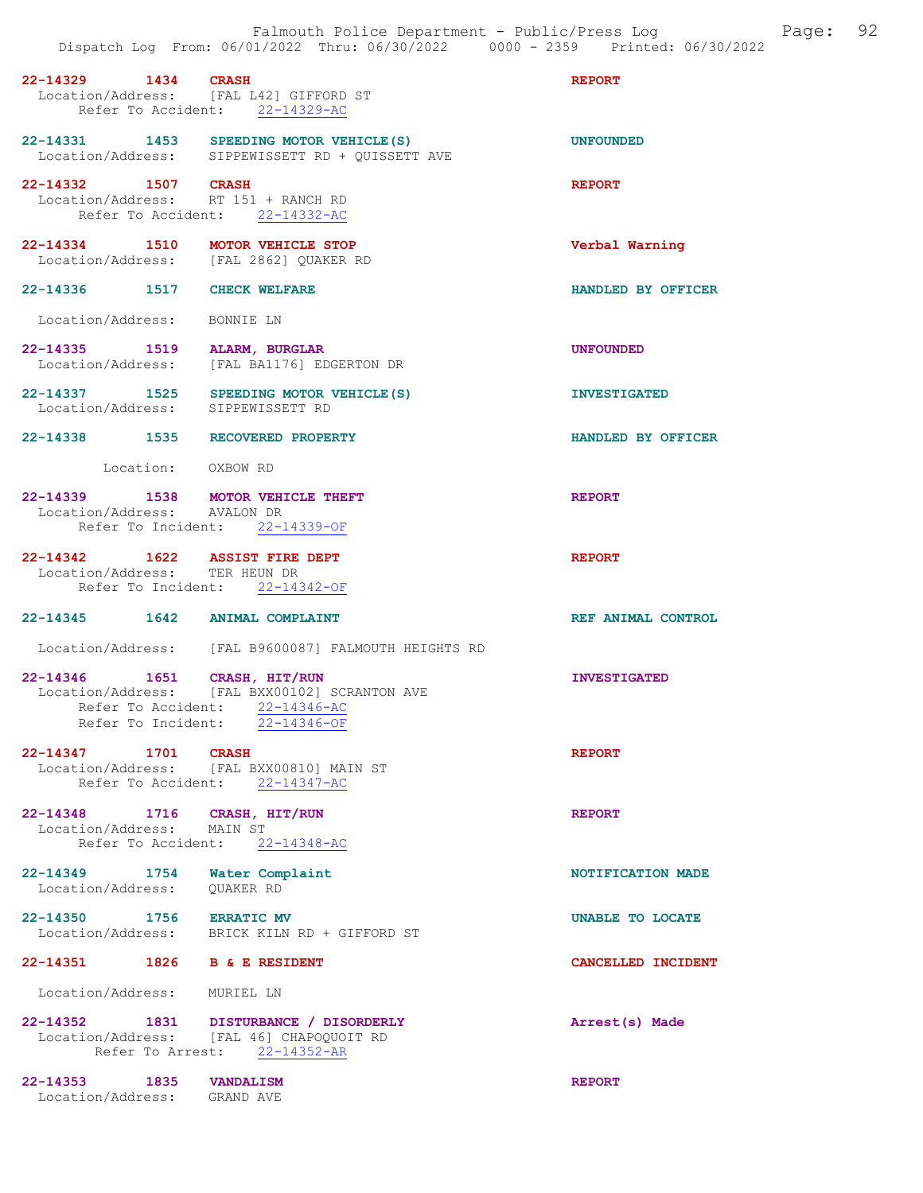22-14329 1434 CRASH REPORT Location/Address: [FAL L42] GIFFORD ST Refer To Accident: 22-14329-AC

22-14331 1453 SPEEDING MOTOR VEHICLE(S) UNFOUNDED Location/Address: SIPPEWISSETT RD + QUISSETT AVE

22-14332 1507 CRASH REPORT Location/Address: RT 151 + RANCH RD Refer To Accident: 22-14332-AC

22-14334 1510 MOTOR VEHICLE STOP Verbal Warning Location/Address: [FAL 2862] QUAKER RD

22-14336 1517 CHECK WELFARE HANDLED BY OFFICER

Location/Address: BONNIE LN

- 22-14335 1519 ALARM, BURGLAR UNFOUNDED Location/Address: [FAL BA1176] EDGERTON DR
- 22-14337 1525 SPEEDING MOTOR VEHICLE(S) INVESTIGATED<br>Location/Address: SIPPEWISSETT RD Location/Address:
- 22-14338 1535 RECOVERED PROPERTY HANDLED BY OFFICER

Location: OXBOW RD

#### 22-14339 1538 MOTOR VEHICLE THEFT REPORT Location/Address: AVALON DR Refer To Incident: 22-14339-OF

22-14342 1622 ASSIST FIRE DEPT REPORT Location/Address: TER HEUN DR Refer To Incident: 22-14342-OF

22-14345 1642 ANIMAL COMPLAINT REF ANIMAL CONTROL

Location/Address: [FAL B9600087] FALMOUTH HEIGHTS RD

22-14346 1651 CRASH, HIT/RUN INVESTIGATED Location/Address: [FAL BXX00102] SCRANTON AVE Refer To Accident: 22-14346-AC Refer To Incident: 22-14346-OF

22-14347 1701 CRASH REPORT Location/Address: [FAL BXX00810] MAIN ST Refer To Accident: 22-14347-AC

22-14348 1716 CRASH, HIT/RUN REPORT Location/Address: MAIN ST Refer To Accident: 22-14348-AC

22-14349 1754 Water Complaint 1200 1754 Water Complaint NOTIFICATION MADE Location/Address:

22-14350 1756 ERRATIC MV UNABLE TO LOCATE

Location/Address: BRICK KILN RD + GIFFORD ST

22-14351 1826 B & E RESIDENT CANCELLED INCIDENT

Location/Address: MURIEL LN

22-14352 1831 DISTURBANCE / DISORDERLY Arrest(s) Made Location/Address: [FAL 46] CHAPOQUOIT RD Refer To Arrest: 22-14352-AR

22-14353 1835 VANDALISM REPORT Location/Address: GRAND AVE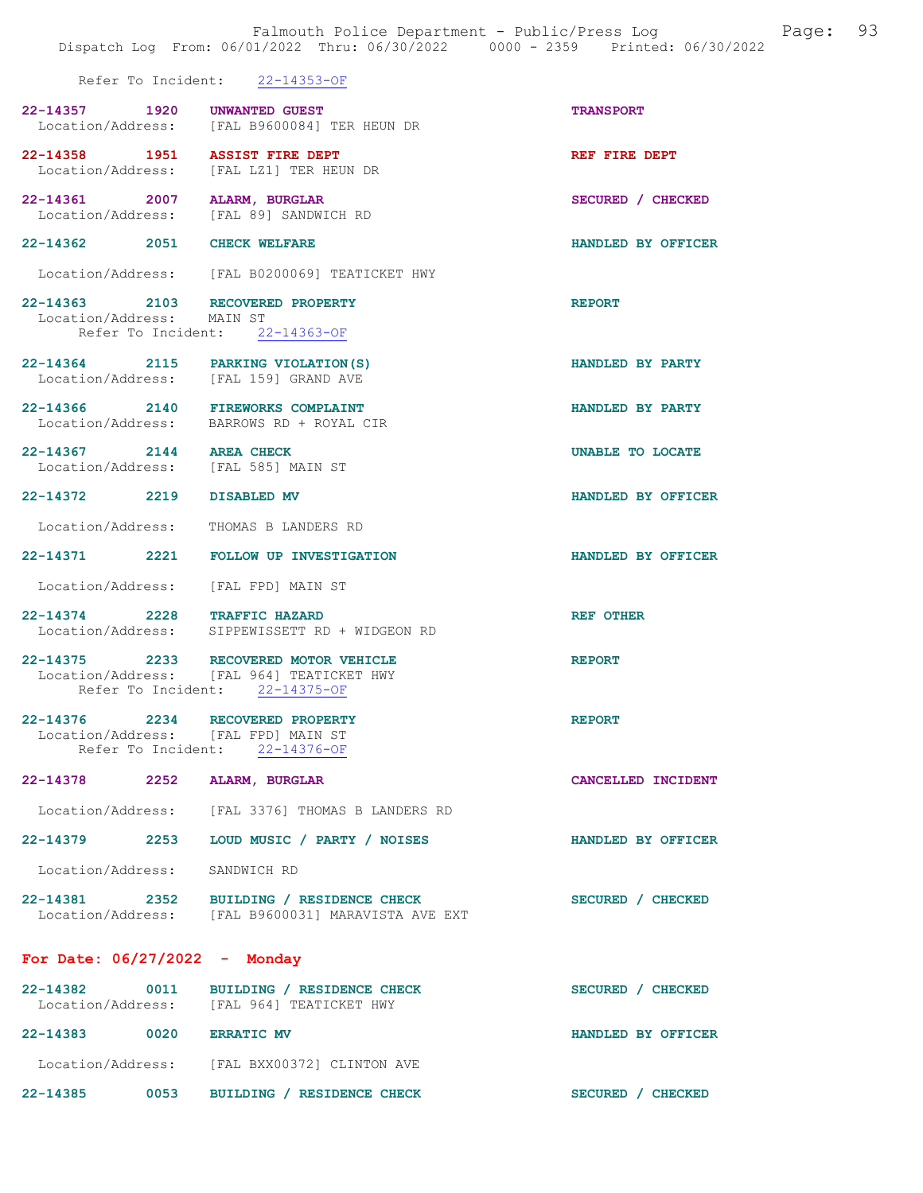|                                                                 | Falmouth Police Department - Public/Press Log<br>Dispatch Log From: 06/01/2022 Thru: 06/30/2022 0000 - 2359 Printed: 06/30/2022 | Page:                   | 93 |
|-----------------------------------------------------------------|---------------------------------------------------------------------------------------------------------------------------------|-------------------------|----|
|                                                                 | Refer To Incident: 22-14353-OF                                                                                                  |                         |    |
| 22-14357 1920 UNWANTED GUEST                                    | Location/Address: [FAL B9600084] TER HEUN DR                                                                                    | <b>TRANSPORT</b>        |    |
| 22-14358 1951 ASSIST FIRE DEPT                                  | Location/Address: [FAL LZ1] TER HEUN DR                                                                                         | REF FIRE DEPT           |    |
| 22-14361 2007 ALARM, BURGLAR                                    | Location/Address: [FAL 89] SANDWICH RD                                                                                          | SECURED / CHECKED       |    |
| 22-14362 2051 CHECK WELFARE                                     |                                                                                                                                 | HANDLED BY OFFICER      |    |
|                                                                 | Location/Address: [FAL B0200069] TEATICKET HWY                                                                                  |                         |    |
| Location/Address: MAIN ST                                       | 22-14363 2103 RECOVERED PROPERTY<br>Refer To Incident: 22-14363-OF                                                              | <b>REPORT</b>           |    |
|                                                                 | 22-14364 2115 PARKING VIOLATION (S)<br>Location/Address: [FAL 159] GRAND AVE                                                    | HANDLED BY PARTY        |    |
|                                                                 | 22-14366 2140 FIREWORKS COMPLAINT<br>Location/Address: BARROWS RD + ROYAL CIR                                                   | HANDLED BY PARTY        |    |
| 22-14367 2144 AREA CHECK<br>Location/Address: [FAL 585] MAIN ST |                                                                                                                                 | <b>UNABLE TO LOCATE</b> |    |
| 22-14372 2219 DISABLED MV                                       |                                                                                                                                 | HANDLED BY OFFICER      |    |
|                                                                 | Location/Address: THOMAS B LANDERS RD                                                                                           |                         |    |
|                                                                 | 22-14371 2221 FOLLOW UP INVESTIGATION                                                                                           | HANDLED BY OFFICER      |    |
| Location/Address:                                               | [FAL FPD] MAIN ST                                                                                                               |                         |    |
| 22-14374 2228 TRAFFIC HAZARD                                    | Location/Address: SIPPEWISSETT RD + WIDGEON RD                                                                                  | <b>REF OTHER</b>        |    |
|                                                                 | 22-14375 2233 RECOVERED MOTOR VEHICLE<br>Location/Address: [FAL 964] TEATICKET HWY<br>Refer To Incident: 22-14375-OF            | <b>REPORT</b>           |    |
| Location/Address: [FAL FPD] MAIN ST                             | 22-14376 2234 RECOVERED PROPERTY<br>Refer To Incident: 22-14376-OF                                                              | <b>REPORT</b>           |    |
| 22-14378 2252 ALARM, BURGLAR                                    |                                                                                                                                 | CANCELLED INCIDENT      |    |
|                                                                 | Location/Address: [FAL 3376] THOMAS B LANDERS RD                                                                                |                         |    |
|                                                                 | 22-14379 2253 LOUD MUSIC / PARTY / NOISES                                                                                       | HANDLED BY OFFICER      |    |
| Location/Address: SANDWICH RD                                   |                                                                                                                                 |                         |    |
|                                                                 | 22-14381 2352 BUILDING / RESIDENCE CHECK<br>Location/Address: [FAL B9600031] MARAVISTA AVE EXT                                  | SECURED / CHECKED       |    |
| For Date: $06/27/2022 -$ Monday                                 |                                                                                                                                 |                         |    |
|                                                                 | 22-14382 0011 BUILDING / RESIDENCE CHECK<br>Location/Address: [FAL 964] TEATICKET HWY                                           | SECURED / CHECKED       |    |
| 22-14383 0020 ERRATIC MV                                        |                                                                                                                                 | HANDLED BY OFFICER      |    |
|                                                                 | Location/Address: [FAL BXX00372] CLINTON AVE                                                                                    |                         |    |
|                                                                 | 22-14385 0053 BUILDING / RESIDENCE CHECK                                                                                        | SECURED / CHECKED       |    |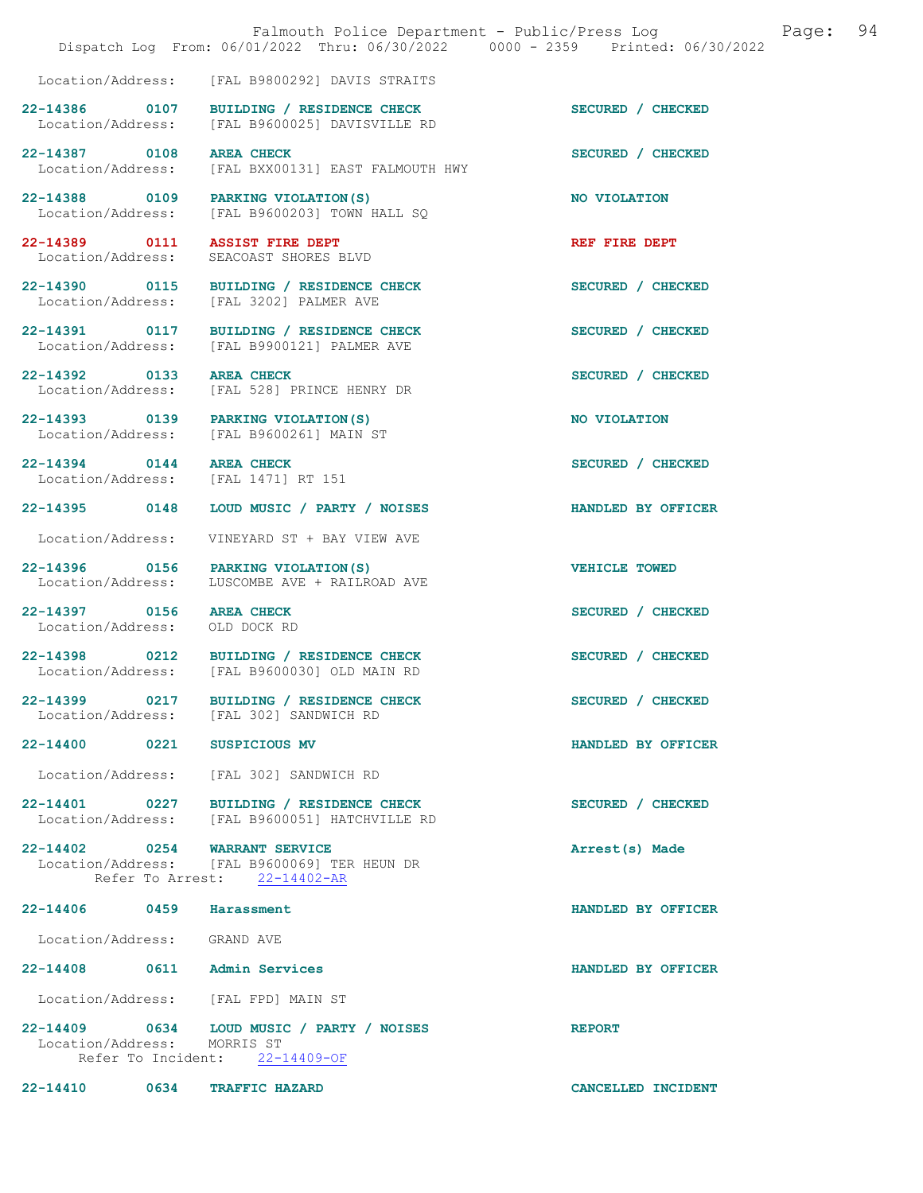|                                                           | Falmouth Police Department - Public/Press Log<br>Dispatch Log From: 06/01/2022 Thru: 06/30/2022 0000 - 2359 Printed: 06/30/2022 |                           | Page: | 94 |
|-----------------------------------------------------------|---------------------------------------------------------------------------------------------------------------------------------|---------------------------|-------|----|
|                                                           | Location/Address: [FAL B9800292] DAVIS STRAITS                                                                                  |                           |       |    |
|                                                           | 22-14386 0107 BUILDING / RESIDENCE CHECK<br>Location/Address: [FAL B9600025] DAVISVILLE RD                                      | SECURED / CHECKED         |       |    |
| 22-14387 0108 AREA CHECK<br>Location/Address:             | [FAL BXX00131] EAST FALMOUTH HWY                                                                                                | SECURED / CHECKED         |       |    |
|                                                           | 22-14388 0109 PARKING VIOLATION(S)<br>Location/Address: [FAL B9600203] TOWN HALL SQ                                             | NO VIOLATION              |       |    |
|                                                           | 22-14389 0111 ASSIST FIRE DEPT<br>Location/Address: SEACOAST SHORES BLVD                                                        | REF FIRE DEPT             |       |    |
|                                                           | 22-14390 0115 BUILDING / RESIDENCE CHECK<br>Location/Address: [FAL 3202] PALMER AVE                                             | SECURED / CHECKED         |       |    |
|                                                           | 22-14391 0117 BUILDING / RESIDENCE CHECK<br>Location/Address: [FAL B9900121] PALMER AVE                                         | SECURED / CHECKED         |       |    |
| 22-14392 0133 AREA CHECK                                  | Location/Address: [FAL 528] PRINCE HENRY DR                                                                                     | SECURED / CHECKED         |       |    |
|                                                           | 22-14393 0139 PARKING VIOLATION(S)<br>Location/Address: [FAL B9600261] MAIN ST                                                  | NO VIOLATION              |       |    |
|                                                           | 22-14394 0144 AREA CHECK<br>Location/Address: [FAL 1471] RT 151                                                                 | SECURED / CHECKED         |       |    |
|                                                           | 22-14395 0148 LOUD MUSIC / PARTY / NOISES                                                                                       | <b>HANDLED BY OFFICER</b> |       |    |
|                                                           | Location/Address: VINEYARD ST + BAY VIEW AVE                                                                                    |                           |       |    |
| Location/Address:                                         | 22-14396 0156 PARKING VIOLATION(S)<br>LUSCOMBE AVE + RAILROAD AVE                                                               | <b>VEHICLE TOWED</b>      |       |    |
| 22-14397 0156 AREA CHECK<br>Location/Address: OLD DOCK RD |                                                                                                                                 | SECURED / CHECKED         |       |    |
|                                                           | 22-14398 0212 BUILDING / RESIDENCE CHECK<br>Location/Address: [FAL B9600030] OLD MAIN RD                                        | SECURED / CHECKED         |       |    |
|                                                           | 22-14399 0217 BUILDING / RESIDENCE CHECK<br>Location/Address: [FAL 302] SANDWICH RD                                             | SECURED / CHECKED         |       |    |
| 22-14400 0221 SUSPICIOUS MV                               |                                                                                                                                 | HANDLED BY OFFICER        |       |    |
|                                                           | Location/Address: [FAL 302] SANDWICH RD                                                                                         |                           |       |    |
|                                                           | 22-14401 0227 BUILDING / RESIDENCE CHECK<br>Location/Address: [FAL B9600051] HATCHVILLE RD                                      | SECURED / CHECKED         |       |    |
|                                                           | 22-14402 0254 WARRANT SERVICE<br>Location/Address: [FAL B9600069] TER HEUN DR<br>Refer To Arrest: 22-14402-AR                   | Arrest(s) Made            |       |    |
| 22-14406 0459 Harassment                                  |                                                                                                                                 | HANDLED BY OFFICER        |       |    |
| Location/Address: GRAND AVE                               |                                                                                                                                 |                           |       |    |
|                                                           | 22-14408 0611 Admin Services                                                                                                    | HANDLED BY OFFICER        |       |    |
|                                                           | Location/Address: [FAL FPD] MAIN ST                                                                                             |                           |       |    |
| Location/Address: MORRIS ST                               | 22-14409 0634 LOUD MUSIC / PARTY / NOISES<br>Refer To Incident: 22-14409-OF                                                     | <b>REPORT</b>             |       |    |

22-14410 0634 TRAFFIC HAZARD CANCELLED INCIDENT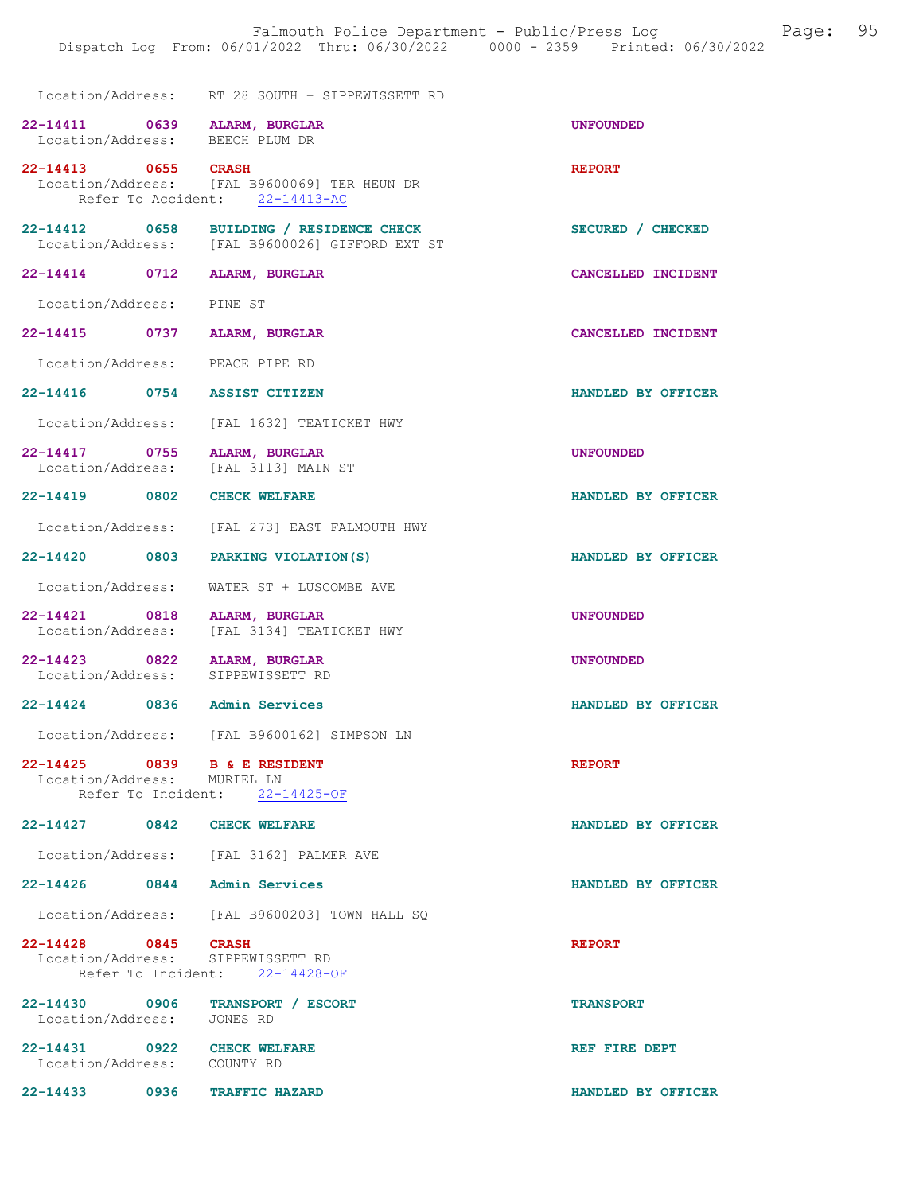|                                                                 | Location/Address: RT 28 SOUTH + SIPPEWISSETT RD                                             |                    |
|-----------------------------------------------------------------|---------------------------------------------------------------------------------------------|--------------------|
| 22-14411 0639 ALARM, BURGLAR<br>Location/Address: BEECH PLUM DR |                                                                                             | <b>UNFOUNDED</b>   |
| 22-14413 0655 CRASH                                             | Location/Address: [FAL B9600069] TER HEUN DR<br>Refer To Accident: 22-14413-AC              | <b>REPORT</b>      |
|                                                                 | 22-14412 0658 BUILDING / RESIDENCE CHECK<br>Location/Address: [FAL B9600026] GIFFORD EXT ST | SECURED / CHECKED  |
| 22-14414 0712 ALARM, BURGLAR                                    |                                                                                             | CANCELLED INCIDENT |
| Location/Address: PINE ST                                       |                                                                                             |                    |
| 22-14415 0737                                                   | ALARM, BURGLAR                                                                              | CANCELLED INCIDENT |
| Location/Address: PEACE PIPE RD                                 |                                                                                             |                    |
| 22-14416 0754 ASSIST CITIZEN                                    |                                                                                             | HANDLED BY OFFICER |
|                                                                 | Location/Address: [FAL 1632] TEATICKET HWY                                                  |                    |
| $22-14417 \qquad \qquad 0755 \qquad \text{ALARM, BURGLAR}$      | Location/Address: [FAL 3113] MAIN ST                                                        | <b>UNFOUNDED</b>   |
| 22-14419 0802                                                   | <b>CHECK WELFARE</b>                                                                        | HANDLED BY OFFICER |
|                                                                 | Location/Address: [FAL 273] EAST FALMOUTH HWY                                               |                    |
| 22-14420 0803                                                   | PARKING VIOLATION (S)                                                                       | HANDLED BY OFFICER |
| Location/Address:                                               | WATER ST + LUSCOMBE AVE                                                                     |                    |
| 22-14421 0818<br>Location/Address:                              | ALARM, BURGLAR<br>[FAL 3134] TEATICKET HWY                                                  | <b>UNFOUNDED</b>   |
| 22-14423 0822<br>Location/Address: SIPPEWISSETT RD              | <b>ALARM, BURGLAR</b>                                                                       | <b>UNFOUNDED</b>   |
| 22-14424 0836 Admin Services                                    |                                                                                             | HANDLED BY OFFICER |
|                                                                 | Location/Address: [FAL B9600162] SIMPSON LN                                                 |                    |
| 22-14425 0839 B & E RESIDENT<br>Location/Address: MURIEL LN     | Refer To Incident: 22-14425-OF                                                              | <b>REPORT</b>      |
| 22-14427 0842 CHECK WELFARE                                     |                                                                                             | HANDLED BY OFFICER |
|                                                                 | Location/Address: [FAL 3162] PALMER AVE                                                     |                    |
| 22-14426 0844 Admin Services                                    |                                                                                             | HANDLED BY OFFICER |
|                                                                 | Location/Address: [FAL B9600203] TOWN HALL SO                                               |                    |
| 22-14428 0845 CRASH<br>Location/Address: SIPPEWISSETT RD        | Refer To Incident: 22-14428-OF                                                              | <b>REPORT</b>      |
| 22-14430 0906 TRANSPORT / ESCORT                                |                                                                                             | <b>TRANSPORT</b>   |
| Location/Address: JONES RD                                      |                                                                                             |                    |
| 22-14431<br>0922                                                | <b>CHECK WELFARE</b>                                                                        | REF FIRE DEPT      |

Location/Address: COUNTY RD

22-14433 0936 TRAFFIC HAZARD HANDLED BY OFFICER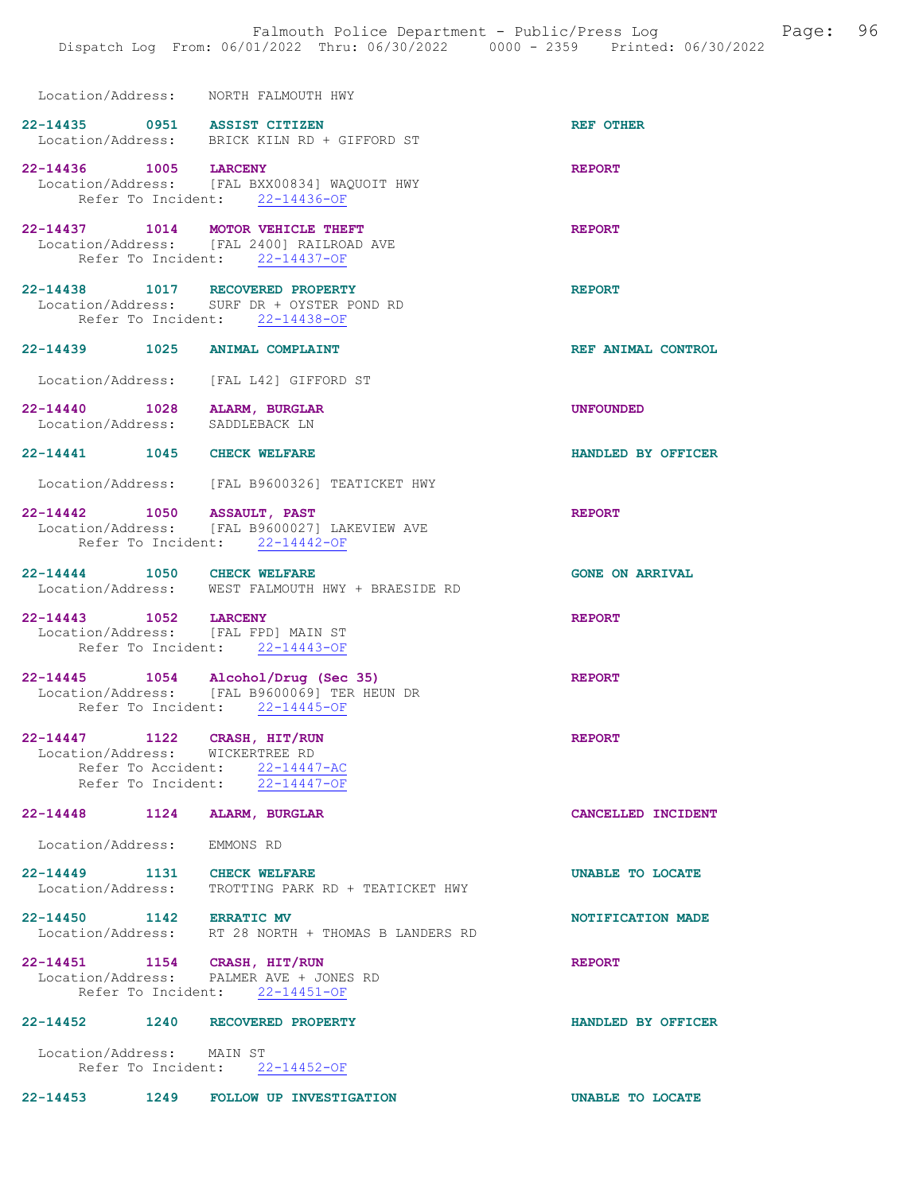Location/Address: NORTH FALMOUTH HWY

- 22-14435 0951 ASSIST CITIZEN REF OTHER Location/Address: BRICK KILN RD + GIFFORD ST 22-14436 1005 LARCENY REPORT
- Location/Address: [FAL BXX00834] WAQUOIT HWY Refer To Incident: 22-14436-OF
- 22-14437 1014 MOTOR VEHICLE THEFT **REPORT**  Location/Address: [FAL 2400] RAILROAD AVE Refer To Incident: 22-14437-OF
- 22-14438 1017 RECOVERED PROPERTY REPORT Location/Address: SURF DR + OYSTER POND RD Refer To Incident: 22-14438-OF
- 22-14439 1025 ANIMAL COMPLAINT REF ANIMAL CONTROL
- Location/Address: [FAL L42] GIFFORD ST
- 22-14440 1028 ALARM, BURGLAR UNE SANDIS ENGINEERING UNFOUNDED Location/Address:
- 22-14441 1045 CHECK WELFARE **HANDLED BY OFFICER**
- Location/Address: [FAL B9600326] TEATICKET HWY
- 22-14442 1050 ASSAULT, PAST REPORT Location/Address: [FAL B9600027] LAKEVIEW AVE Refer To Incident: 22-14442-OF
- 22-14444 1050 CHECK WELFARE GONE ON ARRIVAL<br>
Location/Address: WEST FALMOUTH HWY + BRAESIDE RD WEST FALMOUTH HWY + BRAESIDE RD
- 22-14443 1052 LARCENY REPORT Location/Address: [FAL FPD] MAIN ST Refer To Incident: 22-14443-OF
- 22-14445 1054 Alcohol/Drug (Sec 35) REPORT Location/Address: [FAL B9600069] TER HEUN DR Refer To Incident: 22-14445-OF
- 22-14447 1122 CRASH, HIT/RUN REPORT Location/Address: WICKERTREE RD Refer To Accident: 22-14447-AC Refer To Incident: 22-14447-OF
- 22-14448 1124 ALARM, BURGLAR CANCELLED INCIDENT
	- Location/Address: EMMONS RD
- 22-14449 1131 CHECK WELFARE **UNABLE TO LOCATE** Location/Address: TROTTING PARK RD + TEATICKET HWY
- 22-14450 1142 ERRATIC MV 32-14450 NOTIFICATION MADE Location/Address: RT 28 NORTH + THOMAS B LANDERS RD
- 22-14451 1154 CRASH, HIT/RUN REPORT Location/Address: PALMER AVE + JONES RD Refer To Incident: 22-14451-OF

### 22-14452 1240 RECOVERED PROPERTY HANDLED BY OFFICER

- Location/Address: MAIN ST Refer To Incident: 22-14452-OF
- 22-14453 1249 FOLLOW UP INVESTIGATION UNABLE TO LOCATE
	-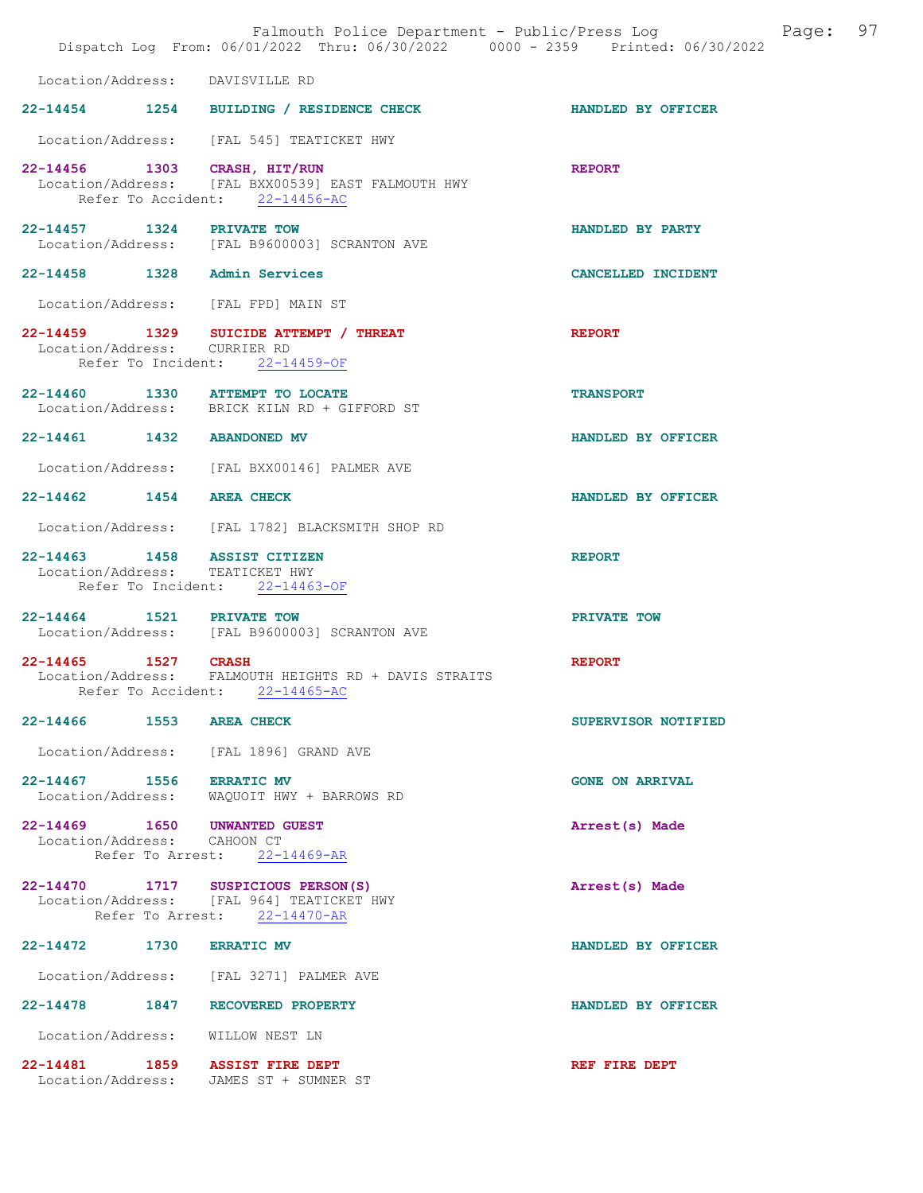|                             |                    | Falmouth Police Department - Public/Press Log Fage: 97<br>Dispatch Log From: 06/01/2022 Thru: 06/30/2022 0000 - 2359 Printed: 06/30/2022 |                        |  |
|-----------------------------|--------------------|------------------------------------------------------------------------------------------------------------------------------------------|------------------------|--|
|                             |                    | Location/Address: DAVISVILLE RD                                                                                                          |                        |  |
|                             |                    | 22-14454 1254 BUILDING / RESIDENCE CHECK                                                                                                 | HANDLED BY OFFICER     |  |
|                             |                    | Location/Address: [FAL 545] TEATICKET HWY                                                                                                |                        |  |
|                             |                    | 22-14456 1303 CRASH, HIT/RUN<br>Location/Address: [FAL BXX00539] EAST FALMOUTH HWY<br>Refer To Accident: 22-14456-AC                     | <b>REPORT</b>          |  |
|                             |                    | 22-14457 1324 PRIVATE TOW<br>Location/Address: [FAL B9600003] SCRANTON AVE                                                               | HANDLED BY PARTY       |  |
|                             |                    | 22-14458 1328 Admin Services                                                                                                             | CANCELLED INCIDENT     |  |
|                             |                    | Location/Address: [FAL FPD] MAIN ST                                                                                                      |                        |  |
|                             |                    | 22-14459 1329 SUICIDE ATTEMPT / THREAT<br>Location/Address: CURRIER RD<br>Refer To Incident: 22-14459-OF                                 | <b>REPORT</b>          |  |
|                             |                    | 22-14460 1330 ATTEMPT TO LOCATE<br>Location/Address: BRICK KILN RD + GIFFORD ST                                                          | <b>TRANSPORT</b>       |  |
|                             |                    | 22-14461 1432 ABANDONED MV                                                                                                               | HANDLED BY OFFICER     |  |
|                             |                    | Location/Address: [FAL BXX00146] PALMER AVE                                                                                              |                        |  |
| 22-14462 1454 AREA CHECK    |                    |                                                                                                                                          | HANDLED BY OFFICER     |  |
|                             |                    | Location/Address: [FAL 1782] BLACKSMITH SHOP RD                                                                                          |                        |  |
|                             |                    | 22-14463 1458 ASSIST CITIZEN<br>Location/Address: TEATICKET HWY<br>Refer To Incident: 22-14463-OF                                        | <b>REPORT</b>          |  |
|                             |                    | 22-14464 1521 PRIVATE TOW<br>Location/Address: [FAL B9600003] SCRANTON AVE                                                               | PRIVATE TOW            |  |
| 22-14465 1527 CRASH         | Refer To Accident: | Location/Address: FALMOUTH HEIGHTS RD + DAVIS STRAITS<br>$22 - 14465 - AC$                                                               | <b>REPORT</b>          |  |
| 22-14466 1553 AREA CHECK    |                    |                                                                                                                                          | SUPERVISOR NOTIFIED    |  |
|                             |                    | Location/Address: [FAL 1896] GRAND AVE                                                                                                   |                        |  |
| 22-14467 1556 ERRATIC MV    |                    | Location/Address: WAQUOIT HWY + BARROWS RD                                                                                               | <b>GONE ON ARRIVAL</b> |  |
| Location/Address: CAHOON CT |                    | 22-14469 1650 UNWANTED GUEST<br>Refer To Arrest: 22-14469-AR                                                                             | Arrest(s) Made         |  |
|                             |                    | 22-14470 1717 SUSPICIOUS PERSON(S)<br>Location/Address: [FAL 964] TEATICKET HWY<br>Refer To Arrest: 22-14470-AR                          | Arrest(s) Made         |  |
| 22-14472 1730 ERRATIC MV    |                    |                                                                                                                                          | HANDLED BY OFFICER     |  |
|                             |                    | Location/Address: [FAL 3271] PALMER AVE                                                                                                  |                        |  |
|                             |                    | 22-14478 1847 RECOVERED PROPERTY                                                                                                         | HANDLED BY OFFICER     |  |
|                             |                    | Location/Address: WILLOW NEST LN                                                                                                         |                        |  |
|                             |                    | 22-14481 1859 ASSIST FIRE DEPT<br>Location/Address: JAMES ST + SUMNER ST                                                                 | REF FIRE DEPT          |  |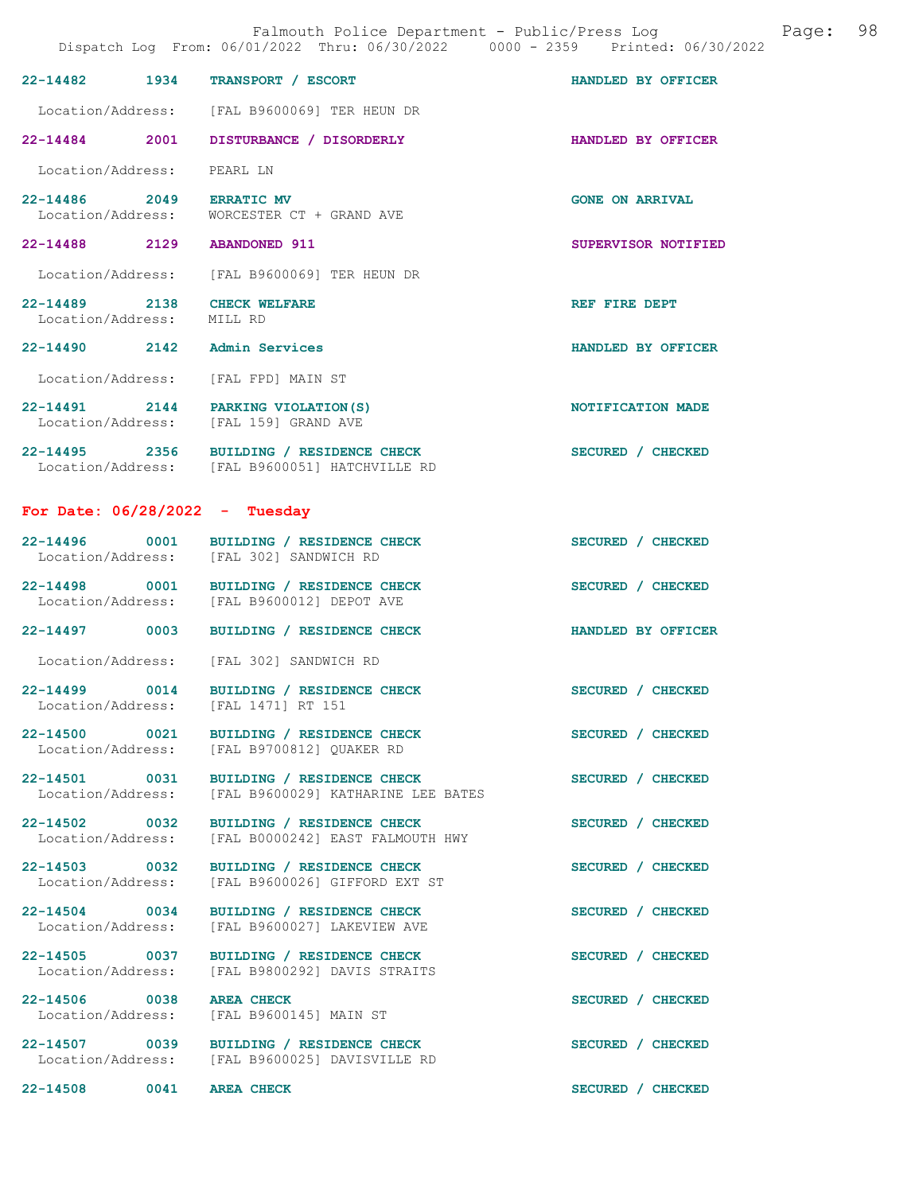| Falmouth Police Department - Public/Press Log<br>Page:<br>Dispatch Log From: 06/01/2022 Thru: 06/30/2022 0000 - 2359 Printed: 06/30/2022 |      |                                                                                            |                        |  | 98 |
|------------------------------------------------------------------------------------------------------------------------------------------|------|--------------------------------------------------------------------------------------------|------------------------|--|----|
| 22-14482                                                                                                                                 | 1934 | TRANSPORT / ESCORT                                                                         | HANDLED BY OFFICER     |  |    |
| Location/Address:                                                                                                                        |      | [FAL B9600069] TER HEUN DR                                                                 |                        |  |    |
| 22-14484 2001                                                                                                                            |      | DISTURBANCE / DISORDERLY                                                                   | HANDLED BY OFFICER     |  |    |
| Location/Address:                                                                                                                        |      | PEARL LN                                                                                   |                        |  |    |
| 2049<br>22-14486<br>Location/Address:                                                                                                    |      | <b>ERRATIC MV</b><br>WORCESTER CT + GRAND AVE                                              | <b>GONE ON ARRIVAL</b> |  |    |
| 22-14488 2129                                                                                                                            |      | <b>ABANDONED 911</b>                                                                       | SUPERVISOR NOTIFIED    |  |    |
| Location/Address:                                                                                                                        |      | [FAL B9600069] TER HEUN DR                                                                 |                        |  |    |
| 22-14489<br>2138<br>Location/Address:                                                                                                    |      | <b>CHECK WELFARE</b><br>MILL RD                                                            | REF FIRE DEPT          |  |    |
| $22 - 14490$                                                                                                                             | 2142 | Admin Services                                                                             | HANDLED BY OFFICER     |  |    |
| Location/Address:                                                                                                                        |      | [FAL FPD] MAIN ST                                                                          |                        |  |    |
|                                                                                                                                          |      | 22-14491 2144 PARKING VIOLATION (S)<br>Location/Address: [FAL 159] GRAND AVE               | NOTIFICATION MADE      |  |    |
|                                                                                                                                          |      | 22-14495 2356 BUILDING / RESIDENCE CHECK<br>Location/Address: [FAL B9600051] HATCHVILLE RD | SECURED / CHECKED      |  |    |
| For Date: $06/28/2022 - Tuesday$                                                                                                         |      |                                                                                            |                        |  |    |
| 22-14496                                                                                                                                 | 0001 | BUILDING / RESIDENCE CHECK<br>Location/Address: [FAL 302] SANDWICH RD                      | SECURED / CHECKED      |  |    |
| 22-14498 0001<br>Location/Address:                                                                                                       |      | BUILDING / RESIDENCE CHECK<br>[FAL B9600012] DEPOT AVE                                     | SECURED / CHECKED      |  |    |
| $22 - 14497$                                                                                                                             | 0003 | BUILDING / RESIDENCE CHECK                                                                 | HANDLED BY OFFICER     |  |    |
| Location/Address:                                                                                                                        |      | [FAL 302] SANDWICH RD                                                                      |                        |  |    |
| 22-14499                                                                                                                                 | 0014 | BUILDING / RESIDENCE CHECK<br>Location/Address: [FAL 1471] RT 151                          | SECURED / CHECKED      |  |    |
| 22-14500 0021<br>Location/Address:                                                                                                       |      | BUILDING / RESIDENCE CHECK<br>[FAL B9700812] QUAKER RD                                     | SECURED / CHECKED      |  |    |
| 22-14501 0031<br>Location/Address:                                                                                                       |      | BUILDING / RESIDENCE CHECK<br>[FAL B9600029] KATHARINE LEE BATES                           | SECURED / CHECKED      |  |    |
| 22-14502 0032<br>Location/Address:                                                                                                       |      | BUILDING / RESIDENCE CHECK<br>[FAL B0000242] EAST FALMOUTH HWY                             | SECURED / CHECKED      |  |    |
| 22-14503 0032<br>Location/Address:                                                                                                       |      | BUILDING / RESIDENCE CHECK<br>[FAL B9600026] GIFFORD EXT ST                                | SECURED / CHECKED      |  |    |
| 22-14504 0034<br>Location/Address:                                                                                                       |      | BUILDING / RESIDENCE CHECK<br>[FAL B9600027] LAKEVIEW AVE                                  | SECURED / CHECKED      |  |    |
| 22-14505 0037<br>Location/Address:                                                                                                       |      | BUILDING / RESIDENCE CHECK<br>[FAL B9800292] DAVIS STRAITS                                 | SECURED / CHECKED      |  |    |
| 22-14506 0038<br>Location/Address:                                                                                                       |      | <b>AREA CHECK</b><br>[FAL B9600145] MAIN ST                                                | SECURED / CHECKED      |  |    |
| 22-14507 0039<br>Location/Address:                                                                                                       |      | BUILDING / RESIDENCE CHECK<br>[FAL B9600025] DAVISVILLE RD                                 | SECURED / CHECKED      |  |    |
| 22-14508                                                                                                                                 | 0041 | <b>AREA CHECK</b>                                                                          | SECURED / CHECKED      |  |    |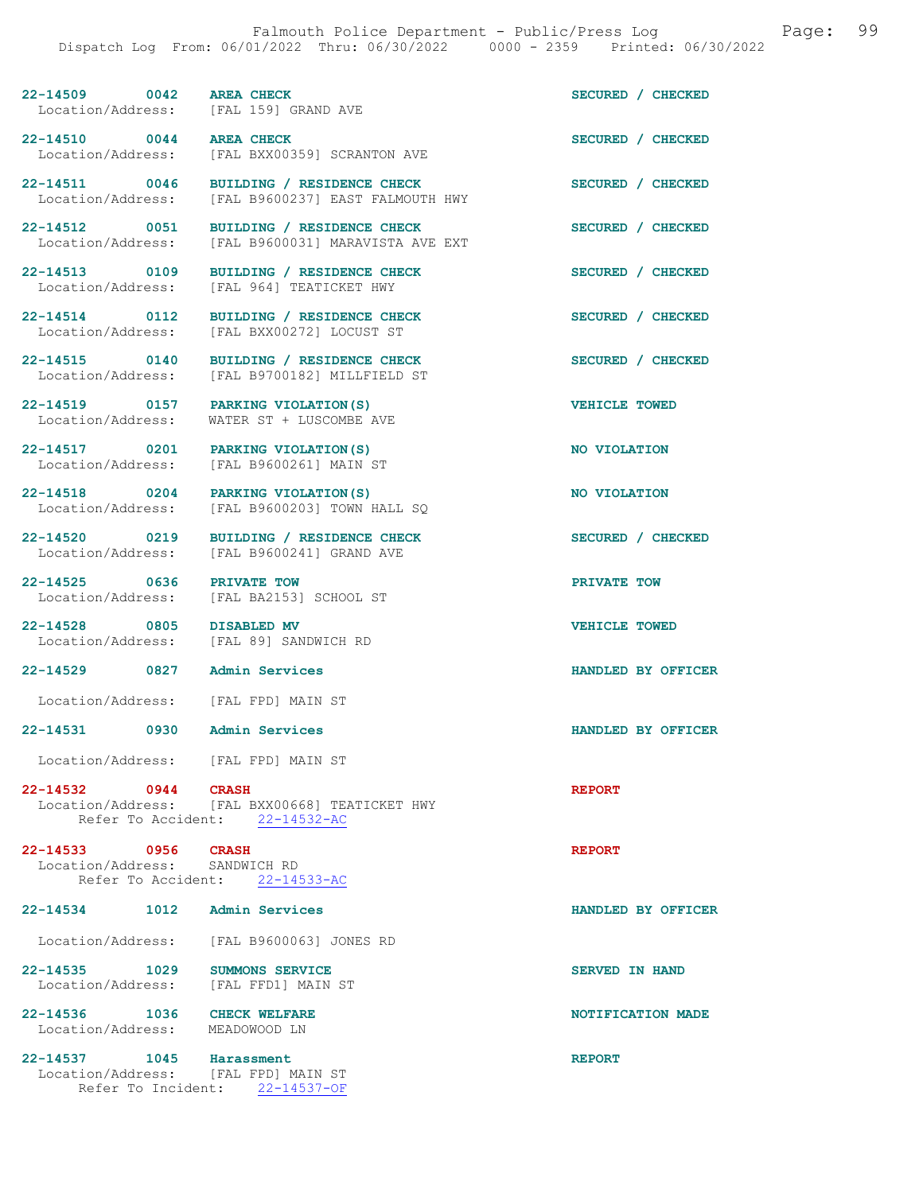22-14509 0042 AREA CHECK SECURED / CHECKED Location/Address: [FAL 159] GRAND AVE

Location/Address: [FAL B9600031] MARAVISTA AVE EXT

22-14517 0201 PARKING VIOLATION(S) NO VIOLATION

22-14525 0636 PRIVATE TOW<br>
Location/Address: [FAL BA2153] SCHOOL ST

22-14529 0827 Admin Services HANDLED BY OFFICER

Location/Address: [FAL FPD] MAIN ST

22-14531 0930 Admin Services HANDLED BY OFFICER

Location/Address: [FAL FPD] MAIN ST

**22-14532 0944 CRASH REPORT**<br>Location/Address: [FAL BXX00668] TEATICKET HWY [FAL BXX00668] TEATICKET HWY<br>ent:  $22-14532-AC$ Refer To Accident:

22-14533 0956 CRASH REPORT Location/Address: SANDWICH RD Refer To Accident: 22-14533-AC

22-14534 1012 Admin Services HANDLED BY OFFICER Location/Address: [FAL B9600063] JONES RD 22-14535 1029 SUMMONS SERVICE SERVED IN HAND

Location/Address: [FAL FFD1] MAIN ST

Location/Address: MEADOWOOD LN

22-14537 1045 Harassment REPORT Location/Address: [FAL FPD] MAIN ST Refer To Incident: 22-14537-OF

22-14510 0044 AREA CHECK SECURED / CHECKED<br>
Location/Address: [FAL BXX00359] SCRANTON AVE [FAL BXX00359] SCRANTON AVE

22-14511 0046 BUILDING / RESIDENCE CHECK SECURED / CHECKED Location/Address: [FAL B9600237] EAST FALMOUTH HWY

22-14512 0051 BUILDING / RESIDENCE CHECK SECURED / CHECKED

22-14513 0109 BUILDING / RESIDENCE CHECK SECURED / CHECKED Location/Address: [FAL 964] TEATICKET HWY [FAL 964] TEATICKET HWY

22-14514 0112 BUILDING / RESIDENCE CHECK SECURED / CHECKED Location/Address: [FAL BXX00272] LOCUST ST Location/Address: [FAL BXX00272] LOCUST ST

22-14515 0140 BUILDING / RESIDENCE CHECK SECURED / CHECKED Location/Address: [FAL B9700182] MILLFIELD ST

22-14519 0157 PARKING VIOLATION(S) VEHICLE TOWED Location/Address: WATER ST + LUSCOMBE AVE

Location/Address: [FAL B9600261] MAIN ST

22-14518 0204 PARKING VIOLATION(S) NO VIOLATION<br>
Location/Address: [FAL B9600203] TOWN HALL SQ [FAL B9600203] TOWN HALL SQ

22-14520 0219 BUILDING / RESIDENCE CHECK SECURED / CHECKED Location/Address: [FAL B9600241] GRAND AVE

[FAL BA2153] SCHOOL ST

22-14528 0805 DISABLED MV VEHICLE TOWED<br>
Location/Address: [FAL 89] SANDWICH RD [FAL 89] SANDWICH RD

22-14536 1036 CHECK WELFARE **1036 CHECK WELFARE** 22-14536 NOTIFICATION MADE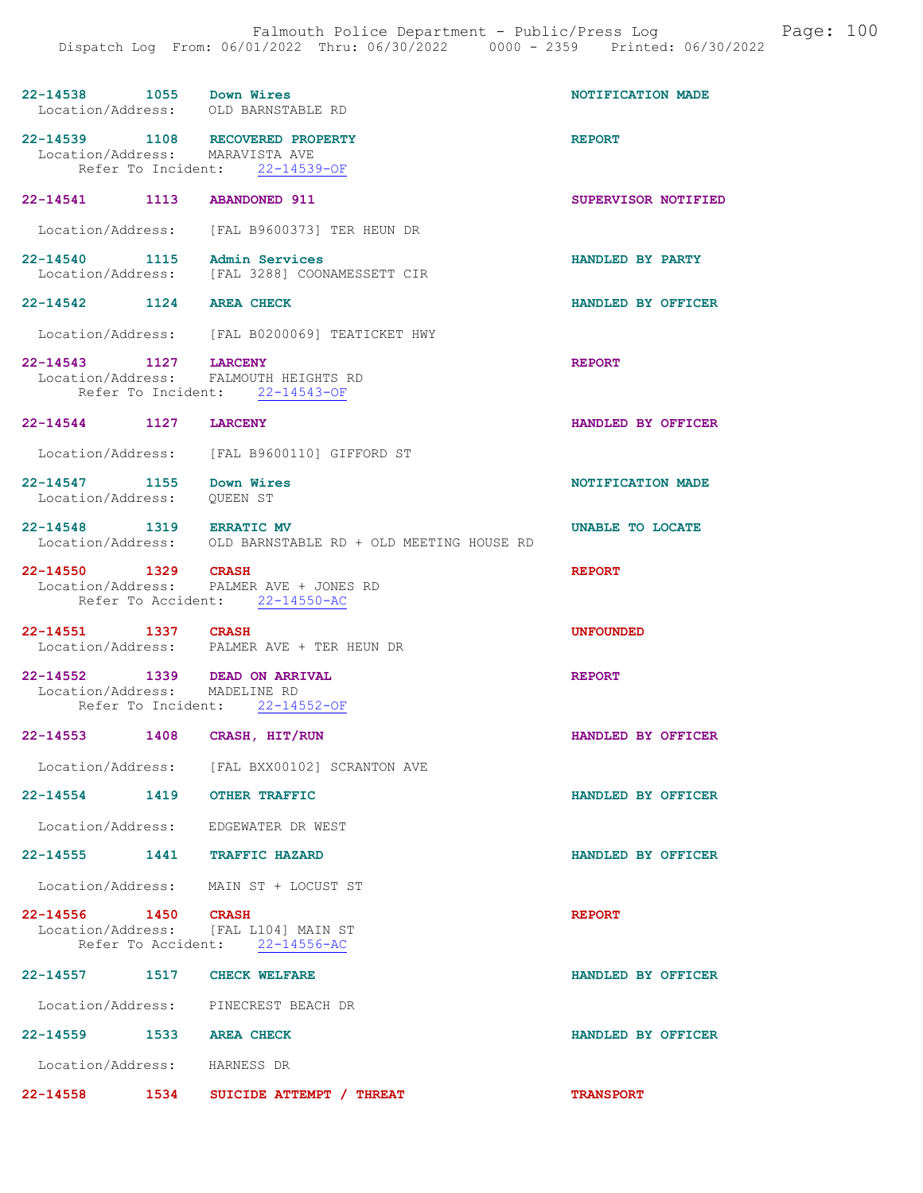| 22-14538 1055 Down Wires        | Location/Address: OLD BARNSTABLE RD                                     | NOTIFICATION MADE   |
|---------------------------------|-------------------------------------------------------------------------|---------------------|
|                                 | 22-14539 1108 RECOVERED PROPERTY                                        | <b>REPORT</b>       |
| Location/Address: MARAVISTA AVE |                                                                         |                     |
|                                 | Refer To Incident: 22-14539-OF                                          |                     |
| 22-14541 1113                   | <b>ABANDONED 911</b>                                                    | SUPERVISOR NOTIFIED |
|                                 | Location/Address: [FAL B9600373] TER HEUN DR                            |                     |
| 22-14540 1115                   | Admin Services<br>Location/Address: [FAL 3288] COONAMESSETT CIR         | HANDLED BY PARTY    |
| 22-14542 1124 AREA CHECK        |                                                                         | HANDLED BY OFFICER  |
|                                 | Location/Address: [FAL B0200069] TEATICKET HWY                          |                     |
| 22-14543 1127 LARCENY           |                                                                         | <b>REPORT</b>       |
|                                 | Location/Address: FALMOUTH HEIGHTS RD<br>Refer To Incident: 22-14543-OF |                     |
|                                 |                                                                         |                     |
| 22-14544 1127 LARCENY           |                                                                         | HANDLED BY OFFICER  |
| Location/Address:               | [FAL B9600110] GIFFORD ST                                               |                     |
| 22-14547 1155                   | Down Wires                                                              | NOTIFICATION MADE   |
| Location/Address:               | <b>OUEEN ST</b>                                                         |                     |
| 22-14548 1319 ERRATIC MV        |                                                                         | UNABLE TO LOCATE    |
|                                 | Location/Address: OLD BARNSTABLE RD + OLD MEETING HOUSE RD              |                     |
| 22-14550 1329 CRASH             |                                                                         | <b>REPORT</b>       |
|                                 | Location/Address: PALMER AVE + JONES RD                                 |                     |
|                                 |                                                                         |                     |
|                                 | Refer To Accident: 22-14550-AC                                          |                     |
|                                 |                                                                         |                     |
| 22-14551 1337 CRASH             | Location/Address: PALMER AVE + TER HEUN DR                              | <b>UNFOUNDED</b>    |
|                                 |                                                                         |                     |
| 22-14552 1339                   | <b>DEAD ON ARRIVAL</b>                                                  | <b>REPORT</b>       |
| Location/Address: MADELINE RD   | Refer To Incident: 22-14552-OF                                          |                     |
| $22 - 14553$<br>1408            | CRASH, HIT/RUN                                                          | HANDLED BY OFFICER  |
|                                 | Location/Address: [FAL BXX00102] SCRANTON AVE                           |                     |
| 22-14554 1419 OTHER TRAFFIC     |                                                                         | HANDLED BY OFFICER  |
|                                 | Location/Address: EDGEWATER DR WEST                                     |                     |
| 22-14555 1441 TRAFFIC HAZARD    |                                                                         | HANDLED BY OFFICER  |
|                                 | Location/Address: MAIN ST + LOCUST ST                                   |                     |
| 22-14556 1450 CRASH             |                                                                         | <b>REPORT</b>       |
|                                 | Location/Address: [FAL L104] MAIN ST                                    |                     |
|                                 | Refer To Accident: 22-14556-AC                                          |                     |
| 22-14557 1517 CHECK WELFARE     |                                                                         | HANDLED BY OFFICER  |
|                                 | Location/Address: PINECREST BEACH DR                                    |                     |
| 22-14559 1533 AREA CHECK        |                                                                         | HANDLED BY OFFICER  |
| Location/Address: HARNESS DR    |                                                                         |                     |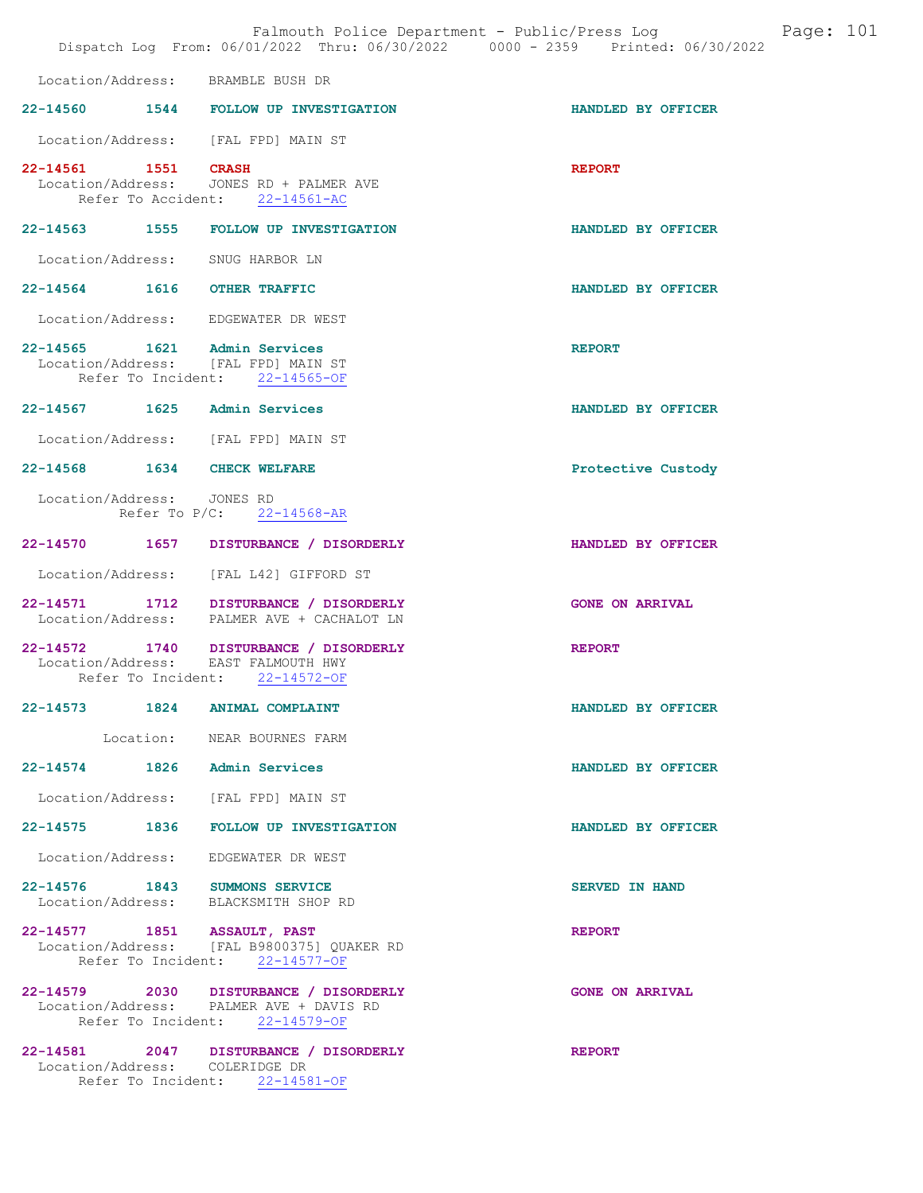|                             |                    | Falmouth Police Department - Public/Press Log<br>Dispatch Log From: 06/01/2022 Thru: 06/30/2022 0000 - 2359 Printed: 06/30/2022 |                        | Page: 101 |  |
|-----------------------------|--------------------|---------------------------------------------------------------------------------------------------------------------------------|------------------------|-----------|--|
|                             |                    | Location/Address: BRAMBLE BUSH DR                                                                                               |                        |           |  |
|                             |                    | 22-14560 1544 FOLLOW UP INVESTIGATION                                                                                           | HANDLED BY OFFICER     |           |  |
|                             |                    | Location/Address: [FAL FPD] MAIN ST                                                                                             |                        |           |  |
| 22-14561 1551 CRASH         |                    | Location/Address: JONES RD + PALMER AVE<br>Refer To Accident: 22-14561-AC                                                       | <b>REPORT</b>          |           |  |
|                             |                    | 22-14563 1555 FOLLOW UP INVESTIGATION                                                                                           | HANDLED BY OFFICER     |           |  |
|                             |                    | Location/Address: SNUG HARBOR LN                                                                                                |                        |           |  |
| 22-14564 1616 OTHER TRAFFIC |                    |                                                                                                                                 | HANDLED BY OFFICER     |           |  |
|                             |                    | Location/Address: EDGEWATER DR WEST                                                                                             |                        |           |  |
|                             |                    | 22-14565 1621 Admin Services<br>Location/Address: [FAL FPD] MAIN ST<br>Refer To Incident: 22-14565-OF                           | <b>REPORT</b>          |           |  |
|                             |                    | 22-14567 1625 Admin Services                                                                                                    | HANDLED BY OFFICER     |           |  |
|                             |                    | Location/Address: [FAL FPD] MAIN ST                                                                                             |                        |           |  |
| 22-14568 1634 CHECK WELFARE |                    |                                                                                                                                 | Protective Custody     |           |  |
| Location/Address: JONES RD  |                    | Refer To P/C: 22-14568-AR                                                                                                       |                        |           |  |
|                             |                    | 22-14570   1657   DISTURBANCE / DISORDERLY                                                                                      | HANDLED BY OFFICER     |           |  |
| Location/Address:           |                    | [FAL L42] GIFFORD ST                                                                                                            |                        |           |  |
|                             |                    | 22-14571 1712 DISTURBANCE / DISORDERLY<br>Location/Address: PALMER AVE + CACHALOT LN                                            | <b>GONE ON ARRIVAL</b> |           |  |
|                             | Refer To Incident: | 22-14572 1740 DISTURBANCE / DISORDERLY<br>Location/Address: EAST FALMOUTH HWY<br>$22 - 14572 - OF$                              | <b>REPORT</b>          |           |  |
|                             |                    | 22-14573 1824 ANIMAL COMPLAINT                                                                                                  | HANDLED BY OFFICER     |           |  |
|                             |                    | Location: NEAR BOURNES FARM                                                                                                     |                        |           |  |
|                             |                    | 22-14574 1826 Admin Services                                                                                                    | HANDLED BY OFFICER     |           |  |
|                             |                    | Location/Address: [FAL FPD] MAIN ST                                                                                             |                        |           |  |
|                             |                    | 22-14575 1836 FOLLOW UP INVESTIGATION                                                                                           | HANDLED BY OFFICER     |           |  |
| Location/Address:           |                    | EDGEWATER DR WEST                                                                                                               |                        |           |  |
|                             |                    | 22-14576 1843 SUMMONS SERVICE<br>Location/Address: BLACKSMITH SHOP RD                                                           | <b>SERVED IN HAND</b>  |           |  |
| 22-14577 1851 ASSAULT, PAST |                    | Location/Address: [FAL B9800375] OUAKER RD<br>Refer To Incident: 22-14577-OF                                                    | <b>REPORT</b>          |           |  |
|                             |                    | 22-14579 2030 DISTURBANCE / DISORDERLY<br>Location/Address: PALMER AVE + DAVIS RD<br>Refer To Incident: 22-14579-OF             | <b>GONE ON ARRIVAL</b> |           |  |
|                             |                    | 22-14581 2047 DISTURBANCE / DISORDERLY<br>Location/Address: COLERIDGE DR<br>Refer To Incident: 22-14581-OF                      | <b>REPORT</b>          |           |  |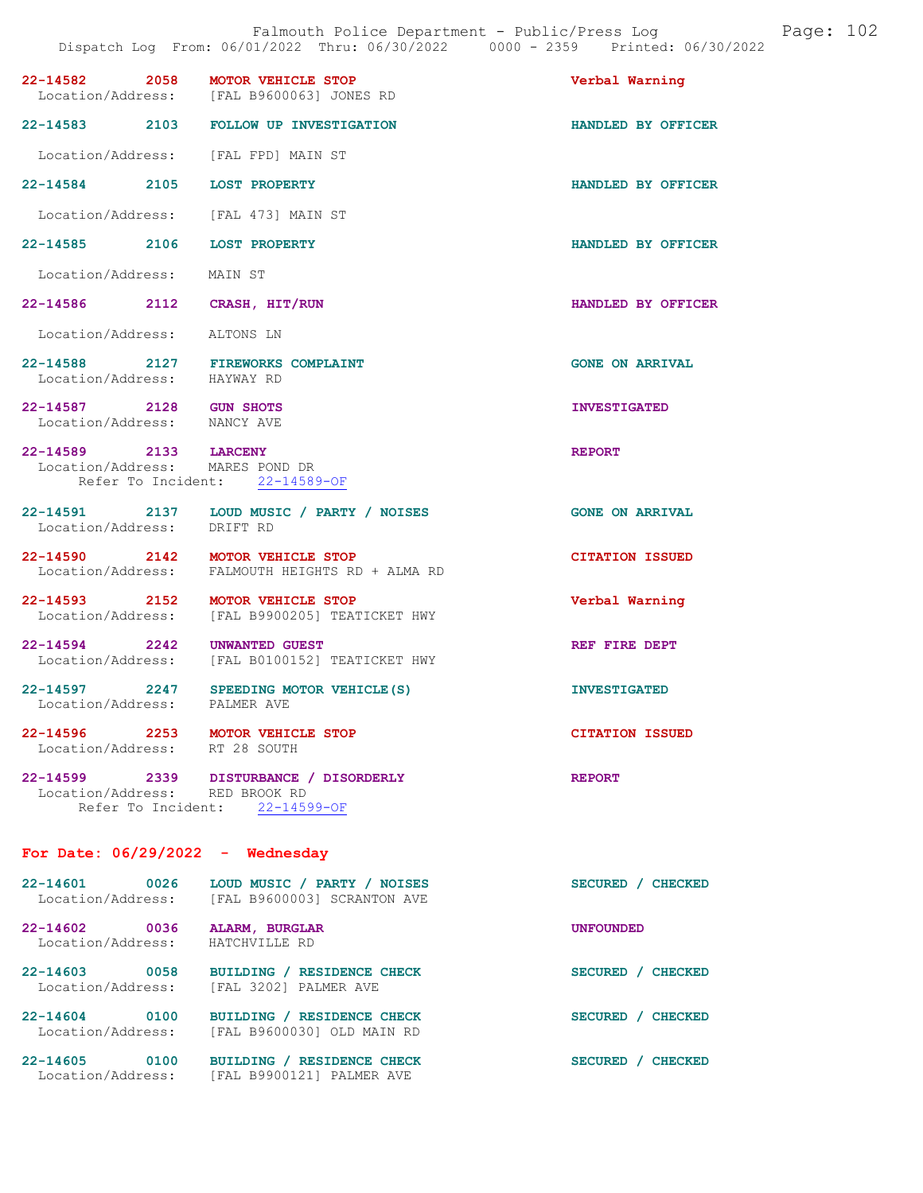|                                                        | 22-14582 2058 MOTOR VEHICLE STOP                                                    |                        |
|--------------------------------------------------------|-------------------------------------------------------------------------------------|------------------------|
|                                                        | Location/Address: [FAL B9600063] JONES RD                                           | Verbal Warning         |
|                                                        | 22-14583 2103 FOLLOW UP INVESTIGATION                                               | HANDLED BY OFFICER     |
|                                                        | Location/Address: [FAL FPD] MAIN ST                                                 |                        |
| 22-14584 2105 LOST PROPERTY                            |                                                                                     | HANDLED BY OFFICER     |
|                                                        | Location/Address: [FAL 473] MAIN ST                                                 |                        |
| 22-14585 2106 LOST PROPERTY                            |                                                                                     | HANDLED BY OFFICER     |
| Location/Address: MAIN ST                              |                                                                                     |                        |
| 22-14586 2112 CRASH, HIT/RUN                           |                                                                                     | HANDLED BY OFFICER     |
| Location/Address: ALTONS LN                            |                                                                                     |                        |
|                                                        | 22-14588 2127 FIREWORKS COMPLAINT<br>Location/Address: HAYWAY RD                    | <b>GONE ON ARRIVAL</b> |
| 22-14587 2128 GUN SHOTS<br>Location/Address: NANCY AVE |                                                                                     | <b>INVESTIGATED</b>    |
| 22-14589 2133 LARCENY                                  | Location/Address: MARES POND DR<br>Refer To Incident: 22-14589-OF                   | <b>REPORT</b>          |
| Location/Address: DRIFT RD                             | 22-14591 2137 LOUD MUSIC / PARTY / NOISES                                           | <b>GONE ON ARRIVAL</b> |
|                                                        | 22-14590 2142 MOTOR VEHICLE STOP<br>Location/Address: FALMOUTH HEIGHTS RD + ALMA RD | <b>CITATION ISSUED</b> |
|                                                        | 22-14593 2152 MOTOR VEHICLE STOP<br>Location/Address: [FAL B9900205] TEATICKET HWY  | Verbal Warning         |
| 22-14594 2242                                          | UNWANTED GUEST<br>Location/Address: [FAL B0100152] TEATICKET HWY                    | REF FIRE DEPT          |
|                                                        | 22-14597 2247 SPEEDING MOTOR VEHICLE(S)<br>Location/Address: PALMER AVE             | <b>INVESTIGATED</b>    |
|                                                        | 22-14596 2253 MOTOR VEHICLE STOP<br>Location/Address: RT 28 SOUTH                   | <b>CITATION ISSUED</b> |
| Location/Address: RED BROOK RD                         | 22-14599 2339 DISTURBANCE / DISORDERLY<br>Refer To Incident: 22-14599-OF            | <b>REPORT</b>          |
|                                                        | For Date: $06/29/2022 -$ Wednesday                                                  |                        |
|                                                        | 22-14601 0026 LOUD MUSIC / PARTY / NOISES                                           | SECURED / CHECKED      |

| 22-14001<br><b>UUZD</b><br>Location/Address: | TOOD MOSIC / PARTI / NOISES<br>[FAL B9600003] SCRANTON AVE | SECURED / CAECRED                |
|----------------------------------------------|------------------------------------------------------------|----------------------------------|
| 22-14602<br>0036<br>Location/Address:        | ALARM, BURGLAR<br>HATCHVILLE RD                            | <b>UNFOUNDED</b>                 |
| $22 - 14603$<br>0058<br>Location/Address:    | BUILDING / RESIDENCE CHECK<br>[FAL 3202] PALMER AVE        | <b>SECURED</b><br><b>CHECKED</b> |
| 22-14604<br>0100<br>Location/Address:        | BUILDING / RESIDENCE CHECK<br>[FAL B9600030] OLD MAIN RD   | <b>SECURED</b><br><b>CHECKED</b> |
| 22-14605<br>0100<br>Location/Address:        | BUILDING / RESIDENCE CHECK<br>[FAL B9900121] PALMER AVE    | <b>SECURED</b><br><b>CHECKED</b> |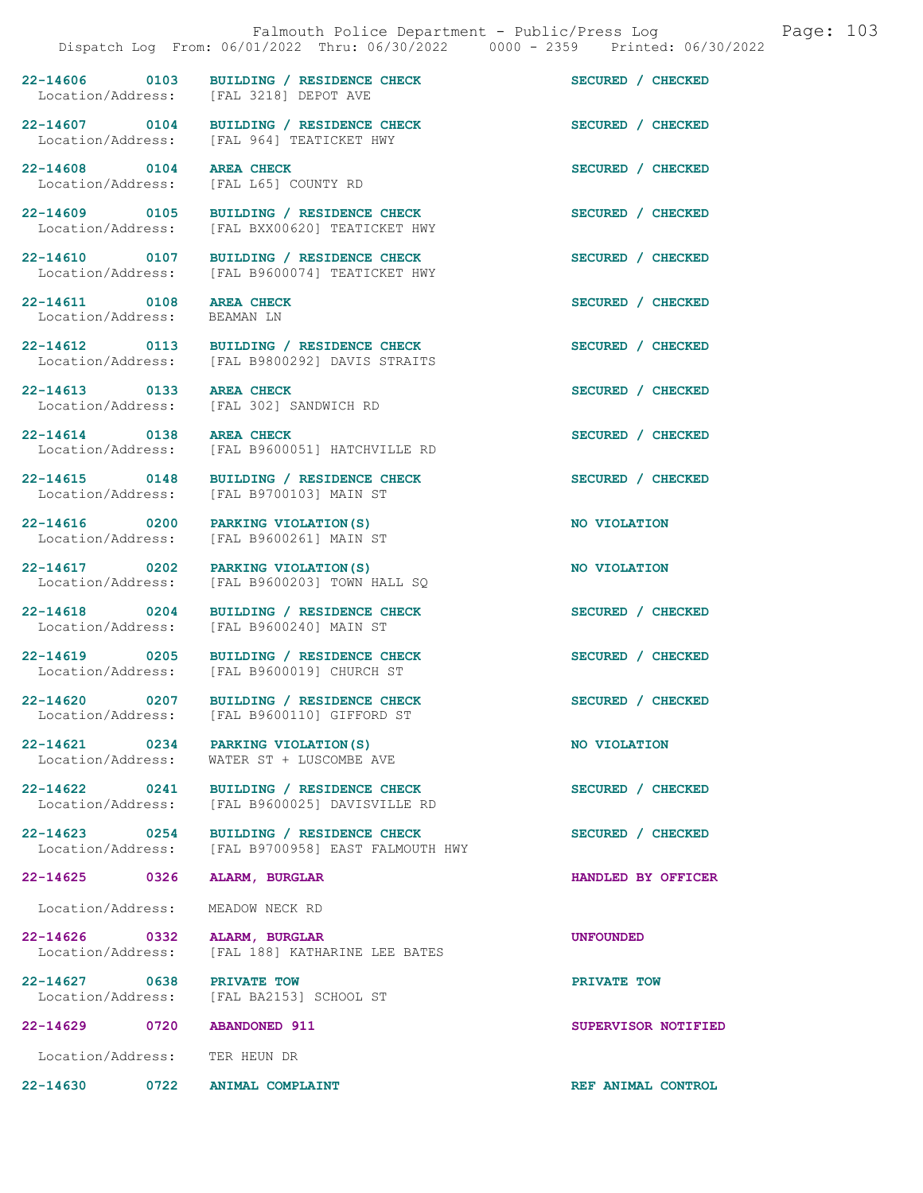22-14606 0103 BUILDING / RESIDENCE CHECK SECURED / CHECKED Location/Address: [FAL 3218] DEPOT AVE [FAL 3218] DEPOT AVE

22-14607 0104 BUILDING / RESIDENCE CHECK SECURED / CHECKED Location/Address: [FAL 964] TEATICKET HWY

22-14608 0104 AREA CHECK SECURED / CHECKED Location/Address: [FAL L65] COUNTY RD

22-14611 0108 AREA CHECK 3ECURED / CHECKED Location/Address: BEAMAN LN

22-14613 0133 AREA CHECK SECURED / CHECKED

22-14625 0326 ALARM, BURGLAR HANDLED BY OFFICER

22-14626 0332 ALARM, BURGLAR UNFOUNDED

22-14627 0638 PRIVATE TOW PRIVATE TOW

Location/Address: TER HEUN DR

22-14630 0722 ANIMAL COMPLAINT REF ANIMAL CONTROL

22-14609 0105 BUILDING / RESIDENCE CHECK SECURED / CHECKED Location/Address: [FAL BXX00620] TEATICKET HWY 22-14610 0107 BUILDING / RESIDENCE CHECK SECURED / CHECKED Location/Address: [FAL B9600074] TEATICKET HWY

22-14612 0113 BUILDING / RESIDENCE CHECK SECURED / CHECKED Location/Address: [FAL B9800292] DAVIS STRAITS

Location/Address: [FAL 302] SANDWICH RD

[FAL 964] TEATICKET HWY

22-14614 0138 AREA CHECK SECURED / CHECKED Location/Address: [FAL B9600051] HATCHVILLE RD

22-14615 0148 BUILDING / RESIDENCE CHECK SECURED / CHECKED Location/Address: [FAL B9700103] MAIN ST [FAL B9700103] MAIN ST

22-14616 0200 PARKING VIOLATION(S) NO VIOLATION<br>
Location/Address: [FAL B9600261] MAIN ST [FAL B9600261] MAIN ST

22-14617 0202 PARKING VIOLATION(S) NO VIOLATION Location/Address: [FAL B9600203] TOWN HALL SQ

22-14618 0204 BUILDING / RESIDENCE CHECK SECURED / CHECKED Location/Address: [FAL B9600240] MAIN ST

22-14619 0205 BUILDING / RESIDENCE CHECK SECURED / CHECKED Location/Address: [FAL B9600019] CHURCH ST

22-14620 0207 BUILDING / RESIDENCE CHECK SECURED / CHECKED Location/Address: [FAL B9600110] GIFFORD ST [FAL B9600110] GIFFORD ST

22-14621 0234 PARKING VIOLATION(S) NO VIOLATION<br>
Location/Address: WATER ST + LUSCOMBE AVE WATER ST + LUSCOMBE AVE

22-14622 0241 BUILDING / RESIDENCE CHECK SECURED / CHECKED Location/Address: [FAL B9600025] DAVISVILLE RD

22-14623 0254 BUILDING / RESIDENCE CHECK SECURED / CHECKED Location/Address: [FAL B9700958] EAST FALMOUTH HWY

Location/Address: MEADOW NECK RD

Location/Address: [FAL 188] KATHARINE LEE BATES

Location/Address: [FAL BA2153] SCHOOL ST

22-14629 0720 ABANDONED 911 SUPERVISOR NOTIFIED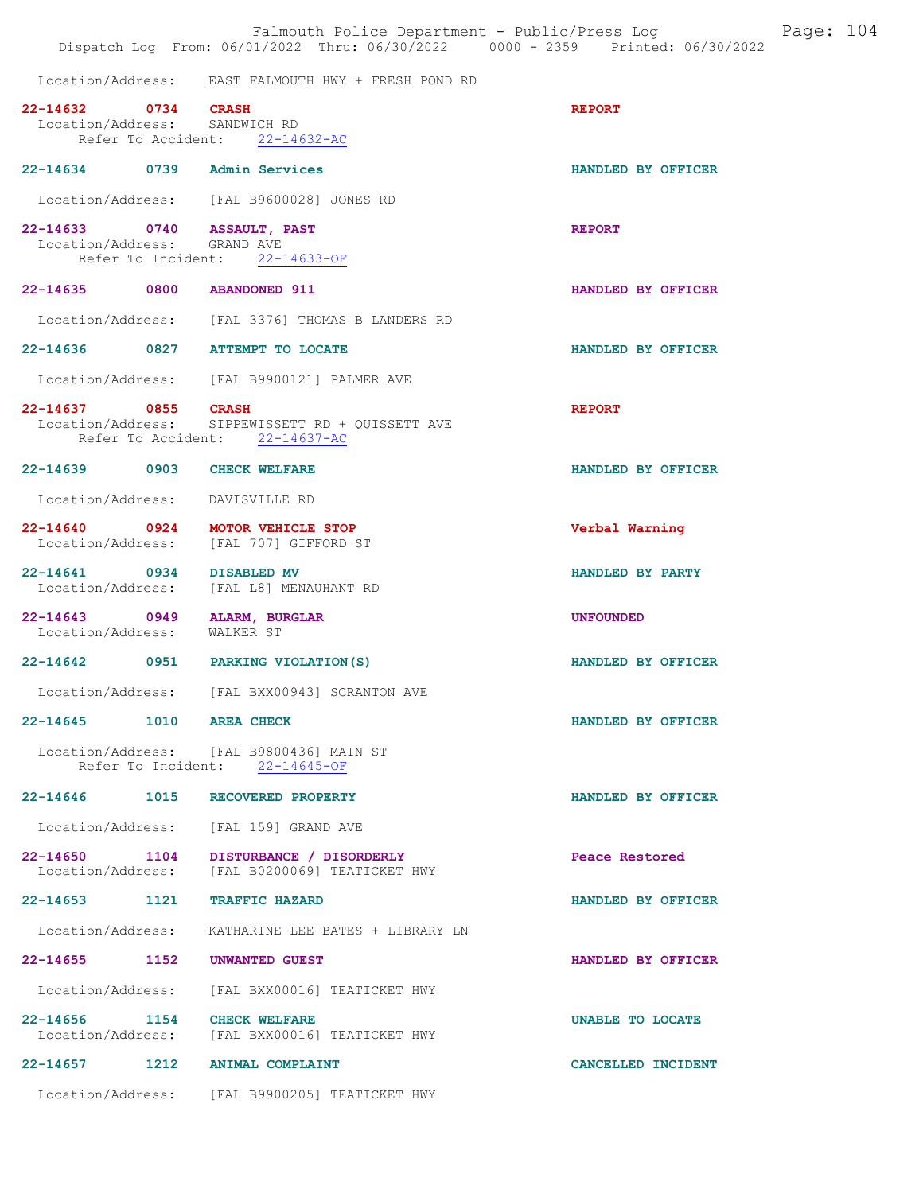|                                                      | Falmouth Police Department - Public/Press Log<br>Dispatch Log From: 06/01/2022 Thru: 06/30/2022 0000 - 2359 Printed: 06/30/2022 |                    | Page: 104 |  |
|------------------------------------------------------|---------------------------------------------------------------------------------------------------------------------------------|--------------------|-----------|--|
|                                                      | Location/Address: EAST FALMOUTH HWY + FRESH POND RD                                                                             |                    |           |  |
| 22-14632 0734 CRASH<br>Location/Address: SANDWICH RD | Refer To Accident: 22-14632-AC                                                                                                  | <b>REPORT</b>      |           |  |
|                                                      | 22-14634 0739 Admin Services                                                                                                    | HANDLED BY OFFICER |           |  |
|                                                      | Location/Address: [FAL B9600028] JONES RD                                                                                       |                    |           |  |
| Location/Address: GRAND AVE                          | 22-14633 0740 ASSAULT, PAST<br>Refer To Incident: 22-14633-OF                                                                   | <b>REPORT</b>      |           |  |
|                                                      | 22-14635 0800 ABANDONED 911                                                                                                     | HANDLED BY OFFICER |           |  |
|                                                      | Location/Address: [FAL 3376] THOMAS B LANDERS RD                                                                                |                    |           |  |
|                                                      | 22-14636 0827 ATTEMPT TO LOCATE                                                                                                 | HANDLED BY OFFICER |           |  |
|                                                      | Location/Address: [FAL B9900121] PALMER AVE                                                                                     |                    |           |  |
| 22-14637 0855 CRASH                                  | Location/Address: SIPPEWISSETT RD + QUISSETT AVE<br>Refer To Accident: 22-14637-AC                                              | <b>REPORT</b>      |           |  |
|                                                      | 22-14639 0903 CHECK WELFARE                                                                                                     | HANDLED BY OFFICER |           |  |
|                                                      | Location/Address: DAVISVILLE RD                                                                                                 |                    |           |  |
|                                                      | 22-14640 0924 MOTOR VEHICLE STOP<br>Location/Address: [FAL 707] GIFFORD ST                                                      | Verbal Warning     |           |  |
| 22-14641 0934 DISABLED MV                            | Location/Address: [FAL L8] MENAUHANT RD                                                                                         | HANDLED BY PARTY   |           |  |
| Location/Address: WALKER ST                          | 22-14643 0949 ALARM, BURGLAR                                                                                                    | <b>UNFOUNDED</b>   |           |  |
|                                                      | 22-14642 0951 PARKING VIOLATION (S)                                                                                             | HANDLED BY OFFICER |           |  |
| Location/Address:                                    | [FAL BXX00943] SCRANTON AVE                                                                                                     |                    |           |  |
| 22-14645 1010 AREA CHECK                             |                                                                                                                                 | HANDLED BY OFFICER |           |  |
|                                                      | Location/Address: [FAL B9800436] MAIN ST<br>Refer To Incident: 22-14645-OF                                                      |                    |           |  |
|                                                      | 22-14646 1015 RECOVERED PROPERTY                                                                                                | HANDLED BY OFFICER |           |  |
|                                                      | Location/Address: [FAL 159] GRAND AVE                                                                                           |                    |           |  |
|                                                      | 22-14650 1104 DISTURBANCE / DISORDERLY<br>Location/Address: [FAL B0200069] TEATICKET HWY                                        | Peace Restored     |           |  |
|                                                      | 22-14653 1121 TRAFFIC HAZARD                                                                                                    | HANDLED BY OFFICER |           |  |
|                                                      | Location/Address: KATHARINE LEE BATES + LIBRARY LN                                                                              |                    |           |  |
|                                                      | 22-14655 1152 UNWANTED GUEST                                                                                                    | HANDLED BY OFFICER |           |  |
| Location/Address:                                    | [FAL BXX00016] TEATICKET HWY                                                                                                    |                    |           |  |
|                                                      | 22-14656 1154 CHECK WELFARE<br>Location/Address: [FAL BXX00016] TEATICKET HWY                                                   | UNABLE TO LOCATE   |           |  |
|                                                      | 22-14657 1212 ANIMAL COMPLAINT                                                                                                  | CANCELLED INCIDENT |           |  |
|                                                      | Location/Address: [FAL B9900205] TEATICKET HWY                                                                                  |                    |           |  |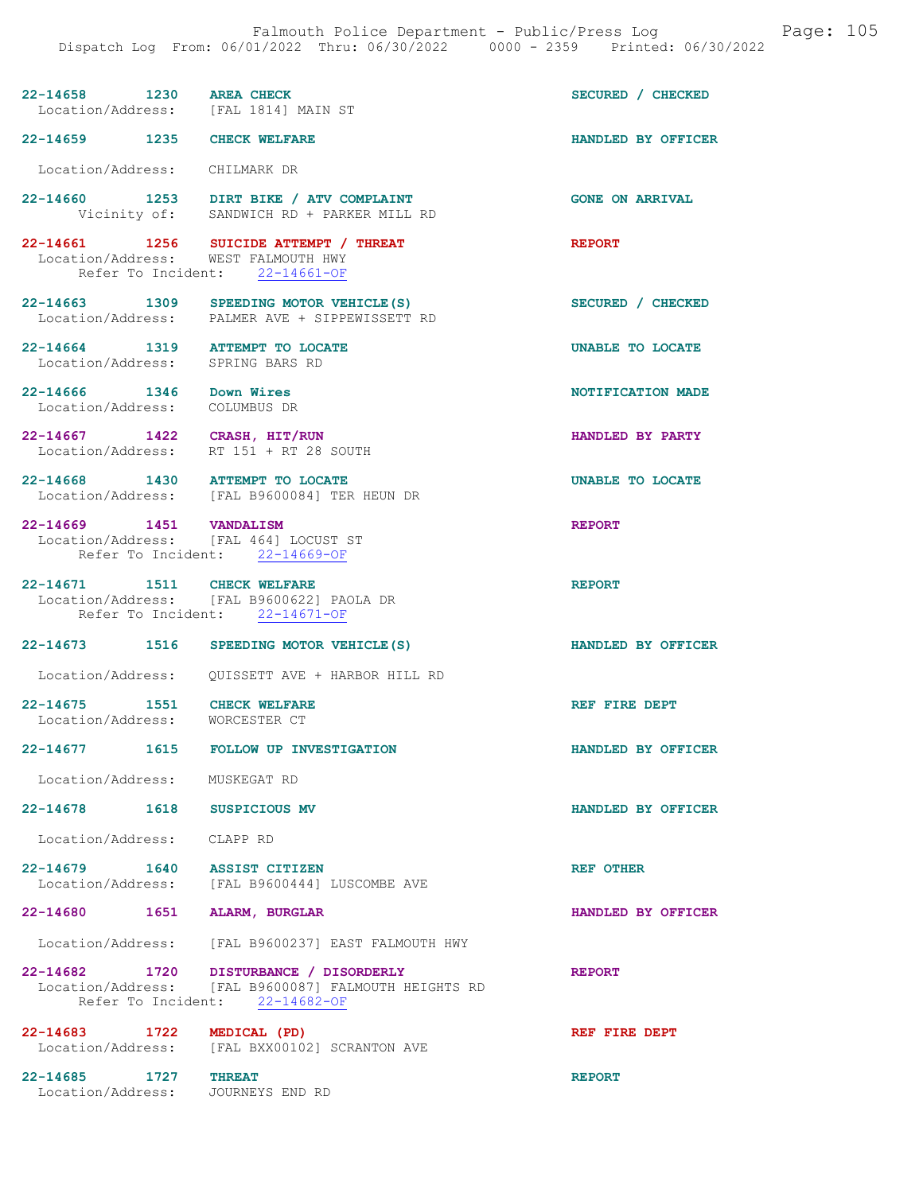| 22-14658 1230 AREA CHECK                                            |                                                                                                                                  | SECURED / CHECKED       |
|---------------------------------------------------------------------|----------------------------------------------------------------------------------------------------------------------------------|-------------------------|
| Location/Address: [FAL 1814] MAIN ST                                |                                                                                                                                  |                         |
| 22-14659 1235 CHECK WELFARE                                         |                                                                                                                                  | HANDLED BY OFFICER      |
| Location/Address: CHILMARK DR                                       |                                                                                                                                  |                         |
|                                                                     | 22-14660 1253 DIRT BIKE / ATV COMPLAINT<br>Vicinity of: SANDWICH RD + PARKER MILL RD                                             | <b>GONE ON ARRIVAL</b>  |
| Location/Address: WEST FALMOUTH HWY                                 | 22-14661 1256 SUICIDE ATTEMPT / THREAT<br>Refer To Incident: 22-14661-OF                                                         | <b>REPORT</b>           |
| Location/Address:                                                   | 22-14663 1309 SPEEDING MOTOR VEHICLE (S)<br>PALMER AVE + SIPPEWISSETT RD                                                         | SECURED / CHECKED       |
| 22-14664 1319 ATTEMPT TO LOCATE<br>Location/Address: SPRING BARS RD |                                                                                                                                  | <b>UNABLE TO LOCATE</b> |
| 22-14666 1346 Down Wires<br>Location/Address:                       | COLUMBUS DR                                                                                                                      | NOTIFICATION MADE       |
| 22-14667 1422 CRASH, HIT/RUN<br>Location/Address:                   | RT 151 + RT 28 SOUTH                                                                                                             | HANDLED BY PARTY        |
| 22-14668 1430 ATTEMPT TO LOCATE                                     | Location/Address: [FAL B9600084] TER HEUN DR                                                                                     | <b>UNABLE TO LOCATE</b> |
| 22-14669 1451 VANDALISM<br>Location/Address: [FAL 464] LOCUST ST    | Refer To Incident: 22-14669-OF                                                                                                   | <b>REPORT</b>           |
| 22-14671 1511 CHECK WELFARE                                         | Location/Address: [FAL B9600622] PAOLA DR<br>Refer To Incident: 22-14671-OF                                                      | <b>REPORT</b>           |
|                                                                     | 22-14673 1516 SPEEDING MOTOR VEHICLE(S)                                                                                          | HANDLED BY OFFICER      |
|                                                                     | Location/Address: QUISSETT AVE + HARBOR HILL RD                                                                                  |                         |
| 22-14675 1551 CHECK WELFARE<br>Location/Address: WORCESTER CT       |                                                                                                                                  | REF FIRE DEPT           |
| 22-14677<br>1615                                                    | <b>FOLLOW UP INVESTIGATION</b>                                                                                                   | HANDLED BY OFFICER      |
| Location/Address: MUSKEGAT RD                                       |                                                                                                                                  |                         |
| 22-14678 1618                                                       | <b>SUSPICIOUS MV</b>                                                                                                             | HANDLED BY OFFICER      |
| Location/Address: CLAPP RD                                          |                                                                                                                                  |                         |
| 22-14679 1640 ASSIST CITIZEN                                        | Location/Address: [FAL B9600444] LUSCOMBE AVE                                                                                    | REF OTHER               |
| 22-14680   1651   ALARM, BURGLAR                                    |                                                                                                                                  | HANDLED BY OFFICER      |
|                                                                     | Location/Address: [FAL B9600237] EAST FALMOUTH HWY                                                                               |                         |
|                                                                     |                                                                                                                                  |                         |
|                                                                     | 22-14682 1720 DISTURBANCE / DISORDERLY<br>Location/Address: [FAL B9600087] FALMOUTH HEIGHTS RD<br>Refer To Incident: 22-14682-OF | <b>REPORT</b>           |

22-14685 1727 THREAT REPORT Location/Address: JOURNEYS END RD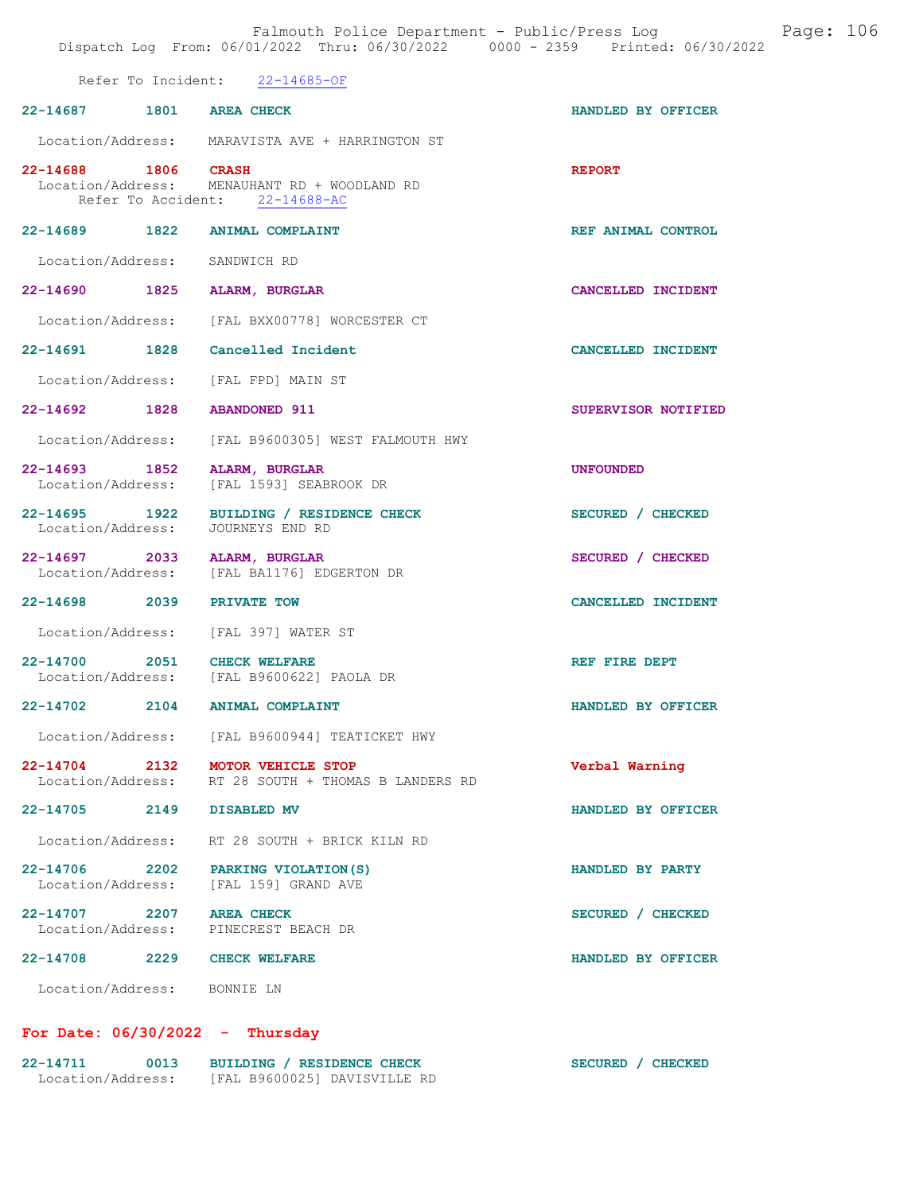|                             | Falmouth Police Department - Public/Press Log Fage: 106<br>Dispatch Log From: 06/01/2022 Thru: 06/30/2022 0000 - 2359 Printed: 06/30/2022 |                     |  |
|-----------------------------|-------------------------------------------------------------------------------------------------------------------------------------------|---------------------|--|
|                             | Refer To Incident: 22-14685-OF                                                                                                            |                     |  |
| 22-14687 1801 AREA CHECK    |                                                                                                                                           | HANDLED BY OFFICER  |  |
|                             | Location/Address: MARAVISTA AVE + HARRINGTON ST                                                                                           |                     |  |
| 22-14688 1806 CRASH         | Location/Address: MENAUHANT RD + WOODLAND RD<br>Refer To Accident: 22-14688-AC                                                            | <b>REPORT</b>       |  |
|                             | 22-14689 1822 ANIMAL COMPLAINT                                                                                                            | REF ANIMAL CONTROL  |  |
|                             | Location/Address: SANDWICH RD                                                                                                             |                     |  |
| 22-14690 1825               | <b>ALARM, BURGLAR</b>                                                                                                                     | CANCELLED INCIDENT  |  |
|                             | Location/Address: [FAL BXX00778] WORCESTER CT                                                                                             |                     |  |
|                             | 22-14691 1828 Cancelled Incident                                                                                                          | CANCELLED INCIDENT  |  |
|                             | Location/Address: [FAL FPD] MAIN ST                                                                                                       |                     |  |
|                             | 22-14692 1828 ABANDONED 911                                                                                                               | SUPERVISOR NOTIFIED |  |
|                             | Location/Address: [FAL B9600305] WEST FALMOUTH HWY                                                                                        |                     |  |
|                             | 22-14693 1852 ALARM, BURGLAR<br>Location/Address: [FAL 1593] SEABROOK DR                                                                  | <b>UNFOUNDED</b>    |  |
|                             | 22-14695 1922 BUILDING / RESIDENCE CHECK<br>Location/Address: JOURNEYS END RD                                                             | SECURED / CHECKED   |  |
|                             | 22-14697 2033 ALARM, BURGLAR<br>Location/Address: [FAL BA1176] EDGERTON DR                                                                | SECURED / CHECKED   |  |
| 22-14698 2039 PRIVATE TOW   |                                                                                                                                           | CANCELLED INCIDENT  |  |
|                             | Location/Address: [FAL 397] WATER ST                                                                                                      |                     |  |
|                             | 22-14700 2051 CHECK WELFARE<br>Location/Address: [FAL B9600622] PAOLA DR                                                                  | REF FIRE DEPT       |  |
| 22-14702 2104               | <b>ANIMAL COMPLAINT</b>                                                                                                                   | HANDLED BY OFFICER  |  |
|                             | Location/Address: [FAL B9600944] TEATICKET HWY                                                                                            |                     |  |
|                             | 22-14704 2132 MOTOR VEHICLE STOP<br>Location/Address: RT 28 SOUTH + THOMAS B LANDERS RD                                                   | Verbal Warning      |  |
| 22-14705 2149 DISABLED MV   |                                                                                                                                           | HANDLED BY OFFICER  |  |
|                             | Location/Address: RT 28 SOUTH + BRICK KILN RD                                                                                             |                     |  |
|                             | 22-14706 2202 PARKING VIOLATION (S)<br>Location/Address: [FAL 159] GRAND AVE                                                              | HANDLED BY PARTY    |  |
| 22-14707 2207 AREA CHECK    | Location/Address: PINECREST BEACH DR                                                                                                      | SECURED / CHECKED   |  |
|                             | 22-14708 2229 CHECK WELFARE                                                                                                               | HANDLED BY OFFICER  |  |
| Location/Address: BONNIE LN |                                                                                                                                           |                     |  |

# For Date: 06/30/2022 - Thursday

| 22-14711          | 0013 | BUILDING / RESIDENCE CHECK   | SECURED / CHECKED |
|-------------------|------|------------------------------|-------------------|
| Location/Address: |      | [FAL B9600025] DAVISVILLE RD |                   |